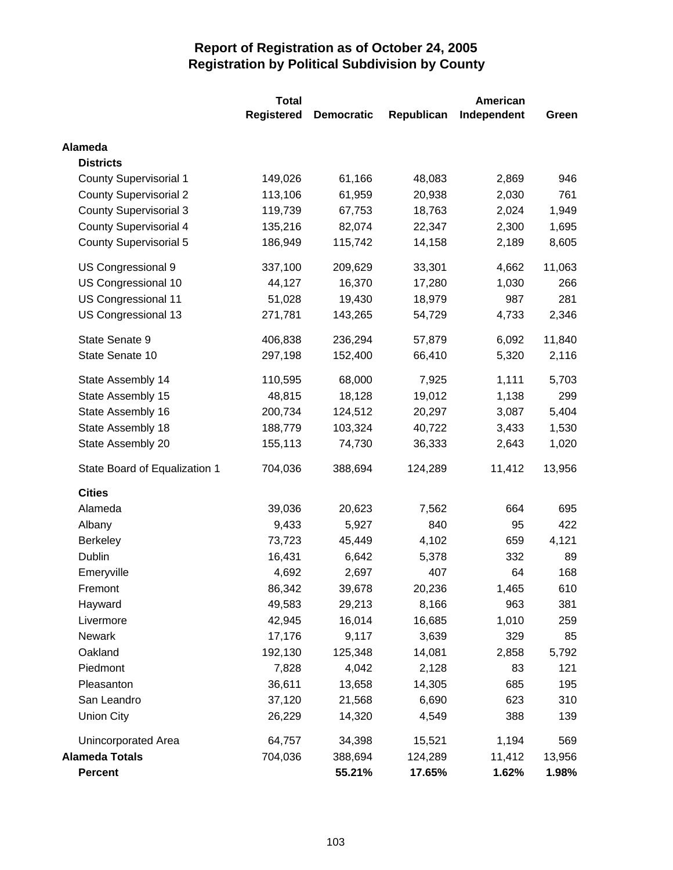|                               | <b>Total</b>      | <b>American</b>   |            |             |        |
|-------------------------------|-------------------|-------------------|------------|-------------|--------|
|                               | <b>Registered</b> | <b>Democratic</b> | Republican | Independent | Green  |
| <b>Alameda</b>                |                   |                   |            |             |        |
| <b>Districts</b>              |                   |                   |            |             |        |
| <b>County Supervisorial 1</b> | 149,026           | 61,166            | 48,083     | 2,869       | 946    |
| <b>County Supervisorial 2</b> | 113,106           | 61,959            | 20,938     | 2,030       | 761    |
| <b>County Supervisorial 3</b> | 119,739           | 67,753            | 18,763     | 2,024       | 1,949  |
| <b>County Supervisorial 4</b> | 135,216           | 82,074            | 22,347     | 2,300       | 1,695  |
| County Supervisorial 5        | 186,949           | 115,742           | 14,158     | 2,189       | 8,605  |
| US Congressional 9            | 337,100           | 209,629           | 33,301     | 4,662       | 11,063 |
| US Congressional 10           | 44,127            | 16,370            | 17,280     | 1,030       | 266    |
| US Congressional 11           | 51,028            | 19,430            | 18,979     | 987         | 281    |
| US Congressional 13           | 271,781           | 143,265           | 54,729     | 4,733       | 2,346  |
| State Senate 9                | 406,838           | 236,294           | 57,879     | 6,092       | 11,840 |
| State Senate 10               | 297,198           | 152,400           | 66,410     | 5,320       | 2,116  |
| State Assembly 14             | 110,595           | 68,000            | 7,925      | 1,111       | 5,703  |
| State Assembly 15             | 48,815            | 18,128            | 19,012     | 1,138       | 299    |
| State Assembly 16             | 200,734           | 124,512           | 20,297     | 3,087       | 5,404  |
| State Assembly 18             | 188,779           | 103,324           | 40,722     | 3,433       | 1,530  |
| State Assembly 20             | 155,113           | 74,730            | 36,333     | 2,643       | 1,020  |
| State Board of Equalization 1 | 704,036           | 388,694           | 124,289    | 11,412      | 13,956 |
| <b>Cities</b>                 |                   |                   |            |             |        |
| Alameda                       | 39,036            | 20,623            | 7,562      | 664         | 695    |
| Albany                        | 9,433             | 5,927             | 840        | 95          | 422    |
| <b>Berkeley</b>               | 73,723            | 45,449            | 4,102      | 659         | 4,121  |
| Dublin                        | 16,431            | 6,642             | 5,378      | 332         | 89     |
| Emeryville                    | 4,692             | 2,697             | 407        | 64          | 168    |
| Fremont                       | 86,342            | 39,678            | 20,236     | 1,465       | 610    |
| Hayward                       | 49,583            | 29,213            | 8,166      | 963         | 381    |
| Livermore                     | 42,945            | 16,014            | 16,685     | 1,010       | 259    |
| <b>Newark</b>                 | 17,176            | 9,117             | 3,639      | 329         | 85     |
| Oakland                       | 192,130           | 125,348           | 14,081     | 2,858       | 5,792  |
| Piedmont                      | 7,828             | 4,042             | 2,128      | 83          | 121    |
| Pleasanton                    | 36,611            | 13,658            | 14,305     | 685         | 195    |
| San Leandro                   | 37,120            | 21,568            | 6,690      | 623         | 310    |
| <b>Union City</b>             | 26,229            | 14,320            | 4,549      | 388         | 139    |
| Unincorporated Area           | 64,757            | 34,398            | 15,521     | 1,194       | 569    |
| <b>Alameda Totals</b>         | 704,036           | 388,694           | 124,289    | 11,412      | 13,956 |
| <b>Percent</b>                |                   | 55.21%            | 17.65%     | 1.62%       | 1.98%  |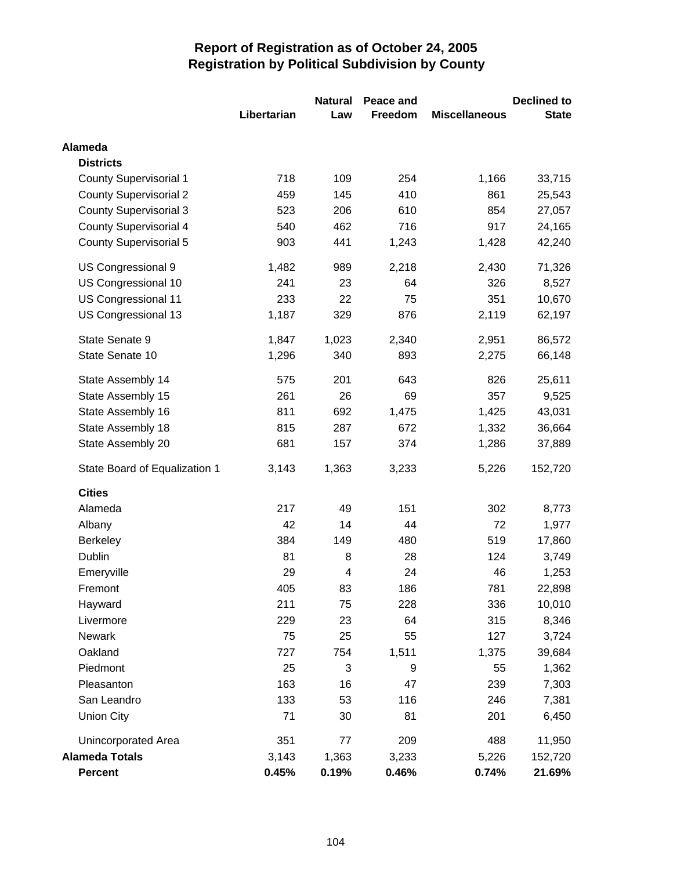|                               |             | <b>Natural</b> | Peace and |                      | <b>Declined to</b> |
|-------------------------------|-------------|----------------|-----------|----------------------|--------------------|
|                               | Libertarian | Law            | Freedom   | <b>Miscellaneous</b> | <b>State</b>       |
| <b>Alameda</b>                |             |                |           |                      |                    |
| <b>Districts</b>              |             |                |           |                      |                    |
| <b>County Supervisorial 1</b> | 718         | 109            | 254       | 1,166                | 33,715             |
| <b>County Supervisorial 2</b> | 459         | 145            | 410       | 861                  | 25,543             |
| <b>County Supervisorial 3</b> | 523         | 206            | 610       | 854                  | 27,057             |
| <b>County Supervisorial 4</b> | 540         | 462            | 716       | 917                  | 24,165             |
| County Supervisorial 5        | 903         | 441            | 1,243     | 1,428                | 42,240             |
| US Congressional 9            | 1,482       | 989            | 2,218     | 2,430                | 71,326             |
| US Congressional 10           | 241         | 23             | 64        | 326                  | 8,527              |
| US Congressional 11           | 233         | 22             | 75        | 351                  | 10,670             |
| US Congressional 13           | 1,187       | 329            | 876       | 2,119                | 62,197             |
| State Senate 9                | 1,847       | 1,023          | 2,340     | 2,951                | 86,572             |
| State Senate 10               | 1,296       | 340            | 893       | 2,275                | 66,148             |
| State Assembly 14             | 575         | 201            | 643       | 826                  | 25,611             |
| State Assembly 15             | 261         | 26             | 69        | 357                  | 9,525              |
| State Assembly 16             | 811         | 692            | 1,475     | 1,425                | 43,031             |
| State Assembly 18             | 815         | 287            | 672       | 1,332                | 36,664             |
| State Assembly 20             | 681         | 157            | 374       | 1,286                | 37,889             |
| State Board of Equalization 1 | 3,143       | 1,363          | 3,233     | 5,226                | 152,720            |
| <b>Cities</b>                 |             |                |           |                      |                    |
| Alameda                       | 217         | 49             | 151       | 302                  | 8,773              |
| Albany                        | 42          | 14             | 44        | 72                   | 1,977              |
| <b>Berkeley</b>               | 384         | 149            | 480       | 519                  | 17,860             |
| Dublin                        | 81          | 8              | 28        | 124                  | 3,749              |
| Emeryville                    | 29          | 4              | 24        | 46                   | 1,253              |
| Fremont                       | 405         | 83             | 186       | 781                  | 22,898             |
| Hayward                       | 211         | 75             | 228       | 336                  | 10,010             |
| Livermore                     | 229         | 23             | 64        | 315                  | 8,346              |
| Newark                        | 75          | 25             | 55        | 127                  | 3,724              |
| Oakland                       | 727         | 754            | 1,511     | 1,375                | 39,684             |
| Piedmont                      | 25          | 3              | 9         | 55                   | 1,362              |
| Pleasanton                    | 163         | 16             | 47        | 239                  | 7,303              |
| San Leandro                   | 133         | 53             | 116       | 246                  | 7,381              |
| <b>Union City</b>             | 71          | 30             | 81        | 201                  | 6,450              |
| Unincorporated Area           | 351         | 77             | 209       | 488                  | 11,950             |
| <b>Alameda Totals</b>         | 3,143       | 1,363          | 3,233     | 5,226                | 152,720            |
| <b>Percent</b>                | 0.45%       | 0.19%          | 0.46%     | 0.74%                | 21.69%             |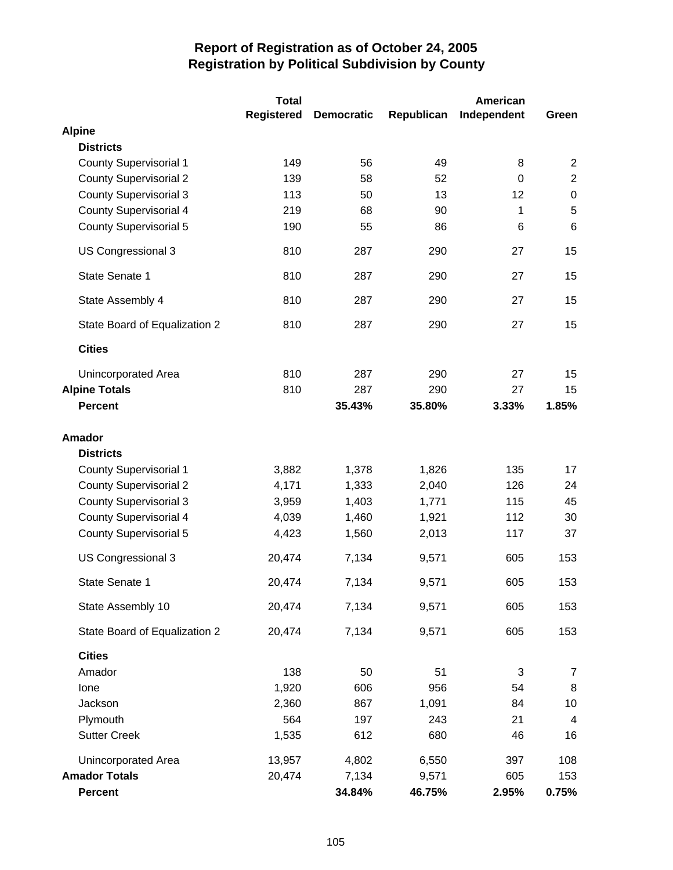|                               | <b>Total</b>      |                   |            | American    |                |
|-------------------------------|-------------------|-------------------|------------|-------------|----------------|
|                               | <b>Registered</b> | <b>Democratic</b> | Republican | Independent | Green          |
| <b>Alpine</b>                 |                   |                   |            |             |                |
| <b>Districts</b>              |                   |                   |            |             |                |
| <b>County Supervisorial 1</b> | 149               | 56                | 49         | 8           | $\overline{2}$ |
| <b>County Supervisorial 2</b> | 139               | 58                | 52         | $\mathbf 0$ | $\overline{2}$ |
| <b>County Supervisorial 3</b> | 113               | 50                | 13         | 12          | $\pmb{0}$      |
| <b>County Supervisorial 4</b> | 219               | 68                | 90         | 1           | $\sqrt{5}$     |
| <b>County Supervisorial 5</b> | 190               | 55                | 86         | 6           | 6              |
| US Congressional 3            | 810               | 287               | 290        | 27          | 15             |
| State Senate 1                | 810               | 287               | 290        | 27          | 15             |
| State Assembly 4              | 810               | 287               | 290        | 27          | 15             |
| State Board of Equalization 2 | 810               | 287               | 290        | 27          | 15             |
| <b>Cities</b>                 |                   |                   |            |             |                |
| Unincorporated Area           | 810               | 287               | 290        | 27          | 15             |
| <b>Alpine Totals</b>          | 810               | 287               | 290        | 27          | 15             |
| <b>Percent</b>                |                   | 35.43%            | 35.80%     | 3.33%       | 1.85%          |
| <b>Amador</b>                 |                   |                   |            |             |                |
| <b>Districts</b>              |                   |                   |            |             |                |
| <b>County Supervisorial 1</b> | 3,882             | 1,378             | 1,826      | 135         | 17             |
| <b>County Supervisorial 2</b> | 4,171             | 1,333             | 2,040      | 126         | 24             |
| <b>County Supervisorial 3</b> | 3,959             | 1,403             | 1,771      | 115         | 45             |
| <b>County Supervisorial 4</b> | 4,039             | 1,460             | 1,921      | 112         | 30             |
| <b>County Supervisorial 5</b> | 4,423             | 1,560             | 2,013      | 117         | 37             |
| US Congressional 3            | 20,474            | 7,134             | 9,571      | 605         | 153            |
| State Senate 1                | 20,474            | 7,134             | 9,571      | 605         | 153            |
| State Assembly 10             | 20,474            | 7,134             | 9,571      | 605         | 153            |
| State Board of Equalization 2 | 20,474            | 7,134             | 9,571      | 605         | 153            |
| <b>Cities</b>                 |                   |                   |            |             |                |
| Amador                        | 138               | 50                | 51         | 3           | $\overline{7}$ |
| Ione                          | 1,920             | 606               | 956        | 54          | 8              |
| Jackson                       | 2,360             | 867               | 1,091      | 84          | 10             |
| Plymouth                      | 564               | 197               | 243        | 21          | 4              |
| <b>Sutter Creek</b>           | 1,535             | 612               | 680        | 46          | 16             |
| Unincorporated Area           | 13,957            | 4,802             | 6,550      | 397         | 108            |
| <b>Amador Totals</b>          | 20,474            | 7,134             | 9,571      | 605         | 153            |
| <b>Percent</b>                |                   | 34.84%            | 46.75%     | 2.95%       | 0.75%          |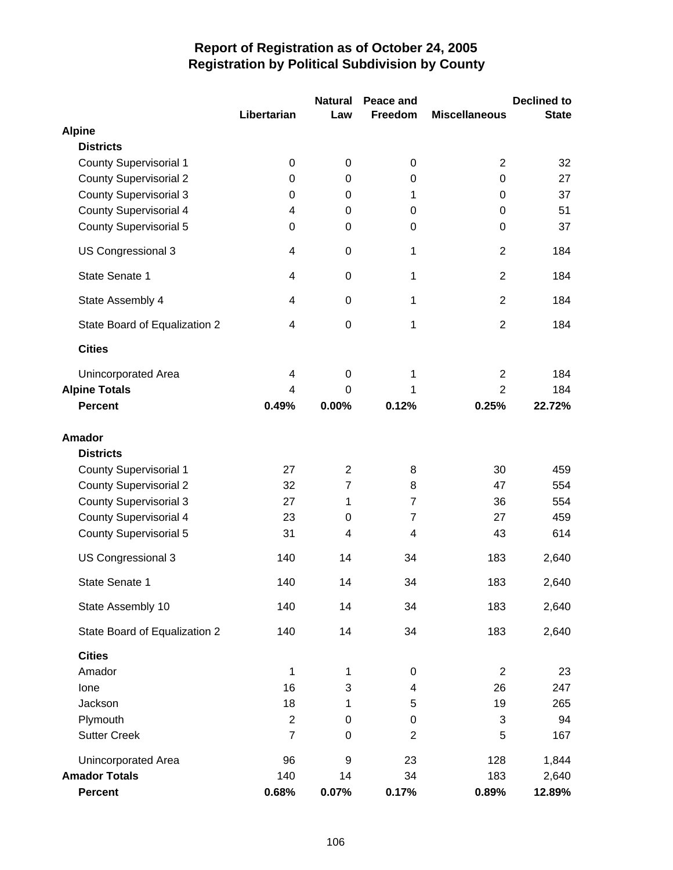|                               |                | <b>Natural</b> | Peace and      |                      | <b>Declined to</b> |
|-------------------------------|----------------|----------------|----------------|----------------------|--------------------|
|                               | Libertarian    | Law            | Freedom        | <b>Miscellaneous</b> | <b>State</b>       |
| <b>Alpine</b>                 |                |                |                |                      |                    |
| <b>Districts</b>              |                |                |                |                      |                    |
| <b>County Supervisorial 1</b> | 0              | 0              | 0              | $\overline{2}$       | 32                 |
| <b>County Supervisorial 2</b> | 0              | 0              | 0              | $\boldsymbol{0}$     | 27                 |
| <b>County Supervisorial 3</b> | 0              | $\mathbf 0$    | 1              | 0                    | 37                 |
| <b>County Supervisorial 4</b> | 4              | 0              | 0              | 0                    | 51                 |
| <b>County Supervisorial 5</b> | 0              | 0              | 0              | $\boldsymbol{0}$     | 37                 |
| US Congressional 3            | $\overline{4}$ | $\mathbf 0$    | $\mathbf{1}$   | $\overline{2}$       | 184                |
| State Senate 1                | $\overline{4}$ | 0              | 1              | $\overline{2}$       | 184                |
| State Assembly 4              | 4              | $\mathbf 0$    | $\mathbf{1}$   | $\overline{2}$       | 184                |
| State Board of Equalization 2 | 4              | $\mathbf 0$    | 1              | $\overline{2}$       | 184                |
| <b>Cities</b>                 |                |                |                |                      |                    |
| <b>Unincorporated Area</b>    | 4              | $\mathbf 0$    | 1              | $\overline{c}$       | 184                |
| <b>Alpine Totals</b>          | 4              | $\Omega$       | 1              | $\overline{2}$       | 184                |
| <b>Percent</b>                | 0.49%          | 0.00%          | 0.12%          | 0.25%                | 22.72%             |
| Amador                        |                |                |                |                      |                    |
| <b>Districts</b>              |                |                |                |                      |                    |
| <b>County Supervisorial 1</b> | 27             | $\overline{2}$ | 8              | 30                   | 459                |
| <b>County Supervisorial 2</b> | 32             | $\overline{7}$ | 8              | 47                   | 554                |
| <b>County Supervisorial 3</b> | 27             | 1              | $\overline{7}$ | 36                   | 554                |
| County Supervisorial 4        | 23             | 0              | $\overline{7}$ | 27                   | 459                |
| <b>County Supervisorial 5</b> | 31             | $\overline{4}$ | 4              | 43                   | 614                |
| US Congressional 3            | 140            | 14             | 34             | 183                  | 2,640              |
| State Senate 1                | 140            | 14             | 34             | 183                  | 2,640              |
| State Assembly 10             | 140            | 14             | 34             | 183                  | 2,640              |
| State Board of Equalization 2 | 140            | 14             | 34             | 183                  | 2,640              |
| <b>Cities</b>                 |                |                |                |                      |                    |
| Amador                        | 1              | 1              | 0              | $\overline{2}$       | 23                 |
| Ione                          | 16             | 3              | 4              | 26                   | 247                |
| Jackson                       | 18             | 1              | 5              | 19                   | 265                |
| Plymouth                      | 2              | $\pmb{0}$      | 0              | 3                    | 94                 |
| <b>Sutter Creek</b>           | $\overline{7}$ | $\mathbf 0$    | $\overline{2}$ | 5                    | 167                |
| Unincorporated Area           | 96             | 9              | 23             | 128                  | 1,844              |
| <b>Amador Totals</b>          | 140            | 14             | 34             | 183                  | 2,640              |
| Percent                       | 0.68%          | 0.07%          | 0.17%          | 0.89%                | 12.89%             |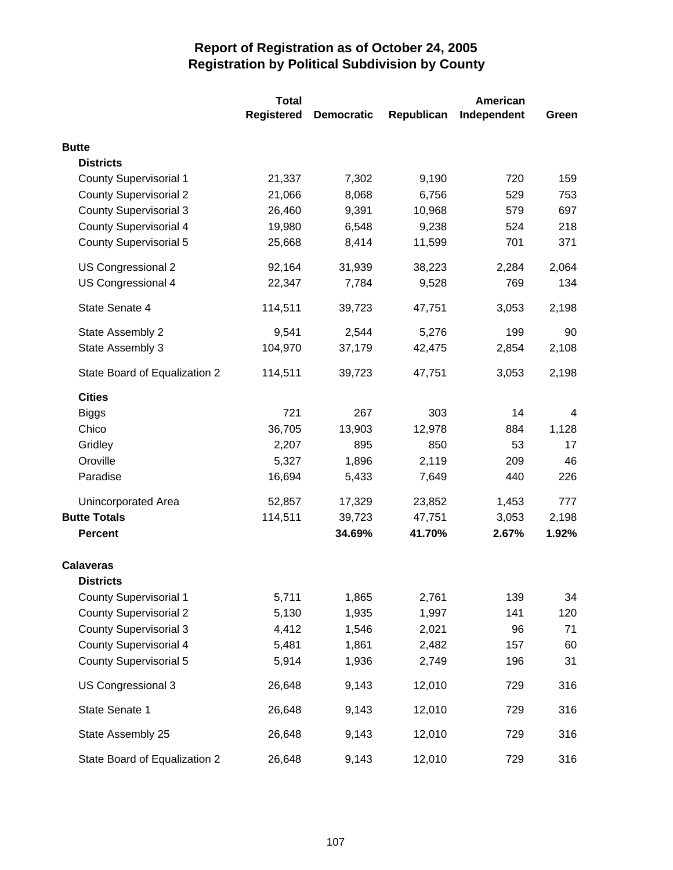|                               | <b>Total</b>      |                   |            | American    |       |  |
|-------------------------------|-------------------|-------------------|------------|-------------|-------|--|
|                               | <b>Registered</b> | <b>Democratic</b> | Republican | Independent | Green |  |
| <b>Butte</b>                  |                   |                   |            |             |       |  |
| <b>Districts</b>              |                   |                   |            |             |       |  |
| <b>County Supervisorial 1</b> | 21,337            | 7,302             | 9,190      | 720         | 159   |  |
| <b>County Supervisorial 2</b> | 21,066            | 8,068             | 6,756      | 529         | 753   |  |
| <b>County Supervisorial 3</b> | 26,460            | 9,391             | 10,968     | 579         | 697   |  |
| <b>County Supervisorial 4</b> | 19,980            | 6,548             | 9,238      | 524         | 218   |  |
| <b>County Supervisorial 5</b> | 25,668            | 8,414             | 11,599     | 701         | 371   |  |
| US Congressional 2            | 92,164            | 31,939            | 38,223     | 2,284       | 2,064 |  |
| US Congressional 4            | 22,347            | 7,784             | 9,528      | 769         | 134   |  |
| State Senate 4                | 114,511           | 39,723            | 47,751     | 3,053       | 2,198 |  |
| State Assembly 2              | 9,541             | 2,544             | 5,276      | 199         | 90    |  |
| State Assembly 3              | 104,970           | 37,179            | 42,475     | 2,854       | 2,108 |  |
| State Board of Equalization 2 | 114,511           | 39,723            | 47,751     | 3,053       | 2,198 |  |
| <b>Cities</b>                 |                   |                   |            |             |       |  |
| <b>Biggs</b>                  | 721               | 267               | 303        | 14          | 4     |  |
| Chico                         | 36,705            | 13,903            | 12,978     | 884         | 1,128 |  |
| Gridley                       | 2,207             | 895               | 850        | 53          | 17    |  |
| Oroville                      | 5,327             | 1,896             | 2,119      | 209         | 46    |  |
| Paradise                      | 16,694            | 5,433             | 7,649      | 440         | 226   |  |
| Unincorporated Area           | 52,857            | 17,329            | 23,852     | 1,453       | 777   |  |
| <b>Butte Totals</b>           | 114,511           | 39,723            | 47,751     | 3,053       | 2,198 |  |
| <b>Percent</b>                |                   | 34.69%            | 41.70%     | 2.67%       | 1.92% |  |
| <b>Calaveras</b>              |                   |                   |            |             |       |  |
| <b>Districts</b>              |                   |                   |            |             |       |  |
| <b>County Supervisorial 1</b> | 5,711             | 1,865             | 2,761      | 139         | 34    |  |
| <b>County Supervisorial 2</b> | 5,130             | 1,935             | 1,997      | 141         | 120   |  |
| <b>County Supervisorial 3</b> | 4,412             | 1,546             | 2,021      | 96          | 71    |  |
| <b>County Supervisorial 4</b> | 5,481             | 1,861             | 2,482      | 157         | 60    |  |
| <b>County Supervisorial 5</b> | 5,914             | 1,936             | 2,749      | 196         | 31    |  |
| US Congressional 3            | 26,648            | 9,143             | 12,010     | 729         | 316   |  |
| State Senate 1                | 26,648            | 9,143             | 12,010     | 729         | 316   |  |
| State Assembly 25             | 26,648            | 9,143             | 12,010     | 729         | 316   |  |
| State Board of Equalization 2 | 26,648            | 9,143             | 12,010     | 729         | 316   |  |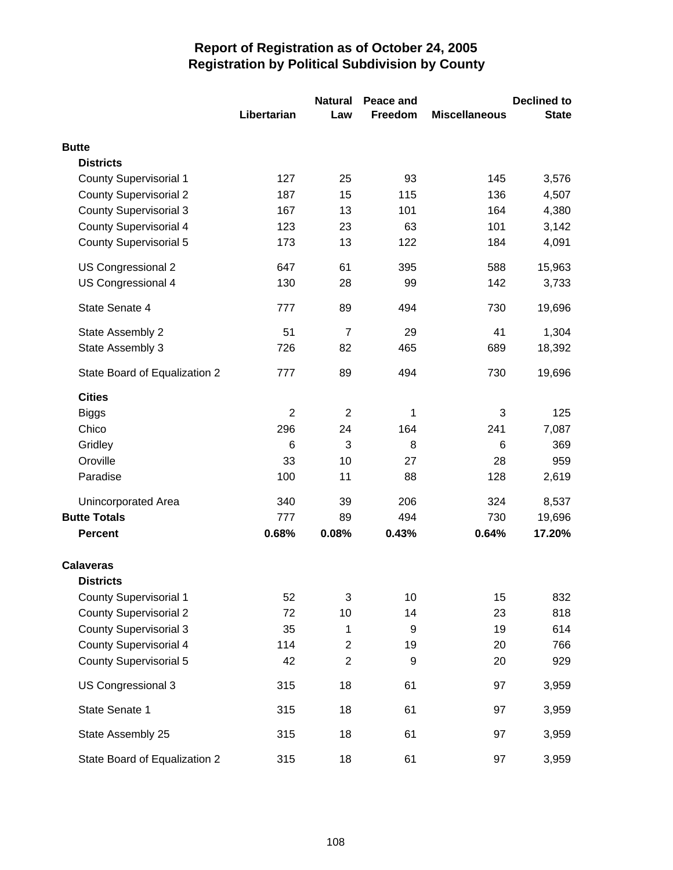|                               |                | <b>Natural</b>          | Peace and |                      | <b>Declined to</b> |
|-------------------------------|----------------|-------------------------|-----------|----------------------|--------------------|
|                               | Libertarian    | Law                     | Freedom   | <b>Miscellaneous</b> | <b>State</b>       |
| <b>Butte</b>                  |                |                         |           |                      |                    |
| <b>Districts</b>              |                |                         |           |                      |                    |
| <b>County Supervisorial 1</b> | 127            | 25                      | 93        | 145                  | 3,576              |
| <b>County Supervisorial 2</b> | 187            | 15                      | 115       | 136                  | 4,507              |
| <b>County Supervisorial 3</b> | 167            | 13                      | 101       | 164                  | 4,380              |
| <b>County Supervisorial 4</b> | 123            | 23                      | 63        | 101                  | 3,142              |
| <b>County Supervisorial 5</b> | 173            | 13                      | 122       | 184                  | 4,091              |
| US Congressional 2            | 647            | 61                      | 395       | 588                  | 15,963             |
| US Congressional 4            | 130            | 28                      | 99        | 142                  | 3,733              |
| State Senate 4                | 777            | 89                      | 494       | 730                  | 19,696             |
| State Assembly 2              | 51             | $\overline{7}$          | 29        | 41                   | 1,304              |
| State Assembly 3              | 726            | 82                      | 465       | 689                  | 18,392             |
| State Board of Equalization 2 | 777            | 89                      | 494       | 730                  | 19,696             |
| <b>Cities</b>                 |                |                         |           |                      |                    |
| <b>Biggs</b>                  | $\overline{2}$ | $\overline{2}$          | 1         | 3                    | 125                |
| Chico                         | 296            | 24                      | 164       | 241                  | 7,087              |
| Gridley                       | 6              | 3                       | 8         | 6                    | 369                |
| Oroville                      | 33             | 10                      | 27        | 28                   | 959                |
| Paradise                      | 100            | 11                      | 88        | 128                  | 2,619              |
| Unincorporated Area           | 340            | 39                      | 206       | 324                  | 8,537              |
| <b>Butte Totals</b>           | 777            | 89                      | 494       | 730                  | 19,696             |
| <b>Percent</b>                | 0.68%          | 0.08%                   | 0.43%     | 0.64%                | 17.20%             |
| <b>Calaveras</b>              |                |                         |           |                      |                    |
| <b>Districts</b>              |                |                         |           |                      |                    |
| <b>County Supervisorial 1</b> | 52             | 3                       | 10        | 15                   | 832                |
| <b>County Supervisorial 2</b> | 72             | 10                      | 14        | 23                   | 818                |
| <b>County Supervisorial 3</b> | 35             | 1                       | 9         | 19                   | 614                |
| <b>County Supervisorial 4</b> | 114            | $\overline{\mathbf{c}}$ | 19        | 20                   | 766                |
| <b>County Supervisorial 5</b> | 42             | $\overline{c}$          | 9         | 20                   | 929                |
| US Congressional 3            | 315            | 18                      | 61        | 97                   | 3,959              |
| State Senate 1                | 315            | 18                      | 61        | 97                   | 3,959              |
| State Assembly 25             | 315            | 18                      | 61        | 97                   | 3,959              |
| State Board of Equalization 2 | 315            | 18                      | 61        | 97                   | 3,959              |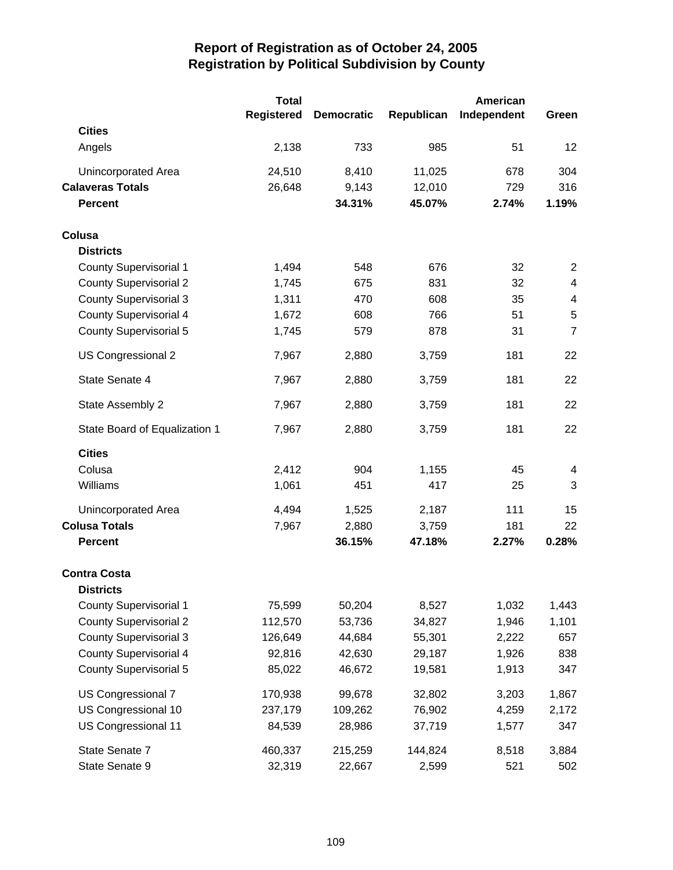|                               | <b>Total</b>      |                   |            | American    |                |
|-------------------------------|-------------------|-------------------|------------|-------------|----------------|
|                               | <b>Registered</b> | <b>Democratic</b> | Republican | Independent | Green          |
| <b>Cities</b>                 |                   |                   |            |             |                |
| Angels                        | 2,138             | 733               | 985        | 51          | 12             |
| Unincorporated Area           | 24,510            | 8,410             | 11,025     | 678         | 304            |
| <b>Calaveras Totals</b>       | 26,648            | 9,143             | 12,010     | 729         | 316            |
| <b>Percent</b>                |                   | 34.31%            | 45.07%     | 2.74%       | 1.19%          |
| Colusa                        |                   |                   |            |             |                |
| <b>Districts</b>              |                   |                   |            |             |                |
| <b>County Supervisorial 1</b> | 1,494             | 548               | 676        | 32          | $\overline{2}$ |
| <b>County Supervisorial 2</b> | 1,745             | 675               | 831        | 32          | $\overline{4}$ |
| <b>County Supervisorial 3</b> | 1,311             | 470               | 608        | 35          | $\overline{4}$ |
| <b>County Supervisorial 4</b> | 1,672             | 608               | 766        | 51          | $\sqrt{5}$     |
| <b>County Supervisorial 5</b> | 1,745             | 579               | 878        | 31          | $\overline{7}$ |
| US Congressional 2            | 7,967             | 2,880             | 3,759      | 181         | 22             |
| State Senate 4                | 7,967             | 2,880             | 3,759      | 181         | 22             |
| State Assembly 2              | 7,967             | 2,880             | 3,759      | 181         | 22             |
| State Board of Equalization 1 | 7,967             | 2,880             | 3,759      | 181         | 22             |
| <b>Cities</b>                 |                   |                   |            |             |                |
| Colusa                        | 2,412             | 904               | 1,155      | 45          | 4              |
| Williams                      | 1,061             | 451               | 417        | 25          | 3              |
| Unincorporated Area           | 4,494             | 1,525             | 2,187      | 111         | 15             |
| <b>Colusa Totals</b>          | 7,967             | 2,880             | 3,759      | 181         | 22             |
| <b>Percent</b>                |                   | 36.15%            | 47.18%     | 2.27%       | 0.28%          |
| <b>Contra Costa</b>           |                   |                   |            |             |                |
| <b>Districts</b>              |                   |                   |            |             |                |
| <b>County Supervisorial 1</b> | 75,599            | 50,204            | 8,527      | 1,032       | 1,443          |
| <b>County Supervisorial 2</b> | 112,570           | 53,736            | 34,827     | 1,946       | 1,101          |
| <b>County Supervisorial 3</b> | 126,649           | 44,684            | 55,301     | 2,222       | 657            |
| <b>County Supervisorial 4</b> | 92,816            | 42,630            | 29,187     | 1,926       | 838            |
| <b>County Supervisorial 5</b> | 85,022            | 46,672            | 19,581     | 1,913       | 347            |
| US Congressional 7            | 170,938           | 99,678            | 32,802     | 3,203       | 1,867          |
| US Congressional 10           | 237,179           | 109,262           | 76,902     | 4,259       | 2,172          |
| US Congressional 11           | 84,539            | 28,986            | 37,719     | 1,577       | 347            |
| State Senate 7                | 460,337           | 215,259           | 144,824    | 8,518       | 3,884          |
| State Senate 9                | 32,319            | 22,667            | 2,599      | 521         | 502            |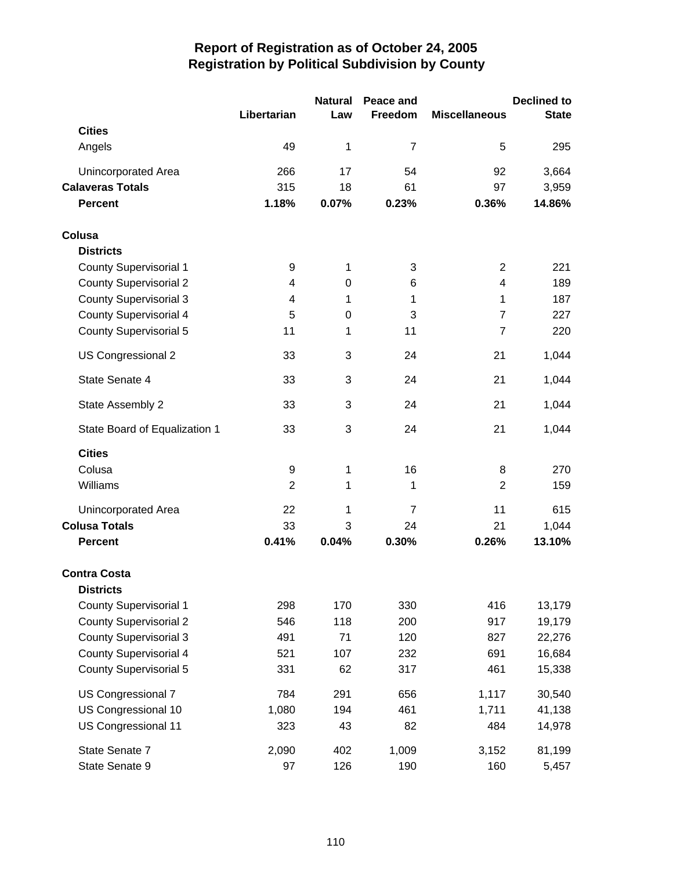|                               |                | <b>Natural</b> | Peace and      |                      | <b>Declined to</b> |
|-------------------------------|----------------|----------------|----------------|----------------------|--------------------|
|                               | Libertarian    | Law            | Freedom        | <b>Miscellaneous</b> | <b>State</b>       |
| <b>Cities</b>                 |                |                |                |                      |                    |
| Angels                        | 49             | 1              | $\overline{7}$ | 5                    | 295                |
| <b>Unincorporated Area</b>    | 266            | 17             | 54             | 92                   | 3,664              |
| <b>Calaveras Totals</b>       | 315            | 18             | 61             | 97                   | 3,959              |
| <b>Percent</b>                | 1.18%          | 0.07%          | 0.23%          | 0.36%                | 14.86%             |
| Colusa                        |                |                |                |                      |                    |
| <b>Districts</b>              |                |                |                |                      |                    |
| <b>County Supervisorial 1</b> | 9              | 1              | 3              | $\overline{2}$       | 221                |
| <b>County Supervisorial 2</b> | 4              | $\mathbf 0$    | 6              | 4                    | 189                |
| <b>County Supervisorial 3</b> | 4              | 1              | 1              | 1                    | 187                |
| <b>County Supervisorial 4</b> | 5              | 0              | 3              | $\overline{7}$       | 227                |
| <b>County Supervisorial 5</b> | 11             | 1              | 11             | $\overline{7}$       | 220                |
| US Congressional 2            | 33             | 3              | 24             | 21                   | 1,044              |
| State Senate 4                | 33             | 3              | 24             | 21                   | 1,044              |
| State Assembly 2              | 33             | 3              | 24             | 21                   | 1,044              |
| State Board of Equalization 1 | 33             | 3              | 24             | 21                   | 1,044              |
| <b>Cities</b>                 |                |                |                |                      |                    |
| Colusa                        | 9              | 1              | 16             | 8                    | 270                |
| Williams                      | $\overline{2}$ | 1              | 1              | $\overline{2}$       | 159                |
| <b>Unincorporated Area</b>    | 22             | 1              | $\overline{7}$ | 11                   | 615                |
| <b>Colusa Totals</b>          | 33             | 3              | 24             | 21                   | 1,044              |
| <b>Percent</b>                | 0.41%          | 0.04%          | 0.30%          | 0.26%                | 13.10%             |
| <b>Contra Costa</b>           |                |                |                |                      |                    |
| <b>Districts</b>              |                |                |                |                      |                    |
| <b>County Supervisorial 1</b> | 298            | 170            | 330            | 416                  | 13,179             |
| <b>County Supervisorial 2</b> | 546            | 118            | 200            | 917                  | 19,179             |
| <b>County Supervisorial 3</b> | 491            | 71             | 120            | 827                  | 22,276             |
| <b>County Supervisorial 4</b> | 521            | 107            | 232            | 691                  | 16,684             |
| <b>County Supervisorial 5</b> | 331            | 62             | 317            | 461                  | 15,338             |
| US Congressional 7            | 784            | 291            | 656            | 1,117                | 30,540             |
| US Congressional 10           | 1,080          | 194            | 461            | 1,711                | 41,138             |
| US Congressional 11           | 323            | 43             | 82             | 484                  | 14,978             |
| State Senate 7                | 2,090          | 402            | 1,009          | 3,152                | 81,199             |
| State Senate 9                | 97             | 126            | 190            | 160                  | 5,457              |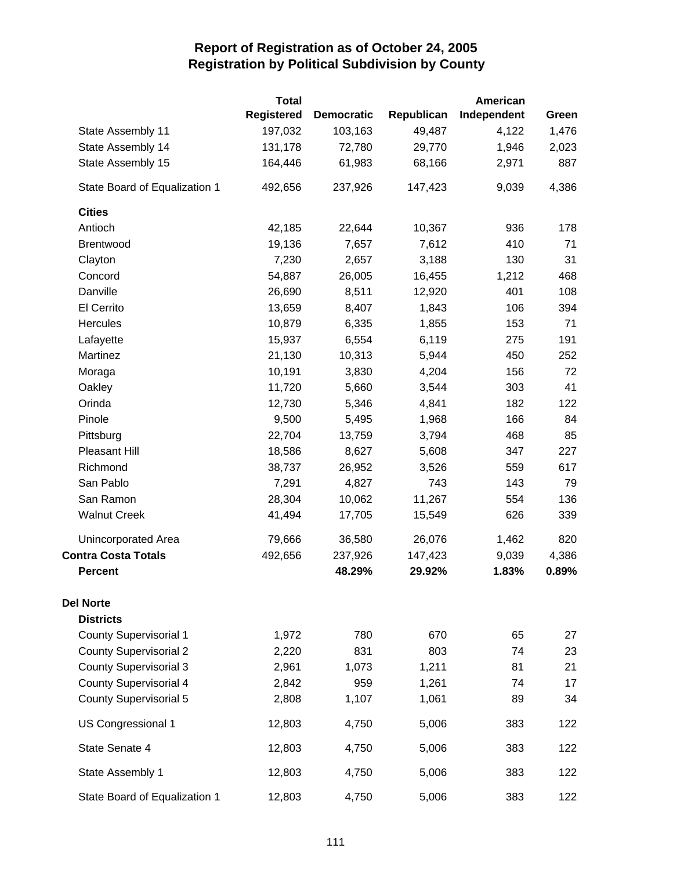|                               | <b>Total</b>      |                   |            | <b>American</b> |       |
|-------------------------------|-------------------|-------------------|------------|-----------------|-------|
|                               | <b>Registered</b> | <b>Democratic</b> | Republican | Independent     | Green |
| State Assembly 11             | 197,032           | 103,163           | 49,487     | 4,122           | 1,476 |
| State Assembly 14             | 131,178           | 72,780            | 29,770     | 1,946           | 2,023 |
| State Assembly 15             | 164,446           | 61,983            | 68,166     | 2,971           | 887   |
| State Board of Equalization 1 | 492,656           | 237,926           | 147,423    | 9,039           | 4,386 |
| <b>Cities</b>                 |                   |                   |            |                 |       |
| Antioch                       | 42,185            | 22,644            | 10,367     | 936             | 178   |
| Brentwood                     | 19,136            | 7,657             | 7,612      | 410             | 71    |
| Clayton                       | 7,230             | 2,657             | 3,188      | 130             | 31    |
| Concord                       | 54,887            | 26,005            | 16,455     | 1,212           | 468   |
| Danville                      | 26,690            | 8,511             | 12,920     | 401             | 108   |
| El Cerrito                    | 13,659            | 8,407             | 1,843      | 106             | 394   |
| Hercules                      | 10,879            | 6,335             | 1,855      | 153             | 71    |
| Lafayette                     | 15,937            | 6,554             | 6,119      | 275             | 191   |
| Martinez                      | 21,130            | 10,313            | 5,944      | 450             | 252   |
| Moraga                        | 10,191            | 3,830             | 4,204      | 156             | 72    |
| Oakley                        | 11,720            | 5,660             | 3,544      | 303             | 41    |
| Orinda                        | 12,730            | 5,346             | 4,841      | 182             | 122   |
| Pinole                        | 9,500             | 5,495             | 1,968      | 166             | 84    |
| Pittsburg                     | 22,704            | 13,759            | 3,794      | 468             | 85    |
| Pleasant Hill                 | 18,586            | 8,627             | 5,608      | 347             | 227   |
| Richmond                      | 38,737            | 26,952            | 3,526      | 559             | 617   |
| San Pablo                     | 7,291             | 4,827             | 743        | 143             | 79    |
| San Ramon                     | 28,304            | 10,062            | 11,267     | 554             | 136   |
| <b>Walnut Creek</b>           | 41,494            | 17,705            | 15,549     | 626             | 339   |
| Unincorporated Area           | 79,666            | 36,580            | 26,076     | 1,462           | 820   |
| <b>Contra Costa Totals</b>    | 492,656           | 237,926           | 147,423    | 9,039           | 4,386 |
| <b>Percent</b>                |                   | 48.29%            | 29.92%     | 1.83%           | 0.89% |
| <b>Del Norte</b>              |                   |                   |            |                 |       |
| <b>Districts</b>              |                   |                   |            |                 |       |
| <b>County Supervisorial 1</b> | 1,972             | 780               | 670        | 65              | 27    |
| <b>County Supervisorial 2</b> | 2,220             | 831               | 803        | 74              | 23    |
| <b>County Supervisorial 3</b> | 2,961             | 1,073             | 1,211      | 81              | 21    |
| <b>County Supervisorial 4</b> | 2,842             | 959               | 1,261      | 74              | 17    |
| <b>County Supervisorial 5</b> | 2,808             | 1,107             | 1,061      | 89              | 34    |
| US Congressional 1            | 12,803            | 4,750             | 5,006      | 383             | 122   |
| State Senate 4                | 12,803            | 4,750             | 5,006      | 383             | 122   |
| State Assembly 1              | 12,803            | 4,750             | 5,006      | 383             | 122   |
| State Board of Equalization 1 | 12,803            | 4,750             | 5,006      | 383             | 122   |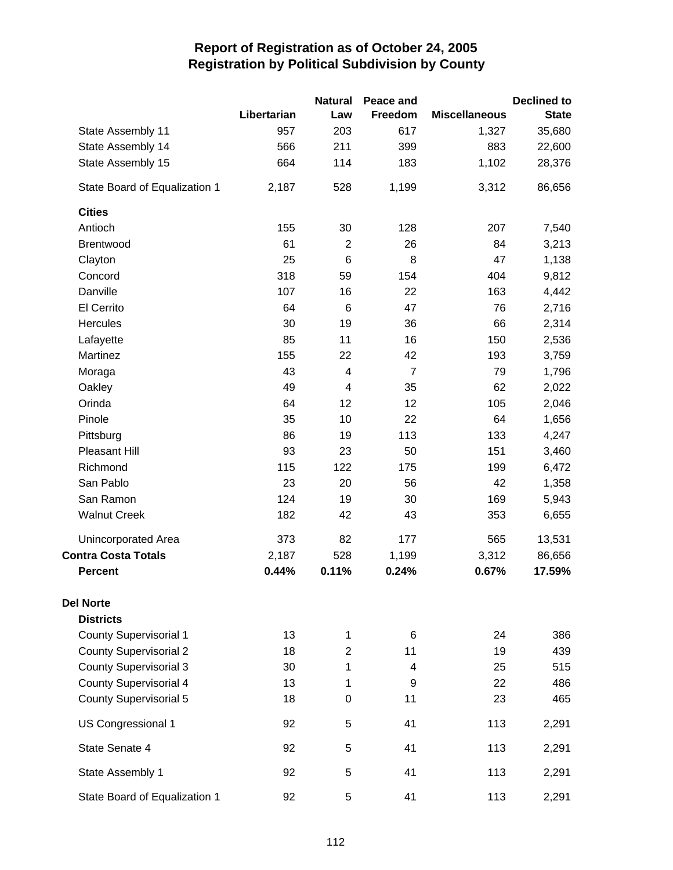|                               |             | <b>Natural</b> | Peace and      |                      | <b>Declined to</b> |
|-------------------------------|-------------|----------------|----------------|----------------------|--------------------|
|                               | Libertarian | Law            | Freedom        | <b>Miscellaneous</b> | <b>State</b>       |
| State Assembly 11             | 957         | 203            | 617            | 1,327                | 35,680             |
| State Assembly 14             | 566         | 211            | 399            | 883                  | 22,600             |
| State Assembly 15             | 664         | 114            | 183            | 1,102                | 28,376             |
| State Board of Equalization 1 | 2,187       | 528            | 1,199          | 3,312                | 86,656             |
| <b>Cities</b>                 |             |                |                |                      |                    |
| Antioch                       | 155         | 30             | 128            | 207                  | 7,540              |
| Brentwood                     | 61          | $\overline{2}$ | 26             | 84                   | 3,213              |
| Clayton                       | 25          | 6              | 8              | 47                   | 1,138              |
| Concord                       | 318         | 59             | 154            | 404                  | 9,812              |
| Danville                      | 107         | 16             | 22             | 163                  | 4,442              |
| El Cerrito                    | 64          | $\,6$          | 47             | 76                   | 2,716              |
| Hercules                      | 30          | 19             | 36             | 66                   | 2,314              |
| Lafayette                     | 85          | 11             | 16             | 150                  | 2,536              |
| Martinez                      | 155         | 22             | 42             | 193                  | 3,759              |
| Moraga                        | 43          | 4              | $\overline{7}$ | 79                   | 1,796              |
| Oakley                        | 49          | 4              | 35             | 62                   | 2,022              |
| Orinda                        | 64          | 12             | 12             | 105                  | 2,046              |
| Pinole                        | 35          | 10             | 22             | 64                   | 1,656              |
| Pittsburg                     | 86          | 19             | 113            | 133                  | 4,247              |
| Pleasant Hill                 | 93          | 23             | 50             | 151                  | 3,460              |
| Richmond                      | 115         | 122            | 175            | 199                  | 6,472              |
| San Pablo                     | 23          | 20             | 56             | 42                   | 1,358              |
| San Ramon                     | 124         | 19             | 30             | 169                  | 5,943              |
| <b>Walnut Creek</b>           | 182         | 42             | 43             | 353                  | 6,655              |
| Unincorporated Area           | 373         | 82             | 177            | 565                  | 13,531             |
| <b>Contra Costa Totals</b>    | 2,187       | 528            | 1,199          | 3,312                | 86,656             |
| <b>Percent</b>                | 0.44%       | 0.11%          | 0.24%          | 0.67%                | 17.59%             |
| <b>Del Norte</b>              |             |                |                |                      |                    |
| <b>Districts</b>              |             |                |                |                      |                    |
| <b>County Supervisorial 1</b> | 13          | 1              | 6              | 24                   | 386                |
| <b>County Supervisorial 2</b> | 18          | $\overline{2}$ | 11             | 19                   | 439                |
| <b>County Supervisorial 3</b> | 30          | 1              | 4              | 25                   | 515                |
| <b>County Supervisorial 4</b> | 13          | 1              | 9              | 22                   | 486                |
| <b>County Supervisorial 5</b> | 18          | 0              | 11             | 23                   | 465                |
| US Congressional 1            | 92          | 5              | 41             | 113                  | 2,291              |
| State Senate 4                | 92          | 5              | 41             | 113                  | 2,291              |
| State Assembly 1              | 92          | 5              | 41             | 113                  | 2,291              |
| State Board of Equalization 1 | 92          | 5              | 41             | 113                  | 2,291              |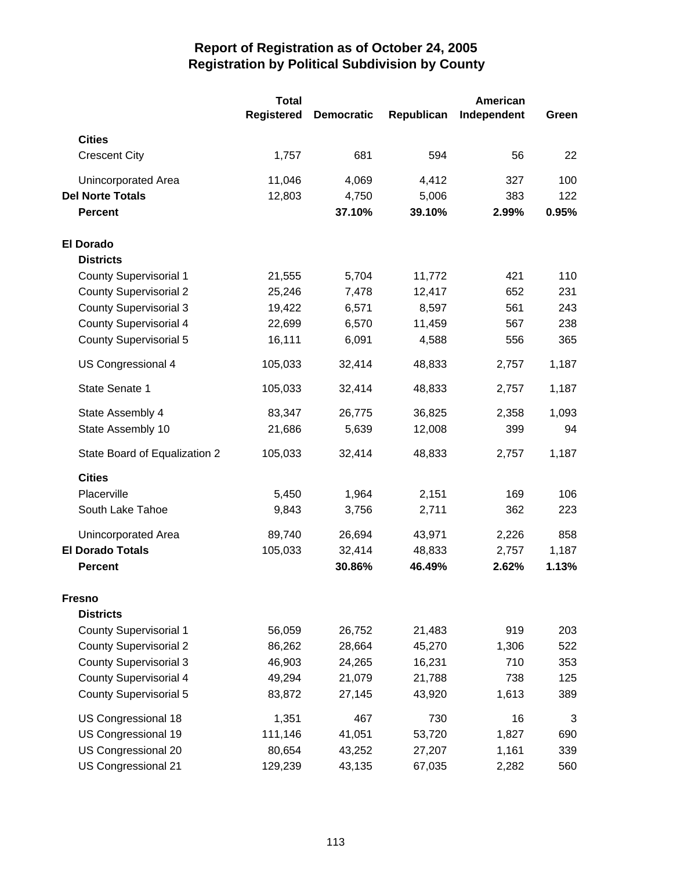|                               | <b>Total</b><br><b>Registered</b> | <b>Democratic</b> | Republican | American<br>Independent | Green |
|-------------------------------|-----------------------------------|-------------------|------------|-------------------------|-------|
| <b>Cities</b>                 |                                   |                   |            |                         |       |
| <b>Crescent City</b>          | 1,757                             | 681               | 594        | 56                      | 22    |
| Unincorporated Area           | 11,046                            | 4,069             | 4,412      | 327                     | 100   |
| <b>Del Norte Totals</b>       | 12,803                            | 4,750             | 5,006      | 383                     | 122   |
| <b>Percent</b>                |                                   | 37.10%            | 39.10%     | 2.99%                   | 0.95% |
| <b>El Dorado</b>              |                                   |                   |            |                         |       |
| <b>Districts</b>              |                                   |                   |            |                         |       |
| <b>County Supervisorial 1</b> | 21,555                            | 5,704             | 11,772     | 421                     | 110   |
| <b>County Supervisorial 2</b> | 25,246                            | 7,478             | 12,417     | 652                     | 231   |
| <b>County Supervisorial 3</b> | 19,422                            | 6,571             | 8,597      | 561                     | 243   |
| <b>County Supervisorial 4</b> | 22,699                            | 6,570             | 11,459     | 567                     | 238   |
| <b>County Supervisorial 5</b> | 16,111                            | 6,091             | 4,588      | 556                     | 365   |
| US Congressional 4            | 105,033                           | 32,414            | 48,833     | 2,757                   | 1,187 |
| State Senate 1                | 105,033                           | 32,414            | 48,833     | 2,757                   | 1,187 |
| State Assembly 4              | 83,347                            | 26,775            | 36,825     | 2,358                   | 1,093 |
| State Assembly 10             | 21,686                            | 5,639             | 12,008     | 399                     | 94    |
| State Board of Equalization 2 | 105,033                           | 32,414            | 48,833     | 2,757                   | 1,187 |
| <b>Cities</b>                 |                                   |                   |            |                         |       |
| Placerville                   | 5,450                             | 1,964             | 2,151      | 169                     | 106   |
| South Lake Tahoe              | 9,843                             | 3,756             | 2,711      | 362                     | 223   |
| Unincorporated Area           | 89,740                            | 26,694            | 43,971     | 2,226                   | 858   |
| <b>El Dorado Totals</b>       | 105,033                           | 32,414            | 48,833     | 2,757                   | 1,187 |
| <b>Percent</b>                |                                   | 30.86%            | 46.49%     | 2.62%                   | 1.13% |
| <b>Fresno</b>                 |                                   |                   |            |                         |       |
| <b>Districts</b>              |                                   |                   |            |                         |       |
| <b>County Supervisorial 1</b> | 56,059                            | 26,752            | 21,483     | 919                     | 203   |
| <b>County Supervisorial 2</b> | 86,262                            | 28,664            | 45,270     | 1,306                   | 522   |
| <b>County Supervisorial 3</b> | 46,903                            | 24,265            | 16,231     | 710                     | 353   |
| <b>County Supervisorial 4</b> | 49,294                            | 21,079            | 21,788     | 738                     | 125   |
| <b>County Supervisorial 5</b> | 83,872                            | 27,145            | 43,920     | 1,613                   | 389   |
| US Congressional 18           | 1,351                             | 467               | 730        | 16                      | 3     |
| US Congressional 19           | 111,146                           | 41,051            | 53,720     | 1,827                   | 690   |
| US Congressional 20           | 80,654                            | 43,252            | 27,207     | 1,161                   | 339   |
| US Congressional 21           | 129,239                           | 43,135            | 67,035     | 2,282                   | 560   |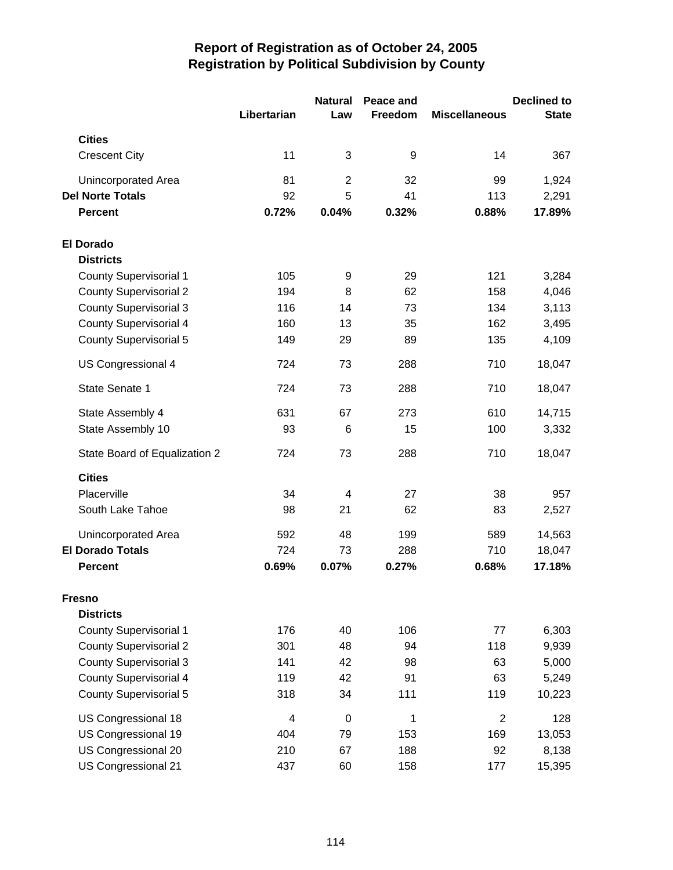|                               |             | <b>Natural</b> | Peace and |                      | <b>Declined to</b> |
|-------------------------------|-------------|----------------|-----------|----------------------|--------------------|
|                               | Libertarian | Law            | Freedom   | <b>Miscellaneous</b> | <b>State</b>       |
| <b>Cities</b>                 |             |                |           |                      |                    |
| <b>Crescent City</b>          | 11          | 3              | 9         | 14                   | 367                |
| Unincorporated Area           | 81          | $\overline{2}$ | 32        | 99                   | 1,924              |
| <b>Del Norte Totals</b>       | 92          | 5              | 41        | 113                  | 2,291              |
| <b>Percent</b>                | 0.72%       | 0.04%          | 0.32%     | 0.88%                | 17.89%             |
| <b>El Dorado</b>              |             |                |           |                      |                    |
| <b>Districts</b>              |             |                |           |                      |                    |
| <b>County Supervisorial 1</b> | 105         | 9              | 29        | 121                  | 3,284              |
| <b>County Supervisorial 2</b> | 194         | 8              | 62        | 158                  | 4,046              |
| <b>County Supervisorial 3</b> | 116         | 14             | 73        | 134                  | 3,113              |
| <b>County Supervisorial 4</b> | 160         | 13             | 35        | 162                  | 3,495              |
| <b>County Supervisorial 5</b> | 149         | 29             | 89        | 135                  | 4,109              |
| US Congressional 4            | 724         | 73             | 288       | 710                  | 18,047             |
| State Senate 1                | 724         | 73             | 288       | 710                  | 18,047             |
| State Assembly 4              | 631         | 67             | 273       | 610                  | 14,715             |
| State Assembly 10             | 93          | 6              | 15        | 100                  | 3,332              |
| State Board of Equalization 2 | 724         | 73             | 288       | 710                  | 18,047             |
| <b>Cities</b>                 |             |                |           |                      |                    |
| Placerville                   | 34          | 4              | 27        | 38                   | 957                |
| South Lake Tahoe              | 98          | 21             | 62        | 83                   | 2,527              |
| Unincorporated Area           | 592         | 48             | 199       | 589                  | 14,563             |
| <b>El Dorado Totals</b>       | 724         | 73             | 288       | 710                  | 18,047             |
| <b>Percent</b>                | 0.69%       | 0.07%          | 0.27%     | 0.68%                | 17.18%             |
| <b>Fresno</b>                 |             |                |           |                      |                    |
| <b>Districts</b>              |             |                |           |                      |                    |
| <b>County Supervisorial 1</b> | 176         | 40             | 106       | 77                   | 6,303              |
| <b>County Supervisorial 2</b> | 301         | 48             | 94        | 118                  | 9,939              |
| <b>County Supervisorial 3</b> | 141         | 42             | 98        | 63                   | 5,000              |
| <b>County Supervisorial 4</b> | 119         | 42             | 91        | 63                   | 5,249              |
| <b>County Supervisorial 5</b> | 318         | 34             | 111       | 119                  | 10,223             |
| US Congressional 18           | 4           | $\mathbf 0$    | 1         | $\overline{2}$       | 128                |
| US Congressional 19           | 404         | 79             | 153       | 169                  | 13,053             |
| US Congressional 20           | 210         | 67             | 188       | 92                   | 8,138              |
| US Congressional 21           | 437         | 60             | 158       | 177                  | 15,395             |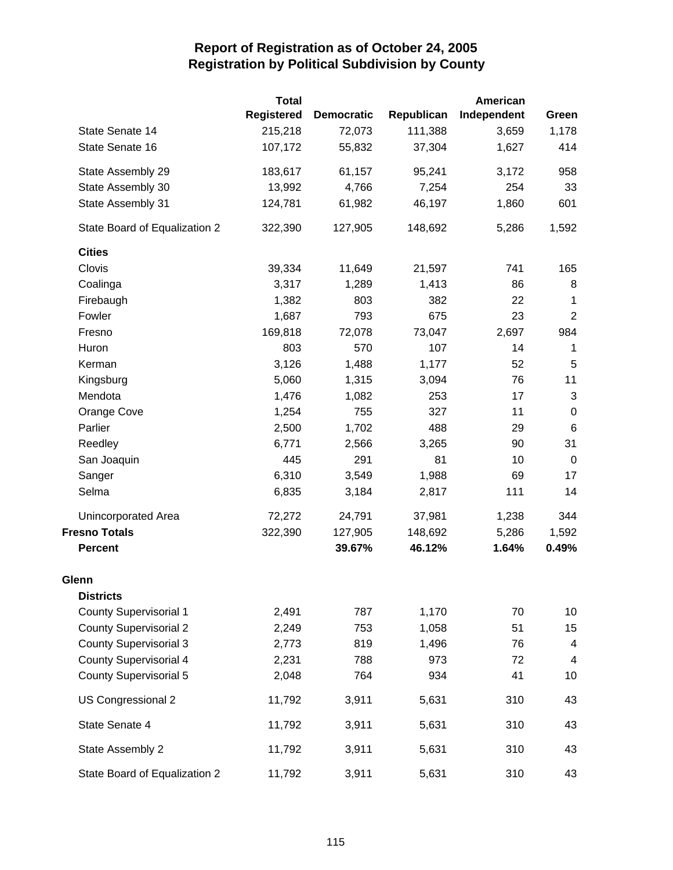|                               | <b>Total</b>      |                   |            | American    |                  |
|-------------------------------|-------------------|-------------------|------------|-------------|------------------|
|                               | <b>Registered</b> | <b>Democratic</b> | Republican | Independent | Green            |
| State Senate 14               | 215,218           | 72,073            | 111,388    | 3,659       | 1,178            |
| State Senate 16               | 107,172           | 55,832            | 37,304     | 1,627       | 414              |
| State Assembly 29             | 183,617           | 61,157            | 95,241     | 3,172       | 958              |
| State Assembly 30             | 13,992            | 4,766             | 7,254      | 254         | 33               |
| State Assembly 31             | 124,781           | 61,982            | 46,197     | 1,860       | 601              |
| State Board of Equalization 2 | 322,390           | 127,905           | 148,692    | 5,286       | 1,592            |
| <b>Cities</b>                 |                   |                   |            |             |                  |
| Clovis                        | 39,334            | 11,649            | 21,597     | 741         | 165              |
| Coalinga                      | 3,317             | 1,289             | 1,413      | 86          | 8                |
| Firebaugh                     | 1,382             | 803               | 382        | 22          | 1                |
| Fowler                        | 1,687             | 793               | 675        | 23          | $\boldsymbol{2}$ |
| Fresno                        | 169,818           | 72,078            | 73,047     | 2,697       | 984              |
| Huron                         | 803               | 570               | 107        | 14          | 1                |
| Kerman                        | 3,126             | 1,488             | 1,177      | 52          | 5                |
| Kingsburg                     | 5,060             | 1,315             | 3,094      | 76          | 11               |
| Mendota                       | 1,476             | 1,082             | 253        | 17          | $\sqrt{3}$       |
| Orange Cove                   | 1,254             | 755               | 327        | 11          | $\pmb{0}$        |
| Parlier                       | 2,500             | 1,702             | 488        | 29          | $\,6$            |
| Reedley                       | 6,771             | 2,566             | 3,265      | 90          | 31               |
| San Joaquin                   | 445               | 291               | 81         | 10          | $\mathbf 0$      |
| Sanger                        | 6,310             | 3,549             | 1,988      | 69          | 17               |
| Selma                         | 6,835             | 3,184             | 2,817      | 111         | 14               |
| Unincorporated Area           | 72,272            | 24,791            | 37,981     | 1,238       | 344              |
| <b>Fresno Totals</b>          | 322,390           | 127,905           | 148,692    | 5,286       | 1,592            |
| <b>Percent</b>                |                   | 39.67%            | 46.12%     | 1.64%       | 0.49%            |
| Glenn                         |                   |                   |            |             |                  |
| <b>Districts</b>              |                   |                   |            |             |                  |
| <b>County Supervisorial 1</b> | 2,491             | 787               | 1,170      | 70          | 10               |
| <b>County Supervisorial 2</b> | 2,249             | 753               | 1,058      | 51          | 15               |
| <b>County Supervisorial 3</b> | 2,773             | 819               | 1,496      | 76          | 4                |
| <b>County Supervisorial 4</b> | 2,231             | 788               | 973        | 72          | 4                |
| <b>County Supervisorial 5</b> | 2,048             | 764               | 934        | 41          | 10               |
| US Congressional 2            | 11,792            | 3,911             | 5,631      | 310         | 43               |
| State Senate 4                | 11,792            | 3,911             | 5,631      | 310         | 43               |
| State Assembly 2              | 11,792            | 3,911             | 5,631      | 310         | 43               |
| State Board of Equalization 2 | 11,792            | 3,911             | 5,631      | 310         | 43               |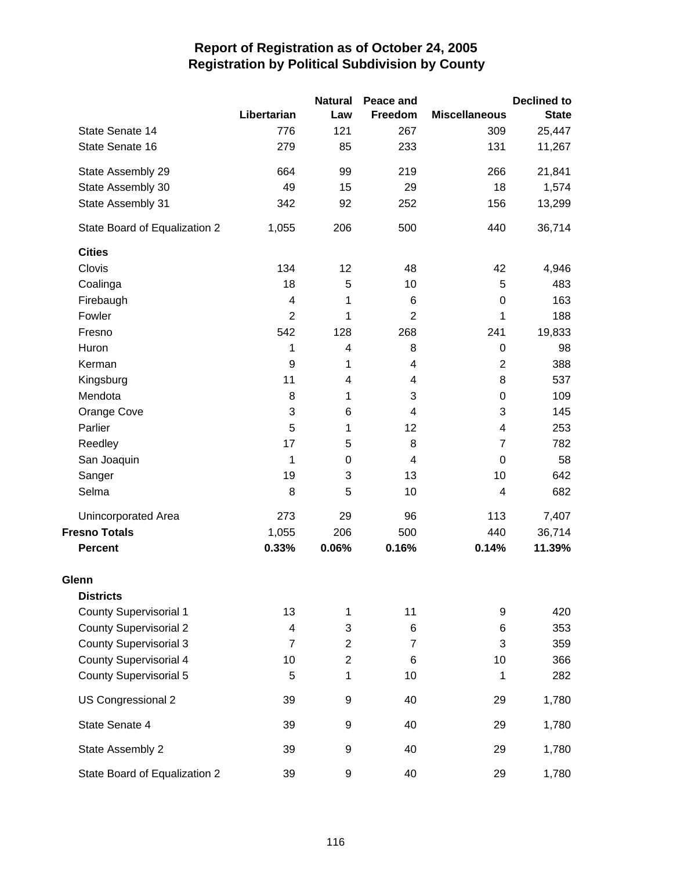|                               |                | <b>Natural</b> | Peace and      |                      | <b>Declined to</b> |
|-------------------------------|----------------|----------------|----------------|----------------------|--------------------|
|                               | Libertarian    | Law            | Freedom        | <b>Miscellaneous</b> | <b>State</b>       |
| State Senate 14               | 776            | 121            | 267            | 309                  | 25,447             |
| State Senate 16               | 279            | 85             | 233            | 131                  | 11,267             |
| State Assembly 29             | 664            | 99             | 219            | 266                  | 21,841             |
| State Assembly 30             | 49             | 15             | 29             | 18                   | 1,574              |
| State Assembly 31             | 342            | 92             | 252            | 156                  | 13,299             |
| State Board of Equalization 2 | 1,055          | 206            | 500            | 440                  | 36,714             |
| <b>Cities</b>                 |                |                |                |                      |                    |
| Clovis                        | 134            | 12             | 48             | 42                   | 4,946              |
| Coalinga                      | 18             | 5              | 10             | 5                    | 483                |
| Firebaugh                     | 4              | 1              | 6              | 0                    | 163                |
| Fowler                        | $\overline{2}$ | 1              | $\overline{2}$ | 1                    | 188                |
| Fresno                        | 542            | 128            | 268            | 241                  | 19,833             |
| Huron                         | 1              | 4              | 8              | 0                    | 98                 |
| Kerman                        | 9              | 1              | 4              | $\overline{c}$       | 388                |
| Kingsburg                     | 11             | 4              | 4              | 8                    | 537                |
| Mendota                       | 8              | 1              | 3              | 0                    | 109                |
| Orange Cove                   | 3              | 6              | $\overline{4}$ | 3                    | 145                |
| Parlier                       | 5              | 1              | 12             | 4                    | 253                |
| Reedley                       | 17             | 5              | 8              | $\overline{7}$       | 782                |
| San Joaquin                   | 1              | $\pmb{0}$      | $\overline{4}$ | 0                    | 58                 |
| Sanger                        | 19             | 3              | 13             | 10                   | 642                |
| Selma                         | 8              | 5              | 10             | 4                    | 682                |
| Unincorporated Area           | 273            | 29             | 96             | 113                  | 7,407              |
| <b>Fresno Totals</b>          | 1,055          | 206            | 500            | 440                  | 36,714             |
| <b>Percent</b>                | 0.33%          | 0.06%          | 0.16%          | 0.14%                | 11.39%             |
| Glenn                         |                |                |                |                      |                    |
| <b>Districts</b>              |                |                |                |                      |                    |
| <b>County Supervisorial 1</b> | 13             | 1              | 11             | 9                    | 420                |
| <b>County Supervisorial 2</b> | 4              | 3              | 6              | 6                    | 353                |
| <b>County Supervisorial 3</b> | $\overline{7}$ | $\overline{2}$ | $\overline{7}$ | 3                    | 359                |
| <b>County Supervisorial 4</b> | 10             | $\overline{2}$ | $\,6$          | 10                   | 366                |
| <b>County Supervisorial 5</b> | 5              | 1              | 10             | 1                    | 282                |
| US Congressional 2            | 39             | 9              | 40             | 29                   | 1,780              |
| State Senate 4                | 39             | 9              | 40             | 29                   | 1,780              |
| State Assembly 2              | 39             | 9              | 40             | 29                   | 1,780              |
| State Board of Equalization 2 | 39             | 9              | 40             | 29                   | 1,780              |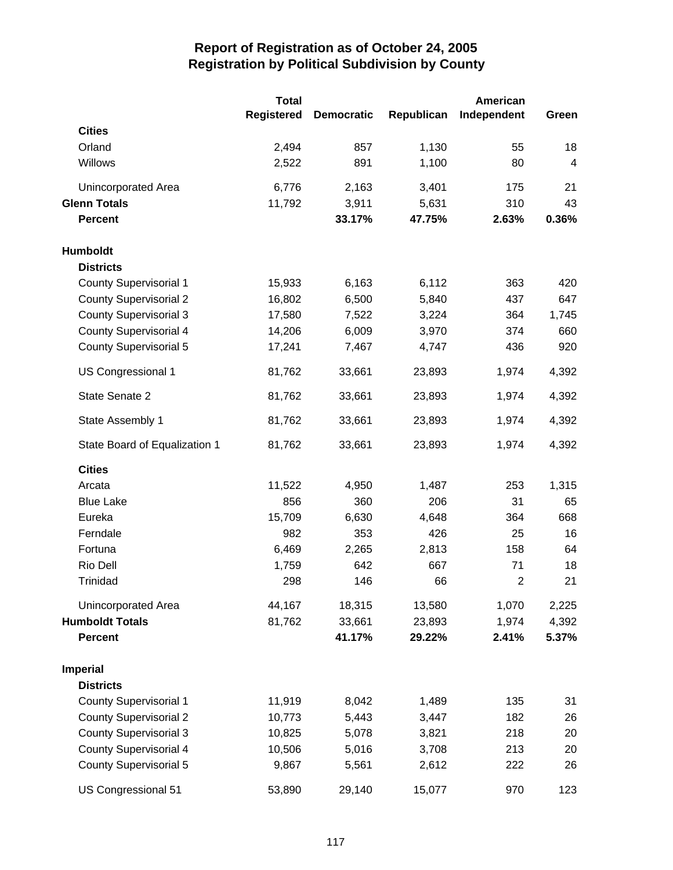|                               | <b>Total</b>      |                   |            | <b>American</b> |       |
|-------------------------------|-------------------|-------------------|------------|-----------------|-------|
|                               | <b>Registered</b> | <b>Democratic</b> | Republican | Independent     | Green |
| <b>Cities</b>                 |                   |                   |            |                 |       |
| Orland                        | 2,494             | 857               | 1,130      | 55              | 18    |
| Willows                       | 2,522             | 891               | 1,100      | 80              | 4     |
| Unincorporated Area           | 6,776             | 2,163             | 3,401      | 175             | 21    |
| <b>Glenn Totals</b>           | 11,792            | 3,911             | 5,631      | 310             | 43    |
| <b>Percent</b>                |                   | 33.17%            | 47.75%     | 2.63%           | 0.36% |
| Humboldt                      |                   |                   |            |                 |       |
| <b>Districts</b>              |                   |                   |            |                 |       |
| <b>County Supervisorial 1</b> | 15,933            | 6,163             | 6,112      | 363             | 420   |
| <b>County Supervisorial 2</b> | 16,802            | 6,500             | 5,840      | 437             | 647   |
| <b>County Supervisorial 3</b> | 17,580            | 7,522             | 3,224      | 364             | 1,745 |
| <b>County Supervisorial 4</b> | 14,206            | 6,009             | 3,970      | 374             | 660   |
| <b>County Supervisorial 5</b> | 17,241            | 7,467             | 4,747      | 436             | 920   |
| US Congressional 1            | 81,762            | 33,661            | 23,893     | 1,974           | 4,392 |
| State Senate 2                | 81,762            | 33,661            | 23,893     | 1,974           | 4,392 |
| State Assembly 1              | 81,762            | 33,661            | 23,893     | 1,974           | 4,392 |
| State Board of Equalization 1 | 81,762            | 33,661            | 23,893     | 1,974           | 4,392 |
| <b>Cities</b>                 |                   |                   |            |                 |       |
| Arcata                        | 11,522            | 4,950             | 1,487      | 253             | 1,315 |
| <b>Blue Lake</b>              | 856               | 360               | 206        | 31              | 65    |
| Eureka                        | 15,709            | 6,630             | 4,648      | 364             | 668   |
| Ferndale                      | 982               | 353               | 426        | 25              | 16    |
| Fortuna                       | 6,469             | 2,265             | 2,813      | 158             | 64    |
| Rio Dell                      | 1,759             | 642               | 667        | 71              | 18    |
| Trinidad                      | 298               | 146               | 66         | $\overline{c}$  | 21    |
| Unincorporated Area           | 44,167            | 18,315            | 13,580     | 1,070           | 2,225 |
| <b>Humboldt Totals</b>        | 81,762            | 33,661            | 23,893     | 1,974           | 4,392 |
| <b>Percent</b>                |                   | 41.17%            | 29.22%     | 2.41%           | 5.37% |
| <b>Imperial</b>               |                   |                   |            |                 |       |
| <b>Districts</b>              |                   |                   |            |                 |       |
| <b>County Supervisorial 1</b> | 11,919            | 8,042             | 1,489      | 135             | 31    |
| <b>County Supervisorial 2</b> | 10,773            | 5,443             | 3,447      | 182             | 26    |
| <b>County Supervisorial 3</b> | 10,825            | 5,078             | 3,821      | 218             | 20    |
| <b>County Supervisorial 4</b> | 10,506            | 5,016             | 3,708      | 213             | 20    |
| <b>County Supervisorial 5</b> | 9,867             | 5,561             | 2,612      | 222             | 26    |
| US Congressional 51           | 53,890            | 29,140            | 15,077     | 970             | 123   |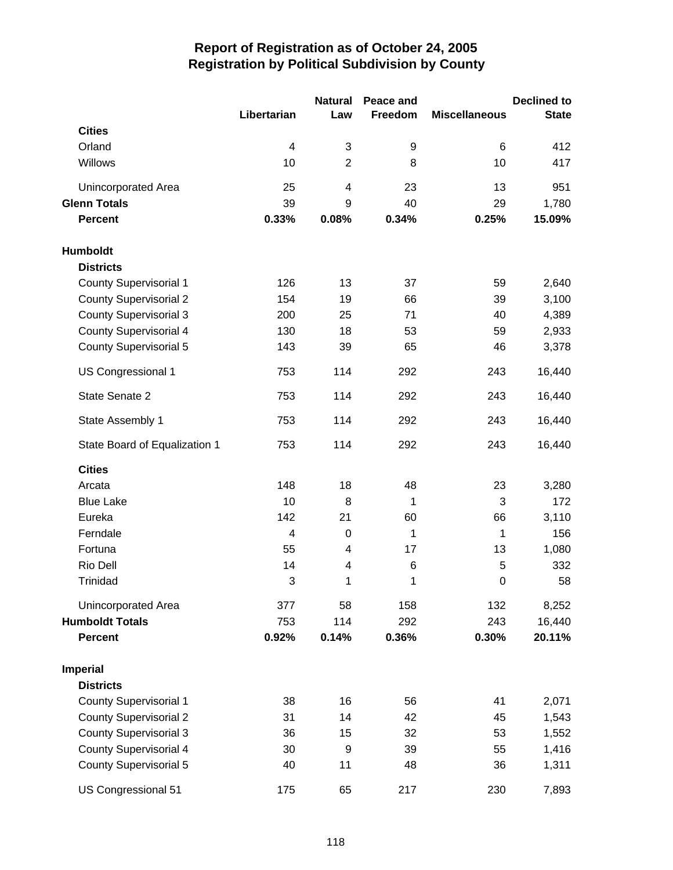|                               |                | <b>Natural</b>           | Peace and |                      | <b>Declined to</b> |
|-------------------------------|----------------|--------------------------|-----------|----------------------|--------------------|
|                               | Libertarian    | Law                      | Freedom   | <b>Miscellaneous</b> | <b>State</b>       |
| <b>Cities</b>                 |                |                          |           |                      |                    |
| Orland                        | 4              | 3                        | 9         | $\,6$                | 412                |
| Willows                       | 10             | $\overline{2}$           | 8         | 10                   | 417                |
| Unincorporated Area           | 25             | $\overline{\mathcal{A}}$ | 23        | 13                   | 951                |
| <b>Glenn Totals</b>           | 39             | 9                        | 40        | 29                   | 1,780              |
| <b>Percent</b>                | 0.33%          | 0.08%                    | 0.34%     | 0.25%                | 15.09%             |
| Humboldt                      |                |                          |           |                      |                    |
| <b>Districts</b>              |                |                          |           |                      |                    |
| County Supervisorial 1        | 126            | 13                       | 37        | 59                   | 2,640              |
| <b>County Supervisorial 2</b> | 154            | 19                       | 66        | 39                   | 3,100              |
| <b>County Supervisorial 3</b> | 200            | 25                       | 71        | 40                   | 4,389              |
| <b>County Supervisorial 4</b> | 130            | 18                       | 53        | 59                   | 2,933              |
| <b>County Supervisorial 5</b> | 143            | 39                       | 65        | 46                   | 3,378              |
| US Congressional 1            | 753            | 114                      | 292       | 243                  | 16,440             |
| State Senate 2                | 753            | 114                      | 292       | 243                  | 16,440             |
| State Assembly 1              | 753            | 114                      | 292       | 243                  | 16,440             |
| State Board of Equalization 1 | 753            | 114                      | 292       | 243                  | 16,440             |
| <b>Cities</b>                 |                |                          |           |                      |                    |
| Arcata                        | 148            | 18                       | 48        | 23                   | 3,280              |
| <b>Blue Lake</b>              | 10             | 8                        | 1         | 3                    | 172                |
| Eureka                        | 142            | 21                       | 60        | 66                   | 3,110              |
| Ferndale                      | $\overline{4}$ | $\mathbf 0$              | 1         | 1                    | 156                |
| Fortuna                       | 55             | 4                        | 17        | 13                   | 1,080              |
| Rio Dell                      | 14             | 4                        | 6         | 5                    | 332                |
| Trinidad                      | 3              | 1                        | 1         | $\mathbf 0$          | 58                 |
| Unincorporated Area           | 377            | 58                       | 158       | 132                  | 8,252              |
| <b>Humboldt Totals</b>        | 753            | 114                      | 292       | 243                  | 16,440             |
| <b>Percent</b>                | 0.92%          | 0.14%                    | 0.36%     | 0.30%                | 20.11%             |
| <b>Imperial</b>               |                |                          |           |                      |                    |
| <b>Districts</b>              |                |                          |           |                      |                    |
| <b>County Supervisorial 1</b> | 38             | 16                       | 56        | 41                   | 2,071              |
| <b>County Supervisorial 2</b> | 31             | 14                       | 42        | 45                   | 1,543              |
| <b>County Supervisorial 3</b> | 36             | 15                       | 32        | 53                   | 1,552              |
| <b>County Supervisorial 4</b> | 30             | 9                        | 39        | 55                   | 1,416              |
| <b>County Supervisorial 5</b> | 40             | 11                       | 48        | 36                   | 1,311              |
| US Congressional 51           | 175            | 65                       | 217       | 230                  | 7,893              |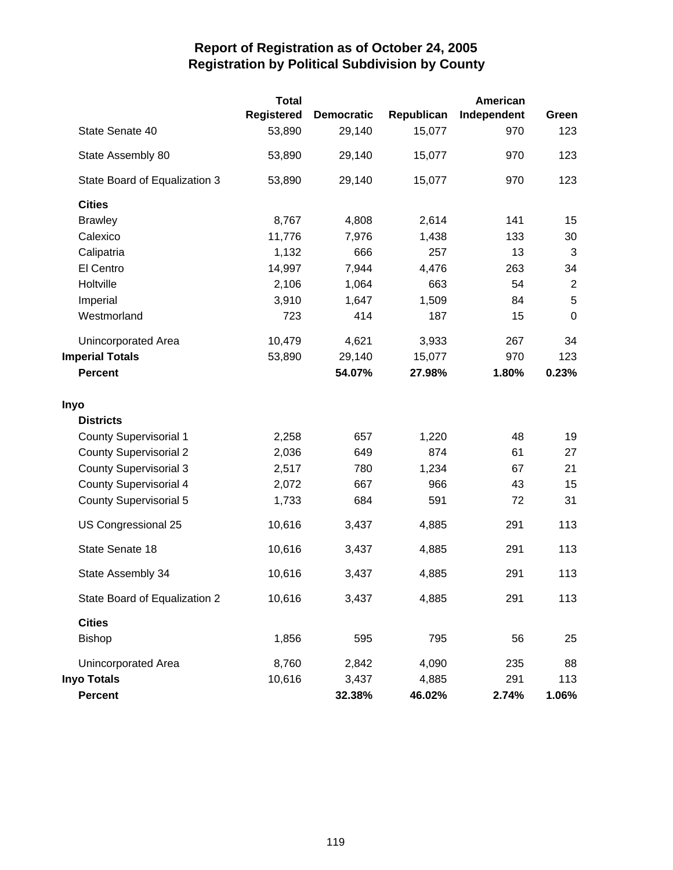|                               | <b>Total</b>      |                   |            | <b>American</b> |                |
|-------------------------------|-------------------|-------------------|------------|-----------------|----------------|
|                               | <b>Registered</b> | <b>Democratic</b> | Republican | Independent     | Green          |
| State Senate 40               | 53,890            | 29,140            | 15,077     | 970             | 123            |
| State Assembly 80             | 53,890            | 29,140            | 15,077     | 970             | 123            |
| State Board of Equalization 3 | 53,890            | 29,140            | 15,077     | 970             | 123            |
| <b>Cities</b>                 |                   |                   |            |                 |                |
| <b>Brawley</b>                | 8,767             | 4,808             | 2,614      | 141             | 15             |
| Calexico                      | 11,776            | 7,976             | 1,438      | 133             | 30             |
| Calipatria                    | 1,132             | 666               | 257        | 13              | $\mathbf{3}$   |
| El Centro                     | 14,997            | 7,944             | 4,476      | 263             | 34             |
| Holtville                     | 2,106             | 1,064             | 663        | 54              | $\overline{2}$ |
| Imperial                      | 3,910             | 1,647             | 1,509      | 84              | 5              |
| Westmorland                   | 723               | 414               | 187        | 15              | $\mathbf 0$    |
| Unincorporated Area           | 10,479            | 4,621             | 3,933      | 267             | 34             |
| <b>Imperial Totals</b>        | 53,890            | 29,140            | 15,077     | 970             | 123            |
| <b>Percent</b>                |                   | 54.07%            | 27.98%     | 1.80%           | 0.23%          |
| <b>Inyo</b>                   |                   |                   |            |                 |                |
| <b>Districts</b>              |                   |                   |            |                 |                |
| <b>County Supervisorial 1</b> | 2,258             | 657               | 1,220      | 48              | 19             |
| <b>County Supervisorial 2</b> | 2,036             | 649               | 874        | 61              | 27             |
| <b>County Supervisorial 3</b> | 2,517             | 780               | 1,234      | 67              | 21             |
| <b>County Supervisorial 4</b> | 2,072             | 667               | 966        | 43              | 15             |
| <b>County Supervisorial 5</b> | 1,733             | 684               | 591        | 72              | 31             |
| US Congressional 25           | 10,616            | 3,437             | 4,885      | 291             | 113            |
| State Senate 18               | 10,616            | 3,437             | 4,885      | 291             | 113            |
| State Assembly 34             | 10,616            | 3,437             | 4,885      | 291             | 113            |
| State Board of Equalization 2 | 10,616            | 3,437             | 4,885      | 291             | 113            |
| <b>Cities</b>                 |                   |                   |            |                 |                |
| <b>Bishop</b>                 | 1,856             | 595               | 795        | 56              | 25             |
| Unincorporated Area           | 8,760             | 2,842             | 4,090      | 235             | 88             |
| <b>Inyo Totals</b>            | 10,616            | 3,437             | 4,885      | 291             | 113            |
| <b>Percent</b>                |                   | 32.38%            | 46.02%     | 2.74%           | 1.06%          |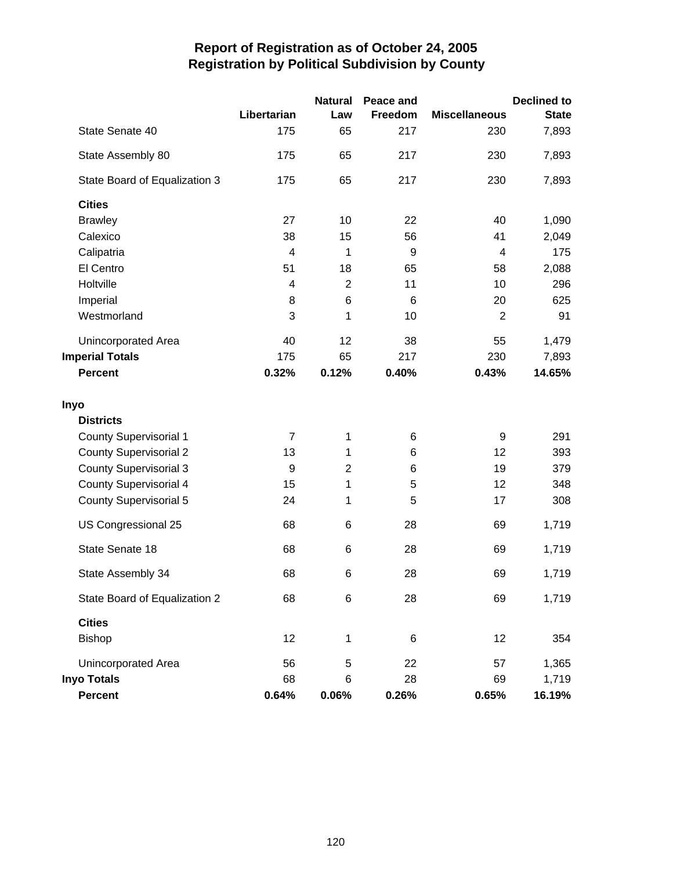|                               |                  | <b>Natural</b> | Peace and |                      | <b>Declined to</b> |
|-------------------------------|------------------|----------------|-----------|----------------------|--------------------|
|                               | Libertarian      | Law            | Freedom   | <b>Miscellaneous</b> | <b>State</b>       |
| State Senate 40               | 175              | 65             | 217       | 230                  | 7,893              |
| State Assembly 80             | 175              | 65             | 217       | 230                  | 7,893              |
| State Board of Equalization 3 | 175              | 65             | 217       | 230                  | 7,893              |
| <b>Cities</b>                 |                  |                |           |                      |                    |
| <b>Brawley</b>                | 27               | 10             | 22        | 40                   | 1,090              |
| Calexico                      | 38               | 15             | 56        | 41                   | 2,049              |
| Calipatria                    | 4                | 1              | 9         | 4                    | 175                |
| El Centro                     | 51               | 18             | 65        | 58                   | 2,088              |
| Holtville                     | 4                | $\overline{2}$ | 11        | 10                   | 296                |
| Imperial                      | 8                | 6              | 6         | 20                   | 625                |
| Westmorland                   | 3                | 1              | 10        | $\overline{2}$       | 91                 |
| Unincorporated Area           | 40               | 12             | 38        | 55                   | 1,479              |
| <b>Imperial Totals</b>        | 175              | 65             | 217       | 230                  | 7,893              |
| <b>Percent</b>                | 0.32%            | 0.12%          | 0.40%     | 0.43%                | 14.65%             |
| Inyo                          |                  |                |           |                      |                    |
| <b>Districts</b>              |                  |                |           |                      |                    |
| <b>County Supervisorial 1</b> | $\overline{7}$   | 1              | 6         | 9                    | 291                |
| <b>County Supervisorial 2</b> | 13               | 1              | 6         | 12                   | 393                |
| <b>County Supervisorial 3</b> | $\boldsymbol{9}$ | $\overline{2}$ | $\,6$     | 19                   | 379                |
| <b>County Supervisorial 4</b> | 15               | 1              | 5         | 12                   | 348                |
| <b>County Supervisorial 5</b> | 24               | 1              | 5         | 17                   | 308                |
| US Congressional 25           | 68               | 6              | 28        | 69                   | 1,719              |
| State Senate 18               | 68               | 6              | 28        | 69                   | 1,719              |
| State Assembly 34             | 68               | 6              | 28        | 69                   | 1,719              |
| State Board of Equalization 2 | 68               | 6              | 28        | 69                   | 1,719              |
| <b>Cities</b>                 |                  |                |           |                      |                    |
| <b>Bishop</b>                 | 12               | 1              | 6         | 12                   | 354                |
| Unincorporated Area           | 56               | 5              | 22        | 57                   | 1,365              |
| <b>Inyo Totals</b>            | 68               | 6              | 28        | 69                   | 1,719              |
| Percent                       | 0.64%            | 0.06%          | 0.26%     | 0.65%                | 16.19%             |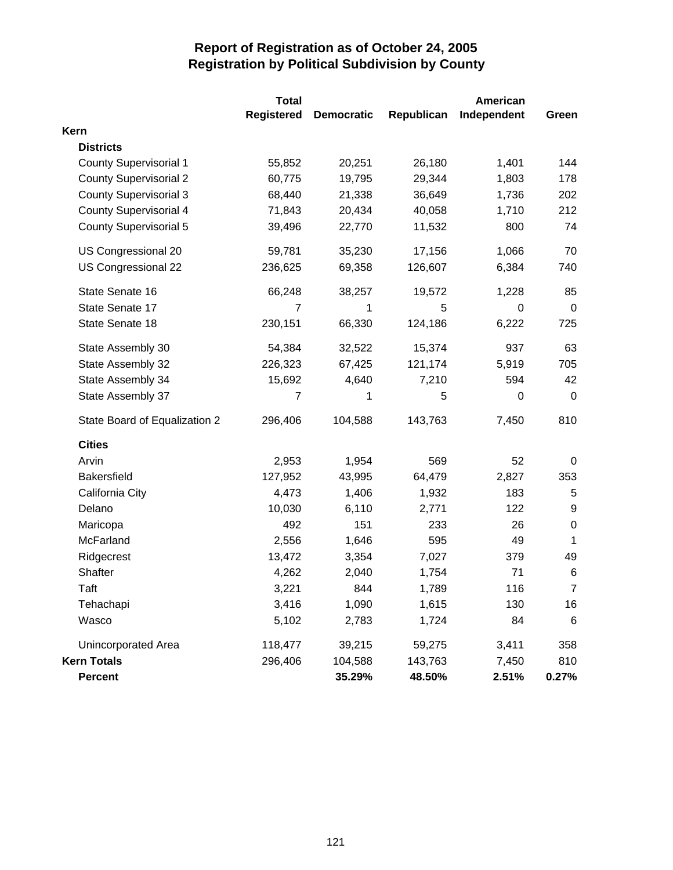|                               | <b>Total</b>      |                   |            | <b>American</b> |             |
|-------------------------------|-------------------|-------------------|------------|-----------------|-------------|
|                               | <b>Registered</b> | <b>Democratic</b> | Republican | Independent     | Green       |
| Kern                          |                   |                   |            |                 |             |
| <b>Districts</b>              |                   |                   |            |                 |             |
| <b>County Supervisorial 1</b> | 55,852            | 20,251            | 26,180     | 1,401           | 144         |
| <b>County Supervisorial 2</b> | 60,775            | 19,795            | 29,344     | 1,803           | 178         |
| <b>County Supervisorial 3</b> | 68,440            | 21,338            | 36,649     | 1,736           | 202         |
| <b>County Supervisorial 4</b> | 71,843            | 20,434            | 40,058     | 1,710           | 212         |
| <b>County Supervisorial 5</b> | 39,496            | 22,770            | 11,532     | 800             | 74          |
| US Congressional 20           | 59,781            | 35,230            | 17,156     | 1,066           | 70          |
| US Congressional 22           | 236,625           | 69,358            | 126,607    | 6,384           | 740         |
| State Senate 16               | 66,248            | 38,257            | 19,572     | 1,228           | 85          |
| State Senate 17               | $\overline{7}$    | 1                 | 5          | 0               | $\mathbf 0$ |
| State Senate 18               | 230,151           | 66,330            | 124,186    | 6,222           | 725         |
| State Assembly 30             | 54,384            | 32,522            | 15,374     | 937             | 63          |
| State Assembly 32             | 226,323           | 67,425            | 121,174    | 5,919           | 705         |
| State Assembly 34             | 15,692            | 4,640             | 7,210      | 594             | 42          |
| State Assembly 37             | 7                 | 1                 | 5          | 0               | $\mathbf 0$ |
| State Board of Equalization 2 | 296,406           | 104,588           | 143,763    | 7,450           | 810         |
| <b>Cities</b>                 |                   |                   |            |                 |             |
| Arvin                         | 2,953             | 1,954             | 569        | 52              | 0           |
| <b>Bakersfield</b>            | 127,952           | 43,995            | 64,479     | 2,827           | 353         |
| California City               | 4,473             | 1,406             | 1,932      | 183             | 5           |
| Delano                        | 10,030            | 6,110             | 2,771      | 122             | 9           |
| Maricopa                      | 492               | 151               | 233        | 26              | $\pmb{0}$   |
| McFarland                     | 2,556             | 1,646             | 595        | 49              | 1           |
| Ridgecrest                    | 13,472            | 3,354             | 7,027      | 379             | 49          |
| Shafter                       | 4,262             | 2,040             | 1,754      | 71              | $\,6$       |
| Taft                          | 3,221             | 844               | 1,789      | 116             | 7           |
| Tehachapi                     | 3,416             | 1,090             | 1,615      | 130             | 16          |
| Wasco                         | 5,102             | 2,783             | 1,724      | 84              | 6           |
| Unincorporated Area           | 118,477           | 39,215            | 59,275     | 3,411           | 358         |
| <b>Kern Totals</b>            | 296,406           | 104,588           | 143,763    | 7,450           | 810         |
| <b>Percent</b>                |                   | 35.29%            | 48.50%     | 2.51%           | $0.27\%$    |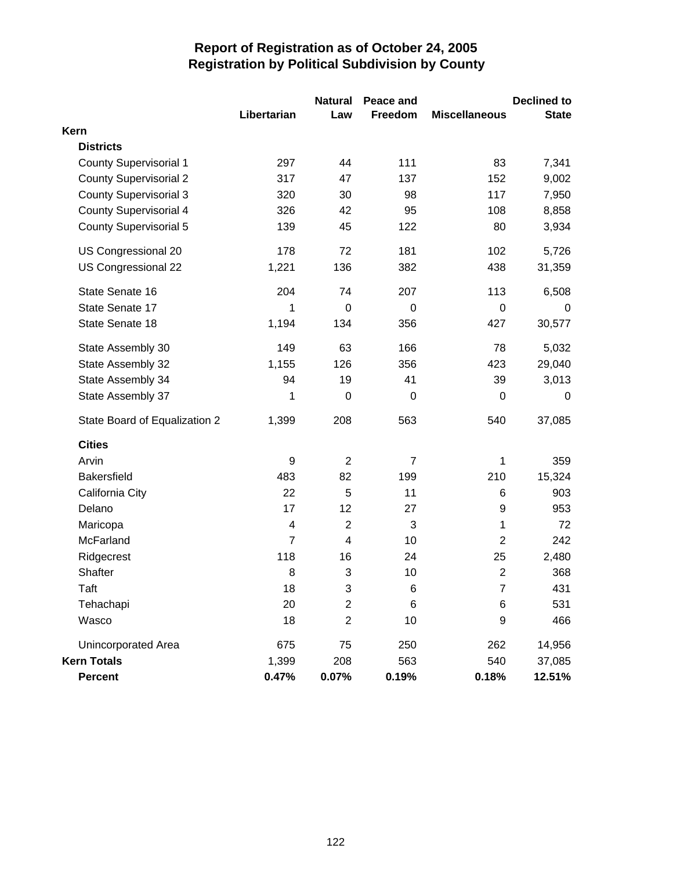|                               |                | <b>Natural</b>          | Peace and       |                      | <b>Declined to</b> |
|-------------------------------|----------------|-------------------------|-----------------|----------------------|--------------------|
|                               | Libertarian    | Law                     | Freedom         | <b>Miscellaneous</b> | <b>State</b>       |
| Kern                          |                |                         |                 |                      |                    |
| <b>Districts</b>              |                |                         |                 |                      |                    |
| <b>County Supervisorial 1</b> | 297            | 44                      | 111             | 83                   | 7,341              |
| <b>County Supervisorial 2</b> | 317            | 47                      | 137             | 152                  | 9,002              |
| <b>County Supervisorial 3</b> | 320            | 30                      | 98              | 117                  | 7,950              |
| <b>County Supervisorial 4</b> | 326            | 42                      | 95              | 108                  | 8,858              |
| <b>County Supervisorial 5</b> | 139            | 45                      | 122             | 80                   | 3,934              |
| US Congressional 20           | 178            | 72                      | 181             | 102                  | 5,726              |
| US Congressional 22           | 1,221          | 136                     | 382             | 438                  | 31,359             |
| State Senate 16               | 204            | 74                      | 207             | 113                  | 6,508              |
| State Senate 17               | 1              | $\mathbf 0$             | $\mathbf 0$     | $\boldsymbol{0}$     | 0                  |
| State Senate 18               | 1,194          | 134                     | 356             | 427                  | 30,577             |
| State Assembly 30             | 149            | 63                      | 166             | 78                   | 5,032              |
| State Assembly 32             | 1,155          | 126                     | 356             | 423                  | 29,040             |
| State Assembly 34             | 94             | 19                      | 41              | 39                   | 3,013              |
| State Assembly 37             | 1              | $\mathbf 0$             | $\mathbf 0$     | 0                    | 0                  |
| State Board of Equalization 2 | 1,399          | 208                     | 563             | 540                  | 37,085             |
| <b>Cities</b>                 |                |                         |                 |                      |                    |
| Arvin                         | 9              | $\overline{2}$          | $\overline{7}$  | 1                    | 359                |
| <b>Bakersfield</b>            | 483            | 82                      | 199             | 210                  | 15,324             |
| California City               | 22             | 5                       | 11              | 6                    | 903                |
| Delano                        | 17             | 12                      | 27              | 9                    | 953                |
| Maricopa                      | 4              | $\overline{2}$          | 3               | 1                    | 72                 |
| McFarland                     | $\overline{7}$ | $\overline{\mathbf{4}}$ | 10              | $\overline{2}$       | 242                |
| Ridgecrest                    | 118            | 16                      | 24              | 25                   | 2,480              |
| Shafter                       | 8              | 3                       | 10              | $\mathbf 2$          | 368                |
| Taft                          | 18             | 3                       | $6\phantom{1}6$ | $\overline{7}$       | 431                |
| Tehachapi                     | 20             | $\overline{2}$          | 6               | 6                    | 531                |
| Wasco                         | 18             | $\overline{2}$          | 10              | 9                    | 466                |
| Unincorporated Area           | 675            | 75                      | 250             | 262                  | 14,956             |
| <b>Kern Totals</b>            | 1,399          | 208                     | 563             | 540                  | 37,085             |
| <b>Percent</b>                | 0.47%          | 0.07%                   | 0.19%           | 0.18%                | 12.51%             |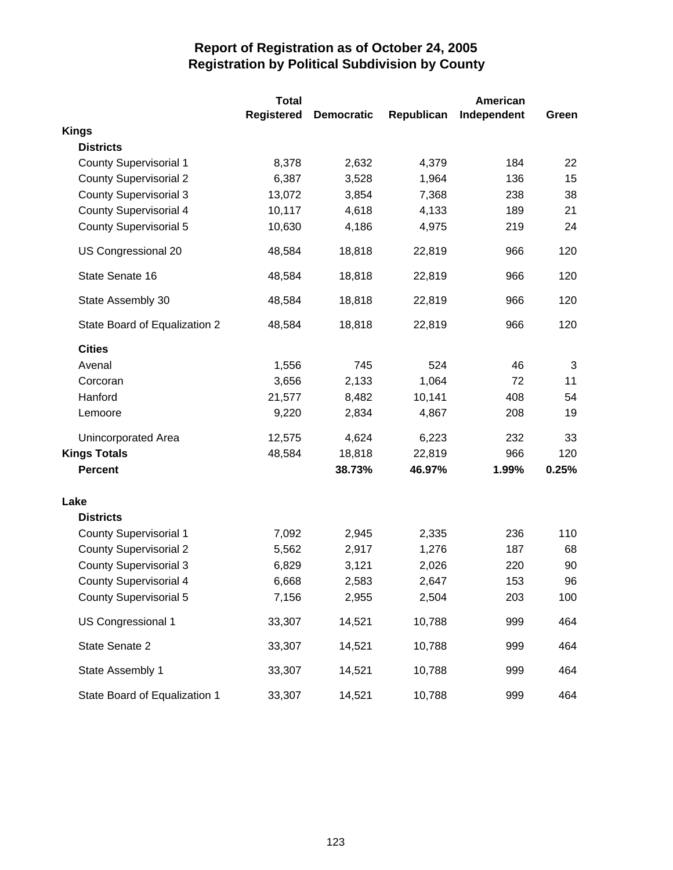|                               | <b>Total</b>      | American          |            |             |       |
|-------------------------------|-------------------|-------------------|------------|-------------|-------|
|                               | <b>Registered</b> | <b>Democratic</b> | Republican | Independent | Green |
| <b>Kings</b>                  |                   |                   |            |             |       |
| <b>Districts</b>              |                   |                   |            |             |       |
| <b>County Supervisorial 1</b> | 8,378             | 2,632             | 4,379      | 184         | 22    |
| <b>County Supervisorial 2</b> | 6,387             | 3,528             | 1,964      | 136         | 15    |
| <b>County Supervisorial 3</b> | 13,072            | 3,854             | 7,368      | 238         | 38    |
| <b>County Supervisorial 4</b> | 10,117            | 4,618             | 4,133      | 189         | 21    |
| <b>County Supervisorial 5</b> | 10,630            | 4,186             | 4,975      | 219         | 24    |
| US Congressional 20           | 48,584            | 18,818            | 22,819     | 966         | 120   |
| State Senate 16               | 48,584            | 18,818            | 22,819     | 966         | 120   |
| State Assembly 30             | 48,584            | 18,818            | 22,819     | 966         | 120   |
| State Board of Equalization 2 | 48,584            | 18,818            | 22,819     | 966         | 120   |
| <b>Cities</b>                 |                   |                   |            |             |       |
| Avenal                        | 1,556             | 745               | 524        | 46          | 3     |
| Corcoran                      | 3,656             | 2,133             | 1,064      | 72          | 11    |
| Hanford                       | 21,577            | 8,482             | 10,141     | 408         | 54    |
| Lemoore                       | 9,220             | 2,834             | 4,867      | 208         | 19    |
| Unincorporated Area           | 12,575            | 4,624             | 6,223      | 232         | 33    |
| <b>Kings Totals</b>           | 48,584            | 18,818            | 22,819     | 966         | 120   |
| <b>Percent</b>                |                   | 38.73%            | 46.97%     | 1.99%       | 0.25% |
| Lake                          |                   |                   |            |             |       |
| <b>Districts</b>              |                   |                   |            |             |       |
| <b>County Supervisorial 1</b> | 7,092             | 2,945             | 2,335      | 236         | 110   |
| <b>County Supervisorial 2</b> | 5,562             | 2,917             | 1,276      | 187         | 68    |
| <b>County Supervisorial 3</b> | 6,829             | 3,121             | 2,026      | 220         | 90    |
| <b>County Supervisorial 4</b> | 6,668             | 2,583             | 2,647      | 153         | 96    |
| <b>County Supervisorial 5</b> | 7,156             | 2,955             | 2,504      | 203         | 100   |
| US Congressional 1            | 33,307            | 14,521            | 10,788     | 999         | 464   |
| State Senate 2                | 33,307            | 14,521            | 10,788     | 999         | 464   |
| State Assembly 1              | 33,307            | 14,521            | 10,788     | 999         | 464   |
| State Board of Equalization 1 | 33,307            | 14,521            | 10,788     | 999         | 464   |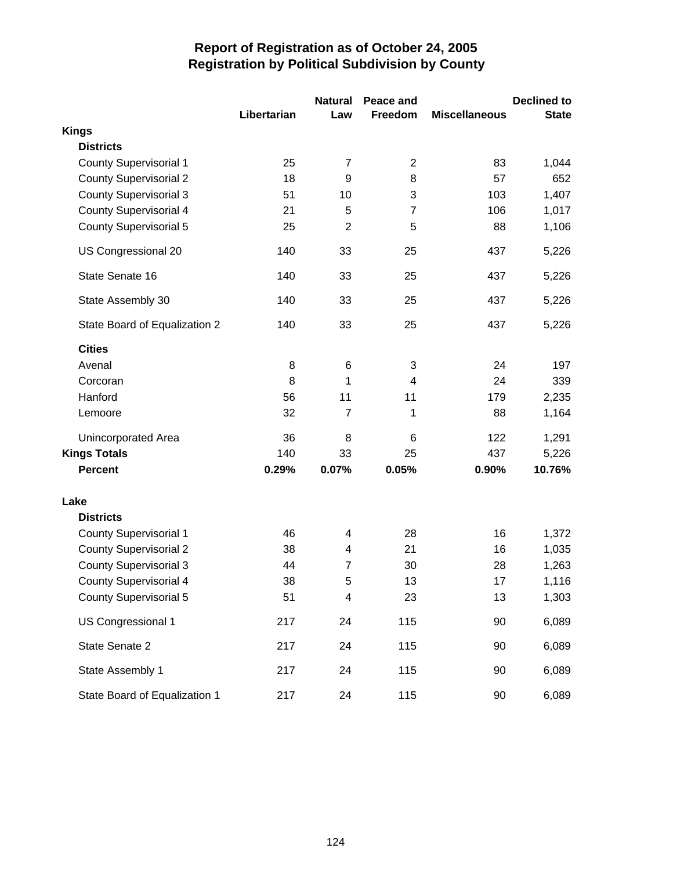|                               |             | <b>Natural</b> | Peace and      |                      | <b>Declined to</b> |
|-------------------------------|-------------|----------------|----------------|----------------------|--------------------|
|                               | Libertarian | Law            | Freedom        | <b>Miscellaneous</b> | <b>State</b>       |
| <b>Kings</b>                  |             |                |                |                      |                    |
| <b>Districts</b>              |             |                |                |                      |                    |
| <b>County Supervisorial 1</b> | 25          | 7              | $\overline{2}$ | 83                   | 1,044              |
| <b>County Supervisorial 2</b> | 18          | 9              | 8              | 57                   | 652                |
| <b>County Supervisorial 3</b> | 51          | 10             | 3              | 103                  | 1,407              |
| <b>County Supervisorial 4</b> | 21          | 5              | $\overline{7}$ | 106                  | 1,017              |
| <b>County Supervisorial 5</b> | 25          | $\overline{2}$ | 5              | 88                   | 1,106              |
| US Congressional 20           | 140         | 33             | 25             | 437                  | 5,226              |
| State Senate 16               | 140         | 33             | 25             | 437                  | 5,226              |
| State Assembly 30             | 140         | 33             | 25             | 437                  | 5,226              |
| State Board of Equalization 2 | 140         | 33             | 25             | 437                  | 5,226              |
| <b>Cities</b>                 |             |                |                |                      |                    |
| Avenal                        | 8           | 6              | 3              | 24                   | 197                |
| Corcoran                      | 8           | 1              | 4              | 24                   | 339                |
| Hanford                       | 56          | 11             | 11             | 179                  | 2,235              |
| Lemoore                       | 32          | $\overline{7}$ | 1              | 88                   | 1,164              |
| Unincorporated Area           | 36          | 8              | 6              | 122                  | 1,291              |
| <b>Kings Totals</b>           | 140         | 33             | 25             | 437                  | 5,226              |
| <b>Percent</b>                | 0.29%       | 0.07%          | 0.05%          | 0.90%                | 10.76%             |
| Lake                          |             |                |                |                      |                    |
| <b>Districts</b>              |             |                |                |                      |                    |
| <b>County Supervisorial 1</b> | 46          | 4              | 28             | 16                   | 1,372              |
| <b>County Supervisorial 2</b> | 38          | 4              | 21             | 16                   | 1,035              |
| <b>County Supervisorial 3</b> | 44          | $\overline{7}$ | 30             | 28                   | 1,263              |
| <b>County Supervisorial 4</b> | 38          | 5              | 13             | 17                   | 1,116              |
| <b>County Supervisorial 5</b> | 51          | 4              | 23             | 13                   | 1,303              |
| US Congressional 1            | 217         | 24             | 115            | 90                   | 6,089              |
| State Senate 2                | 217         | 24             | 115            | 90                   | 6,089              |
| State Assembly 1              | 217         | 24             | 115            | 90                   | 6,089              |
| State Board of Equalization 1 | 217         | 24             | 115            | 90                   | 6,089              |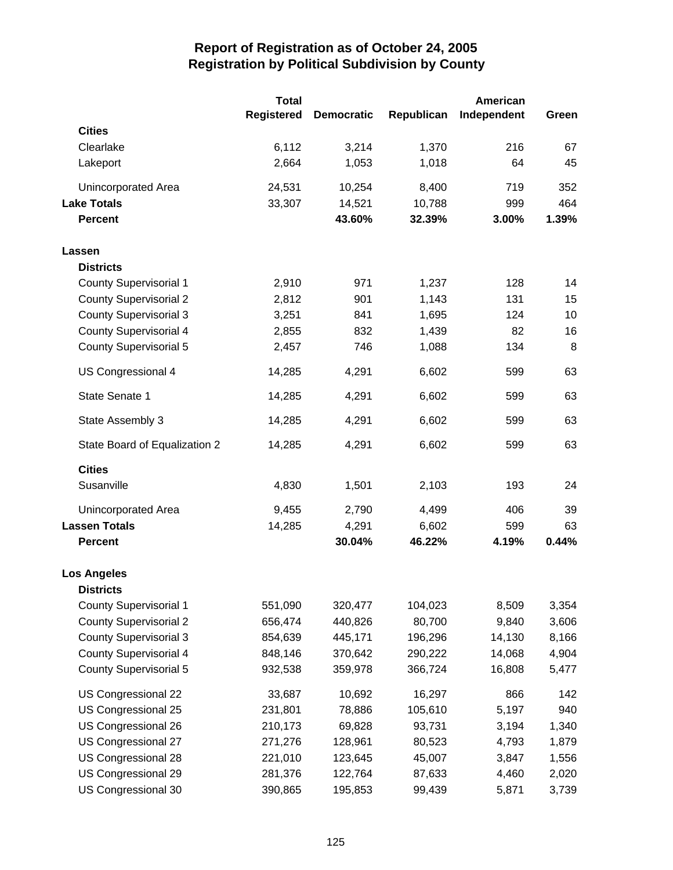|                               | <b>Total</b>      |                   |            | <b>American</b> |       |
|-------------------------------|-------------------|-------------------|------------|-----------------|-------|
|                               | <b>Registered</b> | <b>Democratic</b> | Republican | Independent     | Green |
| <b>Cities</b>                 |                   |                   |            |                 |       |
| Clearlake                     | 6,112             | 3,214             | 1,370      | 216             | 67    |
| Lakeport                      | 2,664             | 1,053             | 1,018      | 64              | 45    |
| Unincorporated Area           | 24,531            | 10,254            | 8,400      | 719             | 352   |
| <b>Lake Totals</b>            | 33,307            | 14,521            | 10,788     | 999             | 464   |
| <b>Percent</b>                |                   | 43.60%            | 32.39%     | 3.00%           | 1.39% |
| Lassen                        |                   |                   |            |                 |       |
| <b>Districts</b>              |                   |                   |            |                 |       |
| <b>County Supervisorial 1</b> | 2,910             | 971               | 1,237      | 128             | 14    |
| <b>County Supervisorial 2</b> | 2,812             | 901               | 1,143      | 131             | 15    |
| <b>County Supervisorial 3</b> | 3,251             | 841               | 1,695      | 124             | 10    |
| <b>County Supervisorial 4</b> | 2,855             | 832               | 1,439      | 82              | 16    |
| <b>County Supervisorial 5</b> | 2,457             | 746               | 1,088      | 134             | 8     |
| US Congressional 4            | 14,285            | 4,291             | 6,602      | 599             | 63    |
| State Senate 1                | 14,285            | 4,291             | 6,602      | 599             | 63    |
| State Assembly 3              | 14,285            | 4,291             | 6,602      | 599             | 63    |
| State Board of Equalization 2 | 14,285            | 4,291             | 6,602      | 599             | 63    |
| <b>Cities</b>                 |                   |                   |            |                 |       |
| Susanville                    | 4,830             | 1,501             | 2,103      | 193             | 24    |
| Unincorporated Area           | 9,455             | 2,790             | 4,499      | 406             | 39    |
| <b>Lassen Totals</b>          | 14,285            | 4,291             | 6,602      | 599             | 63    |
| <b>Percent</b>                |                   | 30.04%            | 46.22%     | 4.19%           | 0.44% |
| <b>Los Angeles</b>            |                   |                   |            |                 |       |
| <b>Districts</b>              |                   |                   |            |                 |       |
| <b>County Supervisorial 1</b> | 551,090           | 320,477           | 104,023    | 8,509           | 3,354 |
| <b>County Supervisorial 2</b> | 656,474           | 440,826           | 80,700     | 9,840           | 3,606 |
| <b>County Supervisorial 3</b> | 854,639           | 445,171           | 196,296    | 14,130          | 8,166 |
| <b>County Supervisorial 4</b> | 848,146           | 370,642           | 290,222    | 14,068          | 4,904 |
| <b>County Supervisorial 5</b> | 932,538           | 359,978           | 366,724    | 16,808          | 5,477 |
| US Congressional 22           | 33,687            | 10,692            | 16,297     | 866             | 142   |
| US Congressional 25           | 231,801           | 78,886            | 105,610    | 5,197           | 940   |
| US Congressional 26           | 210,173           | 69,828            | 93,731     | 3,194           | 1,340 |
| US Congressional 27           | 271,276           | 128,961           | 80,523     | 4,793           | 1,879 |
| US Congressional 28           | 221,010           | 123,645           | 45,007     | 3,847           | 1,556 |
| US Congressional 29           | 281,376           | 122,764           | 87,633     | 4,460           | 2,020 |
| US Congressional 30           | 390,865           | 195,853           | 99,439     | 5,871           | 3,739 |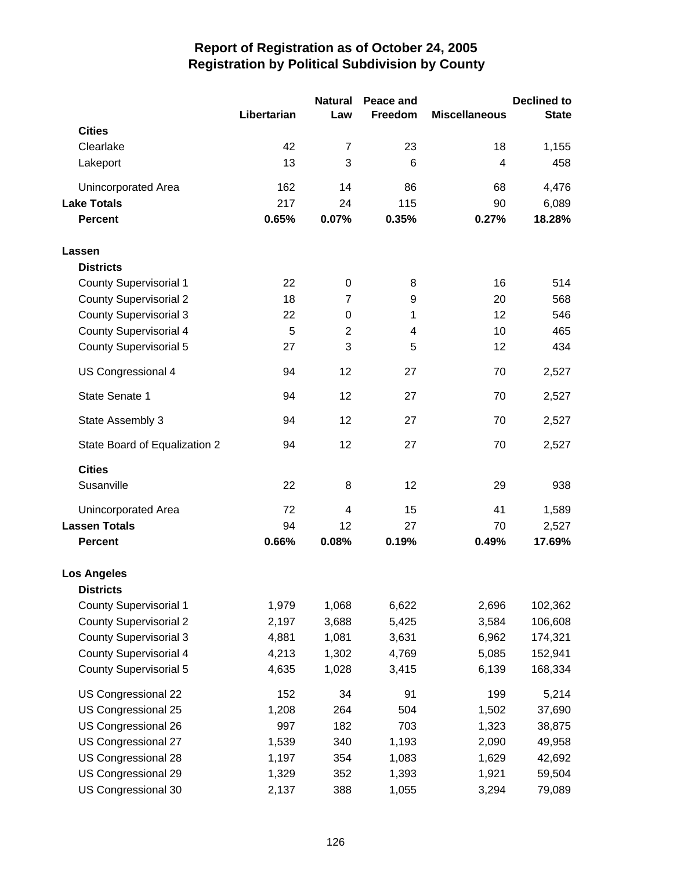|                               |             | <b>Natural</b> | Peace and |                      | <b>Declined to</b> |
|-------------------------------|-------------|----------------|-----------|----------------------|--------------------|
|                               | Libertarian | Law            | Freedom   | <b>Miscellaneous</b> | <b>State</b>       |
| <b>Cities</b>                 |             |                |           |                      |                    |
| Clearlake                     | 42          | $\overline{7}$ | 23        | 18                   | 1,155              |
| Lakeport                      | 13          | 3              | 6         | $\overline{4}$       | 458                |
| Unincorporated Area           | 162         | 14             | 86        | 68                   | 4,476              |
| <b>Lake Totals</b>            | 217         | 24             | 115       | 90                   | 6,089              |
| <b>Percent</b>                | 0.65%       | 0.07%          | 0.35%     | 0.27%                | 18.28%             |
| Lassen                        |             |                |           |                      |                    |
| <b>Districts</b>              |             |                |           |                      |                    |
| <b>County Supervisorial 1</b> | 22          | $\mathbf 0$    | 8         | 16                   | 514                |
| <b>County Supervisorial 2</b> | 18          | $\overline{7}$ | 9         | 20                   | 568                |
| <b>County Supervisorial 3</b> | 22          | 0              | 1         | 12                   | 546                |
| <b>County Supervisorial 4</b> | 5           | $\overline{2}$ | 4         | 10                   | 465                |
| <b>County Supervisorial 5</b> | 27          | 3              | 5         | 12                   | 434                |
| US Congressional 4            | 94          | 12             | 27        | 70                   | 2,527              |
| State Senate 1                | 94          | 12             | 27        | 70                   | 2,527              |
| State Assembly 3              | 94          | 12             | 27        | 70                   | 2,527              |
| State Board of Equalization 2 | 94          | 12             | 27        | 70                   | 2,527              |
| <b>Cities</b>                 |             |                |           |                      |                    |
| Susanville                    | 22          | 8              | 12        | 29                   | 938                |
| Unincorporated Area           | 72          | 4              | 15        | 41                   | 1,589              |
| <b>Lassen Totals</b>          | 94          | 12             | 27        | 70                   | 2,527              |
| <b>Percent</b>                | 0.66%       | 0.08%          | 0.19%     | 0.49%                | 17.69%             |
| <b>Los Angeles</b>            |             |                |           |                      |                    |
| <b>Districts</b>              |             |                |           |                      |                    |
| <b>County Supervisorial 1</b> | 1,979       | 1,068          | 6,622     | 2,696                | 102,362            |
| <b>County Supervisorial 2</b> | 2,197       | 3,688          | 5,425     | 3,584                | 106,608            |
| <b>County Supervisorial 3</b> | 4,881       | 1,081          | 3,631     | 6,962                | 174,321            |
| <b>County Supervisorial 4</b> | 4,213       | 1,302          | 4,769     | 5,085                | 152,941            |
| <b>County Supervisorial 5</b> | 4,635       | 1,028          | 3,415     | 6,139                | 168,334            |
| US Congressional 22           | 152         | 34             | 91        | 199                  | 5,214              |
| US Congressional 25           | 1,208       | 264            | 504       | 1,502                | 37,690             |
| US Congressional 26           | 997         | 182            | 703       | 1,323                | 38,875             |
| US Congressional 27           | 1,539       | 340            | 1,193     | 2,090                | 49,958             |
| US Congressional 28           | 1,197       | 354            | 1,083     | 1,629                | 42,692             |
| US Congressional 29           | 1,329       | 352            | 1,393     | 1,921                | 59,504             |
| US Congressional 30           | 2,137       | 388            | 1,055     | 3,294                | 79,089             |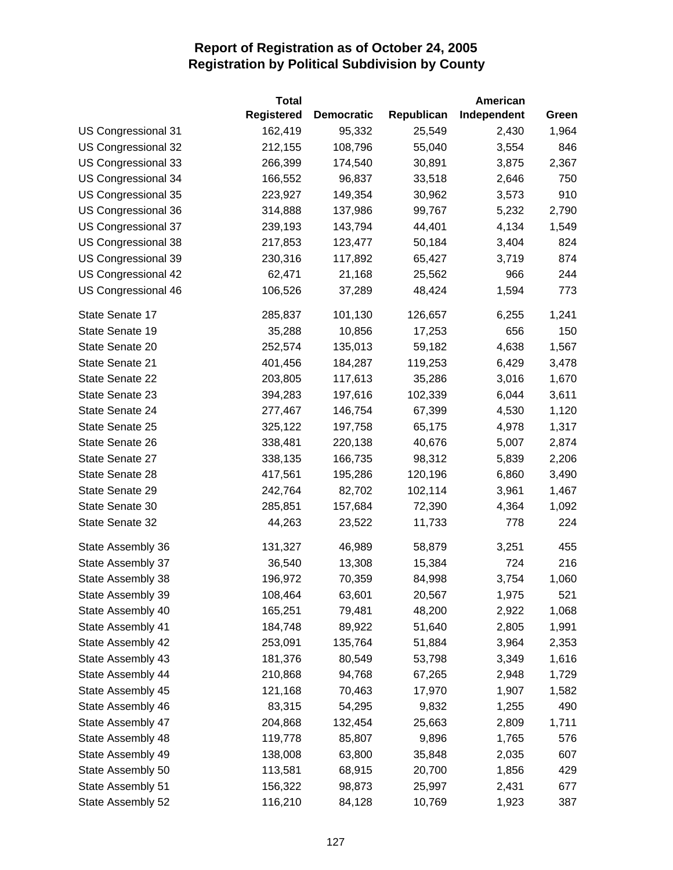|                     | <b>Total</b>      |                   |            | American    |       |
|---------------------|-------------------|-------------------|------------|-------------|-------|
|                     | <b>Registered</b> | <b>Democratic</b> | Republican | Independent | Green |
| US Congressional 31 | 162,419           | 95,332            | 25,549     | 2,430       | 1,964 |
| US Congressional 32 | 212,155           | 108,796           | 55,040     | 3,554       | 846   |
| US Congressional 33 | 266,399           | 174,540           | 30,891     | 3,875       | 2,367 |
| US Congressional 34 | 166,552           | 96,837            | 33,518     | 2,646       | 750   |
| US Congressional 35 | 223,927           | 149,354           | 30,962     | 3,573       | 910   |
| US Congressional 36 | 314,888           | 137,986           | 99,767     | 5,232       | 2,790 |
| US Congressional 37 | 239,193           | 143,794           | 44,401     | 4,134       | 1,549 |
| US Congressional 38 | 217,853           | 123,477           | 50,184     | 3,404       | 824   |
| US Congressional 39 | 230,316           | 117,892           | 65,427     | 3,719       | 874   |
| US Congressional 42 | 62,471            | 21,168            | 25,562     | 966         | 244   |
| US Congressional 46 | 106,526           | 37,289            | 48,424     | 1,594       | 773   |
| State Senate 17     | 285,837           | 101,130           | 126,657    | 6,255       | 1,241 |
| State Senate 19     | 35,288            | 10,856            | 17,253     | 656         | 150   |
| State Senate 20     | 252,574           | 135,013           | 59,182     | 4,638       | 1,567 |
| State Senate 21     | 401,456           | 184,287           | 119,253    | 6,429       | 3,478 |
| State Senate 22     | 203,805           | 117,613           | 35,286     | 3,016       | 1,670 |
| State Senate 23     | 394,283           | 197,616           | 102,339    | 6,044       | 3,611 |
| State Senate 24     | 277,467           | 146,754           | 67,399     | 4,530       | 1,120 |
| State Senate 25     | 325,122           | 197,758           | 65,175     | 4,978       | 1,317 |
| State Senate 26     | 338,481           | 220,138           | 40,676     | 5,007       | 2,874 |
| State Senate 27     | 338,135           | 166,735           | 98,312     | 5,839       | 2,206 |
| State Senate 28     | 417,561           | 195,286           | 120,196    | 6,860       | 3,490 |
| State Senate 29     | 242,764           | 82,702            | 102,114    | 3,961       | 1,467 |
| State Senate 30     | 285,851           | 157,684           | 72,390     | 4,364       | 1,092 |
| State Senate 32     | 44,263            | 23,522            | 11,733     | 778         | 224   |
| State Assembly 36   | 131,327           | 46,989            | 58,879     | 3,251       | 455   |
| State Assembly 37   | 36,540            | 13,308            | 15,384     | 724         | 216   |
| State Assembly 38   | 196,972           | 70,359            | 84,998     | 3,754       | 1,060 |
| State Assembly 39   | 108,464           | 63,601            | 20,567     | 1,975       | 521   |
| State Assembly 40   | 165,251           | 79,481            | 48,200     | 2,922       | 1,068 |
| State Assembly 41   | 184,748           | 89,922            | 51,640     | 2,805       | 1,991 |
| State Assembly 42   | 253,091           | 135,764           | 51,884     | 3,964       | 2,353 |
| State Assembly 43   | 181,376           | 80,549            | 53,798     | 3,349       | 1,616 |
| State Assembly 44   | 210,868           | 94,768            | 67,265     | 2,948       | 1,729 |
| State Assembly 45   | 121,168           | 70,463            | 17,970     | 1,907       | 1,582 |
| State Assembly 46   | 83,315            | 54,295            | 9,832      | 1,255       | 490   |
| State Assembly 47   | 204,868           | 132,454           | 25,663     | 2,809       | 1,711 |
| State Assembly 48   | 119,778           | 85,807            | 9,896      | 1,765       | 576   |
| State Assembly 49   | 138,008           | 63,800            | 35,848     | 2,035       | 607   |
| State Assembly 50   | 113,581           | 68,915            | 20,700     | 1,856       | 429   |
| State Assembly 51   | 156,322           | 98,873            | 25,997     | 2,431       | 677   |
| State Assembly 52   | 116,210           | 84,128            | 10,769     | 1,923       | 387   |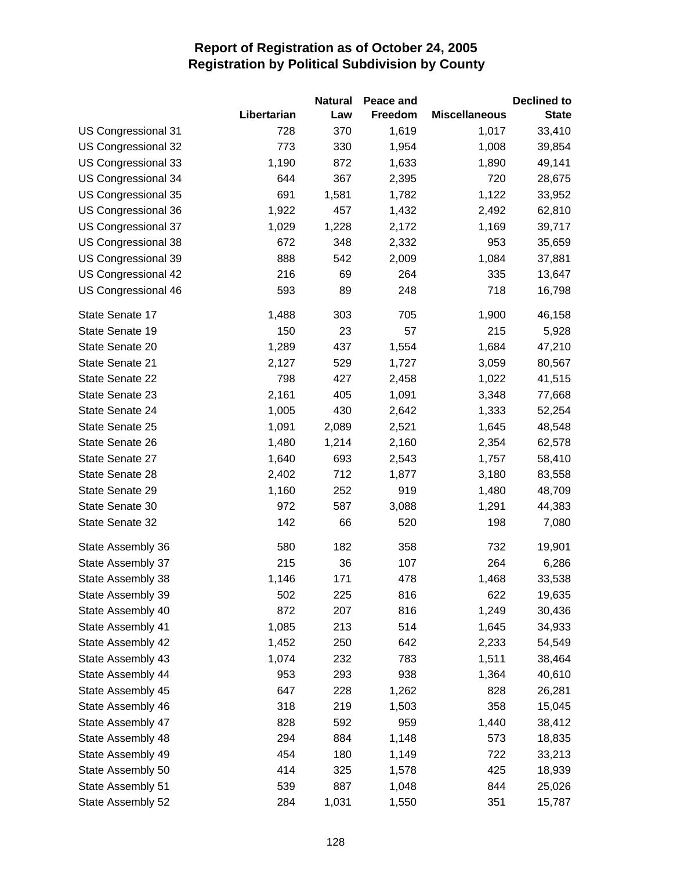|                     |             | <b>Natural</b> | Peace and |                      | <b>Declined to</b> |
|---------------------|-------------|----------------|-----------|----------------------|--------------------|
|                     | Libertarian | Law            | Freedom   | <b>Miscellaneous</b> | <b>State</b>       |
| US Congressional 31 | 728         | 370            | 1,619     | 1,017                | 33,410             |
| US Congressional 32 | 773         | 330            | 1,954     | 1,008                | 39,854             |
| US Congressional 33 | 1,190       | 872            | 1,633     | 1,890                | 49,141             |
| US Congressional 34 | 644         | 367            | 2,395     | 720                  | 28,675             |
| US Congressional 35 | 691         | 1,581          | 1,782     | 1,122                | 33,952             |
| US Congressional 36 | 1,922       | 457            | 1,432     | 2,492                | 62,810             |
| US Congressional 37 | 1,029       | 1,228          | 2,172     | 1,169                | 39,717             |
| US Congressional 38 | 672         | 348            | 2,332     | 953                  | 35,659             |
| US Congressional 39 | 888         | 542            | 2,009     | 1,084                | 37,881             |
| US Congressional 42 | 216         | 69             | 264       | 335                  | 13,647             |
| US Congressional 46 | 593         | 89             | 248       | 718                  | 16,798             |
| State Senate 17     | 1,488       | 303            | 705       | 1,900                | 46,158             |
| State Senate 19     | 150         | 23             | 57        | 215                  | 5,928              |
| State Senate 20     | 1,289       | 437            | 1,554     | 1,684                | 47,210             |
| State Senate 21     | 2,127       | 529            | 1,727     | 3,059                | 80,567             |
| State Senate 22     | 798         | 427            | 2,458     | 1,022                | 41,515             |
| State Senate 23     | 2,161       | 405            | 1,091     | 3,348                | 77,668             |
| State Senate 24     | 1,005       | 430            | 2,642     | 1,333                | 52,254             |
| State Senate 25     | 1,091       | 2,089          | 2,521     | 1,645                | 48,548             |
| State Senate 26     | 1,480       | 1,214          | 2,160     | 2,354                | 62,578             |
| State Senate 27     | 1,640       | 693            | 2,543     | 1,757                | 58,410             |
| State Senate 28     | 2,402       | 712            | 1,877     | 3,180                | 83,558             |
| State Senate 29     | 1,160       | 252            | 919       | 1,480                | 48,709             |
| State Senate 30     | 972         | 587            | 3,088     | 1,291                | 44,383             |
| State Senate 32     | 142         | 66             | 520       | 198                  | 7,080              |
| State Assembly 36   | 580         | 182            | 358       | 732                  | 19,901             |
| State Assembly 37   | 215         | 36             | 107       | 264                  | 6,286              |
| State Assembly 38   | 1,146       | 171            | 478       | 1,468                | 33,538             |
| State Assembly 39   | 502         | 225            | 816       | 622                  | 19,635             |
| State Assembly 40   | 872         | 207            | 816       | 1,249                | 30,436             |
| State Assembly 41   | 1,085       | 213            | 514       | 1,645                | 34,933             |
| State Assembly 42   | 1,452       | 250            | 642       | 2,233                | 54,549             |
| State Assembly 43   | 1,074       | 232            | 783       | 1,511                | 38,464             |
| State Assembly 44   | 953         | 293            | 938       | 1,364                | 40,610             |
| State Assembly 45   | 647         | 228            | 1,262     | 828                  | 26,281             |
| State Assembly 46   | 318         | 219            | 1,503     | 358                  | 15,045             |
| State Assembly 47   | 828         | 592            | 959       | 1,440                | 38,412             |
| State Assembly 48   | 294         | 884            | 1,148     | 573                  | 18,835             |
| State Assembly 49   | 454         | 180            | 1,149     | 722                  | 33,213             |
| State Assembly 50   | 414         | 325            | 1,578     | 425                  | 18,939             |
| State Assembly 51   | 539         | 887            | 1,048     | 844                  | 25,026             |
| State Assembly 52   | 284         | 1,031          | 1,550     | 351                  | 15,787             |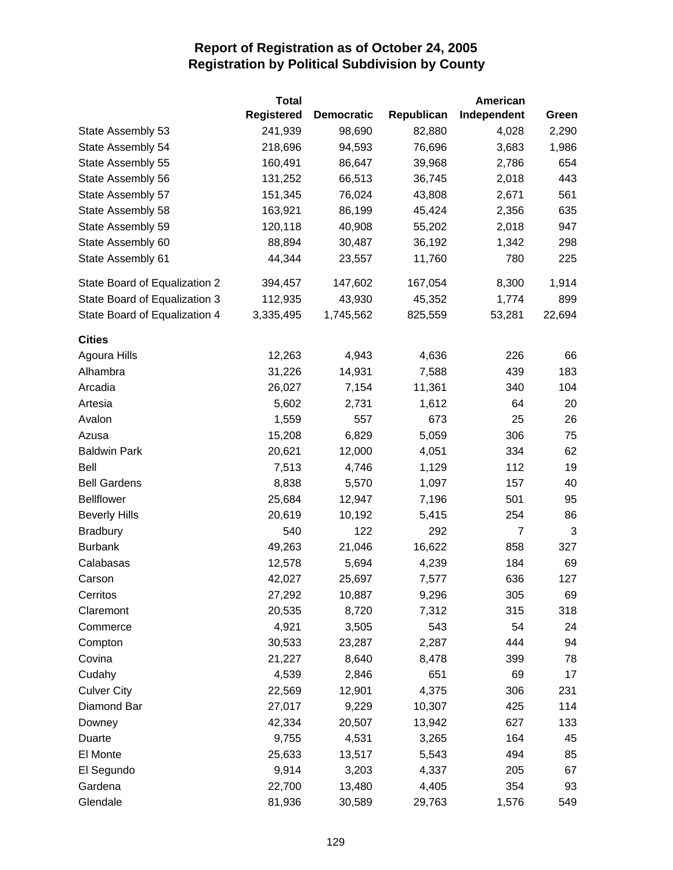|                               | <b>Total</b>      |                   |            | American    |        |
|-------------------------------|-------------------|-------------------|------------|-------------|--------|
|                               | <b>Registered</b> | <b>Democratic</b> | Republican | Independent | Green  |
| State Assembly 53             | 241,939           | 98,690            | 82,880     | 4,028       | 2,290  |
| State Assembly 54             | 218,696           | 94,593            | 76,696     | 3,683       | 1,986  |
| State Assembly 55             | 160,491           | 86,647            | 39,968     | 2,786       | 654    |
| State Assembly 56             | 131,252           | 66,513            | 36,745     | 2,018       | 443    |
| State Assembly 57             | 151,345           | 76,024            | 43,808     | 2,671       | 561    |
| State Assembly 58             | 163,921           | 86,199            | 45,424     | 2,356       | 635    |
| State Assembly 59             | 120,118           | 40,908            | 55,202     | 2,018       | 947    |
| State Assembly 60             | 88,894            | 30,487            | 36,192     | 1,342       | 298    |
| State Assembly 61             | 44,344            | 23,557            | 11,760     | 780         | 225    |
| State Board of Equalization 2 | 394,457           | 147,602           | 167,054    | 8,300       | 1,914  |
| State Board of Equalization 3 | 112,935           | 43,930            | 45,352     | 1,774       | 899    |
| State Board of Equalization 4 | 3,335,495         | 1,745,562         | 825,559    | 53,281      | 22,694 |
| <b>Cities</b>                 |                   |                   |            |             |        |
| Agoura Hills                  | 12,263            | 4,943             | 4,636      | 226         | 66     |
| Alhambra                      | 31,226            | 14,931            | 7,588      | 439         | 183    |
| Arcadia                       | 26,027            | 7,154             | 11,361     | 340         | 104    |
| Artesia                       | 5,602             | 2,731             | 1,612      | 64          | 20     |
| Avalon                        | 1,559             | 557               | 673        | 25          | 26     |
| Azusa                         | 15,208            | 6,829             | 5,059      | 306         | 75     |
| <b>Baldwin Park</b>           | 20,621            | 12,000            | 4,051      | 334         | 62     |
| Bell                          | 7,513             | 4,746             | 1,129      | 112         | 19     |
| <b>Bell Gardens</b>           | 8,838             | 5,570             | 1,097      | 157         | 40     |
| <b>Bellflower</b>             | 25,684            | 12,947            | 7,196      | 501         | 95     |
| <b>Beverly Hills</b>          | 20,619            | 10,192            | 5,415      | 254         | 86     |
| <b>Bradbury</b>               | 540               | 122               | 292        | 7           | 3      |
| <b>Burbank</b>                | 49,263            | 21,046            | 16,622     | 858         | 327    |
| Calabasas                     | 12,578            | 5,694             | 4,239      | 184         | 69     |
| Carson                        | 42,027            | 25,697            | 7,577      | 636         | 127    |
| Cerritos                      | 27,292            | 10,887            | 9,296      | 305         | 69     |
| Claremont                     | 20,535            | 8,720             | 7,312      | 315         | 318    |
| Commerce                      | 4,921             | 3,505             | 543        | 54          | 24     |
| Compton                       | 30,533            | 23,287            | 2,287      | 444         | 94     |
| Covina                        | 21,227            | 8,640             | 8,478      | 399         | 78     |
| Cudahy                        | 4,539             | 2,846             | 651        | 69          | 17     |
| <b>Culver City</b>            | 22,569            | 12,901            | 4,375      | 306         | 231    |
| Diamond Bar                   | 27,017            | 9,229             | 10,307     | 425         | 114    |
| Downey                        | 42,334            | 20,507            | 13,942     | 627         | 133    |
| Duarte                        | 9,755             | 4,531             | 3,265      | 164         | 45     |
| El Monte                      | 25,633            | 13,517            | 5,543      | 494         | 85     |
| El Segundo                    | 9,914             | 3,203             | 4,337      | 205         | 67     |
| Gardena                       | 22,700            | 13,480            | 4,405      | 354         | 93     |
| Glendale                      | 81,936            | 30,589            | 29,763     | 1,576       | 549    |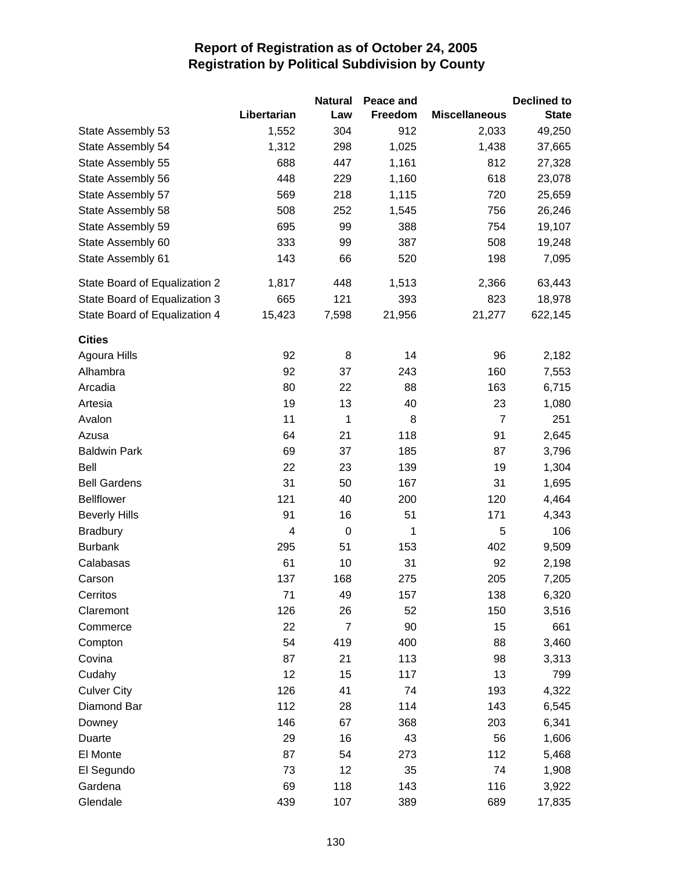|                               |                         | <b>Natural</b>   | Peace and |                      | <b>Declined to</b> |
|-------------------------------|-------------------------|------------------|-----------|----------------------|--------------------|
|                               | Libertarian             | Law              | Freedom   | <b>Miscellaneous</b> | <b>State</b>       |
| State Assembly 53             | 1,552                   | 304              | 912       | 2,033                | 49,250             |
| State Assembly 54             | 1,312                   | 298              | 1,025     | 1,438                | 37,665             |
| State Assembly 55             | 688                     | 447              | 1,161     | 812                  | 27,328             |
| State Assembly 56             | 448                     | 229              | 1,160     | 618                  | 23,078             |
| State Assembly 57             | 569                     | 218              | 1,115     | 720                  | 25,659             |
| State Assembly 58             | 508                     | 252              | 1,545     | 756                  | 26,246             |
| State Assembly 59             | 695                     | 99               | 388       | 754                  | 19,107             |
| State Assembly 60             | 333                     | 99               | 387       | 508                  | 19,248             |
| State Assembly 61             | 143                     | 66               | 520       | 198                  | 7,095              |
| State Board of Equalization 2 | 1,817                   | 448              | 1,513     | 2,366                | 63,443             |
| State Board of Equalization 3 | 665                     | 121              | 393       | 823                  | 18,978             |
| State Board of Equalization 4 | 15,423                  | 7,598            | 21,956    | 21,277               | 622,145            |
| <b>Cities</b>                 |                         |                  |           |                      |                    |
| Agoura Hills                  | 92                      | 8                | 14        | 96                   | 2,182              |
| Alhambra                      | 92                      | 37               | 243       | 160                  | 7,553              |
| Arcadia                       | 80                      | 22               | 88        | 163                  | 6,715              |
| Artesia                       | 19                      | 13               | 40        | 23                   | 1,080              |
| Avalon                        | 11                      | 1                | 8         | $\overline{7}$       | 251                |
| Azusa                         | 64                      | 21               | 118       | 91                   | 2,645              |
| <b>Baldwin Park</b>           | 69                      | 37               | 185       | 87                   | 3,796              |
| Bell                          | 22                      | 23               | 139       | 19                   | 1,304              |
| <b>Bell Gardens</b>           | 31                      | 50               | 167       | 31                   | 1,695              |
| <b>Bellflower</b>             | 121                     | 40               | 200       | 120                  | 4,464              |
| <b>Beverly Hills</b>          | 91                      | 16               | 51        | 171                  | 4,343              |
| <b>Bradbury</b>               | $\overline{\mathbf{4}}$ | $\boldsymbol{0}$ | 1         | 5                    | 106                |
| <b>Burbank</b>                | 295                     | 51               | 153       | 402                  | 9,509              |
| Calabasas                     | 61                      | 10               | 31        | 92                   | 2,198              |
| Carson                        | 137                     | 168              | 275       | 205                  | 7,205              |
| Cerritos                      | 71                      | 49               | 157       | 138                  | 6,320              |
| Claremont                     | 126                     | 26               | 52        | 150                  | 3,516              |
| Commerce                      | 22                      | $\overline{7}$   | 90        | 15                   | 661                |
| Compton                       | 54                      | 419              | 400       | 88                   | 3,460              |
| Covina                        | 87                      | 21               | 113       | 98                   | 3,313              |
| Cudahy                        | 12                      | 15               | 117       | 13                   | 799                |
| <b>Culver City</b>            | 126                     | 41               | 74        | 193                  | 4,322              |
| Diamond Bar                   | 112                     | 28               | 114       | 143                  | 6,545              |
| Downey                        | 146                     | 67               | 368       | 203                  | 6,341              |
| Duarte                        | 29                      | 16               | 43        | 56                   | 1,606              |
| El Monte                      | 87                      | 54               | 273       | 112                  | 5,468              |
| El Segundo                    | 73                      | 12               | 35        | 74                   | 1,908              |
| Gardena                       | 69                      | 118              | 143       | 116                  | 3,922              |
| Glendale                      | 439                     | 107              | 389       | 689                  | 17,835             |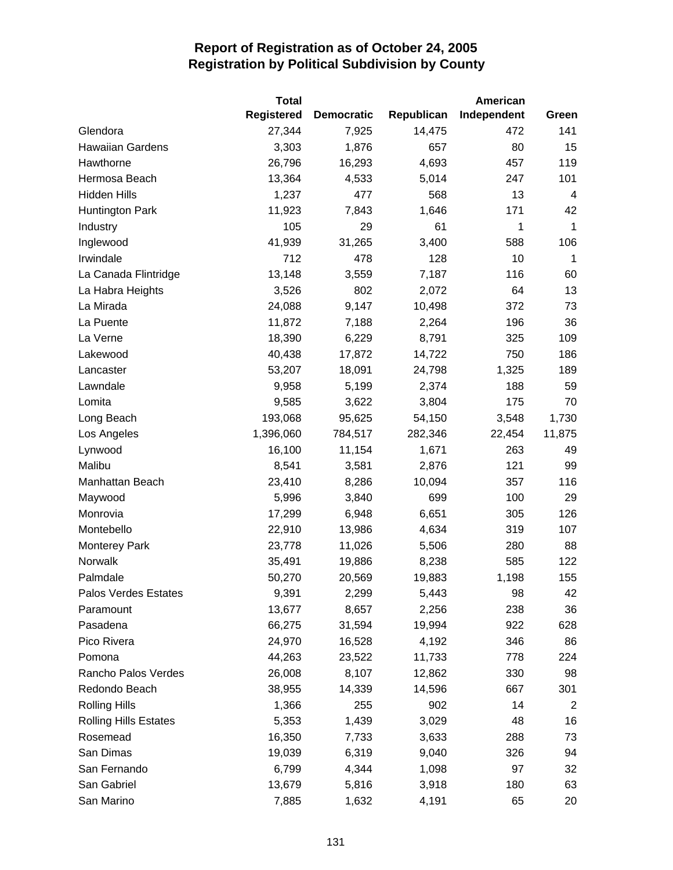|                              | <b>Total</b>      |                   |            | American    |                |
|------------------------------|-------------------|-------------------|------------|-------------|----------------|
|                              | <b>Registered</b> | <b>Democratic</b> | Republican | Independent | Green          |
| Glendora                     | 27,344            | 7,925             | 14,475     | 472         | 141            |
| <b>Hawaiian Gardens</b>      | 3,303             | 1,876             | 657        | 80          | 15             |
| Hawthorne                    | 26,796            | 16,293            | 4,693      | 457         | 119            |
| Hermosa Beach                | 13,364            | 4,533             | 5,014      | 247         | 101            |
| Hidden Hills                 | 1,237             | 477               | 568        | 13          | $\overline{4}$ |
| Huntington Park              | 11,923            | 7,843             | 1,646      | 171         | 42             |
| Industry                     | 105               | 29                | 61         | 1           | 1              |
| Inglewood                    | 41,939            | 31,265            | 3,400      | 588         | 106            |
| Irwindale                    | 712               | 478               | 128        | 10          | $\mathbf{1}$   |
| La Canada Flintridge         | 13,148            | 3,559             | 7,187      | 116         | 60             |
| La Habra Heights             | 3,526             | 802               | 2,072      | 64          | 13             |
| La Mirada                    | 24,088            | 9,147             | 10,498     | 372         | 73             |
| La Puente                    | 11,872            | 7,188             | 2,264      | 196         | 36             |
| La Verne                     | 18,390            | 6,229             | 8,791      | 325         | 109            |
| Lakewood                     | 40,438            | 17,872            | 14,722     | 750         | 186            |
| Lancaster                    | 53,207            | 18,091            | 24,798     | 1,325       | 189            |
| Lawndale                     | 9,958             | 5,199             | 2,374      | 188         | 59             |
| Lomita                       | 9,585             | 3,622             | 3,804      | 175         | 70             |
| Long Beach                   | 193,068           | 95,625            | 54,150     | 3,548       | 1,730          |
| Los Angeles                  | 1,396,060         | 784,517           | 282,346    | 22,454      | 11,875         |
| Lynwood                      | 16,100            | 11,154            | 1,671      | 263         | 49             |
| Malibu                       | 8,541             | 3,581             | 2,876      | 121         | 99             |
| Manhattan Beach              | 23,410            | 8,286             | 10,094     | 357         | 116            |
| Maywood                      | 5,996             | 3,840             | 699        | 100         | 29             |
| Monrovia                     | 17,299            | 6,948             | 6,651      | 305         | 126            |
| Montebello                   | 22,910            | 13,986            | 4,634      | 319         | 107            |
| <b>Monterey Park</b>         | 23,778            | 11,026            | 5,506      | 280         | 88             |
| Norwalk                      | 35,491            | 19,886            | 8,238      | 585         | 122            |
| Palmdale                     | 50,270            | 20,569            | 19,883     | 1,198       | 155            |
| Palos Verdes Estates         | 9,391             | 2,299             | 5,443      | 98          | 42             |
| Paramount                    | 13,677            | 8,657             | 2,256      | 238         | 36             |
| Pasadena                     | 66,275            | 31,594            | 19,994     | 922         | 628            |
| Pico Rivera                  | 24,970            | 16,528            | 4,192      | 346         | 86             |
| Pomona                       | 44,263            | 23,522            | 11,733     | 778         | 224            |
| Rancho Palos Verdes          | 26,008            | 8,107             | 12,862     | 330         | 98             |
| Redondo Beach                | 38,955            | 14,339            | 14,596     | 667         | 301            |
| <b>Rolling Hills</b>         | 1,366             | 255               | 902        | 14          | $\overline{2}$ |
| <b>Rolling Hills Estates</b> | 5,353             | 1,439             | 3,029      | 48          | 16             |
| Rosemead                     | 16,350            | 7,733             | 3,633      | 288         | 73             |
| San Dimas                    | 19,039            | 6,319             | 9,040      | 326         | 94             |
| San Fernando                 | 6,799             | 4,344             | 1,098      | 97          | 32             |
| San Gabriel                  | 13,679            | 5,816             | 3,918      | 180         | 63             |
| San Marino                   | 7,885             | 1,632             | 4,191      | 65          | 20             |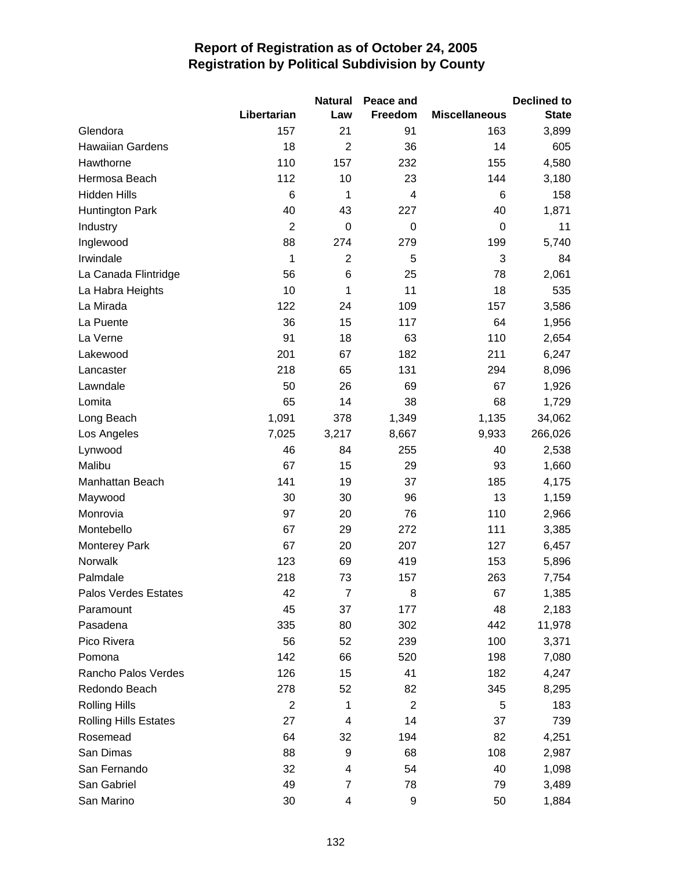|                              |                | <b>Natural</b> | Peace and      |                      | <b>Declined to</b> |
|------------------------------|----------------|----------------|----------------|----------------------|--------------------|
|                              | Libertarian    | Law            | Freedom        | <b>Miscellaneous</b> | <b>State</b>       |
| Glendora                     | 157            | 21             | 91             | 163                  | 3,899              |
| Hawaiian Gardens             | 18             | $\overline{2}$ | 36             | 14                   | 605                |
| Hawthorne                    | 110            | 157            | 232            | 155                  | 4,580              |
| Hermosa Beach                | 112            | 10             | 23             | 144                  | 3,180              |
| <b>Hidden Hills</b>          | 6              | 1              | 4              | 6                    | 158                |
| <b>Huntington Park</b>       | 40             | 43             | 227            | 40                   | 1,871              |
| Industry                     | $\overline{2}$ | $\mathbf 0$    | 0              | $\boldsymbol{0}$     | 11                 |
| Inglewood                    | 88             | 274            | 279            | 199                  | 5,740              |
| Irwindale                    | 1              | $\overline{2}$ | 5              | 3                    | 84                 |
| La Canada Flintridge         | 56             | 6              | 25             | 78                   | 2,061              |
| La Habra Heights             | 10             | 1              | 11             | 18                   | 535                |
| La Mirada                    | 122            | 24             | 109            | 157                  | 3,586              |
| La Puente                    | 36             | 15             | 117            | 64                   | 1,956              |
| La Verne                     | 91             | 18             | 63             | 110                  | 2,654              |
| Lakewood                     | 201            | 67             | 182            | 211                  | 6,247              |
| Lancaster                    | 218            | 65             | 131            | 294                  | 8,096              |
| Lawndale                     | 50             | 26             | 69             | 67                   | 1,926              |
| Lomita                       | 65             | 14             | 38             | 68                   | 1,729              |
| Long Beach                   | 1,091          | 378            | 1,349          | 1,135                | 34,062             |
| Los Angeles                  | 7,025          | 3,217          | 8,667          | 9,933                | 266,026            |
| Lynwood                      | 46             | 84             | 255            | 40                   | 2,538              |
| Malibu                       | 67             | 15             | 29             | 93                   | 1,660              |
| Manhattan Beach              | 141            | 19             | 37             | 185                  | 4,175              |
| Maywood                      | 30             | 30             | 96             | 13                   | 1,159              |
| Monrovia                     | 97             | 20             | 76             | 110                  | 2,966              |
| Montebello                   | 67             | 29             | 272            | 111                  | 3,385              |
| <b>Monterey Park</b>         | 67             | 20             | 207            | 127                  | 6,457              |
| Norwalk                      | 123            | 69             | 419            | 153                  | 5,896              |
| Palmdale                     | 218            | 73             | 157            | 263                  | 7,754              |
| Palos Verdes Estates         | 42             | $\overline{7}$ | 8              | 67                   | 1,385              |
| Paramount                    | 45             | 37             | 177            | 48                   | 2,183              |
| Pasadena                     | 335            | 80             | 302            | 442                  | 11,978             |
| Pico Rivera                  | 56             | 52             | 239            | 100                  | 3,371              |
| Pomona                       | 142            | 66             | 520            | 198                  | 7,080              |
| Rancho Palos Verdes          | 126            | 15             | 41             | 182                  | 4,247              |
| Redondo Beach                | 278            | 52             | 82             | 345                  | 8,295              |
| <b>Rolling Hills</b>         | $\overline{2}$ | 1              | $\overline{2}$ | 5                    | 183                |
| <b>Rolling Hills Estates</b> | 27             | 4              | 14             | 37                   | 739                |
| Rosemead                     | 64             | 32             | 194            | 82                   | 4,251              |
| San Dimas                    | 88             | 9              | 68             | 108                  | 2,987              |
| San Fernando                 | 32             | 4              | 54             | 40                   | 1,098              |
| San Gabriel                  | 49             | 7              | 78             | 79                   | 3,489              |
| San Marino                   | 30             | 4              | 9              | 50                   | 1,884              |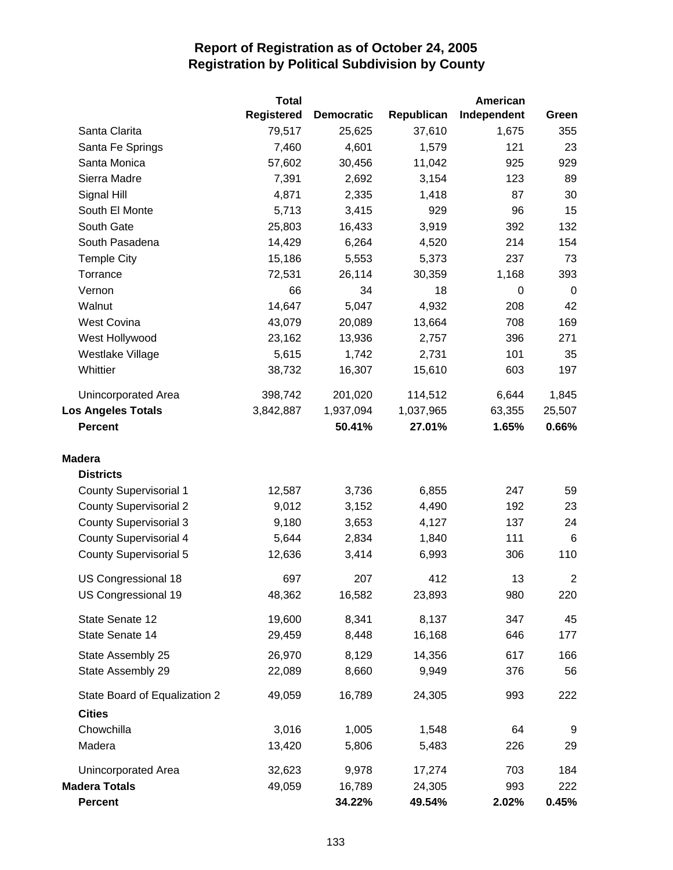|                               | <b>Total</b>      |                   |            | American    |                |
|-------------------------------|-------------------|-------------------|------------|-------------|----------------|
|                               | <b>Registered</b> | <b>Democratic</b> | Republican | Independent | Green          |
| Santa Clarita                 | 79,517            | 25,625            | 37,610     | 1,675       | 355            |
| Santa Fe Springs              | 7,460             | 4,601             | 1,579      | 121         | 23             |
| Santa Monica                  | 57,602            | 30,456            | 11,042     | 925         | 929            |
| Sierra Madre                  | 7,391             | 2,692             | 3,154      | 123         | 89             |
| Signal Hill                   | 4,871             | 2,335             | 1,418      | 87          | 30             |
| South El Monte                | 5,713             | 3,415             | 929        | 96          | 15             |
| South Gate                    | 25,803            | 16,433            | 3,919      | 392         | 132            |
| South Pasadena                | 14,429            | 6,264             | 4,520      | 214         | 154            |
| <b>Temple City</b>            | 15,186            | 5,553             | 5,373      | 237         | 73             |
| Torrance                      | 72,531            | 26,114            | 30,359     | 1,168       | 393            |
| Vernon                        | 66                | 34                | 18         | 0           | 0              |
| Walnut                        | 14,647            | 5,047             | 4,932      | 208         | 42             |
| <b>West Covina</b>            | 43,079            | 20,089            | 13,664     | 708         | 169            |
| West Hollywood                | 23,162            | 13,936            | 2,757      | 396         | 271            |
| Westlake Village              | 5,615             | 1,742             | 2,731      | 101         | 35             |
| Whittier                      | 38,732            | 16,307            | 15,610     | 603         | 197            |
| Unincorporated Area           | 398,742           | 201,020           | 114,512    | 6,644       | 1,845          |
| <b>Los Angeles Totals</b>     | 3,842,887         | 1,937,094         | 1,037,965  | 63,355      | 25,507         |
| <b>Percent</b>                |                   | 50.41%            | 27.01%     | 1.65%       | 0.66%          |
| <b>Madera</b>                 |                   |                   |            |             |                |
| <b>Districts</b>              |                   |                   |            |             |                |
| <b>County Supervisorial 1</b> | 12,587            | 3,736             | 6,855      | 247         | 59             |
| <b>County Supervisorial 2</b> | 9,012             | 3,152             | 4,490      | 192         | 23             |
| <b>County Supervisorial 3</b> | 9,180             | 3,653             | 4,127      | 137         | 24             |
| <b>County Supervisorial 4</b> | 5,644             | 2,834             | 1,840      | 111         | 6              |
| <b>County Supervisorial 5</b> | 12,636            | 3,414             | 6,993      | 306         | 110            |
| US Congressional 18           | 697               | 207               | 412        | 13          | $\overline{2}$ |
| US Congressional 19           | 48,362            | 16,582            | 23,893     | 980         | 220            |
| State Senate 12               | 19,600            | 8,341             | 8,137      | 347         | 45             |
| State Senate 14               | 29,459            | 8,448             | 16,168     | 646         | 177            |
| State Assembly 25             | 26,970            | 8,129             | 14,356     | 617         | 166            |
| State Assembly 29             | 22,089            | 8,660             | 9,949      | 376         | 56             |
| State Board of Equalization 2 | 49,059            | 16,789            | 24,305     | 993         | 222            |
| <b>Cities</b>                 |                   |                   |            |             |                |
| Chowchilla                    | 3,016             | 1,005             | 1,548      | 64          | 9              |
| Madera                        | 13,420            | 5,806             | 5,483      | 226         | 29             |
| Unincorporated Area           | 32,623            | 9,978             | 17,274     | 703         | 184            |
| <b>Madera Totals</b>          | 49,059            | 16,789            | 24,305     | 993         | 222            |
| <b>Percent</b>                |                   | 34.22%            | 49.54%     | 2.02%       | 0.45%          |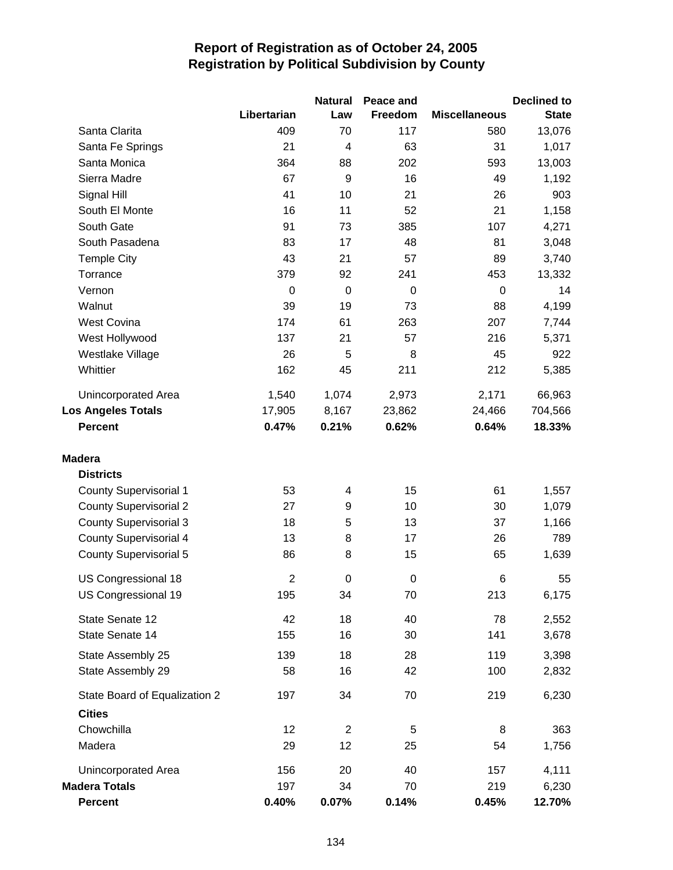|                               |                | <b>Natural</b>   | Peace and        |                      | <b>Declined to</b> |
|-------------------------------|----------------|------------------|------------------|----------------------|--------------------|
|                               | Libertarian    | Law              | Freedom          | <b>Miscellaneous</b> | <b>State</b>       |
| Santa Clarita                 | 409            | 70               | 117              | 580                  | 13,076             |
| Santa Fe Springs              | 21             | 4                | 63               | 31                   | 1,017              |
| Santa Monica                  | 364            | 88               | 202              | 593                  | 13,003             |
| Sierra Madre                  | 67             | 9                | 16               | 49                   | 1,192              |
| Signal Hill                   | 41             | 10               | 21               | 26                   | 903                |
| South El Monte                | 16             | 11               | 52               | 21                   | 1,158              |
| South Gate                    | 91             | 73               | 385              | 107                  | 4,271              |
| South Pasadena                | 83             | 17               | 48               | 81                   | 3,048              |
| <b>Temple City</b>            | 43             | 21               | 57               | 89                   | 3,740              |
| Torrance                      | 379            | 92               | 241              | 453                  | 13,332             |
| Vernon                        | $\Omega$       | $\mathbf 0$      | 0                | 0                    | 14                 |
| Walnut                        | 39             | 19               | 73               | 88                   | 4,199              |
| <b>West Covina</b>            | 174            | 61               | 263              | 207                  | 7,744              |
| West Hollywood                | 137            | 21               | 57               | 216                  | 5,371              |
| Westlake Village              | 26             | 5                | 8                | 45                   | 922                |
| Whittier                      | 162            | 45               | 211              | 212                  | 5,385              |
| <b>Unincorporated Area</b>    | 1,540          | 1,074            | 2,973            | 2,171                | 66,963             |
| <b>Los Angeles Totals</b>     | 17,905         | 8,167            | 23,862           | 24,466               | 704,566            |
| <b>Percent</b>                | 0.47%          | 0.21%            | 0.62%            | 0.64%                | 18.33%             |
| <b>Madera</b>                 |                |                  |                  |                      |                    |
| <b>Districts</b>              |                |                  |                  |                      |                    |
| <b>County Supervisorial 1</b> | 53             | 4                | 15               | 61                   | 1,557              |
| <b>County Supervisorial 2</b> | 27             | 9                | 10               | 30                   | 1,079              |
| <b>County Supervisorial 3</b> | 18             | 5                | 13               | 37                   | 1,166              |
| <b>County Supervisorial 4</b> | 13             | 8                | 17               | 26                   | 789                |
| <b>County Supervisorial 5</b> | 86             | 8                | 15               | 65                   | 1,639              |
| US Congressional 18           | $\overline{2}$ | $\boldsymbol{0}$ | $\boldsymbol{0}$ | 6                    | 55                 |
| US Congressional 19           | 195            | 34               | 70               | 213                  | 6,175              |
| State Senate 12               | 42             | 18               | 40               | 78                   | 2,552              |
| State Senate 14               | 155            | 16               | 30               | 141                  | 3,678              |
| State Assembly 25             | 139            | 18               | 28               | 119                  | 3,398              |
| State Assembly 29             | 58             | 16               | 42               | 100                  | 2,832              |
| State Board of Equalization 2 | 197            | 34               | 70               | 219                  | 6,230              |
| <b>Cities</b>                 |                |                  |                  |                      |                    |
| Chowchilla                    | 12             | $\overline{2}$   | 5                | 8                    | 363                |
| Madera                        | 29             | 12               | 25               | 54                   | 1,756              |
| Unincorporated Area           | 156            | 20               | 40               | 157                  | 4,111              |
| <b>Madera Totals</b>          | 197            | 34               | 70               | 219                  | 6,230              |
| <b>Percent</b>                | 0.40%          | 0.07%            | 0.14%            | 0.45%                | 12.70%             |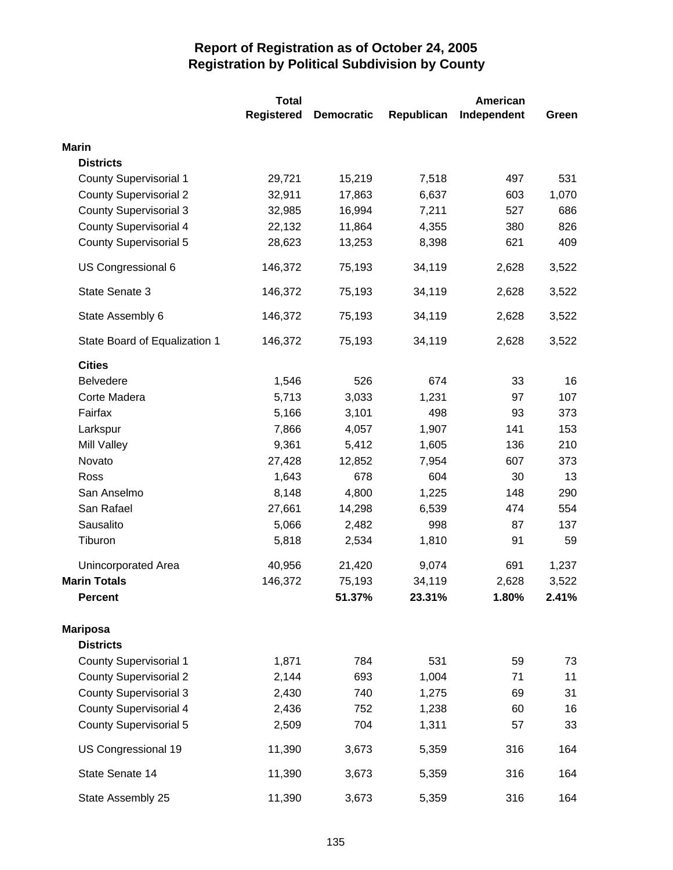|                               | <b>Total</b>      |                   |            | <b>American</b> |       |
|-------------------------------|-------------------|-------------------|------------|-----------------|-------|
|                               | <b>Registered</b> | <b>Democratic</b> | Republican | Independent     | Green |
| <b>Marin</b>                  |                   |                   |            |                 |       |
| <b>Districts</b>              |                   |                   |            |                 |       |
| <b>County Supervisorial 1</b> | 29,721            | 15,219            | 7,518      | 497             | 531   |
| <b>County Supervisorial 2</b> | 32,911            | 17,863            | 6,637      | 603             | 1,070 |
| <b>County Supervisorial 3</b> | 32,985            | 16,994            | 7,211      | 527             | 686   |
| <b>County Supervisorial 4</b> | 22,132            | 11,864            | 4,355      | 380             | 826   |
| <b>County Supervisorial 5</b> | 28,623            | 13,253            | 8,398      | 621             | 409   |
| US Congressional 6            | 146,372           | 75,193            | 34,119     | 2,628           | 3,522 |
| State Senate 3                | 146,372           | 75,193            | 34,119     | 2,628           | 3,522 |
| State Assembly 6              | 146,372           | 75,193            | 34,119     | 2,628           | 3,522 |
| State Board of Equalization 1 | 146,372           | 75,193            | 34,119     | 2,628           | 3,522 |
| <b>Cities</b>                 |                   |                   |            |                 |       |
| <b>Belvedere</b>              | 1,546             | 526               | 674        | 33              | 16    |
| Corte Madera                  | 5,713             | 3,033             | 1,231      | 97              | 107   |
| Fairfax                       | 5,166             | 3,101             | 498        | 93              | 373   |
| Larkspur                      | 7,866             | 4,057             | 1,907      | 141             | 153   |
| Mill Valley                   | 9,361             | 5,412             | 1,605      | 136             | 210   |
| Novato                        | 27,428            | 12,852            | 7,954      | 607             | 373   |
| Ross                          | 1,643             | 678               | 604        | 30              | 13    |
| San Anselmo                   | 8,148             | 4,800             | 1,225      | 148             | 290   |
| San Rafael                    | 27,661            | 14,298            | 6,539      | 474             | 554   |
| Sausalito                     | 5,066             | 2,482             | 998        | 87              | 137   |
| Tiburon                       | 5,818             | 2,534             | 1,810      | 91              | 59    |
| <b>Unincorporated Area</b>    | 40,956            | 21,420            | 9,074      | 691             | 1,237 |
| <b>Marin Totals</b>           | 146,372           | 75,193            | 34,119     | 2,628           | 3,522 |
| <b>Percent</b>                |                   | 51.37%            | 23.31%     | 1.80%           | 2.41% |
| <b>Mariposa</b>               |                   |                   |            |                 |       |
| <b>Districts</b>              |                   |                   |            |                 |       |
| <b>County Supervisorial 1</b> | 1,871             | 784               | 531        | 59              | 73    |
| <b>County Supervisorial 2</b> | 2,144             | 693               | 1,004      | 71              | 11    |
| <b>County Supervisorial 3</b> | 2,430             | 740               | 1,275      | 69              | 31    |
| <b>County Supervisorial 4</b> | 2,436             | 752               | 1,238      | 60              | 16    |
| <b>County Supervisorial 5</b> | 2,509             | 704               | 1,311      | 57              | 33    |
| US Congressional 19           | 11,390            | 3,673             | 5,359      | 316             | 164   |
| State Senate 14               | 11,390            | 3,673             | 5,359      | 316             | 164   |
| State Assembly 25             | 11,390            | 3,673             | 5,359      | 316             | 164   |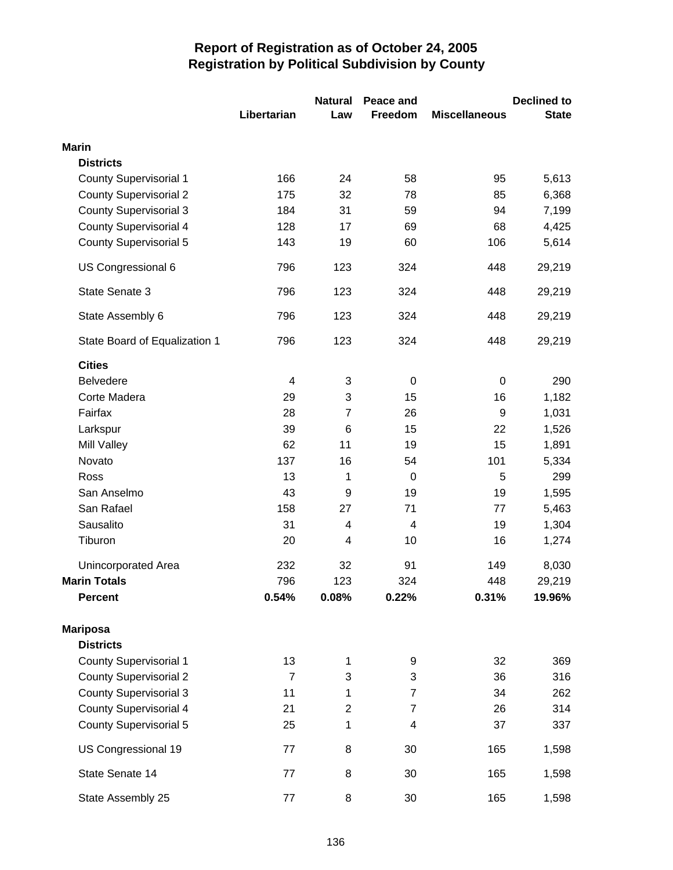|                               |                | <b>Natural</b><br>Peace and |                |                      | <b>Declined to</b> |  |
|-------------------------------|----------------|-----------------------------|----------------|----------------------|--------------------|--|
|                               | Libertarian    | Law                         | Freedom        | <b>Miscellaneous</b> | <b>State</b>       |  |
| <b>Marin</b>                  |                |                             |                |                      |                    |  |
| <b>Districts</b>              |                |                             |                |                      |                    |  |
| <b>County Supervisorial 1</b> | 166            | 24                          | 58             | 95                   | 5,613              |  |
| <b>County Supervisorial 2</b> | 175            | 32                          | 78             | 85                   | 6,368              |  |
| <b>County Supervisorial 3</b> | 184            | 31                          | 59             | 94                   | 7,199              |  |
| <b>County Supervisorial 4</b> | 128            | 17                          | 69             | 68                   | 4,425              |  |
| <b>County Supervisorial 5</b> | 143            | 19                          | 60             | 106                  | 5,614              |  |
| US Congressional 6            | 796            | 123                         | 324            | 448                  | 29,219             |  |
| State Senate 3                | 796            | 123                         | 324            | 448                  | 29,219             |  |
| State Assembly 6              | 796            | 123                         | 324            | 448                  | 29,219             |  |
| State Board of Equalization 1 | 796            | 123                         | 324            | 448                  | 29,219             |  |
| <b>Cities</b>                 |                |                             |                |                      |                    |  |
| <b>Belvedere</b>              | 4              | 3                           | $\pmb{0}$      | $\boldsymbol{0}$     | 290                |  |
| Corte Madera                  | 29             | 3                           | 15             | 16                   | 1,182              |  |
| Fairfax                       | 28             | $\overline{7}$              | 26             | 9                    | 1,031              |  |
| Larkspur                      | 39             | 6                           | 15             | 22                   | 1,526              |  |
| <b>Mill Valley</b>            | 62             | 11                          | 19             | 15                   | 1,891              |  |
| Novato                        | 137            | 16                          | 54             | 101                  | 5,334              |  |
| Ross                          | 13             | 1                           | $\pmb{0}$      | 5                    | 299                |  |
| San Anselmo                   | 43             | 9                           | 19             | 19                   | 1,595              |  |
| San Rafael                    | 158            | 27                          | 71             | 77                   | 5,463              |  |
| Sausalito                     | 31             | $\overline{\mathbf{4}}$     | 4              | 19                   | 1,304              |  |
| Tiburon                       | 20             | 4                           | 10             | 16                   | 1,274              |  |
| <b>Unincorporated Area</b>    | 232            | 32                          | 91             | 149                  | 8,030              |  |
| <b>Marin Totals</b>           | 796            | 123                         | 324            | 448                  | 29,219             |  |
| <b>Percent</b>                | 0.54%          | 0.08%                       | 0.22%          | 0.31%                | 19.96%             |  |
| <b>Mariposa</b>               |                |                             |                |                      |                    |  |
| <b>Districts</b>              |                |                             |                |                      |                    |  |
| <b>County Supervisorial 1</b> | 13             | 1                           | 9              | 32                   | 369                |  |
| <b>County Supervisorial 2</b> | $\overline{7}$ | 3                           | 3              | 36                   | 316                |  |
| <b>County Supervisorial 3</b> | 11             | 1                           | $\overline{7}$ | 34                   | 262                |  |
| <b>County Supervisorial 4</b> | 21             | $\overline{c}$              | $\overline{7}$ | 26                   | 314                |  |
| <b>County Supervisorial 5</b> | 25             | 1                           | 4              | 37                   | 337                |  |
| US Congressional 19           | 77             | 8                           | 30             | 165                  | 1,598              |  |
| State Senate 14               | 77             | 8                           | 30             | 165                  | 1,598              |  |
| State Assembly 25             | 77             | 8                           | 30             | 165                  | 1,598              |  |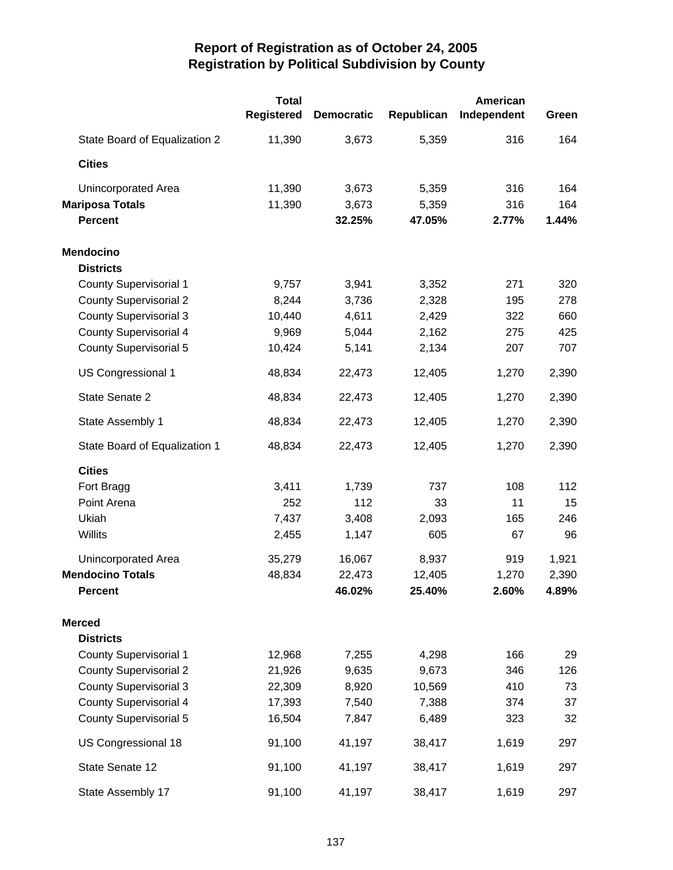|                               | <b>Total</b> |                   |            | <b>American</b> |       |
|-------------------------------|--------------|-------------------|------------|-----------------|-------|
|                               | Registered   | <b>Democratic</b> | Republican | Independent     | Green |
| State Board of Equalization 2 | 11,390       | 3,673             | 5,359      | 316             | 164   |
| <b>Cities</b>                 |              |                   |            |                 |       |
| Unincorporated Area           | 11,390       | 3,673             | 5,359      | 316             | 164   |
| <b>Mariposa Totals</b>        | 11,390       | 3,673             | 5,359      | 316             | 164   |
| <b>Percent</b>                |              | 32.25%            | 47.05%     | 2.77%           | 1.44% |
| <b>Mendocino</b>              |              |                   |            |                 |       |
| <b>Districts</b>              |              |                   |            |                 |       |
| <b>County Supervisorial 1</b> | 9,757        | 3,941             | 3,352      | 271             | 320   |
| <b>County Supervisorial 2</b> | 8,244        | 3,736             | 2,328      | 195             | 278   |
| <b>County Supervisorial 3</b> | 10,440       | 4,611             | 2,429      | 322             | 660   |
| <b>County Supervisorial 4</b> | 9,969        | 5,044             | 2,162      | 275             | 425   |
| <b>County Supervisorial 5</b> | 10,424       | 5,141             | 2,134      | 207             | 707   |
| US Congressional 1            | 48,834       | 22,473            | 12,405     | 1,270           | 2,390 |
| State Senate 2                | 48,834       | 22,473            | 12,405     | 1,270           | 2,390 |
| State Assembly 1              | 48,834       | 22,473            | 12,405     | 1,270           | 2,390 |
| State Board of Equalization 1 | 48,834       | 22,473            | 12,405     | 1,270           | 2,390 |
| <b>Cities</b>                 |              |                   |            |                 |       |
| Fort Bragg                    | 3,411        | 1,739             | 737        | 108             | 112   |
| Point Arena                   | 252          | 112               | 33         | 11              | 15    |
| Ukiah                         | 7,437        | 3,408             | 2,093      | 165             | 246   |
| Willits                       | 2,455        | 1,147             | 605        | 67              | 96    |
| Unincorporated Area           | 35,279       | 16,067            | 8,937      | 919             | 1,921 |
| <b>Mendocino Totals</b>       | 48,834       | 22,473            | 12,405     | 1,270           | 2,390 |
| <b>Percent</b>                |              | 46.02%            | 25.40%     | 2.60%           | 4.89% |
| <b>Merced</b>                 |              |                   |            |                 |       |
| <b>Districts</b>              |              |                   |            |                 |       |
| <b>County Supervisorial 1</b> | 12,968       | 7,255             | 4,298      | 166             | 29    |
| <b>County Supervisorial 2</b> | 21,926       | 9,635             | 9,673      | 346             | 126   |
| <b>County Supervisorial 3</b> | 22,309       | 8,920             | 10,569     | 410             | 73    |
| <b>County Supervisorial 4</b> | 17,393       | 7,540             | 7,388      | 374             | 37    |
| <b>County Supervisorial 5</b> | 16,504       | 7,847             | 6,489      | 323             | 32    |
| US Congressional 18           | 91,100       | 41,197            | 38,417     | 1,619           | 297   |
| State Senate 12               | 91,100       | 41,197            | 38,417     | 1,619           | 297   |
| State Assembly 17             | 91,100       | 41,197            | 38,417     | 1,619           | 297   |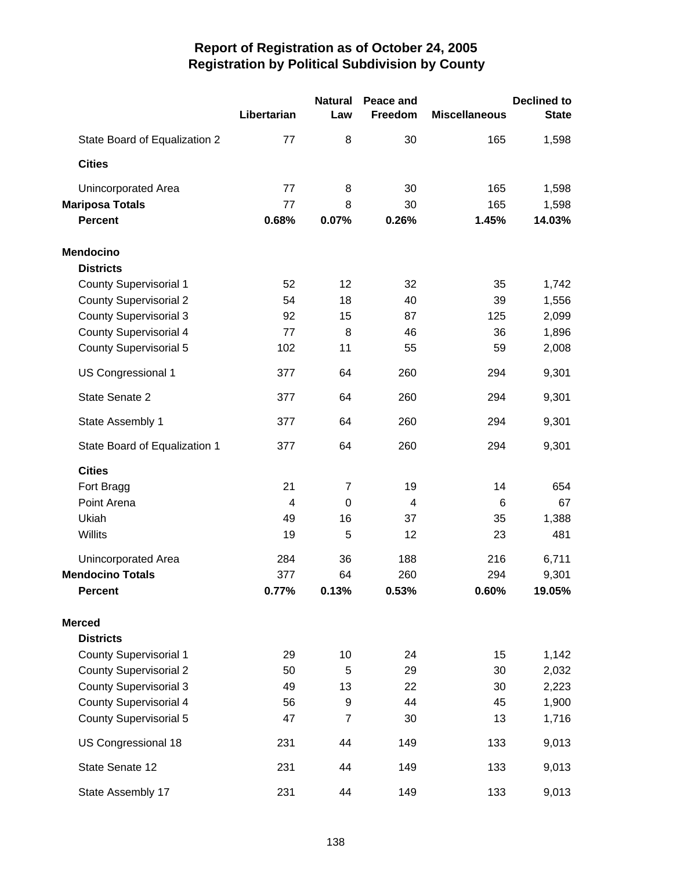|                               | Libertarian    | <b>Natural</b><br>Law | Peace and<br>Freedom | <b>Miscellaneous</b> | <b>Declined to</b><br><b>State</b> |
|-------------------------------|----------------|-----------------------|----------------------|----------------------|------------------------------------|
| State Board of Equalization 2 | 77             | 8                     | 30                   | 165                  | 1,598                              |
| <b>Cities</b>                 |                |                       |                      |                      |                                    |
| <b>Unincorporated Area</b>    | 77             | 8                     | 30                   | 165                  | 1,598                              |
| <b>Mariposa Totals</b>        | 77             | 8                     | 30                   | 165                  | 1,598                              |
| <b>Percent</b>                | 0.68%          | 0.07%                 | 0.26%                | 1.45%                | 14.03%                             |
| <b>Mendocino</b>              |                |                       |                      |                      |                                    |
| <b>Districts</b>              |                |                       |                      |                      |                                    |
| <b>County Supervisorial 1</b> | 52             | 12                    | 32                   | 35                   | 1,742                              |
| <b>County Supervisorial 2</b> | 54             | 18                    | 40                   | 39                   | 1,556                              |
| <b>County Supervisorial 3</b> | 92             | 15                    | 87                   | 125                  | 2,099                              |
| <b>County Supervisorial 4</b> | 77             | 8                     | 46                   | 36                   | 1,896                              |
| <b>County Supervisorial 5</b> | 102            | 11                    | 55                   | 59                   | 2,008                              |
| US Congressional 1            | 377            | 64                    | 260                  | 294                  | 9,301                              |
| State Senate 2                | 377            | 64                    | 260                  | 294                  | 9,301                              |
| State Assembly 1              | 377            | 64                    | 260                  | 294                  | 9,301                              |
| State Board of Equalization 1 | 377            | 64                    | 260                  | 294                  | 9,301                              |
| <b>Cities</b>                 |                |                       |                      |                      |                                    |
| Fort Bragg                    | 21             | $\overline{7}$        | 19                   | 14                   | 654                                |
| Point Arena                   | $\overline{4}$ | $\mathbf 0$           | $\overline{4}$       | 6                    | 67                                 |
| Ukiah                         | 49             | 16                    | 37                   | 35                   | 1,388                              |
| Willits                       | 19             | 5                     | 12                   | 23                   | 481                                |
|                               |                |                       |                      |                      |                                    |
| <b>Unincorporated Area</b>    | 284            | 36                    | 188                  | 216                  | 6,711                              |
| <b>Mendocino Totals</b>       | 377            | 64                    | 260                  | 294                  | 9,301                              |
| <b>Percent</b>                | 0.77%          | 0.13%                 | 0.53%                | 0.60%                | 19.05%                             |
| <b>Merced</b>                 |                |                       |                      |                      |                                    |
| <b>Districts</b>              |                |                       |                      |                      |                                    |
| <b>County Supervisorial 1</b> | 29             | 10                    | 24                   | 15                   | 1,142                              |
| <b>County Supervisorial 2</b> | 50             | 5                     | 29                   | 30                   | 2,032                              |
| <b>County Supervisorial 3</b> | 49             | 13                    | 22                   | 30                   | 2,223                              |
| <b>County Supervisorial 4</b> | 56             | 9                     | 44                   | 45                   | 1,900                              |
| <b>County Supervisorial 5</b> | 47             | $\overline{7}$        | 30                   | 13                   | 1,716                              |
| US Congressional 18           | 231            | 44                    | 149                  | 133                  | 9,013                              |
| State Senate 12               | 231            | 44                    | 149                  | 133                  | 9,013                              |
| State Assembly 17             | 231            | 44                    | 149                  | 133                  | 9,013                              |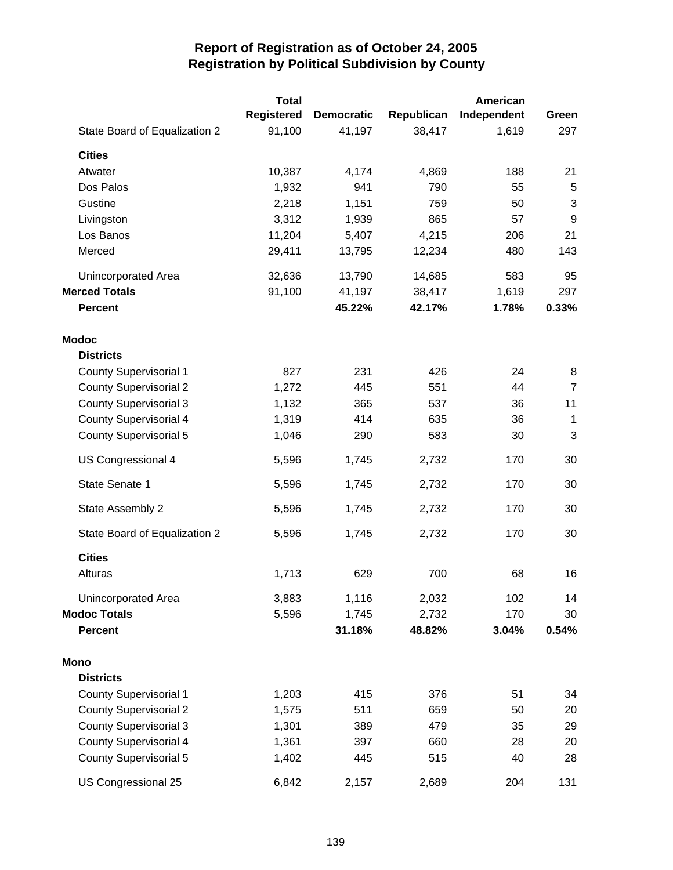|                               | <b>Total</b> |                   |            | American    |                  |
|-------------------------------|--------------|-------------------|------------|-------------|------------------|
|                               | Registered   | <b>Democratic</b> | Republican | Independent | Green            |
| State Board of Equalization 2 | 91,100       | 41,197            | 38,417     | 1,619       | 297              |
| <b>Cities</b>                 |              |                   |            |             |                  |
| Atwater                       | 10,387       | 4,174             | 4,869      | 188         | 21               |
| Dos Palos                     | 1,932        | 941               | 790        | 55          | 5                |
| Gustine                       | 2,218        | 1,151             | 759        | 50          | 3                |
| Livingston                    | 3,312        | 1,939             | 865        | 57          | $\boldsymbol{9}$ |
| Los Banos                     | 11,204       | 5,407             | 4,215      | 206         | 21               |
| Merced                        | 29,411       | 13,795            | 12,234     | 480         | 143              |
| Unincorporated Area           | 32,636       | 13,790            | 14,685     | 583         | 95               |
| <b>Merced Totals</b>          | 91,100       | 41,197            | 38,417     | 1,619       | 297              |
| <b>Percent</b>                |              | 45.22%            | 42.17%     | 1.78%       | 0.33%            |
| <b>Modoc</b>                  |              |                   |            |             |                  |
| <b>Districts</b>              |              |                   |            |             |                  |
| <b>County Supervisorial 1</b> | 827          | 231               | 426        | 24          | 8                |
| <b>County Supervisorial 2</b> | 1,272        | 445               | 551        | 44          | $\overline{7}$   |
| <b>County Supervisorial 3</b> | 1,132        | 365               | 537        | 36          | 11               |
| <b>County Supervisorial 4</b> | 1,319        | 414               | 635        | 36          | $\mathbf 1$      |
| <b>County Supervisorial 5</b> | 1,046        | 290               | 583        | 30          | 3                |
| US Congressional 4            | 5,596        | 1,745             | 2,732      | 170         | 30               |
| State Senate 1                | 5,596        | 1,745             | 2,732      | 170         | 30               |
| State Assembly 2              | 5,596        | 1,745             | 2,732      | 170         | 30               |
| State Board of Equalization 2 | 5,596        | 1,745             | 2,732      | 170         | 30               |
| <b>Cities</b>                 |              |                   |            |             |                  |
| Alturas                       | 1,713        | 629               | 700        | 68          | 16               |
| Unincorporated Area           | 3,883        | 1,116             | 2,032      | 102         | 14               |
| <b>Modoc Totals</b>           | 5,596        | 1,745             | 2,732      | 170         | 30               |
| <b>Percent</b>                |              | 31.18%            | 48.82%     | 3.04%       | 0.54%            |
| Mono                          |              |                   |            |             |                  |
| <b>Districts</b>              |              |                   |            |             |                  |
| <b>County Supervisorial 1</b> | 1,203        | 415               | 376        | 51          | 34               |
| <b>County Supervisorial 2</b> | 1,575        | 511               | 659        | 50          | 20               |
| <b>County Supervisorial 3</b> | 1,301        | 389               | 479        | 35          | 29               |
| <b>County Supervisorial 4</b> | 1,361        | 397               | 660        | 28          | 20               |
| <b>County Supervisorial 5</b> | 1,402        | 445               | 515        | 40          | 28               |
| US Congressional 25           | 6,842        | 2,157             | 2,689      | 204         | 131              |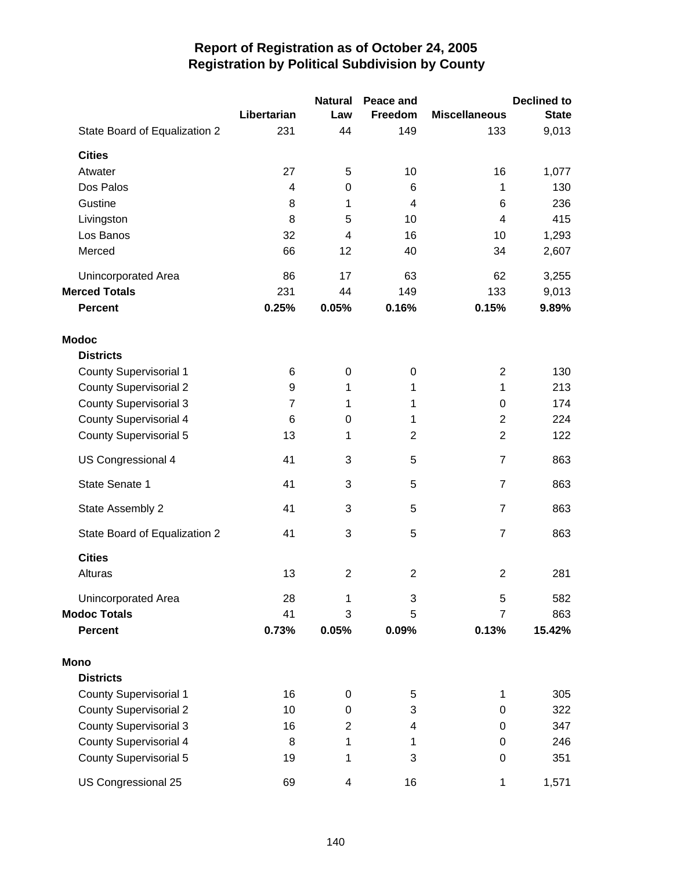|                               |                | <b>Natural</b> | Peace and      |                      | <b>Declined to</b> |
|-------------------------------|----------------|----------------|----------------|----------------------|--------------------|
|                               | Libertarian    | Law            | Freedom        | <b>Miscellaneous</b> | <b>State</b>       |
| State Board of Equalization 2 | 231            | 44             | 149            | 133                  | 9,013              |
| <b>Cities</b>                 |                |                |                |                      |                    |
| Atwater                       | 27             | 5              | 10             | 16                   | 1,077              |
| Dos Palos                     | 4              | $\mathbf 0$    | 6              | 1                    | 130                |
| Gustine                       | 8              | 1              | 4              | 6                    | 236                |
| Livingston                    | 8              | 5              | 10             | 4                    | 415                |
| Los Banos                     | 32             | $\overline{4}$ | 16             | 10                   | 1,293              |
| Merced                        | 66             | 12             | 40             | 34                   | 2,607              |
| Unincorporated Area           | 86             | 17             | 63             | 62                   | 3,255              |
| <b>Merced Totals</b>          | 231            | 44             | 149            | 133                  | 9,013              |
| <b>Percent</b>                | 0.25%          | 0.05%          | 0.16%          | 0.15%                | 9.89%              |
| <b>Modoc</b>                  |                |                |                |                      |                    |
| <b>Districts</b>              |                |                |                |                      |                    |
| <b>County Supervisorial 1</b> | 6              | $\mathbf 0$    | $\mathbf 0$    | $\overline{c}$       | 130                |
| <b>County Supervisorial 2</b> | 9              | 1              | 1              | 1                    | 213                |
| <b>County Supervisorial 3</b> | $\overline{7}$ | 1              | 1              | $\boldsymbol{0}$     | 174                |
| <b>County Supervisorial 4</b> | 6              | $\mathbf 0$    | 1              | $\overline{2}$       | 224                |
| <b>County Supervisorial 5</b> | 13             | 1              | $\overline{2}$ | $\overline{2}$       | 122                |
| US Congressional 4            | 41             | 3              | 5              | $\overline{7}$       | 863                |
| State Senate 1                | 41             | 3              | 5              | $\overline{7}$       | 863                |
| State Assembly 2              | 41             | 3              | 5              | $\overline{7}$       | 863                |
| State Board of Equalization 2 | 41             | 3              | 5              | $\overline{7}$       | 863                |
| <b>Cities</b>                 |                |                |                |                      |                    |
| Alturas                       | 13             | $\overline{2}$ | $\overline{2}$ | $\overline{2}$       | 281                |
| Unincorporated Area           | 28             | 1              | 3              | 5                    | 582                |
| <b>Modoc Totals</b>           | 41             | 3              | 5              | $\overline{7}$       | 863                |
| <b>Percent</b>                | 0.73%          | 0.05%          | 0.09%          | 0.13%                | 15.42%             |
| <b>Mono</b>                   |                |                |                |                      |                    |
| <b>Districts</b>              |                |                |                |                      |                    |
| <b>County Supervisorial 1</b> | 16             | $\mathbf 0$    | 5              | 1                    | 305                |
| <b>County Supervisorial 2</b> | 10             | $\pmb{0}$      | 3              | 0                    | 322                |
| <b>County Supervisorial 3</b> | 16             | $\overline{2}$ | 4              | 0                    | 347                |
| <b>County Supervisorial 4</b> | 8              | 1              | 1              | 0                    | 246                |
| <b>County Supervisorial 5</b> | 19             | 1              | 3              | 0                    | 351                |
| US Congressional 25           | 69             | 4              | 16             | 1                    | 1,571              |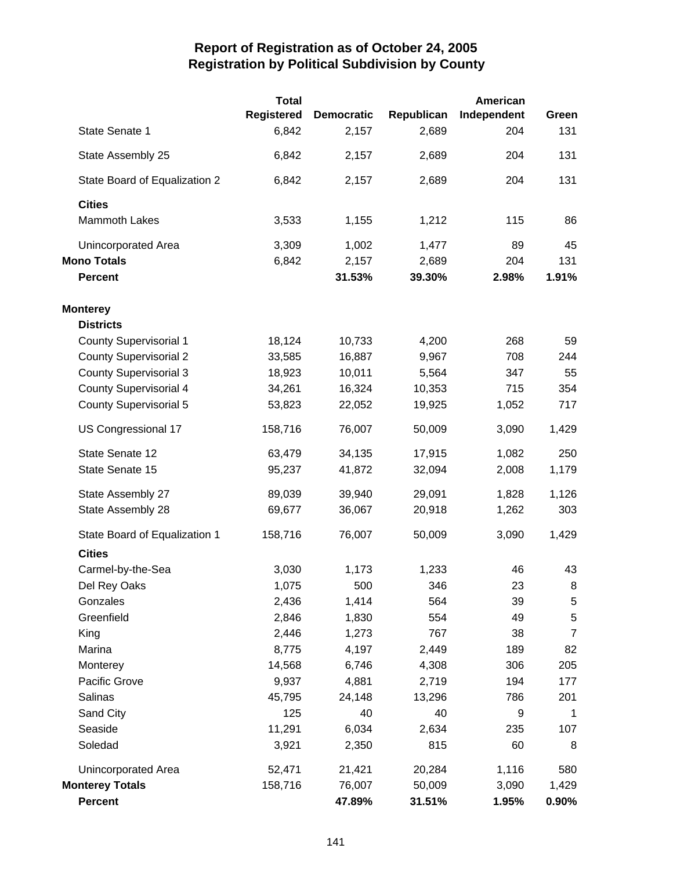|                               | <b>Total</b>      |                   |            | <b>American</b> |                |
|-------------------------------|-------------------|-------------------|------------|-----------------|----------------|
|                               | <b>Registered</b> | <b>Democratic</b> | Republican | Independent     | Green          |
| State Senate 1                | 6,842             | 2,157             | 2,689      | 204             | 131            |
| State Assembly 25             | 6,842             | 2,157             | 2,689      | 204             | 131            |
| State Board of Equalization 2 | 6,842             | 2,157             | 2,689      | 204             | 131            |
| <b>Cities</b>                 |                   |                   |            |                 |                |
| <b>Mammoth Lakes</b>          | 3,533             | 1,155             | 1,212      | 115             | 86             |
| Unincorporated Area           | 3,309             | 1,002             | 1,477      | 89              | 45             |
| <b>Mono Totals</b>            | 6,842             | 2,157             | 2,689      | 204             | 131            |
| <b>Percent</b>                |                   | 31.53%            | 39.30%     | 2.98%           | 1.91%          |
| <b>Monterey</b>               |                   |                   |            |                 |                |
| <b>Districts</b>              |                   |                   |            |                 |                |
| <b>County Supervisorial 1</b> | 18,124            | 10,733            | 4,200      | 268             | 59             |
| <b>County Supervisorial 2</b> | 33,585            | 16,887            | 9,967      | 708             | 244            |
| <b>County Supervisorial 3</b> | 18,923            | 10,011            | 5,564      | 347             | 55             |
| <b>County Supervisorial 4</b> | 34,261            | 16,324            | 10,353     | 715             | 354            |
| <b>County Supervisorial 5</b> | 53,823            | 22,052            | 19,925     | 1,052           | 717            |
| US Congressional 17           | 158,716           | 76,007            | 50,009     | 3,090           | 1,429          |
| State Senate 12               | 63,479            | 34,135            | 17,915     | 1,082           | 250            |
| State Senate 15               | 95,237            | 41,872            | 32,094     | 2,008           | 1,179          |
| State Assembly 27             | 89,039            | 39,940            | 29,091     | 1,828           | 1,126          |
| State Assembly 28             | 69,677            | 36,067            | 20,918     | 1,262           | 303            |
| State Board of Equalization 1 | 158,716           | 76,007            | 50,009     | 3,090           | 1,429          |
| <b>Cities</b>                 |                   |                   |            |                 |                |
| Carmel-by-the-Sea             | 3,030             | 1,173             | 1,233      | 46              | 43             |
| Del Rey Oaks                  | 1,075             | 500               | 346        | 23              | 8              |
| Gonzales                      | 2,436             | 1,414             | 564        | 39              | 5              |
| Greenfield                    | 2,846             | 1,830             | 554        | 49              | $\sqrt{5}$     |
| King                          | 2,446             | 1,273             | 767        | 38              | $\overline{7}$ |
| Marina                        | 8,775             | 4,197             | 2,449      | 189             | 82             |
| Monterey                      | 14,568            | 6,746             | 4,308      | 306             | 205            |
| Pacific Grove                 | 9,937             | 4,881             | 2,719      | 194             | 177            |
| Salinas                       | 45,795            | 24,148            | 13,296     | 786             | 201            |
| Sand City                     | 125               | 40                | 40         | 9               | $\mathbf{1}$   |
| Seaside                       | 11,291            | 6,034             | 2,634      | 235             | 107            |
| Soledad                       | 3,921             | 2,350             | 815        | 60              | 8              |
| <b>Unincorporated Area</b>    | 52,471            | 21,421            | 20,284     | 1,116           | 580            |
| <b>Monterey Totals</b>        | 158,716           | 76,007            | 50,009     | 3,090           | 1,429          |
| Percent                       |                   | 47.89%            | 31.51%     | 1.95%           | $0.90\%$       |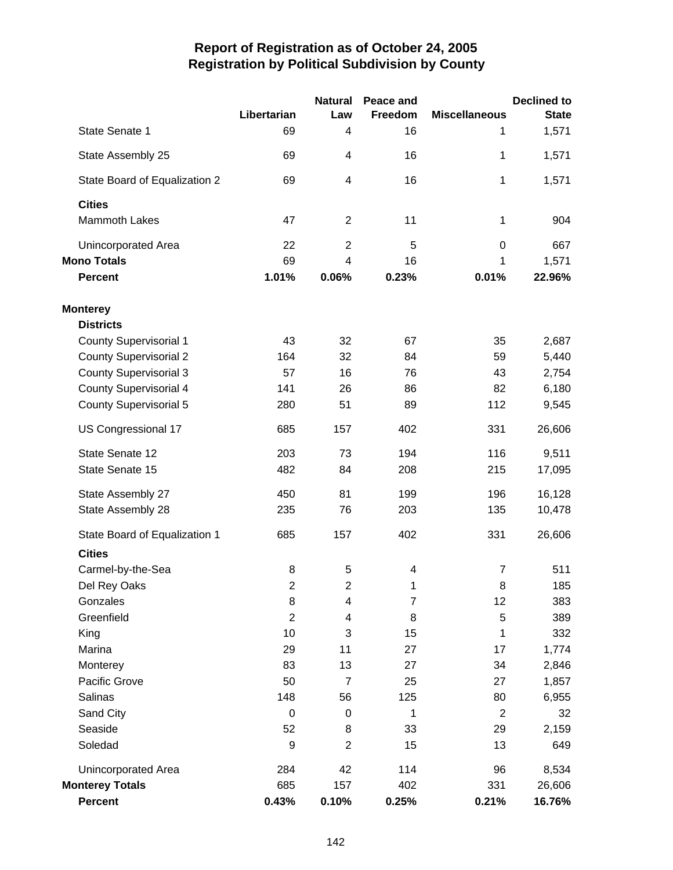|                               |                  | <b>Natural</b>   | Peace and      |                      | <b>Declined to</b> |
|-------------------------------|------------------|------------------|----------------|----------------------|--------------------|
|                               | Libertarian      | Law              | Freedom        | <b>Miscellaneous</b> | <b>State</b>       |
| State Senate 1                | 69               | 4                | 16             | 1                    | 1,571              |
| State Assembly 25             | 69               | 4                | 16             | 1                    | 1,571              |
| State Board of Equalization 2 | 69               | 4                | 16             | 1                    | 1,571              |
| <b>Cities</b>                 |                  |                  |                |                      |                    |
| <b>Mammoth Lakes</b>          | 47               | 2                | 11             | 1                    | 904                |
| <b>Unincorporated Area</b>    | 22               | $\overline{2}$   | 5              | $\mathbf 0$          | 667                |
| <b>Mono Totals</b>            | 69               | $\overline{4}$   | 16             | 1                    | 1,571              |
| <b>Percent</b>                | 1.01%            | 0.06%            | 0.23%          | 0.01%                | 22.96%             |
| <b>Monterey</b>               |                  |                  |                |                      |                    |
| <b>Districts</b>              |                  |                  |                |                      |                    |
| <b>County Supervisorial 1</b> | 43               | 32               | 67             | 35                   | 2,687              |
| <b>County Supervisorial 2</b> | 164              | 32               | 84             | 59                   | 5,440              |
| <b>County Supervisorial 3</b> | 57               | 16               | 76             | 43                   | 2,754              |
| <b>County Supervisorial 4</b> | 141              | 26               | 86             | 82                   | 6,180              |
| <b>County Supervisorial 5</b> | 280              | 51               | 89             | 112                  | 9,545              |
| US Congressional 17           | 685              | 157              | 402            | 331                  | 26,606             |
| State Senate 12               | 203              | 73               | 194            | 116                  | 9,511              |
| State Senate 15               | 482              | 84               | 208            | 215                  | 17,095             |
| State Assembly 27             | 450              | 81               | 199            | 196                  | 16,128             |
| State Assembly 28             | 235              | 76               | 203            | 135                  | 10,478             |
| State Board of Equalization 1 | 685              | 157              | 402            | 331                  | 26,606             |
| <b>Cities</b>                 |                  |                  |                |                      |                    |
| Carmel-by-the-Sea             | 8                | 5                | 4              | $\overline{7}$       | 511                |
| Del Rey Oaks                  | $\overline{2}$   | 2                | 1              | 8                    | 185                |
| Gonzales                      | 8                | 4                | $\overline{7}$ | 12                   | 383                |
| Greenfield                    | $\overline{2}$   | 4                | 8              | 5                    | 389                |
| King                          | 10               | 3                | 15             | 1                    | 332                |
| Marina                        | 29               | 11               | 27             | 17                   | 1,774              |
| Monterey                      | 83               | 13               | 27             | 34                   | 2,846              |
| Pacific Grove                 | 50               | $\overline{7}$   | 25             | 27                   | 1,857              |
| Salinas                       | 148              | 56               | 125            | 80                   | 6,955              |
| Sand City                     | $\boldsymbol{0}$ | $\boldsymbol{0}$ | 1              | $\overline{2}$       | 32                 |
| Seaside                       | 52               | 8                | 33             | 29                   | 2,159              |
| Soledad                       | 9                | $\overline{c}$   | 15             | 13                   | 649                |
| <b>Unincorporated Area</b>    | 284              | 42               | 114            | 96                   | 8,534              |
| <b>Monterey Totals</b>        | 685              | 157              | 402            | 331                  | 26,606             |
| <b>Percent</b>                | 0.43%            | 0.10%            | 0.25%          | 0.21%                | 16.76%             |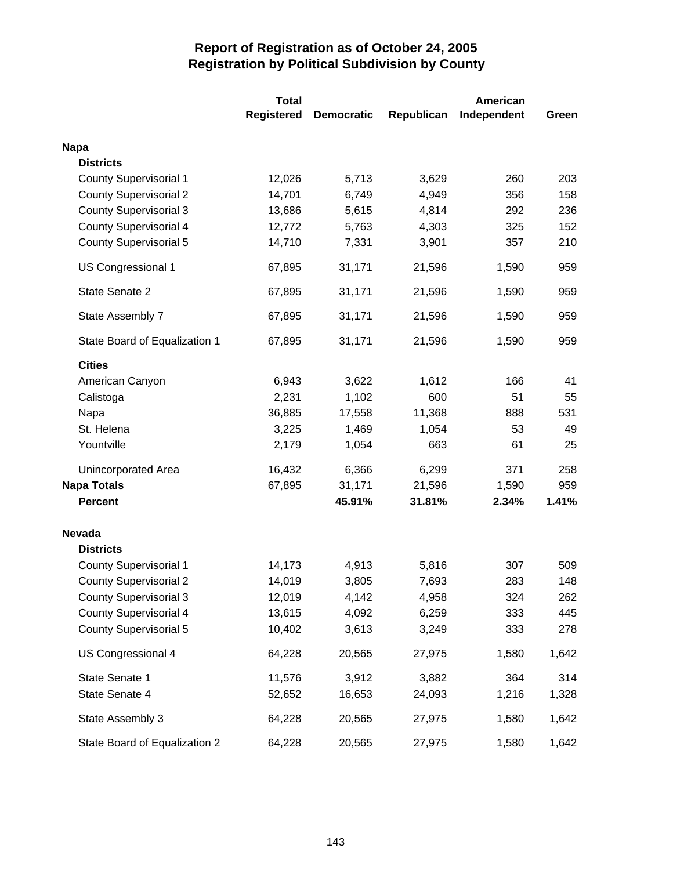|                               | <b>Total</b>      |                   |            | American    |       |  |
|-------------------------------|-------------------|-------------------|------------|-------------|-------|--|
|                               | <b>Registered</b> | <b>Democratic</b> | Republican | Independent | Green |  |
| <b>Napa</b>                   |                   |                   |            |             |       |  |
| <b>Districts</b>              |                   |                   |            |             |       |  |
| <b>County Supervisorial 1</b> | 12,026            | 5,713             | 3,629      | 260         | 203   |  |
| <b>County Supervisorial 2</b> | 14,701            | 6,749             | 4,949      | 356         | 158   |  |
| <b>County Supervisorial 3</b> | 13,686            | 5,615             | 4,814      | 292         | 236   |  |
| <b>County Supervisorial 4</b> | 12,772            | 5,763             | 4,303      | 325         | 152   |  |
| <b>County Supervisorial 5</b> | 14,710            | 7,331             | 3,901      | 357         | 210   |  |
| US Congressional 1            | 67,895            | 31,171            | 21,596     | 1,590       | 959   |  |
| State Senate 2                | 67,895            | 31,171            | 21,596     | 1,590       | 959   |  |
| State Assembly 7              | 67,895            | 31,171            | 21,596     | 1,590       | 959   |  |
| State Board of Equalization 1 | 67,895            | 31,171            | 21,596     | 1,590       | 959   |  |
| <b>Cities</b>                 |                   |                   |            |             |       |  |
| American Canyon               | 6,943             | 3,622             | 1,612      | 166         | 41    |  |
| Calistoga                     | 2,231             | 1,102             | 600        | 51          | 55    |  |
| Napa                          | 36,885            | 17,558            | 11,368     | 888         | 531   |  |
| St. Helena                    | 3,225             | 1,469             | 1,054      | 53          | 49    |  |
| Yountville                    | 2,179             | 1,054             | 663        | 61          | 25    |  |
| <b>Unincorporated Area</b>    | 16,432            | 6,366             | 6,299      | 371         | 258   |  |
| <b>Napa Totals</b>            | 67,895            | 31,171            | 21,596     | 1,590       | 959   |  |
| <b>Percent</b>                |                   | 45.91%            | 31.81%     | 2.34%       | 1.41% |  |
| <b>Nevada</b>                 |                   |                   |            |             |       |  |
| <b>Districts</b>              |                   |                   |            |             |       |  |
| <b>County Supervisorial 1</b> | 14,173            | 4,913             | 5,816      | 307         | 509   |  |
| <b>County Supervisorial 2</b> | 14,019            | 3,805             | 7,693      | 283         | 148   |  |
| <b>County Supervisorial 3</b> | 12,019            | 4,142             | 4,958      | 324         | 262   |  |
| <b>County Supervisorial 4</b> | 13,615            | 4,092             | 6,259      | 333         | 445   |  |
| <b>County Supervisorial 5</b> | 10,402            | 3,613             | 3,249      | 333         | 278   |  |
| US Congressional 4            | 64,228            | 20,565            | 27,975     | 1,580       | 1,642 |  |
| State Senate 1                | 11,576            | 3,912             | 3,882      | 364         | 314   |  |
| State Senate 4                | 52,652            | 16,653            | 24,093     | 1,216       | 1,328 |  |
| State Assembly 3              | 64,228            | 20,565            | 27,975     | 1,580       | 1,642 |  |
| State Board of Equalization 2 | 64,228            | 20,565            | 27,975     | 1,580       | 1,642 |  |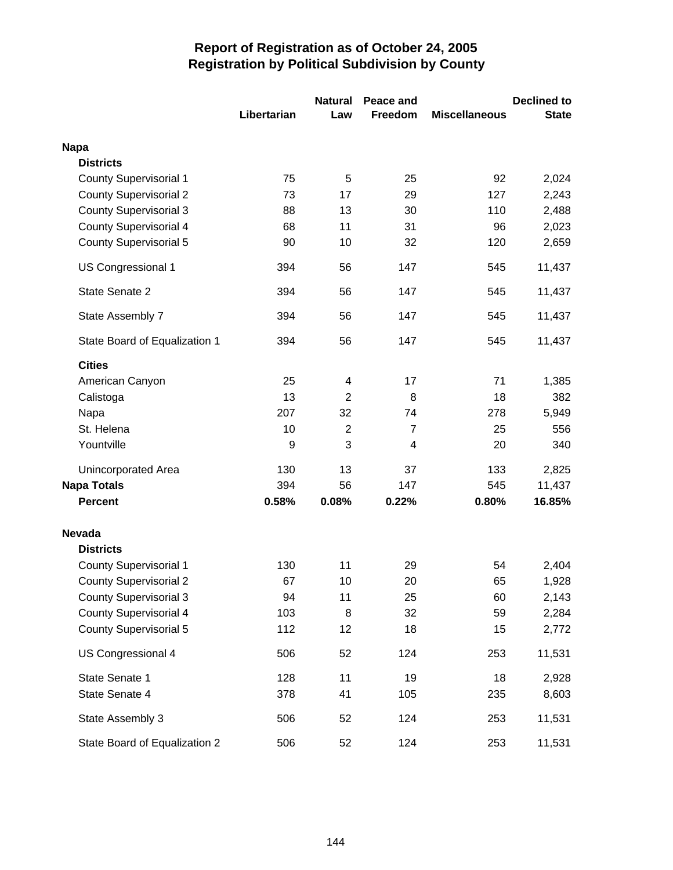|                               |             | <b>Natural</b> | Peace and      |                      | <b>Declined to</b> |
|-------------------------------|-------------|----------------|----------------|----------------------|--------------------|
|                               | Libertarian | Law            | Freedom        | <b>Miscellaneous</b> | <b>State</b>       |
| <b>Napa</b>                   |             |                |                |                      |                    |
| <b>Districts</b>              |             |                |                |                      |                    |
| <b>County Supervisorial 1</b> | 75          | 5              | 25             | 92                   | 2,024              |
| <b>County Supervisorial 2</b> | 73          | 17             | 29             | 127                  | 2,243              |
| <b>County Supervisorial 3</b> | 88          | 13             | 30             | 110                  | 2,488              |
| <b>County Supervisorial 4</b> | 68          | 11             | 31             | 96                   | 2,023              |
| <b>County Supervisorial 5</b> | 90          | 10             | 32             | 120                  | 2,659              |
| <b>US Congressional 1</b>     | 394         | 56             | 147            | 545                  | 11,437             |
| State Senate 2                | 394         | 56             | 147            | 545                  | 11,437             |
| State Assembly 7              | 394         | 56             | 147            | 545                  | 11,437             |
| State Board of Equalization 1 | 394         | 56             | 147            | 545                  | 11,437             |
| <b>Cities</b>                 |             |                |                |                      |                    |
| American Canyon               | 25          | 4              | 17             | 71                   | 1,385              |
| Calistoga                     | 13          | $\overline{2}$ | 8              | 18                   | 382                |
| Napa                          | 207         | 32             | 74             | 278                  | 5,949              |
| St. Helena                    | 10          | $\overline{2}$ | $\overline{7}$ | 25                   | 556                |
| Yountville                    | 9           | 3              | 4              | 20                   | 340                |
| Unincorporated Area           | 130         | 13             | 37             | 133                  | 2,825              |
| <b>Napa Totals</b>            | 394         | 56             | 147            | 545                  | 11,437             |
| <b>Percent</b>                | 0.58%       | 0.08%          | 0.22%          | 0.80%                | 16.85%             |
| <b>Nevada</b>                 |             |                |                |                      |                    |
| <b>Districts</b>              |             |                |                |                      |                    |
| <b>County Supervisorial 1</b> | 130         | 11             | 29             | 54                   | 2,404              |
| <b>County Supervisorial 2</b> | 67          | 10             | 20             | 65                   | 1,928              |
| <b>County Supervisorial 3</b> | 94          | 11             | 25             | 60                   | 2,143              |
| <b>County Supervisorial 4</b> | 103         | 8              | 32             | 59                   | 2,284              |
| <b>County Supervisorial 5</b> | 112         | 12             | 18             | 15                   | 2,772              |
| US Congressional 4            | 506         | 52             | 124            | 253                  | 11,531             |
| State Senate 1                | 128         | 11             | 19             | 18                   | 2,928              |
| State Senate 4                | 378         | 41             | 105            | 235                  | 8,603              |
| State Assembly 3              | 506         | 52             | 124            | 253                  | 11,531             |
| State Board of Equalization 2 | 506         | 52             | 124            | 253                  | 11,531             |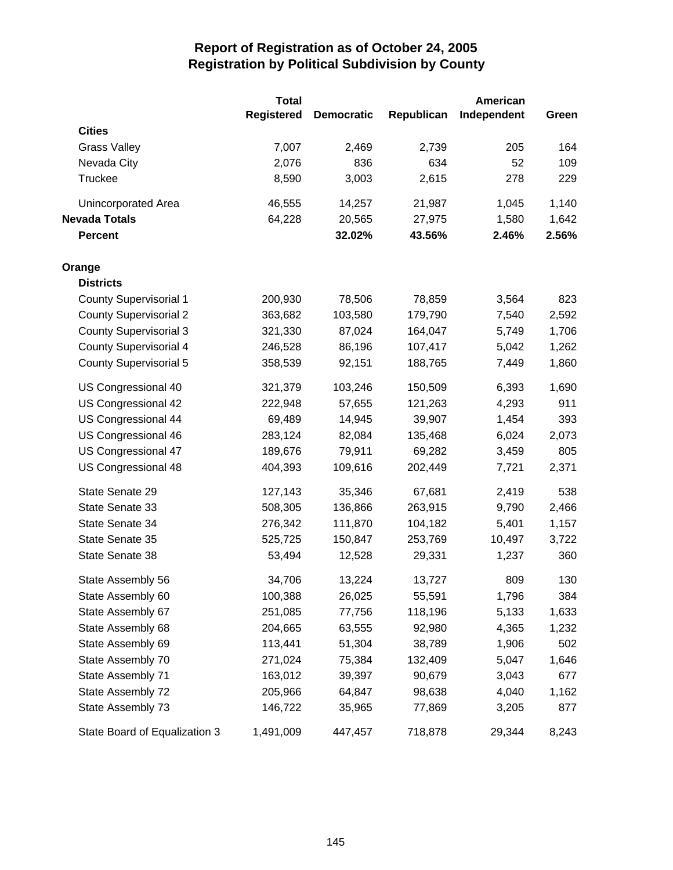|                               | <b>Total</b>      |                   |            | <b>American</b> |       |
|-------------------------------|-------------------|-------------------|------------|-----------------|-------|
|                               | <b>Registered</b> | <b>Democratic</b> | Republican | Independent     | Green |
| <b>Cities</b>                 |                   |                   |            |                 |       |
| <b>Grass Valley</b>           | 7,007             | 2,469             | 2,739      | 205             | 164   |
| Nevada City                   | 2,076             | 836               | 634        | 52              | 109   |
| Truckee                       | 8,590             | 3,003             | 2,615      | 278             | 229   |
| Unincorporated Area           | 46,555            | 14,257            | 21,987     | 1,045           | 1,140 |
| <b>Nevada Totals</b>          | 64,228            | 20,565            | 27,975     | 1,580           | 1,642 |
| <b>Percent</b>                |                   | 32.02%            | 43.56%     | 2.46%           | 2.56% |
| Orange                        |                   |                   |            |                 |       |
| <b>Districts</b>              |                   |                   |            |                 |       |
| County Supervisorial 1        | 200,930           | 78,506            | 78,859     | 3,564           | 823   |
| <b>County Supervisorial 2</b> | 363,682           | 103,580           | 179,790    | 7,540           | 2,592 |
| <b>County Supervisorial 3</b> | 321,330           | 87,024            | 164,047    | 5,749           | 1,706 |
| <b>County Supervisorial 4</b> | 246,528           | 86,196            | 107,417    | 5,042           | 1,262 |
| <b>County Supervisorial 5</b> | 358,539           | 92,151            | 188,765    | 7,449           | 1,860 |
| US Congressional 40           | 321,379           | 103,246           | 150,509    | 6,393           | 1,690 |
| US Congressional 42           | 222,948           | 57,655            | 121,263    | 4,293           | 911   |
| US Congressional 44           | 69,489            | 14,945            | 39,907     | 1,454           | 393   |
| US Congressional 46           | 283,124           | 82,084            | 135,468    | 6,024           | 2,073 |
| US Congressional 47           | 189,676           | 79,911            | 69,282     | 3,459           | 805   |
| US Congressional 48           | 404,393           | 109,616           | 202,449    | 7,721           | 2,371 |
| State Senate 29               | 127,143           | 35,346            | 67,681     | 2,419           | 538   |
| State Senate 33               | 508,305           | 136,866           | 263,915    | 9,790           | 2,466 |
| State Senate 34               | 276,342           | 111,870           | 104,182    | 5,401           | 1,157 |
| State Senate 35               | 525,725           | 150,847           | 253,769    | 10,497          | 3,722 |
| State Senate 38               | 53,494            | 12,528            | 29,331     | 1,237           | 360   |
| State Assembly 56             | 34,706            | 13,224            | 13,727     | 809             | 130   |
| State Assembly 60             | 100,388           | 26,025            | 55,591     | 1,796           | 384   |
| State Assembly 67             | 251,085           | 77,756            | 118,196    | 5,133           | 1,633 |
| State Assembly 68             | 204,665           | 63,555            | 92,980     | 4,365           | 1,232 |
| State Assembly 69             | 113,441           | 51,304            | 38,789     | 1,906           | 502   |
| State Assembly 70             | 271,024           | 75,384            | 132,409    | 5,047           | 1,646 |
| State Assembly 71             | 163,012           | 39,397            | 90,679     | 3,043           | 677   |
| State Assembly 72             | 205,966           | 64,847            | 98,638     | 4,040           | 1,162 |
| State Assembly 73             | 146,722           | 35,965            | 77,869     | 3,205           | 877   |
| State Board of Equalization 3 | 1,491,009         | 447,457           | 718,878    | 29,344          | 8,243 |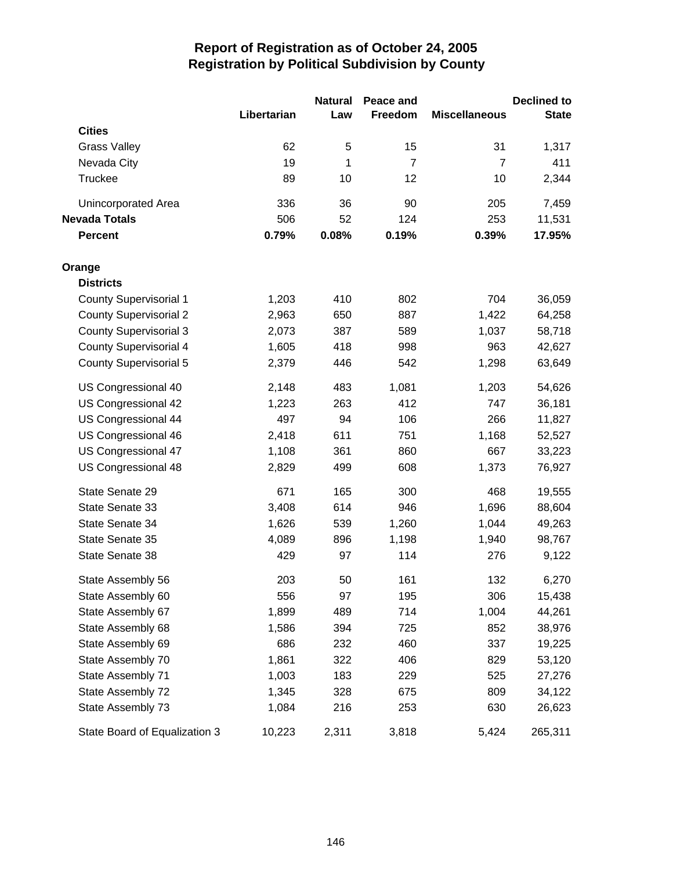|                               |             | <b>Natural</b> | Peace and      |                      | <b>Declined to</b> |
|-------------------------------|-------------|----------------|----------------|----------------------|--------------------|
| <b>Cities</b>                 | Libertarian | Law            | Freedom        | <b>Miscellaneous</b> | <b>State</b>       |
| <b>Grass Valley</b>           | 62          | 5              | 15             | 31                   | 1,317              |
| Nevada City                   | 19          | 1              | $\overline{7}$ | $\overline{7}$       | 411                |
| Truckee                       | 89          | 10             | 12             | 10                   | 2,344              |
|                               |             |                |                |                      |                    |
| Unincorporated Area           | 336         | 36             | 90             | 205                  | 7,459              |
| <b>Nevada Totals</b>          | 506         | 52             | 124            | 253                  | 11,531             |
| <b>Percent</b>                | 0.79%       | 0.08%          | 0.19%          | 0.39%                | 17.95%             |
| Orange                        |             |                |                |                      |                    |
| <b>Districts</b>              |             |                |                |                      |                    |
| <b>County Supervisorial 1</b> | 1,203       | 410            | 802            | 704                  | 36,059             |
| <b>County Supervisorial 2</b> | 2,963       | 650            | 887            | 1,422                | 64,258             |
| <b>County Supervisorial 3</b> | 2,073       | 387            | 589            | 1,037                | 58,718             |
| <b>County Supervisorial 4</b> | 1,605       | 418            | 998            | 963                  | 42,627             |
| County Supervisorial 5        | 2,379       | 446            | 542            | 1,298                | 63,649             |
| US Congressional 40           | 2,148       | 483            | 1,081          | 1,203                | 54,626             |
| US Congressional 42           | 1,223       | 263            | 412            | 747                  | 36,181             |
| US Congressional 44           | 497         | 94             | 106            | 266                  | 11,827             |
| US Congressional 46           | 2,418       | 611            | 751            | 1,168                | 52,527             |
| US Congressional 47           | 1,108       | 361            | 860            | 667                  | 33,223             |
| US Congressional 48           | 2,829       | 499            | 608            | 1,373                | 76,927             |
| State Senate 29               | 671         | 165            | 300            | 468                  | 19,555             |
| State Senate 33               | 3,408       | 614            | 946            | 1,696                | 88,604             |
| State Senate 34               | 1,626       | 539            | 1,260          | 1,044                | 49,263             |
| State Senate 35               | 4,089       | 896            | 1,198          | 1,940                | 98,767             |
| State Senate 38               | 429         | 97             | 114            | 276                  | 9,122              |
| State Assembly 56             | 203         | 50             | 161            | 132                  | 6,270              |
| State Assembly 60             | 556         | 97             | 195            | 306                  | 15,438             |
| State Assembly 67             | 1,899       | 489            | 714            | 1,004                | 44,261             |
| State Assembly 68             | 1,586       | 394            | 725            | 852                  | 38,976             |
| State Assembly 69             | 686         | 232            | 460            | 337                  | 19,225             |
| State Assembly 70             | 1,861       | 322            | 406            | 829                  | 53,120             |
| State Assembly 71             | 1,003       | 183            | 229            | 525                  | 27,276             |
| State Assembly 72             | 1,345       | 328            | 675            | 809                  | 34,122             |
| State Assembly 73             | 1,084       | 216            | 253            | 630                  | 26,623             |
| State Board of Equalization 3 | 10,223      | 2,311          | 3,818          | 5,424                | 265,311            |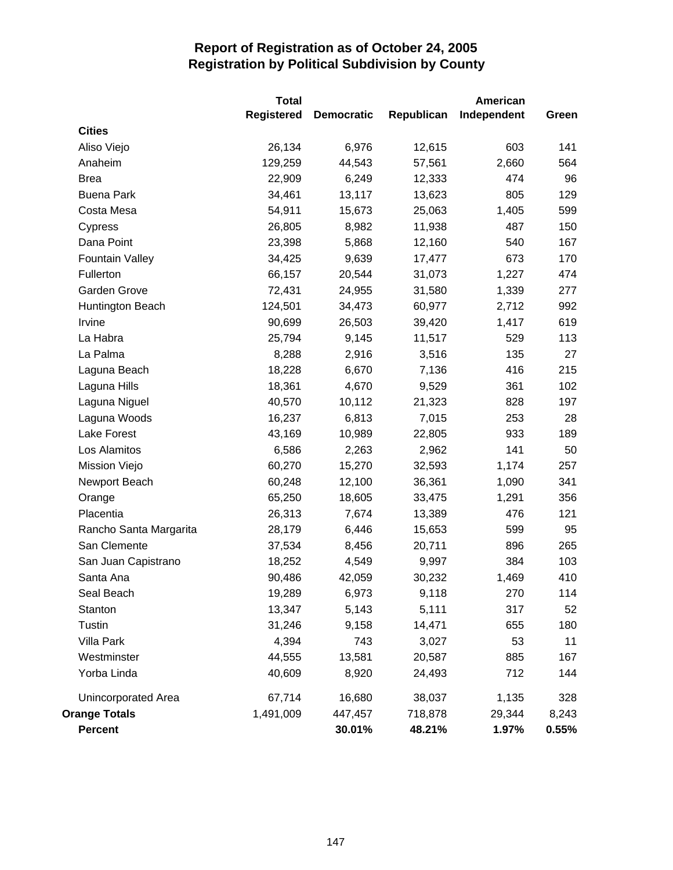|                        | <b>Total</b>      |                   |            | <b>American</b> |       |
|------------------------|-------------------|-------------------|------------|-----------------|-------|
|                        | <b>Registered</b> | <b>Democratic</b> | Republican | Independent     | Green |
| <b>Cities</b>          |                   |                   |            |                 |       |
| Aliso Viejo            | 26,134            | 6,976             | 12,615     | 603             | 141   |
| Anaheim                | 129,259           | 44,543            | 57,561     | 2,660           | 564   |
| <b>Brea</b>            | 22,909            | 6,249             | 12,333     | 474             | 96    |
| <b>Buena Park</b>      | 34,461            | 13,117            | 13,623     | 805             | 129   |
| Costa Mesa             | 54,911            | 15,673            | 25,063     | 1,405           | 599   |
| Cypress                | 26,805            | 8,982             | 11,938     | 487             | 150   |
| Dana Point             | 23,398            | 5,868             | 12,160     | 540             | 167   |
| <b>Fountain Valley</b> | 34,425            | 9,639             | 17,477     | 673             | 170   |
| Fullerton              | 66,157            | 20,544            | 31,073     | 1,227           | 474   |
| Garden Grove           | 72,431            | 24,955            | 31,580     | 1,339           | 277   |
| Huntington Beach       | 124,501           | 34,473            | 60,977     | 2,712           | 992   |
| Irvine                 | 90,699            | 26,503            | 39,420     | 1,417           | 619   |
| La Habra               | 25,794            | 9,145             | 11,517     | 529             | 113   |
| La Palma               | 8,288             | 2,916             | 3,516      | 135             | 27    |
| Laguna Beach           | 18,228            | 6,670             | 7,136      | 416             | 215   |
| Laguna Hills           | 18,361            | 4,670             | 9,529      | 361             | 102   |
| Laguna Niguel          | 40,570            | 10,112            | 21,323     | 828             | 197   |
| Laguna Woods           | 16,237            | 6,813             | 7,015      | 253             | 28    |
| Lake Forest            | 43,169            | 10,989            | 22,805     | 933             | 189   |
| Los Alamitos           | 6,586             | 2,263             | 2,962      | 141             | 50    |
| Mission Viejo          | 60,270            | 15,270            | 32,593     | 1,174           | 257   |
| Newport Beach          | 60,248            | 12,100            | 36,361     | 1,090           | 341   |
| Orange                 | 65,250            | 18,605            | 33,475     | 1,291           | 356   |
| Placentia              | 26,313            | 7,674             | 13,389     | 476             | 121   |
| Rancho Santa Margarita | 28,179            | 6,446             | 15,653     | 599             | 95    |
| San Clemente           | 37,534            | 8,456             | 20,711     | 896             | 265   |
| San Juan Capistrano    | 18,252            | 4,549             | 9,997      | 384             | 103   |
| Santa Ana              | 90,486            | 42,059            | 30,232     | 1,469           | 410   |
| Seal Beach             | 19,289            | 6,973             | 9,118      | 270             | 114   |
| Stanton                | 13,347            | 5,143             | 5,111      | 317             | 52    |
| Tustin                 | 31,246            | 9,158             | 14,471     | 655             | 180   |
| Villa Park             | 4,394             | 743               | 3,027      | 53              | 11    |
| Westminster            | 44,555            | 13,581            | 20,587     | 885             | 167   |
| Yorba Linda            | 40,609            | 8,920             | 24,493     | 712             | 144   |
| Unincorporated Area    | 67,714            | 16,680            | 38,037     | 1,135           | 328   |
| <b>Orange Totals</b>   | 1,491,009         | 447,457           | 718,878    | 29,344          | 8,243 |
| Percent                |                   | 30.01%            | 48.21%     | 1.97%           | 0.55% |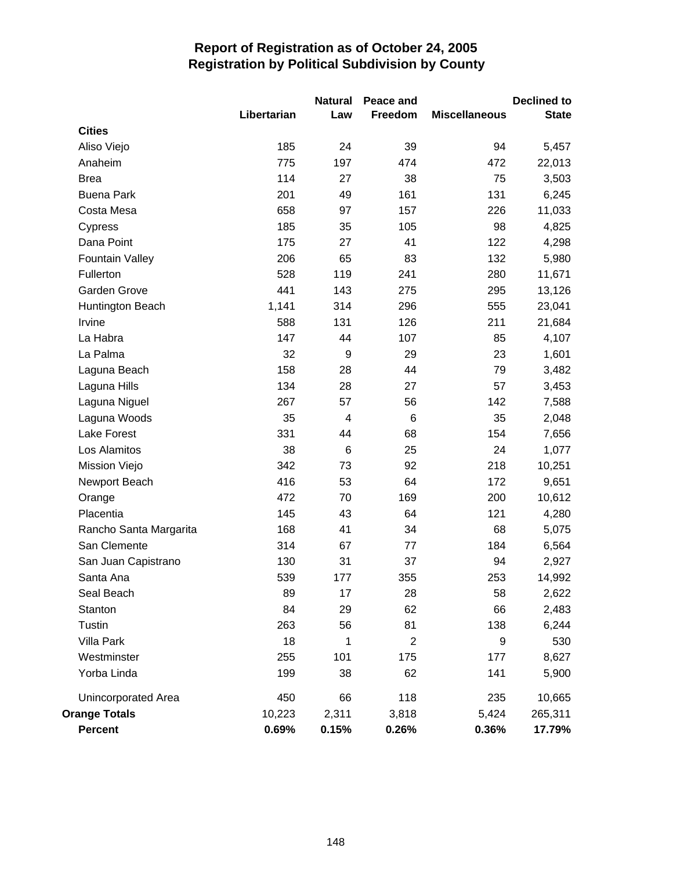|                        |             | <b>Natural</b> | Peace and      |                      | <b>Declined to</b> |
|------------------------|-------------|----------------|----------------|----------------------|--------------------|
|                        | Libertarian | Law            | Freedom        | <b>Miscellaneous</b> | <b>State</b>       |
| <b>Cities</b>          |             |                |                |                      |                    |
| Aliso Viejo            | 185         | 24             | 39             | 94                   | 5,457              |
| Anaheim                | 775         | 197            | 474            | 472                  | 22,013             |
| <b>Brea</b>            | 114         | 27             | 38             | 75                   | 3,503              |
| <b>Buena Park</b>      | 201         | 49             | 161            | 131                  | 6,245              |
| Costa Mesa             | 658         | 97             | 157            | 226                  | 11,033             |
| Cypress                | 185         | 35             | 105            | 98                   | 4,825              |
| Dana Point             | 175         | 27             | 41             | 122                  | 4,298              |
| <b>Fountain Valley</b> | 206         | 65             | 83             | 132                  | 5,980              |
| Fullerton              | 528         | 119            | 241            | 280                  | 11,671             |
| Garden Grove           | 441         | 143            | 275            | 295                  | 13,126             |
| Huntington Beach       | 1,141       | 314            | 296            | 555                  | 23,041             |
| Irvine                 | 588         | 131            | 126            | 211                  | 21,684             |
| La Habra               | 147         | 44             | 107            | 85                   | 4,107              |
| La Palma               | 32          | 9              | 29             | 23                   | 1,601              |
| Laguna Beach           | 158         | 28             | 44             | 79                   | 3,482              |
| Laguna Hills           | 134         | 28             | 27             | 57                   | 3,453              |
| Laguna Niguel          | 267         | 57             | 56             | 142                  | 7,588              |
| Laguna Woods           | 35          | $\overline{4}$ | 6              | 35                   | 2,048              |
| <b>Lake Forest</b>     | 331         | 44             | 68             | 154                  | 7,656              |
| Los Alamitos           | 38          | $\,6$          | 25             | 24                   | 1,077              |
| Mission Viejo          | 342         | 73             | 92             | 218                  | 10,251             |
| Newport Beach          | 416         | 53             | 64             | 172                  | 9,651              |
| Orange                 | 472         | 70             | 169            | 200                  | 10,612             |
| Placentia              | 145         | 43             | 64             | 121                  | 4,280              |
| Rancho Santa Margarita | 168         | 41             | 34             | 68                   | 5,075              |
| San Clemente           | 314         | 67             | 77             | 184                  | 6,564              |
| San Juan Capistrano    | 130         | 31             | 37             | 94                   | 2,927              |
| Santa Ana              | 539         | 177            | 355            | 253                  | 14,992             |
| Seal Beach             | 89          | 17             | 28             | 58                   | 2,622              |
| Stanton                | 84          | 29             | 62             | 66                   | 2,483              |
| Tustin                 | 263         | 56             | 81             | 138                  | 6,244              |
| Villa Park             | 18          | 1              | $\overline{2}$ | 9                    | 530                |
| Westminster            | 255         | 101            | 175            | 177                  | 8,627              |
| Yorba Linda            | 199         | 38             | 62             | 141                  | 5,900              |
| Unincorporated Area    | 450         | 66             | 118            | 235                  | 10,665             |
| <b>Orange Totals</b>   | 10,223      | 2,311          | 3,818          | 5,424                | 265,311            |
| <b>Percent</b>         | 0.69%       | 0.15%          | 0.26%          | 0.36%                | 17.79%             |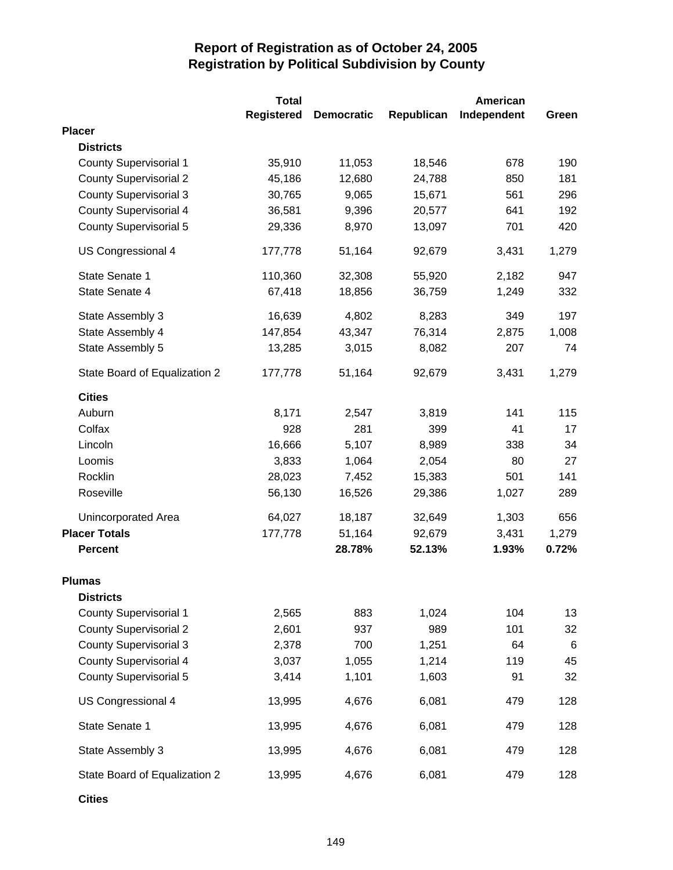|                               | <b>Total</b>      |                   |            | American    |                 |
|-------------------------------|-------------------|-------------------|------------|-------------|-----------------|
|                               | <b>Registered</b> | <b>Democratic</b> | Republican | Independent | Green           |
| <b>Placer</b>                 |                   |                   |            |             |                 |
| <b>Districts</b>              |                   |                   |            |             |                 |
| <b>County Supervisorial 1</b> | 35,910            | 11,053            | 18,546     | 678         | 190             |
| <b>County Supervisorial 2</b> | 45,186            | 12,680            | 24,788     | 850         | 181             |
| <b>County Supervisorial 3</b> | 30,765            | 9,065             | 15,671     | 561         | 296             |
| <b>County Supervisorial 4</b> | 36,581            | 9,396             | 20,577     | 641         | 192             |
| <b>County Supervisorial 5</b> | 29,336            | 8,970             | 13,097     | 701         | 420             |
| US Congressional 4            | 177,778           | 51,164            | 92,679     | 3,431       | 1,279           |
| State Senate 1                | 110,360           | 32,308            | 55,920     | 2,182       | 947             |
| State Senate 4                | 67,418            | 18,856            | 36,759     | 1,249       | 332             |
| State Assembly 3              | 16,639            | 4,802             | 8,283      | 349         | 197             |
| State Assembly 4              | 147,854           | 43,347            | 76,314     | 2,875       | 1,008           |
| State Assembly 5              | 13,285            | 3,015             | 8,082      | 207         | 74              |
| State Board of Equalization 2 | 177,778           | 51,164            | 92,679     | 3,431       | 1,279           |
| <b>Cities</b>                 |                   |                   |            |             |                 |
| Auburn                        | 8,171             | 2,547             | 3,819      | 141         | 115             |
| Colfax                        | 928               | 281               | 399        | 41          | 17              |
| Lincoln                       | 16,666            | 5,107             | 8,989      | 338         | 34              |
| Loomis                        | 3,833             | 1,064             | 2,054      | 80          | 27              |
| Rocklin                       | 28,023            | 7,452             | 15,383     | 501         | 141             |
| Roseville                     | 56,130            | 16,526            | 29,386     | 1,027       | 289             |
| Unincorporated Area           | 64,027            | 18,187            | 32,649     | 1,303       | 656             |
| <b>Placer Totals</b>          | 177,778           | 51,164            | 92,679     | 3,431       | 1,279           |
| <b>Percent</b>                |                   | 28.78%            | 52.13%     | 1.93%       | 0.72%           |
| <b>Plumas</b>                 |                   |                   |            |             |                 |
| <b>Districts</b>              |                   |                   |            |             |                 |
| <b>County Supervisorial 1</b> | 2,565             | 883               | 1,024      | 104         | 13              |
| <b>County Supervisorial 2</b> | 2,601             | 937               | 989        | 101         | 32              |
| <b>County Supervisorial 3</b> | 2,378             | 700               | 1,251      | 64          | $6\phantom{1}6$ |
| <b>County Supervisorial 4</b> | 3,037             | 1,055             | 1,214      | 119         | 45              |
| <b>County Supervisorial 5</b> | 3,414             | 1,101             | 1,603      | 91          | 32              |
| US Congressional 4            | 13,995            | 4,676             | 6,081      | 479         | 128             |
| State Senate 1                | 13,995            | 4,676             | 6,081      | 479         | 128             |
| State Assembly 3              | 13,995            | 4,676             | 6,081      | 479         | 128             |
| State Board of Equalization 2 | 13,995            | 4,676             | 6,081      | 479         | 128             |

**Cities**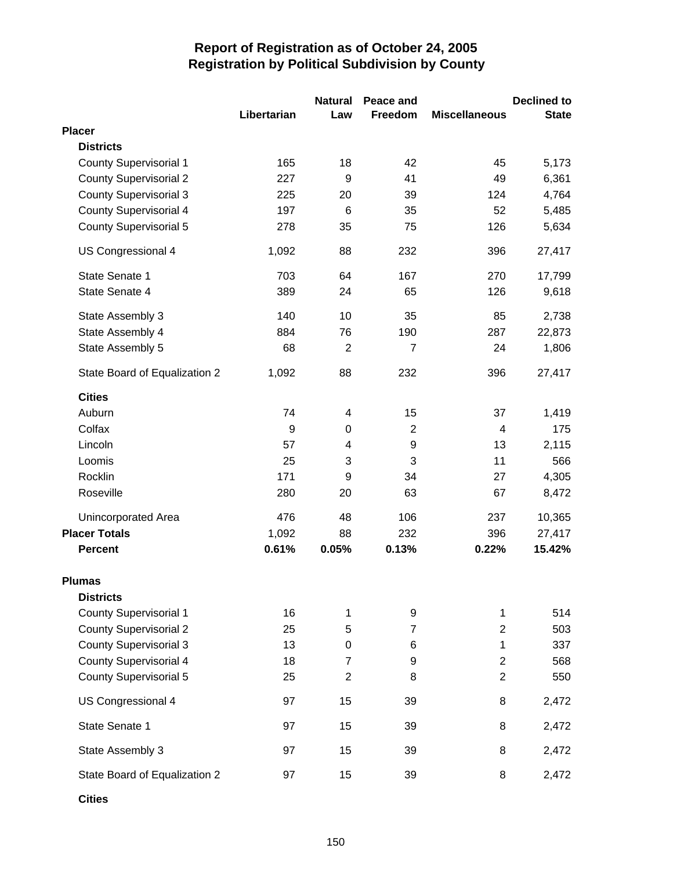|                               |             | <b>Natural</b> | Peace and        |                         | <b>Declined to</b> |
|-------------------------------|-------------|----------------|------------------|-------------------------|--------------------|
|                               | Libertarian | Law            | Freedom          | <b>Miscellaneous</b>    | <b>State</b>       |
| <b>Placer</b>                 |             |                |                  |                         |                    |
| <b>Districts</b>              |             |                |                  |                         |                    |
| <b>County Supervisorial 1</b> | 165         | 18             | 42               | 45                      | 5,173              |
| <b>County Supervisorial 2</b> | 227         | 9              | 41               | 49                      | 6,361              |
| <b>County Supervisorial 3</b> | 225         | 20             | 39               | 124                     | 4,764              |
| <b>County Supervisorial 4</b> | 197         | 6              | 35               | 52                      | 5,485              |
| <b>County Supervisorial 5</b> | 278         | 35             | 75               | 126                     | 5,634              |
| US Congressional 4            | 1,092       | 88             | 232              | 396                     | 27,417             |
| State Senate 1                | 703         | 64             | 167              | 270                     | 17,799             |
| State Senate 4                | 389         | 24             | 65               | 126                     | 9,618              |
| State Assembly 3              | 140         | 10             | 35               | 85                      | 2,738              |
| State Assembly 4              | 884         | 76             | 190              | 287                     | 22,873             |
| State Assembly 5              | 68          | $\overline{2}$ | $\overline{7}$   | 24                      | 1,806              |
| State Board of Equalization 2 | 1,092       | 88             | 232              | 396                     | 27,417             |
| <b>Cities</b>                 |             |                |                  |                         |                    |
| Auburn                        | 74          | 4              | 15               | 37                      | 1,419              |
| Colfax                        | 9           | $\pmb{0}$      | $\overline{2}$   | 4                       | 175                |
| Lincoln                       | 57          | 4              | $\boldsymbol{9}$ | 13                      | 2,115              |
| Loomis                        | 25          | 3              | 3                | 11                      | 566                |
| Rocklin                       | 171         | 9              | 34               | 27                      | 4,305              |
| Roseville                     | 280         | 20             | 63               | 67                      | 8,472              |
| Unincorporated Area           | 476         | 48             | 106              | 237                     | 10,365             |
| <b>Placer Totals</b>          | 1,092       | 88             | 232              | 396                     | 27,417             |
| <b>Percent</b>                | 0.61%       | 0.05%          | 0.13%            | 0.22%                   | 15.42%             |
| <b>Plumas</b>                 |             |                |                  |                         |                    |
| <b>Districts</b>              |             |                |                  |                         |                    |
| <b>County Supervisorial 1</b> | 16          | 1              | 9                | 1                       | 514                |
| <b>County Supervisorial 2</b> | 25          | 5              | $\overline{7}$   | $\overline{\mathbf{c}}$ | 503                |
| <b>County Supervisorial 3</b> | 13          | 0              | 6                | $\mathbf 1$             | 337                |
| County Supervisorial 4        | 18          | $\overline{7}$ | 9                | $\overline{c}$          | 568                |
| <b>County Supervisorial 5</b> | 25          | $\overline{2}$ | 8                | $\overline{2}$          | 550                |
| US Congressional 4            | 97          | 15             | 39               | 8                       | 2,472              |
| State Senate 1                | 97          | 15             | 39               | 8                       | 2,472              |
| State Assembly 3              | 97          | 15             | 39               | 8                       | 2,472              |
| State Board of Equalization 2 | 97          | 15             | 39               | 8                       | 2,472              |

**Cities**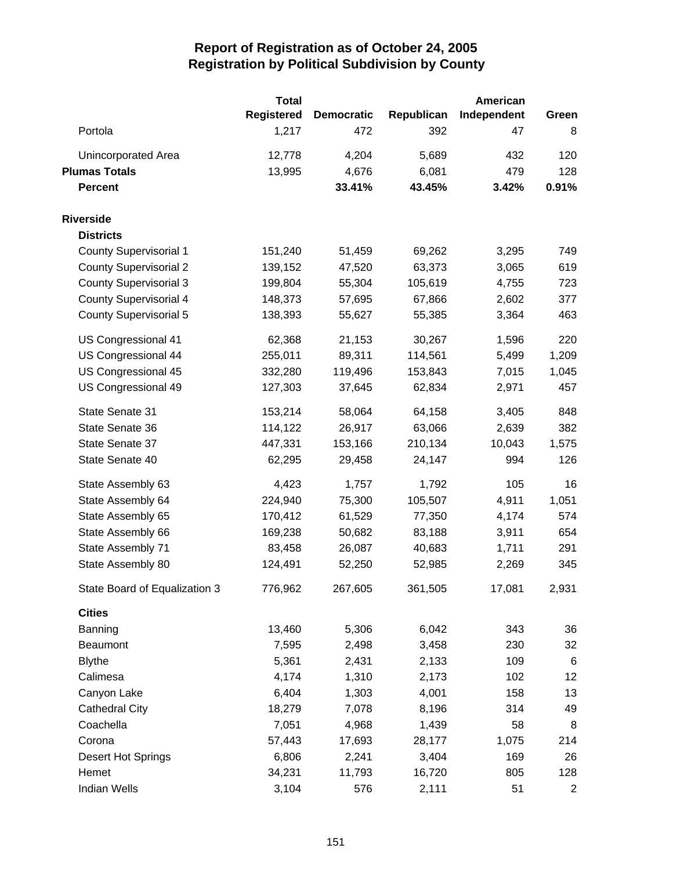|                               | <b>Total</b>      |                   |            | <b>American</b> |                |
|-------------------------------|-------------------|-------------------|------------|-----------------|----------------|
|                               | <b>Registered</b> | <b>Democratic</b> | Republican | Independent     | Green          |
| Portola                       | 1,217             | 472               | 392        | 47              | 8              |
| Unincorporated Area           | 12,778            | 4,204             | 5,689      | 432             | 120            |
| <b>Plumas Totals</b>          | 13,995            | 4,676             | 6,081      | 479             | 128            |
| <b>Percent</b>                |                   | 33.41%            | 43.45%     | 3.42%           | 0.91%          |
| <b>Riverside</b>              |                   |                   |            |                 |                |
| <b>Districts</b>              |                   |                   |            |                 |                |
| <b>County Supervisorial 1</b> | 151,240           | 51,459            | 69,262     | 3,295           | 749            |
| <b>County Supervisorial 2</b> | 139,152           | 47,520            | 63,373     | 3,065           | 619            |
| <b>County Supervisorial 3</b> | 199,804           | 55,304            | 105,619    | 4,755           | 723            |
| <b>County Supervisorial 4</b> | 148,373           | 57,695            | 67,866     | 2,602           | 377            |
| <b>County Supervisorial 5</b> | 138,393           | 55,627            | 55,385     | 3,364           | 463            |
| US Congressional 41           | 62,368            | 21,153            | 30,267     | 1,596           | 220            |
| US Congressional 44           | 255,011           | 89,311            | 114,561    | 5,499           | 1,209          |
| US Congressional 45           | 332,280           | 119,496           | 153,843    | 7,015           | 1,045          |
| US Congressional 49           | 127,303           | 37,645            | 62,834     | 2,971           | 457            |
| State Senate 31               | 153,214           | 58,064            | 64,158     | 3,405           | 848            |
| State Senate 36               | 114,122           | 26,917            | 63,066     | 2,639           | 382            |
| State Senate 37               | 447,331           | 153,166           | 210,134    | 10,043          | 1,575          |
| State Senate 40               | 62,295            | 29,458            | 24,147     | 994             | 126            |
| State Assembly 63             | 4,423             | 1,757             | 1,792      | 105             | 16             |
| State Assembly 64             | 224,940           | 75,300            | 105,507    | 4,911           | 1,051          |
| State Assembly 65             | 170,412           | 61,529            | 77,350     | 4,174           | 574            |
| State Assembly 66             | 169,238           | 50,682            | 83,188     | 3,911           | 654            |
| State Assembly 71             | 83,458            | 26,087            | 40,683     | 1,711           | 291            |
| State Assembly 80             | 124,491           | 52,250            | 52,985     | 2,269           | 345            |
| State Board of Equalization 3 | 776,962           | 267,605           | 361,505    | 17,081          | 2,931          |
| <b>Cities</b>                 |                   |                   |            |                 |                |
| Banning                       | 13,460            | 5,306             | 6,042      | 343             | 36             |
| <b>Beaumont</b>               | 7,595             | 2,498             | 3,458      | 230             | 32             |
| <b>Blythe</b>                 | 5,361             | 2,431             | 2,133      | 109             | $\,6$          |
| Calimesa                      | 4,174             | 1,310             | 2,173      | 102             | 12             |
| Canyon Lake                   | 6,404             | 1,303             | 4,001      | 158             | 13             |
| <b>Cathedral City</b>         | 18,279            | 7,078             | 8,196      | 314             | 49             |
| Coachella                     | 7,051             | 4,968             | 1,439      | 58              | 8              |
| Corona                        | 57,443            | 17,693            | 28,177     | 1,075           | 214            |
| Desert Hot Springs            | 6,806             | 2,241             | 3,404      | 169             | 26             |
| Hemet                         | 34,231            | 11,793            | 16,720     | 805             | 128            |
| <b>Indian Wells</b>           | 3,104             | 576               | 2,111      | 51              | $\overline{2}$ |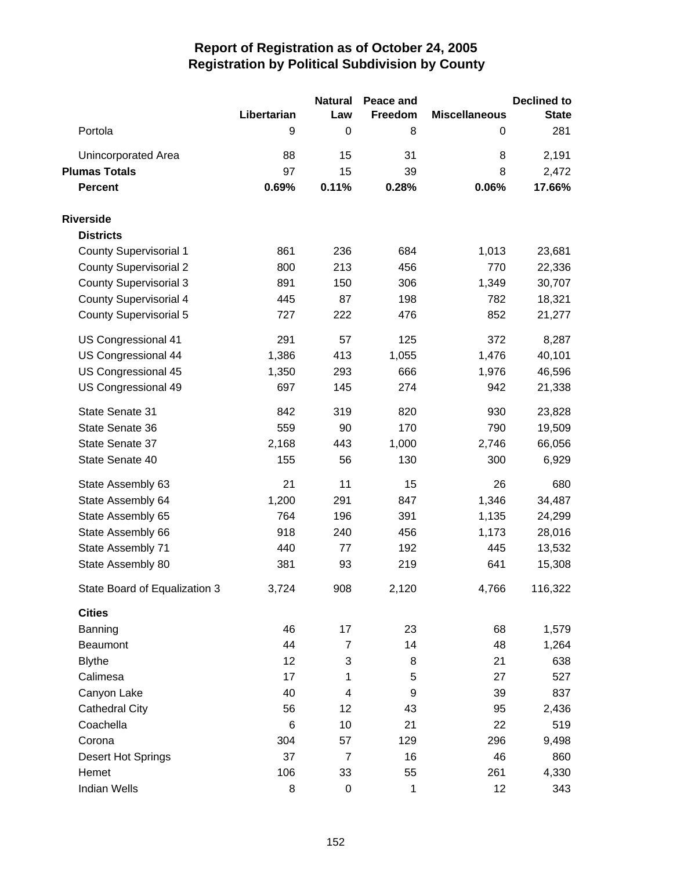|                               |             | <b>Natural</b>          | Peace and |                      | <b>Declined to</b> |
|-------------------------------|-------------|-------------------------|-----------|----------------------|--------------------|
|                               | Libertarian | Law                     | Freedom   | <b>Miscellaneous</b> | <b>State</b>       |
| Portola                       | 9           | 0                       | 8         | 0                    | 281                |
| <b>Unincorporated Area</b>    | 88          | 15                      | 31        | 8                    | 2,191              |
| <b>Plumas Totals</b>          | 97          | 15                      | 39        | 8                    | 2,472              |
| <b>Percent</b>                | 0.69%       | 0.11%                   | 0.28%     | 0.06%                | 17.66%             |
| <b>Riverside</b>              |             |                         |           |                      |                    |
| <b>Districts</b>              |             |                         |           |                      |                    |
| <b>County Supervisorial 1</b> | 861         | 236                     | 684       | 1,013                | 23,681             |
| <b>County Supervisorial 2</b> | 800         | 213                     | 456       | 770                  | 22,336             |
| <b>County Supervisorial 3</b> | 891         | 150                     | 306       | 1,349                | 30,707             |
| <b>County Supervisorial 4</b> | 445         | 87                      | 198       | 782                  | 18,321             |
| <b>County Supervisorial 5</b> | 727         | 222                     | 476       | 852                  | 21,277             |
| US Congressional 41           | 291         | 57                      | 125       | 372                  | 8,287              |
| US Congressional 44           | 1,386       | 413                     | 1,055     | 1,476                | 40,101             |
| US Congressional 45           | 1,350       | 293                     | 666       | 1,976                | 46,596             |
| US Congressional 49           | 697         | 145                     | 274       | 942                  | 21,338             |
| State Senate 31               | 842         | 319                     | 820       | 930                  | 23,828             |
| State Senate 36               | 559         | 90                      | 170       | 790                  | 19,509             |
| State Senate 37               | 2,168       | 443                     | 1,000     | 2,746                | 66,056             |
| State Senate 40               | 155         | 56                      | 130       | 300                  | 6,929              |
| State Assembly 63             | 21          | 11                      | 15        | 26                   | 680                |
| State Assembly 64             | 1,200       | 291                     | 847       | 1,346                | 34,487             |
| State Assembly 65             | 764         | 196                     | 391       | 1,135                | 24,299             |
| State Assembly 66             | 918         | 240                     | 456       | 1,173                | 28,016             |
| State Assembly 71             | 440         | 77                      | 192       | 445                  | 13,532             |
| State Assembly 80             | 381         | 93                      | 219       | 641                  | 15,308             |
| State Board of Equalization 3 | 3,724       | 908                     | 2,120     | 4,766                | 116,322            |
| <b>Cities</b>                 |             |                         |           |                      |                    |
| Banning                       | 46          | 17                      | 23        | 68                   | 1,579              |
| Beaumont                      | 44          | $\overline{7}$          | 14        | 48                   | 1,264              |
| <b>Blythe</b>                 | 12          | 3                       | 8         | 21                   | 638                |
| Calimesa                      | 17          | 1                       | 5         | 27                   | 527                |
| Canyon Lake                   | 40          | $\overline{\mathbf{4}}$ | 9         | 39                   | 837                |
| <b>Cathedral City</b>         | 56          | 12                      | 43        | 95                   | 2,436              |
| Coachella                     | 6           | 10                      | 21        | 22                   | 519                |
| Corona                        | 304         | 57                      | 129       | 296                  | 9,498              |
| Desert Hot Springs            | 37          | $\overline{7}$          | 16        | 46                   | 860                |
| Hemet                         | 106         | 33                      | 55        | 261                  | 4,330              |
| Indian Wells                  | 8           | $\boldsymbol{0}$        | 1         | 12                   | 343                |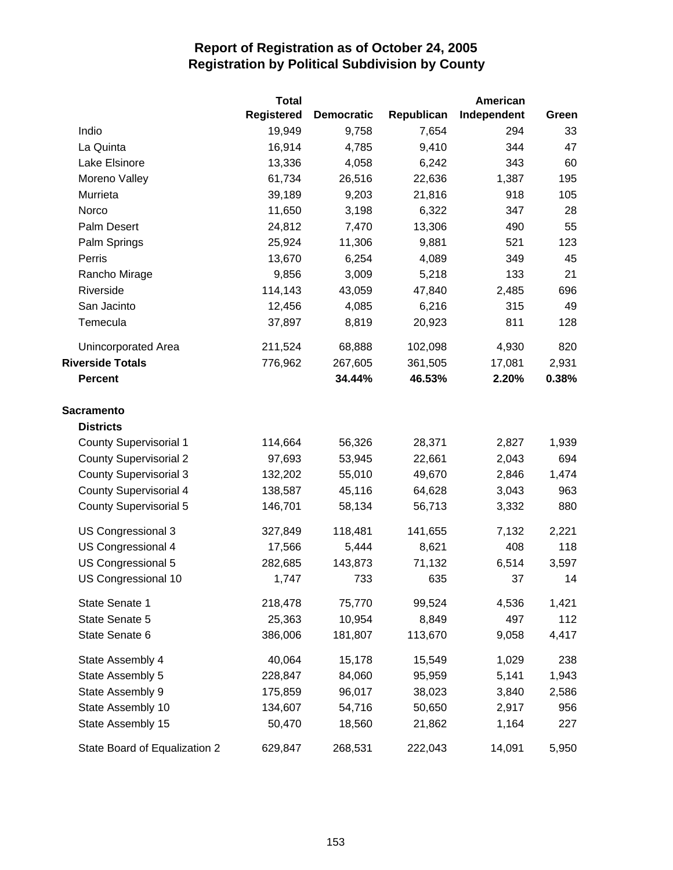|                               | <b>Total</b> |                   |            | <b>American</b> |       |
|-------------------------------|--------------|-------------------|------------|-----------------|-------|
|                               | Registered   | <b>Democratic</b> | Republican | Independent     | Green |
| Indio                         | 19,949       | 9,758             | 7,654      | 294             | 33    |
| La Quinta                     | 16,914       | 4,785             | 9,410      | 344             | 47    |
| Lake Elsinore                 | 13,336       | 4,058             | 6,242      | 343             | 60    |
| Moreno Valley                 | 61,734       | 26,516            | 22,636     | 1,387           | 195   |
| Murrieta                      | 39,189       | 9,203             | 21,816     | 918             | 105   |
| Norco                         | 11,650       | 3,198             | 6,322      | 347             | 28    |
| Palm Desert                   | 24,812       | 7,470             | 13,306     | 490             | 55    |
| Palm Springs                  | 25,924       | 11,306            | 9,881      | 521             | 123   |
| Perris                        | 13,670       | 6,254             | 4,089      | 349             | 45    |
| Rancho Mirage                 | 9,856        | 3,009             | 5,218      | 133             | 21    |
| Riverside                     | 114,143      | 43,059            | 47,840     | 2,485           | 696   |
| San Jacinto                   | 12,456       | 4,085             | 6,216      | 315             | 49    |
| Temecula                      | 37,897       | 8,819             | 20,923     | 811             | 128   |
| <b>Unincorporated Area</b>    | 211,524      | 68,888            | 102,098    | 4,930           | 820   |
| <b>Riverside Totals</b>       | 776,962      | 267,605           | 361,505    | 17,081          | 2,931 |
| <b>Percent</b>                |              | 34.44%            | 46.53%     | 2.20%           | 0.38% |
| <b>Sacramento</b>             |              |                   |            |                 |       |
| <b>Districts</b>              |              |                   |            |                 |       |
| <b>County Supervisorial 1</b> | 114,664      | 56,326            | 28,371     | 2,827           | 1,939 |
| <b>County Supervisorial 2</b> | 97,693       | 53,945            | 22,661     | 2,043           | 694   |
| <b>County Supervisorial 3</b> | 132,202      | 55,010            | 49,670     | 2,846           | 1,474 |
| <b>County Supervisorial 4</b> | 138,587      | 45,116            | 64,628     | 3,043           | 963   |
| <b>County Supervisorial 5</b> | 146,701      | 58,134            | 56,713     | 3,332           | 880   |
| US Congressional 3            | 327,849      | 118,481           | 141,655    | 7,132           | 2,221 |
| US Congressional 4            | 17,566       | 5,444             | 8,621      | 408             | 118   |
| US Congressional 5            | 282,685      | 143,873           | 71,132     | 6,514           | 3,597 |
| US Congressional 10           | 1,747        | 733               | 635        | 37              | 14    |
| State Senate 1                | 218,478      | 75,770            | 99,524     | 4,536           | 1,421 |
| State Senate 5                | 25,363       | 10,954            | 8,849      | 497             | 112   |
| State Senate 6                | 386,006      | 181,807           | 113,670    | 9,058           | 4,417 |
| State Assembly 4              | 40,064       | 15,178            | 15,549     | 1,029           | 238   |
| State Assembly 5              | 228,847      | 84,060            | 95,959     | 5,141           | 1,943 |
| State Assembly 9              | 175,859      | 96,017            | 38,023     | 3,840           | 2,586 |
| State Assembly 10             | 134,607      | 54,716            | 50,650     | 2,917           | 956   |
| State Assembly 15             | 50,470       | 18,560            | 21,862     | 1,164           | 227   |
| State Board of Equalization 2 | 629,847      | 268,531           | 222,043    | 14,091          | 5,950 |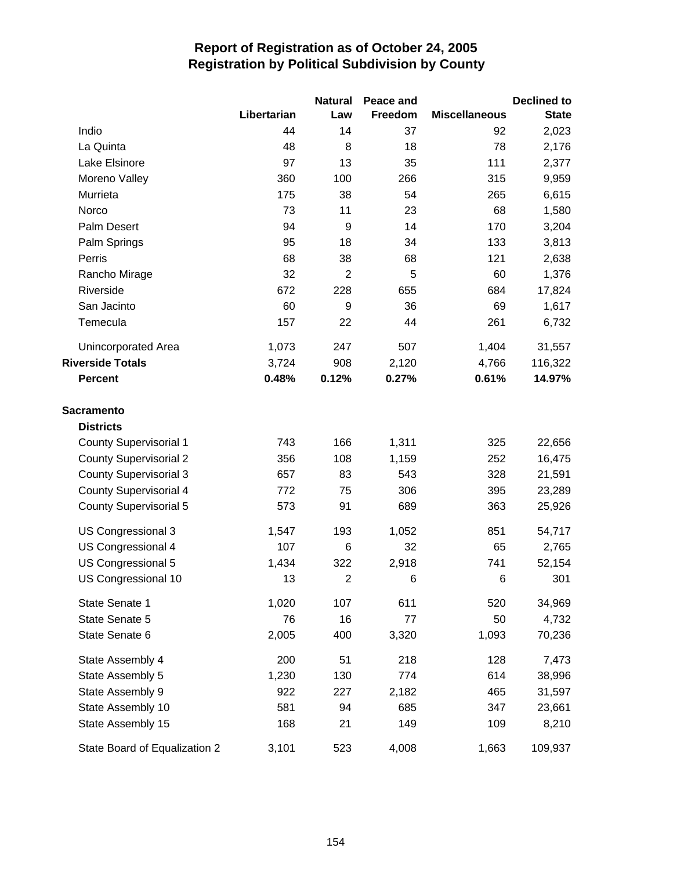|                               |             | <b>Natural</b> | Peace and |                      | <b>Declined to</b> |
|-------------------------------|-------------|----------------|-----------|----------------------|--------------------|
|                               | Libertarian | Law            | Freedom   | <b>Miscellaneous</b> | <b>State</b>       |
| Indio                         | 44          | 14             | 37        | 92                   | 2,023              |
| La Quinta                     | 48          | 8              | 18        | 78                   | 2,176              |
| Lake Elsinore                 | 97          | 13             | 35        | 111                  | 2,377              |
| Moreno Valley                 | 360         | 100            | 266       | 315                  | 9,959              |
| Murrieta                      | 175         | 38             | 54        | 265                  | 6,615              |
| Norco                         | 73          | 11             | 23        | 68                   | 1,580              |
| Palm Desert                   | 94          | $9$            | 14        | 170                  | 3,204              |
| Palm Springs                  | 95          | 18             | 34        | 133                  | 3,813              |
| Perris                        | 68          | 38             | 68        | 121                  | 2,638              |
| Rancho Mirage                 | 32          | $\overline{2}$ | 5         | 60                   | 1,376              |
| Riverside                     | 672         | 228            | 655       | 684                  | 17,824             |
| San Jacinto                   | 60          | 9              | 36        | 69                   | 1,617              |
| Temecula                      | 157         | 22             | 44        | 261                  | 6,732              |
| Unincorporated Area           | 1,073       | 247            | 507       | 1,404                | 31,557             |
| <b>Riverside Totals</b>       | 3,724       | 908            | 2,120     | 4,766                | 116,322            |
| <b>Percent</b>                | 0.48%       | 0.12%          | 0.27%     | 0.61%                | 14.97%             |
| <b>Sacramento</b>             |             |                |           |                      |                    |
| <b>Districts</b>              |             |                |           |                      |                    |
| <b>County Supervisorial 1</b> | 743         | 166            | 1,311     | 325                  | 22,656             |
| <b>County Supervisorial 2</b> | 356         | 108            | 1,159     | 252                  | 16,475             |
| <b>County Supervisorial 3</b> | 657         | 83             | 543       | 328                  | 21,591             |
| <b>County Supervisorial 4</b> | 772         | 75             | 306       | 395                  | 23,289             |
| <b>County Supervisorial 5</b> | 573         | 91             | 689       | 363                  | 25,926             |
| US Congressional 3            | 1,547       | 193            | 1,052     | 851                  | 54,717             |
| US Congressional 4            | 107         | 6              | 32        | 65                   | 2,765              |
| US Congressional 5            | 1,434       | 322            | 2,918     | 741                  | 52,154             |
| US Congressional 10           | 13          | $\overline{2}$ | 6         | 6                    | 301                |
| State Senate 1                | 1,020       | 107            | 611       | 520                  | 34,969             |
| State Senate 5                | 76          | 16             | 77        | 50                   | 4,732              |
| State Senate 6                | 2,005       | 400            | 3,320     | 1,093                | 70,236             |
| State Assembly 4              | 200         | 51             | 218       | 128                  | 7,473              |
| State Assembly 5              | 1,230       | 130            | 774       | 614                  | 38,996             |
| State Assembly 9              | 922         | 227            | 2,182     | 465                  | 31,597             |
| State Assembly 10             | 581         | 94             | 685       | 347                  | 23,661             |
| State Assembly 15             | 168         | 21             | 149       | 109                  | 8,210              |
| State Board of Equalization 2 | 3,101       | 523            | 4,008     | 1,663                | 109,937            |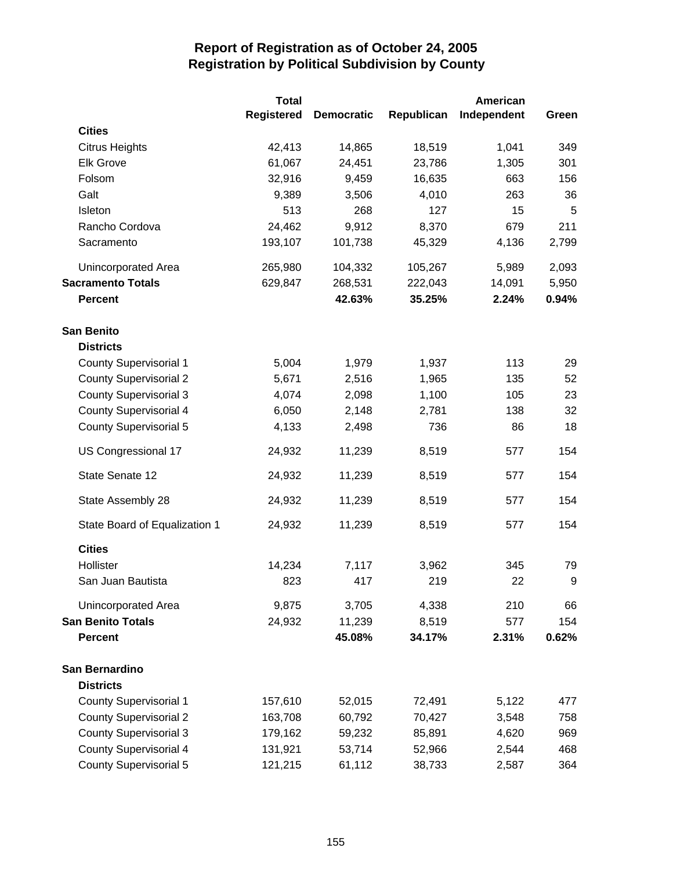|                               | <b>Total</b>      |                   |            | <b>American</b> |       |
|-------------------------------|-------------------|-------------------|------------|-----------------|-------|
|                               | <b>Registered</b> | <b>Democratic</b> | Republican | Independent     | Green |
| <b>Cities</b>                 |                   |                   |            |                 |       |
| <b>Citrus Heights</b>         | 42,413            | 14,865            | 18,519     | 1,041           | 349   |
| <b>Elk Grove</b>              | 61,067            | 24,451            | 23,786     | 1,305           | 301   |
| Folsom                        | 32,916            | 9,459             | 16,635     | 663             | 156   |
| Galt                          | 9,389             | 3,506             | 4,010      | 263             | 36    |
| Isleton                       | 513               | 268               | 127        | 15              | 5     |
| Rancho Cordova                | 24,462            | 9,912             | 8,370      | 679             | 211   |
| Sacramento                    | 193,107           | 101,738           | 45,329     | 4,136           | 2,799 |
| Unincorporated Area           | 265,980           | 104,332           | 105,267    | 5,989           | 2,093 |
| <b>Sacramento Totals</b>      | 629,847           | 268,531           | 222,043    | 14,091          | 5,950 |
| <b>Percent</b>                |                   | 42.63%            | 35.25%     | 2.24%           | 0.94% |
| <b>San Benito</b>             |                   |                   |            |                 |       |
| <b>Districts</b>              |                   |                   |            |                 |       |
| <b>County Supervisorial 1</b> | 5,004             | 1,979             | 1,937      | 113             | 29    |
| <b>County Supervisorial 2</b> | 5,671             | 2,516             | 1,965      | 135             | 52    |
| <b>County Supervisorial 3</b> | 4,074             | 2,098             | 1,100      | 105             | 23    |
| <b>County Supervisorial 4</b> | 6,050             | 2,148             | 2,781      | 138             | 32    |
| <b>County Supervisorial 5</b> | 4,133             | 2,498             | 736        | 86              | 18    |
| US Congressional 17           | 24,932            | 11,239            | 8,519      | 577             | 154   |
| State Senate 12               | 24,932            | 11,239            | 8,519      | 577             | 154   |
| State Assembly 28             | 24,932            | 11,239            | 8,519      | 577             | 154   |
| State Board of Equalization 1 | 24,932            | 11,239            | 8,519      | 577             | 154   |
| <b>Cities</b>                 |                   |                   |            |                 |       |
| Hollister                     | 14,234            | 7,117             | 3,962      | 345             | 79    |
| San Juan Bautista             | 823               | 417               | 219        | 22              | 9     |
| Unincorporated Area           | 9,875             | 3,705             | 4,338      | 210             | 66    |
| <b>San Benito Totals</b>      | 24,932            | 11,239            | 8,519      | 577             | 154   |
| <b>Percent</b>                |                   | 45.08%            | 34.17%     | 2.31%           | 0.62% |
| San Bernardino                |                   |                   |            |                 |       |
| <b>Districts</b>              |                   |                   |            |                 |       |
| <b>County Supervisorial 1</b> | 157,610           | 52,015            | 72,491     | 5,122           | 477   |
| <b>County Supervisorial 2</b> | 163,708           | 60,792            | 70,427     | 3,548           | 758   |
| <b>County Supervisorial 3</b> | 179,162           | 59,232            | 85,891     | 4,620           | 969   |
| <b>County Supervisorial 4</b> | 131,921           | 53,714            | 52,966     | 2,544           | 468   |
| <b>County Supervisorial 5</b> | 121,215           | 61,112            | 38,733     | 2,587           | 364   |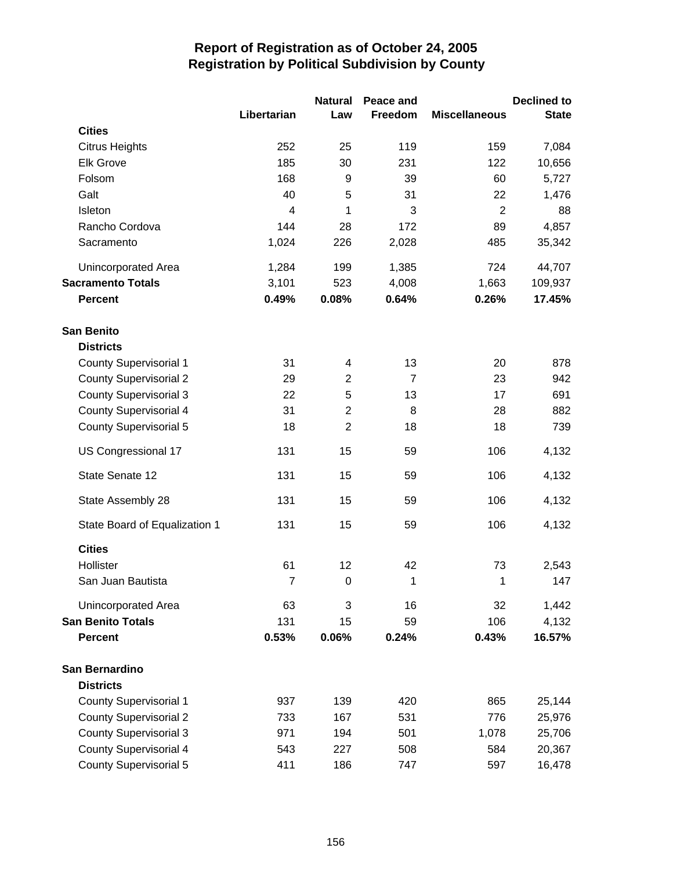|                               |                | <b>Natural</b> | Peace and      |                      | <b>Declined to</b> |
|-------------------------------|----------------|----------------|----------------|----------------------|--------------------|
|                               | Libertarian    | Law            | Freedom        | <b>Miscellaneous</b> | <b>State</b>       |
| <b>Cities</b>                 |                |                |                |                      |                    |
| <b>Citrus Heights</b>         | 252            | 25             | 119            | 159                  | 7,084              |
| <b>Elk Grove</b>              | 185            | 30             | 231            | 122                  | 10,656             |
| Folsom                        | 168            | 9              | 39             | 60                   | 5,727              |
| Galt                          | 40             | 5              | 31             | 22                   | 1,476              |
| Isleton                       | $\overline{4}$ | 1              | 3              | $\overline{2}$       | 88                 |
| Rancho Cordova                | 144            | 28             | 172            | 89                   | 4,857              |
| Sacramento                    | 1,024          | 226            | 2,028          | 485                  | 35,342             |
| Unincorporated Area           | 1,284          | 199            | 1,385          | 724                  | 44,707             |
| <b>Sacramento Totals</b>      | 3,101          | 523            | 4,008          | 1,663                | 109,937            |
| <b>Percent</b>                | 0.49%          | 0.08%          | 0.64%          | 0.26%                | 17.45%             |
| <b>San Benito</b>             |                |                |                |                      |                    |
| <b>Districts</b>              |                |                |                |                      |                    |
| <b>County Supervisorial 1</b> | 31             | 4              | 13             | 20                   | 878                |
| <b>County Supervisorial 2</b> | 29             | $\overline{2}$ | $\overline{7}$ | 23                   | 942                |
| <b>County Supervisorial 3</b> | 22             | 5              | 13             | 17                   | 691                |
| <b>County Supervisorial 4</b> | 31             | $\overline{c}$ | 8              | 28                   | 882                |
| <b>County Supervisorial 5</b> | 18             | $\overline{2}$ | 18             | 18                   | 739                |
| US Congressional 17           | 131            | 15             | 59             | 106                  | 4,132              |
| State Senate 12               | 131            | 15             | 59             | 106                  | 4,132              |
| State Assembly 28             | 131            | 15             | 59             | 106                  | 4,132              |
| State Board of Equalization 1 | 131            | 15             | 59             | 106                  | 4,132              |
| <b>Cities</b>                 |                |                |                |                      |                    |
| Hollister                     | 61             | 12             | 42             | 73                   | 2,543              |
| San Juan Bautista             | $\overline{7}$ | $\pmb{0}$      | 1              | 1                    | 147                |
| Unincorporated Area           | 63             | 3              | 16             | 32                   | 1,442              |
| <b>San Benito Totals</b>      | 131            | 15             | 59             | 106                  | 4,132              |
| <b>Percent</b>                | 0.53%          | 0.06%          | 0.24%          | 0.43%                | 16.57%             |
| <b>San Bernardino</b>         |                |                |                |                      |                    |
| <b>Districts</b>              |                |                |                |                      |                    |
| <b>County Supervisorial 1</b> | 937            | 139            | 420            | 865                  | 25,144             |
| <b>County Supervisorial 2</b> | 733            | 167            | 531            | 776                  | 25,976             |
| <b>County Supervisorial 3</b> | 971            | 194            | 501            | 1,078                | 25,706             |
| <b>County Supervisorial 4</b> | 543            | 227            | 508            | 584                  | 20,367             |
| <b>County Supervisorial 5</b> | 411            | 186            | 747            | 597                  | 16,478             |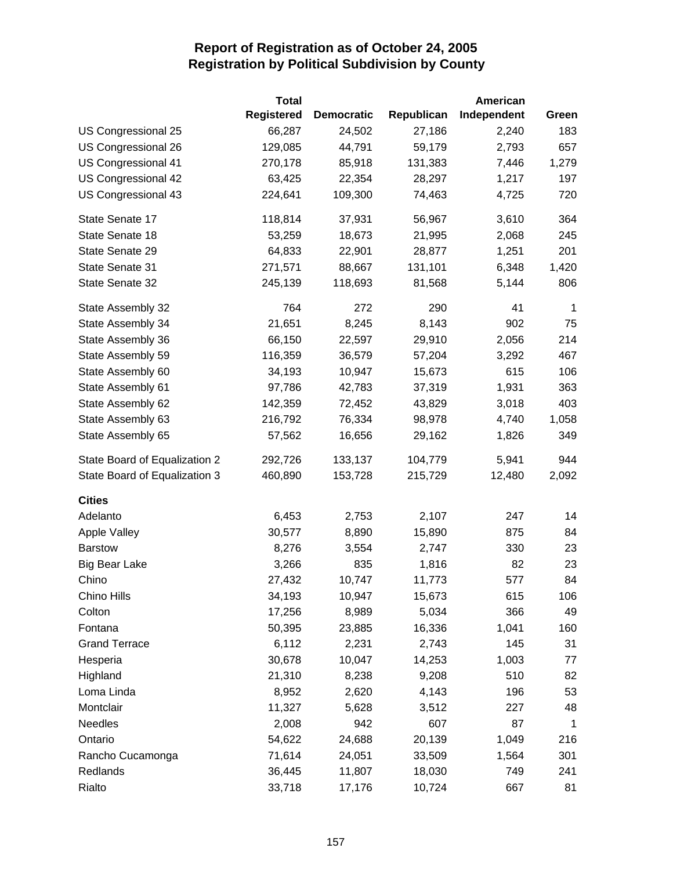|                               | <b>Total</b>      |                   |            | American    |       |
|-------------------------------|-------------------|-------------------|------------|-------------|-------|
|                               | <b>Registered</b> | <b>Democratic</b> | Republican | Independent | Green |
| US Congressional 25           | 66,287            | 24,502            | 27,186     | 2,240       | 183   |
| US Congressional 26           | 129,085           | 44,791            | 59,179     | 2,793       | 657   |
| US Congressional 41           | 270,178           | 85,918            | 131,383    | 7,446       | 1,279 |
| US Congressional 42           | 63,425            | 22,354            | 28,297     | 1,217       | 197   |
| US Congressional 43           | 224,641           | 109,300           | 74,463     | 4,725       | 720   |
| State Senate 17               | 118,814           | 37,931            | 56,967     | 3,610       | 364   |
| State Senate 18               | 53,259            | 18,673            | 21,995     | 2,068       | 245   |
| State Senate 29               | 64,833            | 22,901            | 28,877     | 1,251       | 201   |
| State Senate 31               | 271,571           | 88,667            | 131,101    | 6,348       | 1,420 |
| State Senate 32               | 245,139           | 118,693           | 81,568     | 5,144       | 806   |
| State Assembly 32             | 764               | 272               | 290        | 41          | 1     |
| State Assembly 34             | 21,651            | 8,245             | 8,143      | 902         | 75    |
| State Assembly 36             | 66,150            | 22,597            | 29,910     | 2,056       | 214   |
| State Assembly 59             | 116,359           | 36,579            | 57,204     | 3,292       | 467   |
| State Assembly 60             | 34,193            | 10,947            | 15,673     | 615         | 106   |
| State Assembly 61             | 97,786            | 42,783            | 37,319     | 1,931       | 363   |
| State Assembly 62             | 142,359           | 72,452            | 43,829     | 3,018       | 403   |
| State Assembly 63             | 216,792           | 76,334            | 98,978     | 4,740       | 1,058 |
| State Assembly 65             | 57,562            | 16,656            | 29,162     | 1,826       | 349   |
| State Board of Equalization 2 | 292,726           | 133,137           | 104,779    | 5,941       | 944   |
| State Board of Equalization 3 | 460,890           | 153,728           | 215,729    | 12,480      | 2,092 |
| <b>Cities</b>                 |                   |                   |            |             |       |
| Adelanto                      | 6,453             | 2,753             | 2,107      | 247         | 14    |
| <b>Apple Valley</b>           | 30,577            | 8,890             | 15,890     | 875         | 84    |
| <b>Barstow</b>                | 8,276             | 3,554             | 2,747      | 330         | 23    |
| <b>Big Bear Lake</b>          | 3,266             | 835               | 1,816      | 82          | 23    |
| Chino                         | 27,432            | 10,747            | 11,773     | 577         | 84    |
| Chino Hills                   | 34,193            | 10,947            | 15,673     | 615         | 106   |
| Colton                        | 17,256            | 8,989             | 5,034      | 366         | 49    |
| Fontana                       | 50,395            | 23,885            | 16,336     | 1,041       | 160   |
| <b>Grand Terrace</b>          | 6,112             | 2,231             | 2,743      | 145         | 31    |
| Hesperia                      | 30,678            | 10,047            | 14,253     | 1,003       | 77    |
| Highland                      | 21,310            | 8,238             | 9,208      | 510         | 82    |
| Loma Linda                    | 8,952             | 2,620             | 4,143      | 196         | 53    |
| Montclair                     | 11,327            | 5,628             | 3,512      | 227         | 48    |
| <b>Needles</b>                | 2,008             | 942               | 607        | 87          | 1     |
| Ontario                       | 54,622            | 24,688            | 20,139     | 1,049       | 216   |
| Rancho Cucamonga              | 71,614            | 24,051            | 33,509     | 1,564       | 301   |
| Redlands                      | 36,445            | 11,807            | 18,030     | 749         | 241   |
| Rialto                        | 33,718            | 17,176            | 10,724     | 667         | 81    |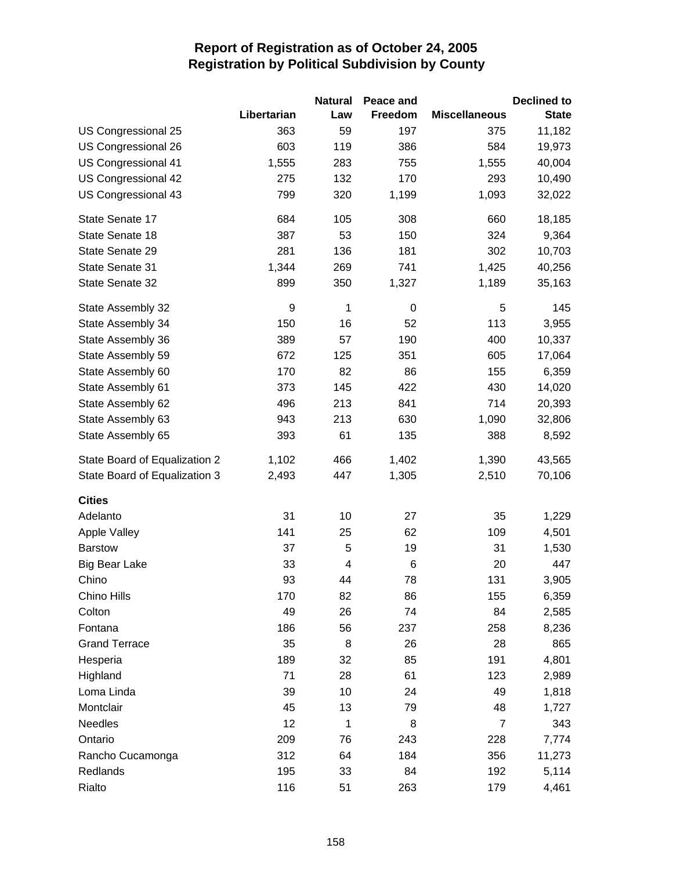|                               |             | <b>Natural</b> | Peace and   |                      | <b>Declined to</b> |
|-------------------------------|-------------|----------------|-------------|----------------------|--------------------|
|                               | Libertarian | Law            | Freedom     | <b>Miscellaneous</b> | <b>State</b>       |
| US Congressional 25           | 363         | 59             | 197         | 375                  | 11,182             |
| US Congressional 26           | 603         | 119            | 386         | 584                  | 19,973             |
| US Congressional 41           | 1,555       | 283            | 755         | 1,555                | 40,004             |
| US Congressional 42           | 275         | 132            | 170         | 293                  | 10,490             |
| US Congressional 43           | 799         | 320            | 1,199       | 1,093                | 32,022             |
| State Senate 17               | 684         | 105            | 308         | 660                  | 18,185             |
| State Senate 18               | 387         | 53             | 150         | 324                  | 9,364              |
| State Senate 29               | 281         | 136            | 181         | 302                  | 10,703             |
| State Senate 31               | 1,344       | 269            | 741         | 1,425                | 40,256             |
| State Senate 32               | 899         | 350            | 1,327       | 1,189                | 35,163             |
| State Assembly 32             | 9           | 1              | $\mathbf 0$ | 5                    | 145                |
| State Assembly 34             | 150         | 16             | 52          | 113                  | 3,955              |
| State Assembly 36             | 389         | 57             | 190         | 400                  | 10,337             |
| State Assembly 59             | 672         | 125            | 351         | 605                  | 17,064             |
| State Assembly 60             | 170         | 82             | 86          | 155                  | 6,359              |
| State Assembly 61             | 373         | 145            | 422         | 430                  | 14,020             |
| State Assembly 62             | 496         | 213            | 841         | 714                  | 20,393             |
| State Assembly 63             | 943         | 213            | 630         | 1,090                | 32,806             |
| State Assembly 65             | 393         | 61             | 135         | 388                  | 8,592              |
| State Board of Equalization 2 | 1,102       | 466            | 1,402       | 1,390                | 43,565             |
| State Board of Equalization 3 | 2,493       | 447            | 1,305       | 2,510                | 70,106             |
| <b>Cities</b>                 |             |                |             |                      |                    |
| Adelanto                      | 31          | 10             | 27          | 35                   | 1,229              |
| <b>Apple Valley</b>           | 141         | 25             | 62          | 109                  | 4,501              |
| <b>Barstow</b>                | 37          | 5              | 19          | 31                   | 1,530              |
| <b>Big Bear Lake</b>          | 33          | 4              | 6           | 20                   | 447                |
| Chino                         | 93          | 44             | 78          | 131                  | 3,905              |
| Chino Hills                   | 170         | 82             | 86          | 155                  | 6,359              |
| Colton                        | 49          | 26             | 74          | 84                   | 2,585              |
| Fontana                       | 186         | 56             | 237         | 258                  | 8,236              |
| <b>Grand Terrace</b>          | 35          | 8              | 26          | 28                   | 865                |
| Hesperia                      | 189         | 32             | 85          | 191                  | 4,801              |
| Highland                      | 71          | 28             | 61          | 123                  | 2,989              |
| Loma Linda                    | 39          | 10             | 24          | 49                   | 1,818              |
| Montclair                     | 45          | 13             | 79          | 48                   | 1,727              |
| <b>Needles</b>                | 12          | 1              | 8           | $\overline{7}$       | 343                |
| Ontario                       | 209         | 76             | 243         | 228                  | 7,774              |
| Rancho Cucamonga              | 312         | 64             | 184         | 356                  | 11,273             |
| Redlands                      | 195         | 33             | 84          | 192                  | 5,114              |
| Rialto                        | 116         | 51             | 263         | 179                  | 4,461              |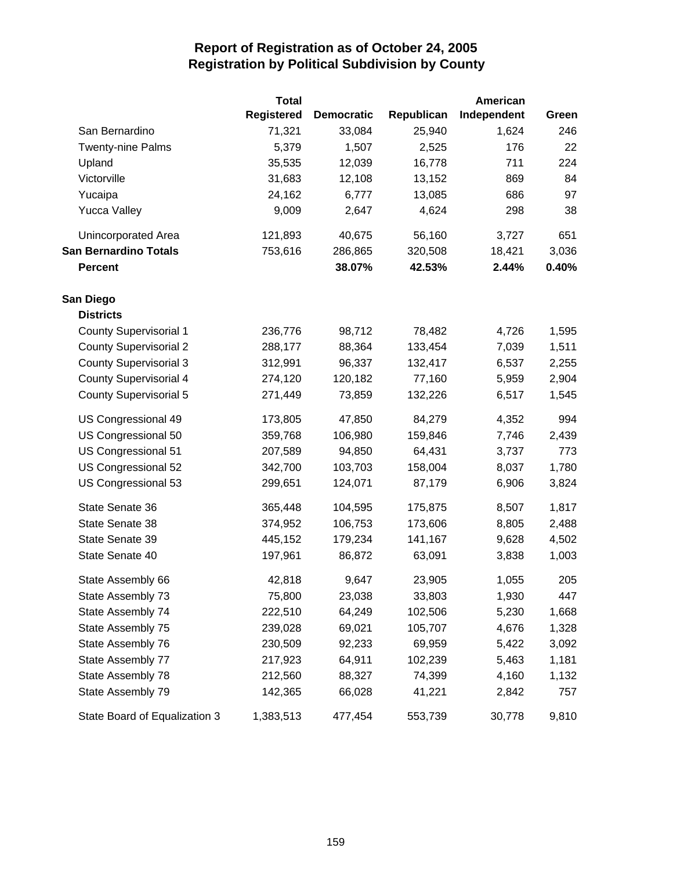|                               | <b>Total</b>      |                   |            | <b>American</b> |       |
|-------------------------------|-------------------|-------------------|------------|-----------------|-------|
|                               | <b>Registered</b> | <b>Democratic</b> | Republican | Independent     | Green |
| San Bernardino                | 71,321            | 33,084            | 25,940     | 1,624           | 246   |
| <b>Twenty-nine Palms</b>      | 5,379             | 1,507             | 2,525      | 176             | 22    |
| Upland                        | 35,535            | 12,039            | 16,778     | 711             | 224   |
| Victorville                   | 31,683            | 12,108            | 13,152     | 869             | 84    |
| Yucaipa                       | 24,162            | 6,777             | 13,085     | 686             | 97    |
| <b>Yucca Valley</b>           | 9,009             | 2,647             | 4,624      | 298             | 38    |
| Unincorporated Area           | 121,893           | 40,675            | 56,160     | 3,727           | 651   |
| <b>San Bernardino Totals</b>  | 753,616           | 286,865           | 320,508    | 18,421          | 3,036 |
| <b>Percent</b>                |                   | 38.07%            | 42.53%     | 2.44%           | 0.40% |
| San Diego                     |                   |                   |            |                 |       |
| <b>Districts</b>              |                   |                   |            |                 |       |
| <b>County Supervisorial 1</b> | 236,776           | 98,712            | 78,482     | 4,726           | 1,595 |
| <b>County Supervisorial 2</b> | 288,177           | 88,364            | 133,454    | 7,039           | 1,511 |
| <b>County Supervisorial 3</b> | 312,991           | 96,337            | 132,417    | 6,537           | 2,255 |
| <b>County Supervisorial 4</b> | 274,120           | 120,182           | 77,160     | 5,959           | 2,904 |
| County Supervisorial 5        | 271,449           | 73,859            | 132,226    | 6,517           | 1,545 |
| US Congressional 49           | 173,805           | 47,850            | 84,279     | 4,352           | 994   |
| US Congressional 50           | 359,768           | 106,980           | 159,846    | 7,746           | 2,439 |
| US Congressional 51           | 207,589           | 94,850            | 64,431     | 3,737           | 773   |
| US Congressional 52           | 342,700           | 103,703           | 158,004    | 8,037           | 1,780 |
| US Congressional 53           | 299,651           | 124,071           | 87,179     | 6,906           | 3,824 |
| State Senate 36               | 365,448           | 104,595           | 175,875    | 8,507           | 1,817 |
| State Senate 38               | 374,952           | 106,753           | 173,606    | 8,805           | 2,488 |
| State Senate 39               | 445,152           | 179,234           | 141,167    | 9,628           | 4,502 |
| State Senate 40               | 197,961           | 86,872            | 63,091     | 3,838           | 1,003 |
| State Assembly 66             | 42,818            | 9,647             | 23,905     | 1,055           | 205   |
| State Assembly 73             | 75,800            | 23,038            | 33,803     | 1,930           | 447   |
| State Assembly 74             | 222,510           | 64,249            | 102,506    | 5,230           | 1,668 |
| State Assembly 75             | 239,028           | 69,021            | 105,707    | 4,676           | 1,328 |
| State Assembly 76             | 230,509           | 92,233            | 69,959     | 5,422           | 3,092 |
| State Assembly 77             | 217,923           | 64,911            | 102,239    | 5,463           | 1,181 |
| State Assembly 78             | 212,560           | 88,327            | 74,399     | 4,160           | 1,132 |
| State Assembly 79             | 142,365           | 66,028            | 41,221     | 2,842           | 757   |
| State Board of Equalization 3 | 1,383,513         | 477,454           | 553,739    | 30,778          | 9,810 |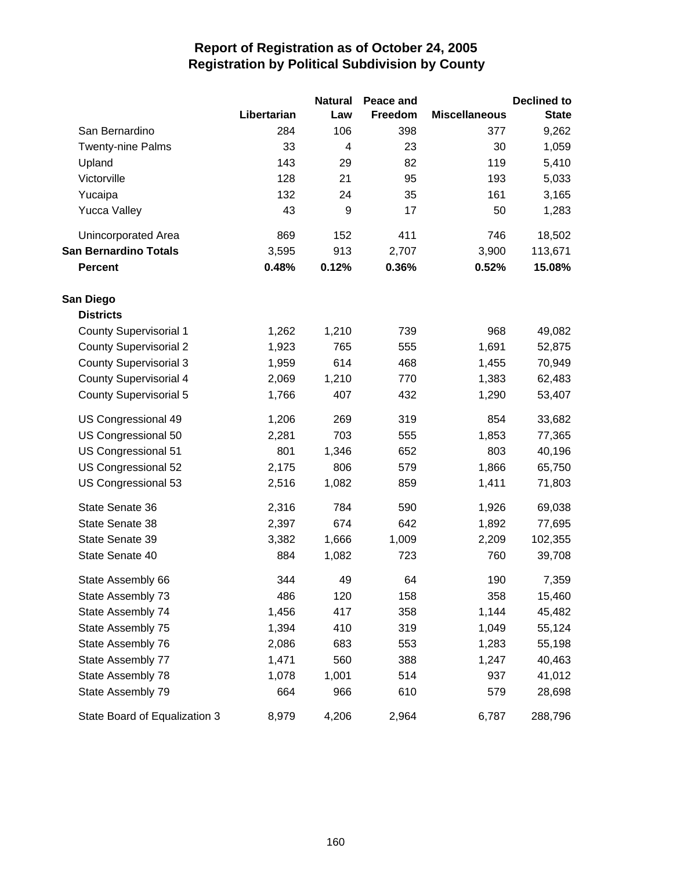|                               |             | <b>Natural</b> | Peace and |                      | <b>Declined to</b> |
|-------------------------------|-------------|----------------|-----------|----------------------|--------------------|
|                               | Libertarian | Law            | Freedom   | <b>Miscellaneous</b> | <b>State</b>       |
| San Bernardino                | 284         | 106            | 398       | 377                  | 9,262              |
| <b>Twenty-nine Palms</b>      | 33          | 4              | 23        | 30                   | 1,059              |
| Upland                        | 143         | 29             | 82        | 119                  | 5,410              |
| Victorville                   | 128         | 21             | 95        | 193                  | 5,033              |
| Yucaipa                       | 132         | 24             | 35        | 161                  | 3,165              |
| <b>Yucca Valley</b>           | 43          | 9              | 17        | 50                   | 1,283              |
| Unincorporated Area           | 869         | 152            | 411       | 746                  | 18,502             |
| <b>San Bernardino Totals</b>  | 3,595       | 913            | 2,707     | 3,900                | 113,671            |
| <b>Percent</b>                | 0.48%       | 0.12%          | 0.36%     | 0.52%                | 15.08%             |
| San Diego                     |             |                |           |                      |                    |
| <b>Districts</b>              |             |                |           |                      |                    |
| <b>County Supervisorial 1</b> | 1,262       | 1,210          | 739       | 968                  | 49,082             |
| <b>County Supervisorial 2</b> | 1,923       | 765            | 555       | 1,691                | 52,875             |
| <b>County Supervisorial 3</b> | 1,959       | 614            | 468       | 1,455                | 70,949             |
| <b>County Supervisorial 4</b> | 2,069       | 1,210          | 770       | 1,383                | 62,483             |
| <b>County Supervisorial 5</b> | 1,766       | 407            | 432       | 1,290                | 53,407             |
| US Congressional 49           | 1,206       | 269            | 319       | 854                  | 33,682             |
| US Congressional 50           | 2,281       | 703            | 555       | 1,853                | 77,365             |
| US Congressional 51           | 801         | 1,346          | 652       | 803                  | 40,196             |
| US Congressional 52           | 2,175       | 806            | 579       | 1,866                | 65,750             |
| US Congressional 53           | 2,516       | 1,082          | 859       | 1,411                | 71,803             |
| State Senate 36               | 2,316       | 784            | 590       | 1,926                | 69,038             |
| State Senate 38               | 2,397       | 674            | 642       | 1,892                | 77,695             |
| State Senate 39               | 3,382       | 1,666          | 1,009     | 2,209                | 102,355            |
| State Senate 40               | 884         | 1,082          | 723       | 760                  | 39,708             |
| State Assembly 66             | 344         | 49             | 64        | 190                  | 7,359              |
| State Assembly 73             | 486         | 120            | 158       | 358                  | 15,460             |
| State Assembly 74             | 1,456       | 417            | 358       | 1,144                | 45,482             |
| State Assembly 75             | 1,394       | 410            | 319       | 1,049                | 55,124             |
| State Assembly 76             | 2,086       | 683            | 553       | 1,283                | 55,198             |
| State Assembly 77             | 1,471       | 560            | 388       | 1,247                | 40,463             |
| State Assembly 78             | 1,078       | 1,001          | 514       | 937                  | 41,012             |
| State Assembly 79             | 664         | 966            | 610       | 579                  | 28,698             |
| State Board of Equalization 3 | 8,979       | 4,206          | 2,964     | 6,787                | 288,796            |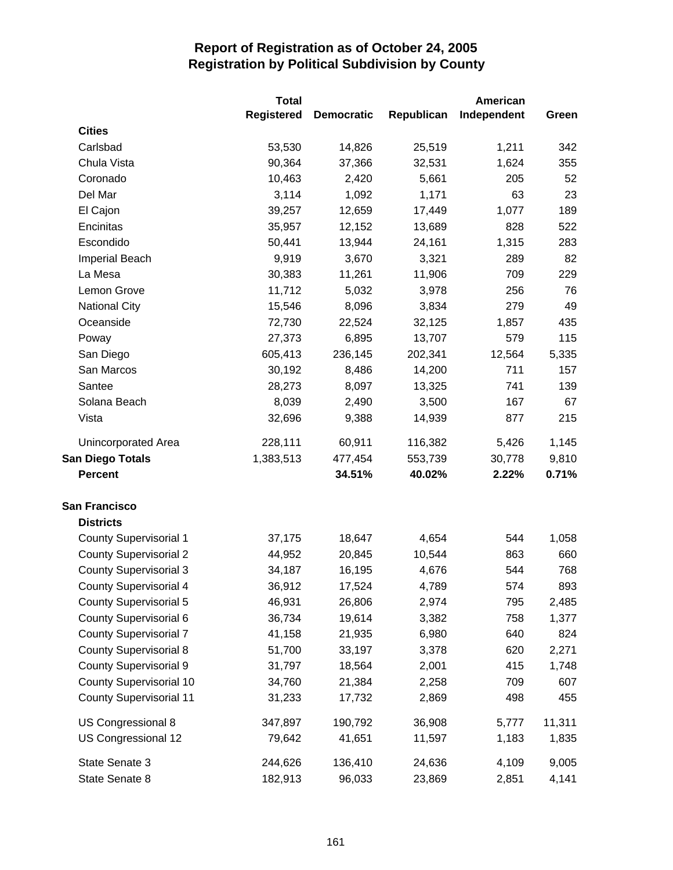|                                | <b>Total</b>      |                   |            | <b>American</b> |        |
|--------------------------------|-------------------|-------------------|------------|-----------------|--------|
|                                | <b>Registered</b> | <b>Democratic</b> | Republican | Independent     | Green  |
| <b>Cities</b>                  |                   |                   |            |                 |        |
| Carlsbad                       | 53,530            | 14,826            | 25,519     | 1,211           | 342    |
| Chula Vista                    | 90,364            | 37,366            | 32,531     | 1,624           | 355    |
| Coronado                       | 10,463            | 2,420             | 5,661      | 205             | 52     |
| Del Mar                        | 3,114             | 1,092             | 1,171      | 63              | 23     |
| El Cajon                       | 39,257            | 12,659            | 17,449     | 1,077           | 189    |
| Encinitas                      | 35,957            | 12,152            | 13,689     | 828             | 522    |
| Escondido                      | 50,441            | 13,944            | 24,161     | 1,315           | 283    |
| Imperial Beach                 | 9,919             | 3,670             | 3,321      | 289             | 82     |
| La Mesa                        | 30,383            | 11,261            | 11,906     | 709             | 229    |
| Lemon Grove                    | 11,712            | 5,032             | 3,978      | 256             | 76     |
| <b>National City</b>           | 15,546            | 8,096             | 3,834      | 279             | 49     |
| Oceanside                      | 72,730            | 22,524            | 32,125     | 1,857           | 435    |
| Poway                          | 27,373            | 6,895             | 13,707     | 579             | 115    |
| San Diego                      | 605,413           | 236,145           | 202,341    | 12,564          | 5,335  |
| San Marcos                     | 30,192            | 8,486             | 14,200     | 711             | 157    |
| Santee                         | 28,273            | 8,097             | 13,325     | 741             | 139    |
| Solana Beach                   | 8,039             | 2,490             | 3,500      | 167             | 67     |
| Vista                          | 32,696            | 9,388             | 14,939     | 877             | 215    |
| Unincorporated Area            | 228,111           | 60,911            | 116,382    | 5,426           | 1,145  |
| <b>San Diego Totals</b>        | 1,383,513         | 477,454           | 553,739    | 30,778          | 9,810  |
| <b>Percent</b>                 |                   | 34.51%            | 40.02%     | 2.22%           | 0.71%  |
| <b>San Francisco</b>           |                   |                   |            |                 |        |
| <b>Districts</b>               |                   |                   |            |                 |        |
| <b>County Supervisorial 1</b>  | 37,175            | 18,647            | 4,654      | 544             | 1,058  |
| <b>County Supervisorial 2</b>  | 44,952            | 20,845            | 10,544     | 863             | 660    |
| <b>County Supervisorial 3</b>  | 34,187            | 16,195            | 4,676      | 544             | 768    |
| County Supervisorial 4         | 36,912            | 17,524            | 4,789      | 574             | 893    |
| <b>County Supervisorial 5</b>  | 46,931            | 26,806            | 2,974      | 795             | 2,485  |
| County Supervisorial 6         | 36,734            | 19,614            | 3,382      | 758             | 1,377  |
| <b>County Supervisorial 7</b>  | 41,158            | 21,935            | 6,980      | 640             | 824    |
| <b>County Supervisorial 8</b>  | 51,700            | 33,197            | 3,378      | 620             | 2,271  |
| <b>County Supervisorial 9</b>  | 31,797            | 18,564            | 2,001      | 415             | 1,748  |
| <b>County Supervisorial 10</b> | 34,760            | 21,384            | 2,258      | 709             | 607    |
| <b>County Supervisorial 11</b> | 31,233            | 17,732            | 2,869      | 498             | 455    |
| US Congressional 8             | 347,897           | 190,792           | 36,908     | 5,777           | 11,311 |
| US Congressional 12            | 79,642            | 41,651            | 11,597     | 1,183           | 1,835  |
| State Senate 3                 | 244,626           | 136,410           | 24,636     | 4,109           | 9,005  |
| State Senate 8                 | 182,913           | 96,033            | 23,869     | 2,851           | 4,141  |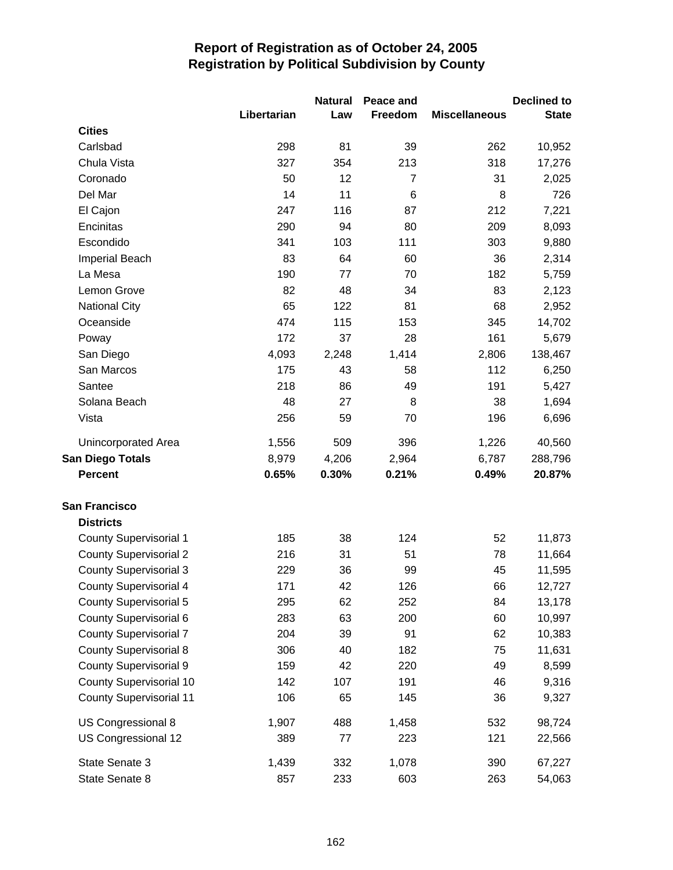|                                |             | <b>Natural</b> | Peace and      |                      | <b>Declined to</b> |
|--------------------------------|-------------|----------------|----------------|----------------------|--------------------|
|                                | Libertarian | Law            | Freedom        | <b>Miscellaneous</b> | <b>State</b>       |
| <b>Cities</b>                  |             |                |                |                      |                    |
| Carlsbad                       | 298         | 81             | 39             | 262                  | 10,952             |
| Chula Vista                    | 327         | 354            | 213            | 318                  | 17,276             |
| Coronado                       | 50          | 12             | $\overline{7}$ | 31                   | 2,025              |
| Del Mar                        | 14          | 11             | $\,6$          | 8                    | 726                |
| El Cajon                       | 247         | 116            | 87             | 212                  | 7,221              |
| Encinitas                      | 290         | 94             | 80             | 209                  | 8,093              |
| Escondido                      | 341         | 103            | 111            | 303                  | 9,880              |
| <b>Imperial Beach</b>          | 83          | 64             | 60             | 36                   | 2,314              |
| La Mesa                        | 190         | 77             | 70             | 182                  | 5,759              |
| Lemon Grove                    | 82          | 48             | 34             | 83                   | 2,123              |
| <b>National City</b>           | 65          | 122            | 81             | 68                   | 2,952              |
| Oceanside                      | 474         | 115            | 153            | 345                  | 14,702             |
| Poway                          | 172         | 37             | 28             | 161                  | 5,679              |
| San Diego                      | 4,093       | 2,248          | 1,414          | 2,806                | 138,467            |
| San Marcos                     | 175         | 43             | 58             | 112                  | 6,250              |
| Santee                         | 218         | 86             | 49             | 191                  | 5,427              |
| Solana Beach                   | 48          | 27             | 8              | 38                   | 1,694              |
| Vista                          | 256         | 59             | 70             | 196                  | 6,696              |
| Unincorporated Area            | 1,556       | 509            | 396            | 1,226                | 40,560             |
| <b>San Diego Totals</b>        | 8,979       | 4,206          | 2,964          | 6,787                | 288,796            |
| <b>Percent</b>                 | 0.65%       | 0.30%          | 0.21%          | 0.49%                | 20.87%             |
| <b>San Francisco</b>           |             |                |                |                      |                    |
| <b>Districts</b>               |             |                |                |                      |                    |
| <b>County Supervisorial 1</b>  | 185         | 38             | 124            | 52                   | 11,873             |
| <b>County Supervisorial 2</b>  | 216         | 31             | 51             | 78                   | 11,664             |
| <b>County Supervisorial 3</b>  | 229         | 36             | 99             | 45                   | 11,595             |
| <b>County Supervisorial 4</b>  | 171         | 42             | 126            | 66                   | 12,727             |
| County Supervisorial 5         | 295         | 62             | 252            | 84                   | 13,178             |
| County Supervisorial 6         | 283         | 63             | 200            | 60                   | 10,997             |
| <b>County Supervisorial 7</b>  | 204         | 39             | 91             | 62                   | 10,383             |
| <b>County Supervisorial 8</b>  | 306         | 40             | 182            | 75                   | 11,631             |
| <b>County Supervisorial 9</b>  | 159         | 42             | 220            | 49                   | 8,599              |
| <b>County Supervisorial 10</b> | 142         | 107            | 191            | 46                   | 9,316              |
| <b>County Supervisorial 11</b> | 106         | 65             | 145            | 36                   | 9,327              |
| US Congressional 8             | 1,907       | 488            | 1,458          | 532                  | 98,724             |
| US Congressional 12            | 389         | 77             | 223            | 121                  | 22,566             |
| State Senate 3                 | 1,439       | 332            | 1,078          | 390                  | 67,227             |
| State Senate 8                 | 857         | 233            | 603            | 263                  | 54,063             |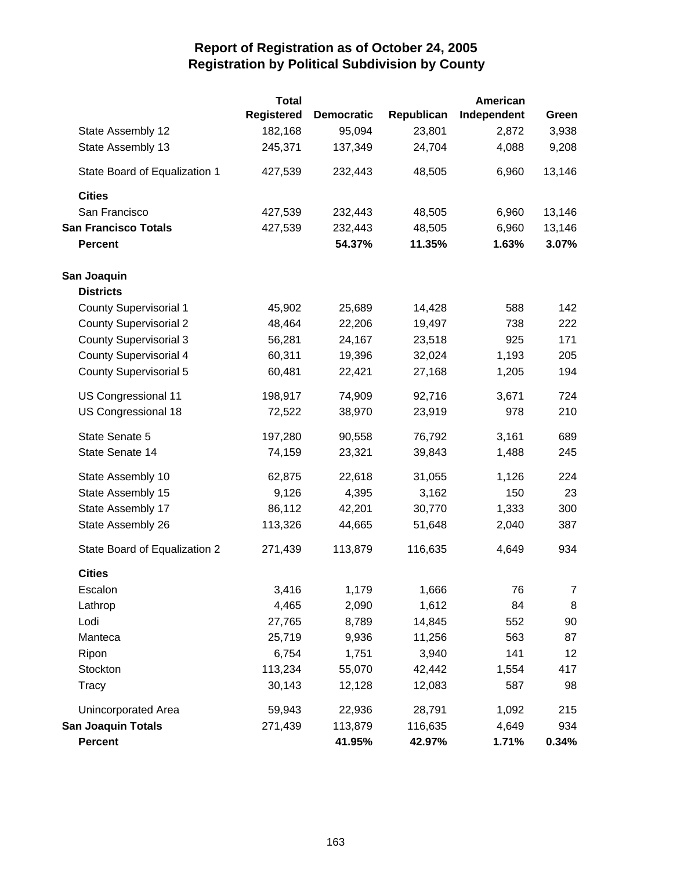|                               | <b>Total</b>      |                   |            | American    |            |
|-------------------------------|-------------------|-------------------|------------|-------------|------------|
|                               | <b>Registered</b> | <b>Democratic</b> | Republican | Independent | Green      |
| State Assembly 12             | 182,168           | 95,094            | 23,801     | 2,872       | 3,938      |
| State Assembly 13             | 245,371           | 137,349           | 24,704     | 4,088       | 9,208      |
| State Board of Equalization 1 | 427,539           | 232,443           | 48,505     | 6,960       | 13,146     |
| <b>Cities</b>                 |                   |                   |            |             |            |
| San Francisco                 | 427,539           | 232,443           | 48,505     | 6,960       | 13,146     |
| <b>San Francisco Totals</b>   | 427,539           | 232,443           | 48,505     | 6,960       | 13,146     |
| <b>Percent</b>                |                   | 54.37%            | 11.35%     | 1.63%       | 3.07%      |
| San Joaquin                   |                   |                   |            |             |            |
| <b>Districts</b>              |                   |                   |            |             |            |
| <b>County Supervisorial 1</b> | 45,902            | 25,689            | 14,428     | 588         | 142        |
| <b>County Supervisorial 2</b> | 48,464            | 22,206            | 19,497     | 738         | 222        |
| <b>County Supervisorial 3</b> | 56,281            | 24,167            | 23,518     | 925         | 171        |
| <b>County Supervisorial 4</b> | 60,311            | 19,396            | 32,024     | 1,193       | 205        |
| <b>County Supervisorial 5</b> | 60,481            | 22,421            | 27,168     | 1,205       | 194        |
| US Congressional 11           | 198,917           | 74,909            | 92,716     | 3,671       | 724        |
| US Congressional 18           | 72,522            | 38,970            | 23,919     | 978         | 210        |
| State Senate 5                | 197,280           | 90,558            | 76,792     | 3,161       | 689        |
| State Senate 14               | 74,159            | 23,321            | 39,843     | 1,488       | 245        |
| State Assembly 10             | 62,875            | 22,618            | 31,055     | 1,126       | 224        |
| State Assembly 15             | 9,126             | 4,395             | 3,162      | 150         | 23         |
| State Assembly 17             | 86,112            | 42,201            | 30,770     | 1,333       | 300        |
| State Assembly 26             | 113,326           | 44,665            | 51,648     | 2,040       | 387        |
| State Board of Equalization 2 | 271,439           | 113,879           | 116,635    | 4,649       | 934        |
| <b>Cities</b>                 |                   |                   |            |             |            |
| Escalon                       | 3,416             | 1,179             | 1,666      | 76          | $\sqrt{2}$ |
| Lathrop                       | 4,465             | 2,090             | 1,612      | 84          | 8          |
| Lodi                          | 27,765            | 8,789             | 14,845     | 552         | 90         |
| Manteca                       | 25,719            | 9,936             | 11,256     | 563         | 87         |
| Ripon                         | 6,754             | 1,751             | 3,940      | 141         | 12         |
| Stockton                      | 113,234           | 55,070            | 42,442     | 1,554       | 417        |
| <b>Tracy</b>                  | 30,143            | 12,128            | 12,083     | 587         | 98         |
| Unincorporated Area           | 59,943            | 22,936            | 28,791     | 1,092       | 215        |
| <b>San Joaquin Totals</b>     | 271,439           | 113,879           | 116,635    | 4,649       | 934        |
| <b>Percent</b>                |                   | 41.95%            | 42.97%     | 1.71%       | 0.34%      |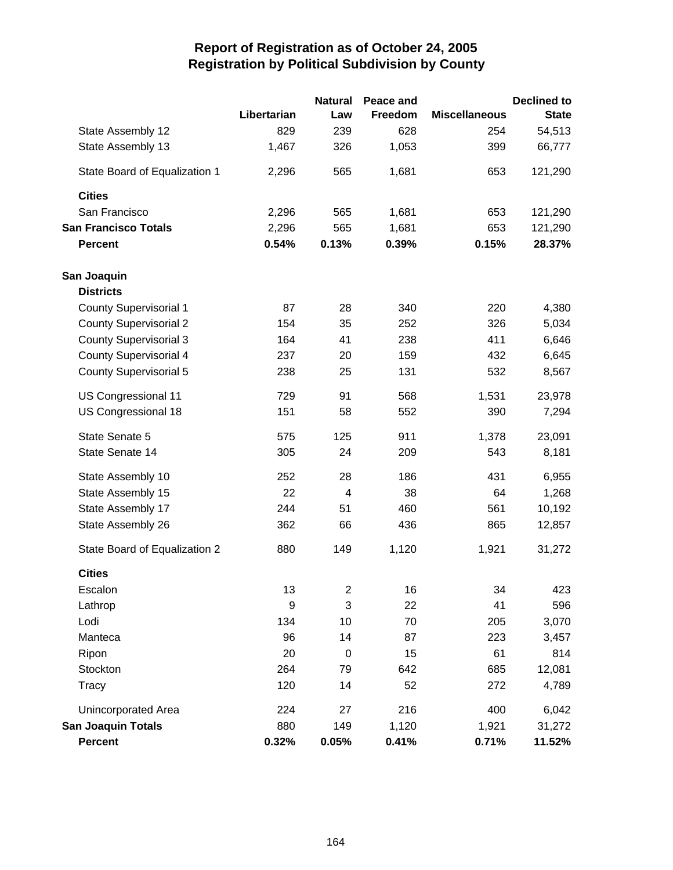|                               |                  | <b>Natural</b>          | Peace and |                      | <b>Declined to</b> |
|-------------------------------|------------------|-------------------------|-----------|----------------------|--------------------|
|                               | Libertarian      | Law                     | Freedom   | <b>Miscellaneous</b> | <b>State</b>       |
| State Assembly 12             | 829              | 239                     | 628       | 254                  | 54,513             |
| State Assembly 13             | 1,467            | 326                     | 1,053     | 399                  | 66,777             |
| State Board of Equalization 1 | 2,296            | 565                     | 1,681     | 653                  | 121,290            |
| <b>Cities</b>                 |                  |                         |           |                      |                    |
| San Francisco                 | 2,296            | 565                     | 1,681     | 653                  | 121,290            |
| <b>San Francisco Totals</b>   | 2,296            | 565                     | 1,681     | 653                  | 121,290            |
| <b>Percent</b>                | 0.54%            | 0.13%                   | 0.39%     | 0.15%                | 28.37%             |
| San Joaquin                   |                  |                         |           |                      |                    |
| <b>Districts</b>              |                  |                         |           |                      |                    |
| <b>County Supervisorial 1</b> | 87               | 28                      | 340       | 220                  | 4,380              |
| <b>County Supervisorial 2</b> | 154              | 35                      | 252       | 326                  | 5,034              |
| <b>County Supervisorial 3</b> | 164              | 41                      | 238       | 411                  | 6,646              |
| <b>County Supervisorial 4</b> | 237              | 20                      | 159       | 432                  | 6,645              |
| <b>County Supervisorial 5</b> | 238              | 25                      | 131       | 532                  | 8,567              |
| US Congressional 11           | 729              | 91                      | 568       | 1,531                | 23,978             |
| US Congressional 18           | 151              | 58                      | 552       | 390                  | 7,294              |
| State Senate 5                | 575              | 125                     | 911       | 1,378                | 23,091             |
| State Senate 14               | 305              | 24                      | 209       | 543                  | 8,181              |
| State Assembly 10             | 252              | 28                      | 186       | 431                  | 6,955              |
| State Assembly 15             | 22               | $\overline{\mathbf{4}}$ | 38        | 64                   | 1,268              |
| State Assembly 17             | 244              | 51                      | 460       | 561                  | 10,192             |
| State Assembly 26             | 362              | 66                      | 436       | 865                  | 12,857             |
| State Board of Equalization 2 | 880              | 149                     | 1,120     | 1,921                | 31,272             |
| <b>Cities</b>                 |                  |                         |           |                      |                    |
| Escalon                       | 13               | 2                       | 16        | 34                   | 423                |
| Lathrop                       | $\boldsymbol{9}$ | 3                       | 22        | 41                   | 596                |
| Lodi                          | 134              | 10                      | 70        | 205                  | 3,070              |
| Manteca                       | 96               | 14                      | 87        | 223                  | 3,457              |
| Ripon                         | 20               | $\boldsymbol{0}$        | 15        | 61                   | 814                |
| Stockton                      | 264              | 79                      | 642       | 685                  | 12,081             |
| Tracy                         | 120              | 14                      | 52        | 272                  | 4,789              |
| Unincorporated Area           | 224              | 27                      | 216       | 400                  | 6,042              |
| <b>San Joaquin Totals</b>     | 880              | 149                     | 1,120     | 1,921                | 31,272             |
| Percent                       | 0.32%            | 0.05%                   | 0.41%     | 0.71%                | 11.52%             |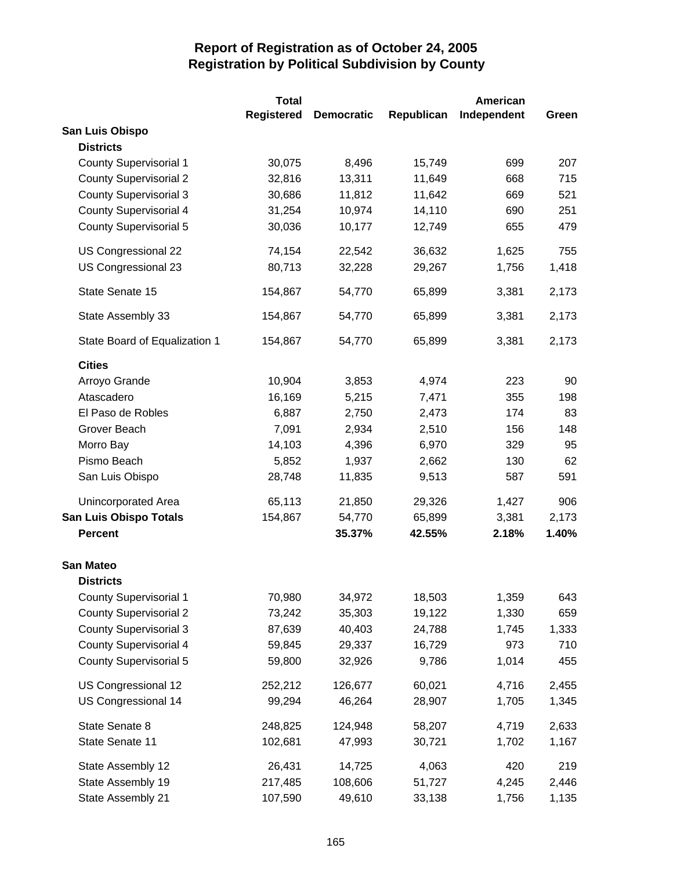|                               | <b>Total</b>      |                   |            | <b>American</b> |       |
|-------------------------------|-------------------|-------------------|------------|-----------------|-------|
|                               | <b>Registered</b> | <b>Democratic</b> | Republican | Independent     | Green |
| San Luis Obispo               |                   |                   |            |                 |       |
| <b>Districts</b>              |                   |                   |            |                 |       |
| <b>County Supervisorial 1</b> | 30,075            | 8,496             | 15,749     | 699             | 207   |
| <b>County Supervisorial 2</b> | 32,816            | 13,311            | 11,649     | 668             | 715   |
| <b>County Supervisorial 3</b> | 30,686            | 11,812            | 11,642     | 669             | 521   |
| <b>County Supervisorial 4</b> | 31,254            | 10,974            | 14,110     | 690             | 251   |
| <b>County Supervisorial 5</b> | 30,036            | 10,177            | 12,749     | 655             | 479   |
| US Congressional 22           | 74,154            | 22,542            | 36,632     | 1,625           | 755   |
| US Congressional 23           | 80,713            | 32,228            | 29,267     | 1,756           | 1,418 |
| State Senate 15               | 154,867           | 54,770            | 65,899     | 3,381           | 2,173 |
| State Assembly 33             | 154,867           | 54,770            | 65,899     | 3,381           | 2,173 |
| State Board of Equalization 1 | 154,867           | 54,770            | 65,899     | 3,381           | 2,173 |
| <b>Cities</b>                 |                   |                   |            |                 |       |
| Arroyo Grande                 | 10,904            | 3,853             | 4,974      | 223             | 90    |
| Atascadero                    | 16,169            | 5,215             | 7,471      | 355             | 198   |
| El Paso de Robles             | 6,887             | 2,750             | 2,473      | 174             | 83    |
| Grover Beach                  | 7,091             | 2,934             | 2,510      | 156             | 148   |
| Morro Bay                     | 14,103            | 4,396             | 6,970      | 329             | 95    |
| Pismo Beach                   | 5,852             | 1,937             | 2,662      | 130             | 62    |
| San Luis Obispo               | 28,748            | 11,835            | 9,513      | 587             | 591   |
| Unincorporated Area           | 65,113            | 21,850            | 29,326     | 1,427           | 906   |
| <b>San Luis Obispo Totals</b> | 154,867           | 54,770            | 65,899     | 3,381           | 2,173 |
| <b>Percent</b>                |                   | 35.37%            | 42.55%     | 2.18%           | 1.40% |
| <b>San Mateo</b>              |                   |                   |            |                 |       |
| <b>Districts</b>              |                   |                   |            |                 |       |
| <b>County Supervisorial 1</b> | 70,980            | 34,972            | 18,503     | 1,359           | 643   |
| <b>County Supervisorial 2</b> | 73,242            | 35,303            | 19,122     | 1,330           | 659   |
| <b>County Supervisorial 3</b> | 87,639            | 40,403            | 24,788     | 1,745           | 1,333 |
| <b>County Supervisorial 4</b> | 59,845            | 29,337            | 16,729     | 973             | 710   |
| <b>County Supervisorial 5</b> | 59,800            | 32,926            | 9,786      | 1,014           | 455   |
| US Congressional 12           | 252,212           | 126,677           | 60,021     | 4,716           | 2,455 |
| US Congressional 14           | 99,294            | 46,264            | 28,907     | 1,705           | 1,345 |
| State Senate 8                | 248,825           | 124,948           | 58,207     | 4,719           | 2,633 |
| State Senate 11               | 102,681           | 47,993            | 30,721     | 1,702           | 1,167 |
| State Assembly 12             | 26,431            | 14,725            | 4,063      | 420             | 219   |
| State Assembly 19             | 217,485           | 108,606           | 51,727     | 4,245           | 2,446 |
| State Assembly 21             | 107,590           | 49,610            | 33,138     | 1,756           | 1,135 |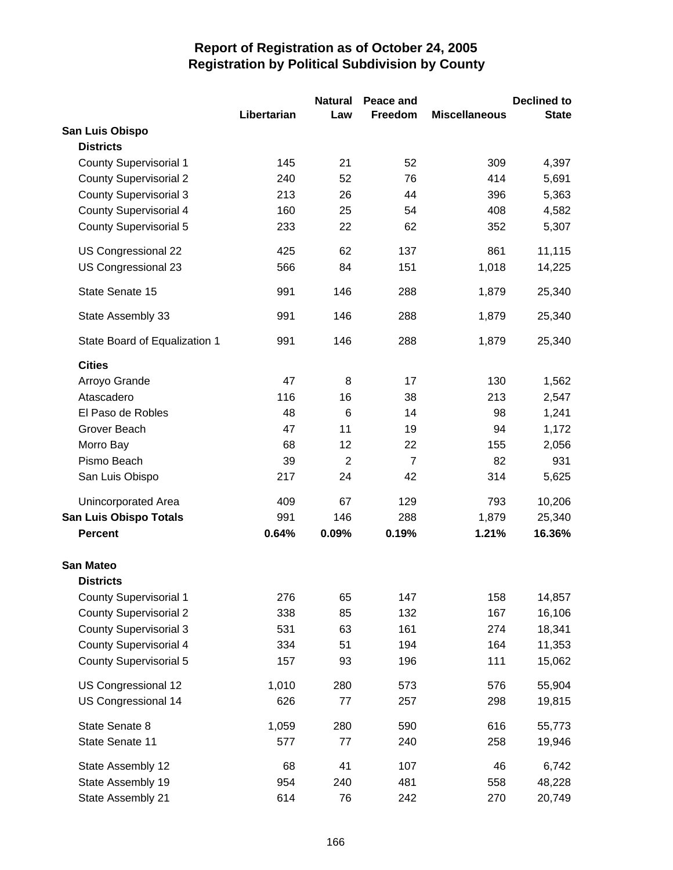|                               |             | <b>Natural</b> | Peace and      |                      | <b>Declined to</b> |
|-------------------------------|-------------|----------------|----------------|----------------------|--------------------|
|                               | Libertarian | Law            | Freedom        | <b>Miscellaneous</b> | <b>State</b>       |
| San Luis Obispo               |             |                |                |                      |                    |
| <b>Districts</b>              |             |                |                |                      |                    |
| <b>County Supervisorial 1</b> | 145         | 21             | 52             | 309                  | 4,397              |
| <b>County Supervisorial 2</b> | 240         | 52             | 76             | 414                  | 5,691              |
| <b>County Supervisorial 3</b> | 213         | 26             | 44             | 396                  | 5,363              |
| <b>County Supervisorial 4</b> | 160         | 25             | 54             | 408                  | 4,582              |
| <b>County Supervisorial 5</b> | 233         | 22             | 62             | 352                  | 5,307              |
| US Congressional 22           | 425         | 62             | 137            | 861                  | 11,115             |
| US Congressional 23           | 566         | 84             | 151            | 1,018                | 14,225             |
| State Senate 15               | 991         | 146            | 288            | 1,879                | 25,340             |
| State Assembly 33             | 991         | 146            | 288            | 1,879                | 25,340             |
| State Board of Equalization 1 | 991         | 146            | 288            | 1,879                | 25,340             |
| <b>Cities</b>                 |             |                |                |                      |                    |
| Arroyo Grande                 | 47          | 8              | 17             | 130                  | 1,562              |
| Atascadero                    | 116         | 16             | 38             | 213                  | 2,547              |
| El Paso de Robles             | 48          | 6              | 14             | 98                   | 1,241              |
| Grover Beach                  | 47          | 11             | 19             | 94                   | 1,172              |
| Morro Bay                     | 68          | 12             | 22             | 155                  | 2,056              |
| Pismo Beach                   | 39          | $\overline{2}$ | $\overline{7}$ | 82                   | 931                |
| San Luis Obispo               | 217         | 24             | 42             | 314                  | 5,625              |
| Unincorporated Area           | 409         | 67             | 129            | 793                  | 10,206             |
| <b>San Luis Obispo Totals</b> | 991         | 146            | 288            | 1,879                | 25,340             |
| <b>Percent</b>                | 0.64%       | 0.09%          | 0.19%          | 1.21%                | 16.36%             |
| <b>San Mateo</b>              |             |                |                |                      |                    |
| <b>Districts</b>              |             |                |                |                      |                    |
| <b>County Supervisorial 1</b> | 276         | 65             | 147            | 158                  | 14,857             |
| <b>County Supervisorial 2</b> | 338         | 85             | 132            | 167                  | 16,106             |
| <b>County Supervisorial 3</b> | 531         | 63             | 161            | 274                  | 18,341             |
| <b>County Supervisorial 4</b> | 334         | 51             | 194            | 164                  | 11,353             |
| <b>County Supervisorial 5</b> | 157         | 93             | 196            | 111                  | 15,062             |
| US Congressional 12           | 1,010       | 280            | 573            | 576                  | 55,904             |
| US Congressional 14           | 626         | 77             | 257            | 298                  | 19,815             |
| State Senate 8                | 1,059       | 280            | 590            | 616                  | 55,773             |
| State Senate 11               | 577         | 77             | 240            | 258                  | 19,946             |
| State Assembly 12             | 68          | 41             | 107            | 46                   | 6,742              |
| State Assembly 19             | 954         | 240            | 481            | 558                  | 48,228             |
| State Assembly 21             | 614         | 76             | 242            | 270                  | 20,749             |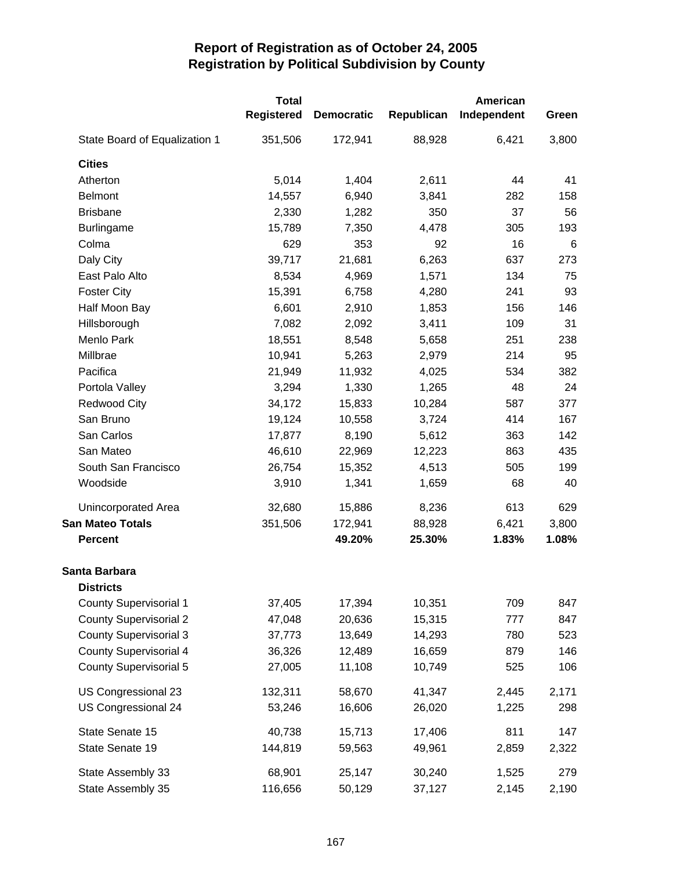|                               | <b>Total</b>      |                   |            | American    |       |
|-------------------------------|-------------------|-------------------|------------|-------------|-------|
|                               | <b>Registered</b> | <b>Democratic</b> | Republican | Independent | Green |
| State Board of Equalization 1 | 351,506           | 172,941           | 88,928     | 6,421       | 3,800 |
| <b>Cities</b>                 |                   |                   |            |             |       |
| Atherton                      | 5,014             | 1,404             | 2,611      | 44          | 41    |
| <b>Belmont</b>                | 14,557            | 6,940             | 3,841      | 282         | 158   |
| <b>Brisbane</b>               | 2,330             | 1,282             | 350        | 37          | 56    |
| <b>Burlingame</b>             | 15,789            | 7,350             | 4,478      | 305         | 193   |
| Colma                         | 629               | 353               | 92         | 16          | 6     |
| Daly City                     | 39,717            | 21,681            | 6,263      | 637         | 273   |
| East Palo Alto                | 8,534             | 4,969             | 1,571      | 134         | 75    |
| <b>Foster City</b>            | 15,391            | 6,758             | 4,280      | 241         | 93    |
| Half Moon Bay                 | 6,601             | 2,910             | 1,853      | 156         | 146   |
| Hillsborough                  | 7,082             | 2,092             | 3,411      | 109         | 31    |
| Menlo Park                    | 18,551            | 8,548             | 5,658      | 251         | 238   |
| Millbrae                      | 10,941            | 5,263             | 2,979      | 214         | 95    |
| Pacifica                      | 21,949            | 11,932            | 4,025      | 534         | 382   |
| Portola Valley                | 3,294             | 1,330             | 1,265      | 48          | 24    |
| <b>Redwood City</b>           | 34,172            | 15,833            | 10,284     | 587         | 377   |
| San Bruno                     | 19,124            | 10,558            | 3,724      | 414         | 167   |
| San Carlos                    | 17,877            | 8,190             | 5,612      | 363         | 142   |
| San Mateo                     | 46,610            | 22,969            | 12,223     | 863         | 435   |
| South San Francisco           | 26,754            | 15,352            | 4,513      | 505         | 199   |
| Woodside                      | 3,910             | 1,341             | 1,659      | 68          | 40    |
| Unincorporated Area           | 32,680            | 15,886            | 8,236      | 613         | 629   |
| <b>San Mateo Totals</b>       | 351,506           | 172,941           | 88,928     | 6,421       | 3,800 |
| <b>Percent</b>                |                   | 49.20%            | 25.30%     | 1.83%       | 1.08% |
| Santa Barbara                 |                   |                   |            |             |       |
| <b>Districts</b>              |                   |                   |            |             |       |
| <b>County Supervisorial 1</b> | 37,405            | 17,394            | 10,351     | 709         | 847   |
| <b>County Supervisorial 2</b> | 47,048            | 20,636            | 15,315     | 777         | 847   |
| <b>County Supervisorial 3</b> | 37,773            | 13,649            | 14,293     | 780         | 523   |
| <b>County Supervisorial 4</b> | 36,326            | 12,489            | 16,659     | 879         | 146   |
| <b>County Supervisorial 5</b> | 27,005            | 11,108            | 10,749     | 525         | 106   |
| US Congressional 23           | 132,311           | 58,670            | 41,347     | 2,445       | 2,171 |
| US Congressional 24           | 53,246            | 16,606            | 26,020     | 1,225       | 298   |
| State Senate 15               | 40,738            | 15,713            | 17,406     | 811         | 147   |
| State Senate 19               | 144,819           | 59,563            | 49,961     | 2,859       | 2,322 |
| State Assembly 33             | 68,901            | 25,147            | 30,240     | 1,525       | 279   |
| State Assembly 35             | 116,656           | 50,129            | 37,127     | 2,145       | 2,190 |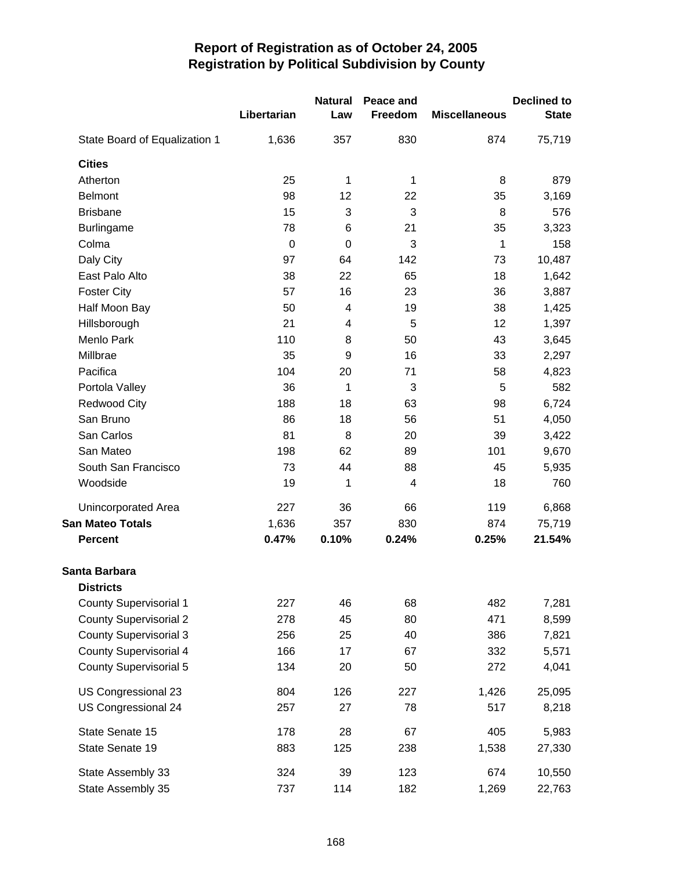|                               |             | <b>Natural</b> | Peace and    |                      | <b>Declined to</b> |
|-------------------------------|-------------|----------------|--------------|----------------------|--------------------|
|                               | Libertarian | Law            | Freedom      | <b>Miscellaneous</b> | <b>State</b>       |
| State Board of Equalization 1 | 1,636       | 357            | 830          | 874                  | 75,719             |
| <b>Cities</b>                 |             |                |              |                      |                    |
| Atherton                      | 25          | 1              | 1            | 8                    | 879                |
| <b>Belmont</b>                | 98          | 12             | 22           | 35                   | 3,169              |
| <b>Brisbane</b>               | 15          | 3              | $\mathbf{3}$ | 8                    | 576                |
| <b>Burlingame</b>             | 78          | 6              | 21           | 35                   | 3,323              |
| Colma                         | $\mathbf 0$ | $\mathbf 0$    | 3            | 1                    | 158                |
| Daly City                     | 97          | 64             | 142          | 73                   | 10,487             |
| East Palo Alto                | 38          | 22             | 65           | 18                   | 1,642              |
| <b>Foster City</b>            | 57          | 16             | 23           | 36                   | 3,887              |
| Half Moon Bay                 | 50          | 4              | 19           | 38                   | 1,425              |
| Hillsborough                  | 21          | 4              | 5            | 12                   | 1,397              |
| Menlo Park                    | 110         | 8              | 50           | 43                   | 3,645              |
| Millbrae                      | 35          | 9              | 16           | 33                   | 2,297              |
| Pacifica                      | 104         | 20             | 71           | 58                   | 4,823              |
| Portola Valley                | 36          | 1              | 3            | 5                    | 582                |
| <b>Redwood City</b>           | 188         | 18             | 63           | 98                   | 6,724              |
| San Bruno                     | 86          | 18             | 56           | 51                   | 4,050              |
| San Carlos                    | 81          | 8              | 20           | 39                   | 3,422              |
| San Mateo                     | 198         | 62             | 89           | 101                  | 9,670              |
| South San Francisco           | 73          | 44             | 88           | 45                   | 5,935              |
| Woodside                      | 19          | 1              | 4            | 18                   | 760                |
| Unincorporated Area           | 227         | 36             | 66           | 119                  | 6,868              |
| <b>San Mateo Totals</b>       | 1,636       | 357            | 830          | 874                  | 75,719             |
| <b>Percent</b>                | 0.47%       | 0.10%          | 0.24%        | 0.25%                | 21.54%             |
| Santa Barbara                 |             |                |              |                      |                    |
| <b>Districts</b>              |             |                |              |                      |                    |
| <b>County Supervisorial 1</b> | 227         | 46             | 68           | 482                  | 7,281              |
| <b>County Supervisorial 2</b> | 278         | 45             | 80           | 471                  | 8,599              |
| <b>County Supervisorial 3</b> | 256         | 25             | 40           | 386                  | 7,821              |
| <b>County Supervisorial 4</b> | 166         | 17             | 67           | 332                  | 5,571              |
| <b>County Supervisorial 5</b> | 134         | 20             | 50           | 272                  | 4,041              |
| US Congressional 23           | 804         | 126            | 227          | 1,426                | 25,095             |
| US Congressional 24           | 257         | 27             | 78           | 517                  | 8,218              |
| State Senate 15               | 178         | 28             | 67           | 405                  | 5,983              |
| State Senate 19               | 883         | 125            | 238          | 1,538                | 27,330             |
| State Assembly 33             | 324         | 39             | 123          | 674                  | 10,550             |
| State Assembly 35             | 737         | 114            | 182          | 1,269                | 22,763             |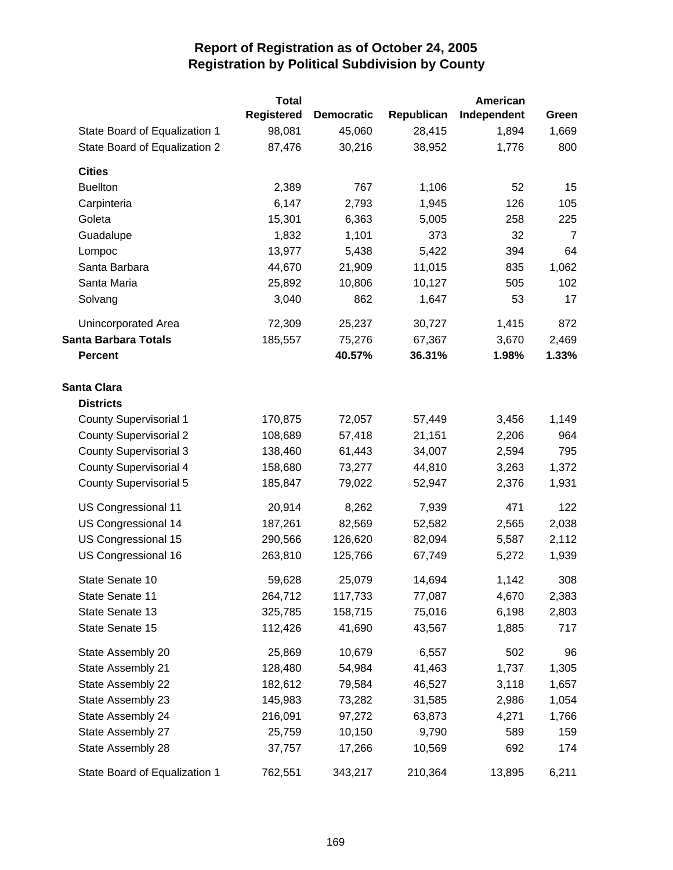|                               | <b>Total</b>      |                   |            | <b>American</b> |                |
|-------------------------------|-------------------|-------------------|------------|-----------------|----------------|
|                               | <b>Registered</b> | <b>Democratic</b> | Republican | Independent     | Green          |
| State Board of Equalization 1 | 98,081            | 45,060            | 28,415     | 1,894           | 1,669          |
| State Board of Equalization 2 | 87,476            | 30,216            | 38,952     | 1,776           | 800            |
| <b>Cities</b>                 |                   |                   |            |                 |                |
| <b>Buellton</b>               | 2,389             | 767               | 1,106      | 52              | 15             |
| Carpinteria                   | 6,147             | 2,793             | 1,945      | 126             | 105            |
| Goleta                        | 15,301            | 6,363             | 5,005      | 258             | 225            |
| Guadalupe                     | 1,832             | 1,101             | 373        | 32              | $\overline{7}$ |
| Lompoc                        | 13,977            | 5,438             | 5,422      | 394             | 64             |
| Santa Barbara                 | 44,670            | 21,909            | 11,015     | 835             | 1,062          |
| Santa Maria                   | 25,892            | 10,806            | 10,127     | 505             | 102            |
| Solvang                       | 3,040             | 862               | 1,647      | 53              | 17             |
| Unincorporated Area           | 72,309            | 25,237            | 30,727     | 1,415           | 872            |
| <b>Santa Barbara Totals</b>   | 185,557           | 75,276            | 67,367     | 3,670           | 2,469          |
| <b>Percent</b>                |                   | 40.57%            | 36.31%     | 1.98%           | 1.33%          |
| <b>Santa Clara</b>            |                   |                   |            |                 |                |
| <b>Districts</b>              |                   |                   |            |                 |                |
| <b>County Supervisorial 1</b> | 170,875           | 72,057            | 57,449     | 3,456           | 1,149          |
| <b>County Supervisorial 2</b> | 108,689           | 57,418            | 21,151     | 2,206           | 964            |
| <b>County Supervisorial 3</b> | 138,460           | 61,443            | 34,007     | 2,594           | 795            |
| <b>County Supervisorial 4</b> | 158,680           | 73,277            | 44,810     | 3,263           | 1,372          |
| <b>County Supervisorial 5</b> | 185,847           | 79,022            | 52,947     | 2,376           | 1,931          |
| US Congressional 11           | 20,914            | 8,262             | 7,939      | 471             | 122            |
| US Congressional 14           | 187,261           | 82,569            | 52,582     | 2,565           | 2,038          |
| US Congressional 15           | 290,566           | 126,620           | 82,094     | 5,587           | 2,112          |
| US Congressional 16           | 263,810           | 125,766           | 67,749     | 5,272           | 1,939          |
| State Senate 10               | 59,628            | 25,079            | 14,694     | 1,142           | 308            |
| State Senate 11               | 264,712           | 117,733           | 77,087     | 4,670           | 2,383          |
| State Senate 13               | 325,785           | 158,715           | 75,016     | 6,198           | 2,803          |
| State Senate 15               | 112,426           | 41,690            | 43,567     | 1,885           | 717            |
| State Assembly 20             | 25,869            | 10,679            | 6,557      | 502             | 96             |
| State Assembly 21             | 128,480           | 54,984            | 41,463     | 1,737           | 1,305          |
| State Assembly 22             | 182,612           | 79,584            | 46,527     | 3,118           | 1,657          |
| State Assembly 23             | 145,983           | 73,282            | 31,585     | 2,986           | 1,054          |
| State Assembly 24             | 216,091           | 97,272            | 63,873     | 4,271           | 1,766          |
| State Assembly 27             | 25,759            | 10,150            | 9,790      | 589             | 159            |
| State Assembly 28             | 37,757            | 17,266            | 10,569     | 692             | 174            |
| State Board of Equalization 1 | 762,551           | 343,217           | 210,364    | 13,895          | 6,211          |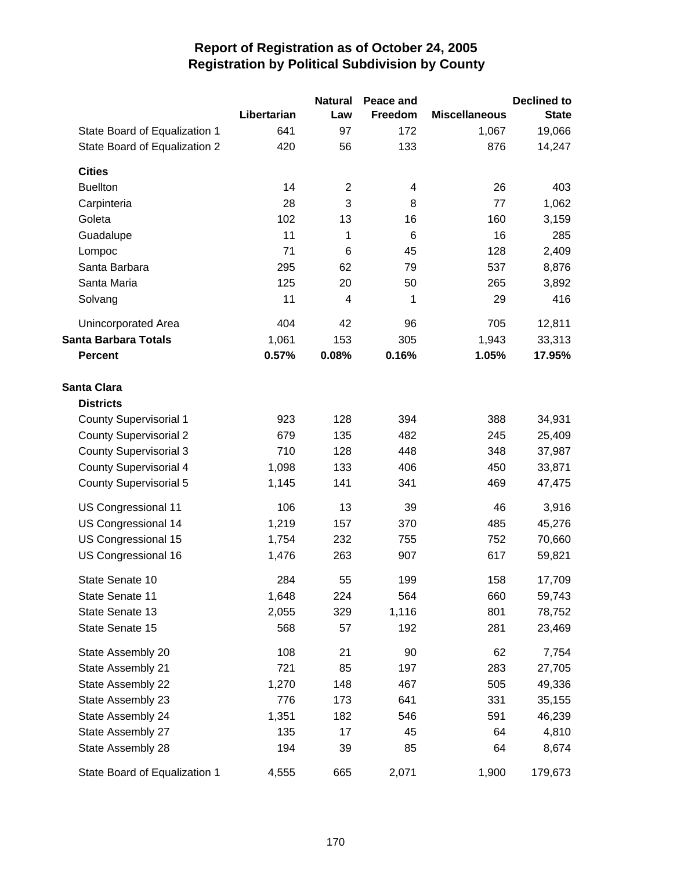|                               |             | <b>Natural</b> | Peace and |                      | <b>Declined to</b> |
|-------------------------------|-------------|----------------|-----------|----------------------|--------------------|
|                               | Libertarian | Law            | Freedom   | <b>Miscellaneous</b> | <b>State</b>       |
| State Board of Equalization 1 | 641         | 97             | 172       | 1,067                | 19,066             |
| State Board of Equalization 2 | 420         | 56             | 133       | 876                  | 14,247             |
| <b>Cities</b>                 |             |                |           |                      |                    |
| <b>Buellton</b>               | 14          | $\overline{2}$ | 4         | 26                   | 403                |
| Carpinteria                   | 28          | 3              | 8         | 77                   | 1,062              |
| Goleta                        | 102         | 13             | 16        | 160                  | 3,159              |
| Guadalupe                     | 11          | 1              | 6         | 16                   | 285                |
| Lompoc                        | 71          | 6              | 45        | 128                  | 2,409              |
| Santa Barbara                 | 295         | 62             | 79        | 537                  | 8,876              |
| Santa Maria                   | 125         | 20             | 50        | 265                  | 3,892              |
| Solvang                       | 11          | 4              | 1         | 29                   | 416                |
| Unincorporated Area           | 404         | 42             | 96        | 705                  | 12,811             |
| <b>Santa Barbara Totals</b>   | 1,061       | 153            | 305       | 1,943                | 33,313             |
| <b>Percent</b>                | 0.57%       | 0.08%          | 0.16%     | 1.05%                | 17.95%             |
| <b>Santa Clara</b>            |             |                |           |                      |                    |
| <b>Districts</b>              |             |                |           |                      |                    |
| <b>County Supervisorial 1</b> | 923         | 128            | 394       | 388                  | 34,931             |
| <b>County Supervisorial 2</b> | 679         | 135            | 482       | 245                  | 25,409             |
| <b>County Supervisorial 3</b> | 710         | 128            | 448       | 348                  | 37,987             |
| <b>County Supervisorial 4</b> | 1,098       | 133            | 406       | 450                  | 33,871             |
| County Supervisorial 5        | 1,145       | 141            | 341       | 469                  | 47,475             |
| US Congressional 11           | 106         | 13             | 39        | 46                   | 3,916              |
| US Congressional 14           | 1,219       | 157            | 370       | 485                  | 45,276             |
| US Congressional 15           | 1,754       | 232            | 755       | 752                  | 70,660             |
| US Congressional 16           | 1,476       | 263            | 907       | 617                  | 59,821             |
| State Senate 10               | 284         | 55             | 199       | 158                  | 17,709             |
| State Senate 11               | 1,648       | 224            | 564       | 660                  | 59,743             |
| State Senate 13               | 2,055       | 329            | 1,116     | 801                  | 78,752             |
| State Senate 15               | 568         | 57             | 192       | 281                  | 23,469             |
| State Assembly 20             | 108         | 21             | 90        | 62                   | 7,754              |
| State Assembly 21             | 721         | 85             | 197       | 283                  | 27,705             |
| State Assembly 22             | 1,270       | 148            | 467       | 505                  | 49,336             |
| State Assembly 23             | 776         | 173            | 641       | 331                  | 35,155             |
| State Assembly 24             | 1,351       | 182            | 546       | 591                  | 46,239             |
| State Assembly 27             | 135         | 17             | 45        | 64                   | 4,810              |
| State Assembly 28             | 194         | 39             | 85        | 64                   | 8,674              |
| State Board of Equalization 1 | 4,555       | 665            | 2,071     | 1,900                | 179,673            |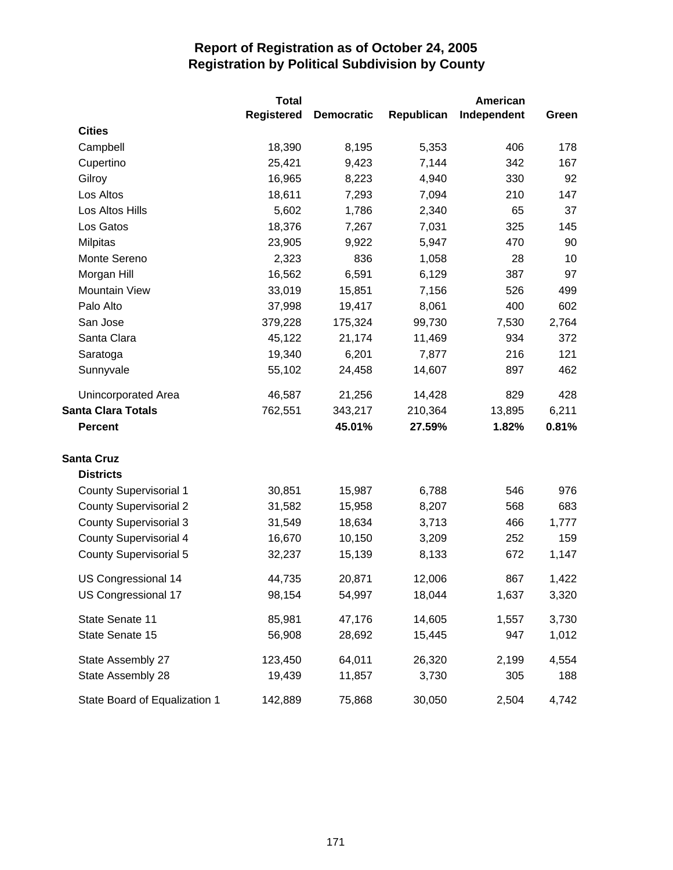|                               | <b>Total</b>      |                   |            | American    |       |
|-------------------------------|-------------------|-------------------|------------|-------------|-------|
|                               | <b>Registered</b> | <b>Democratic</b> | Republican | Independent | Green |
| <b>Cities</b>                 |                   |                   |            |             |       |
| Campbell                      | 18,390            | 8,195             | 5,353      | 406         | 178   |
| Cupertino                     | 25,421            | 9,423             | 7,144      | 342         | 167   |
| Gilroy                        | 16,965            | 8,223             | 4,940      | 330         | 92    |
| Los Altos                     | 18,611            | 7,293             | 7,094      | 210         | 147   |
| Los Altos Hills               | 5,602             | 1,786             | 2,340      | 65          | 37    |
| Los Gatos                     | 18,376            | 7,267             | 7,031      | 325         | 145   |
| <b>Milpitas</b>               | 23,905            | 9,922             | 5,947      | 470         | 90    |
| Monte Sereno                  | 2,323             | 836               | 1,058      | 28          | 10    |
| Morgan Hill                   | 16,562            | 6,591             | 6,129      | 387         | 97    |
| <b>Mountain View</b>          | 33,019            | 15,851            | 7,156      | 526         | 499   |
| Palo Alto                     | 37,998            | 19,417            | 8,061      | 400         | 602   |
| San Jose                      | 379,228           | 175,324           | 99,730     | 7,530       | 2,764 |
| Santa Clara                   | 45,122            | 21,174            | 11,469     | 934         | 372   |
| Saratoga                      | 19,340            | 6,201             | 7,877      | 216         | 121   |
| Sunnyvale                     | 55,102            | 24,458            | 14,607     | 897         | 462   |
| Unincorporated Area           | 46,587            | 21,256            | 14,428     | 829         | 428   |
| <b>Santa Clara Totals</b>     | 762,551           | 343,217           | 210,364    | 13,895      | 6,211 |
| <b>Percent</b>                |                   | 45.01%            | 27.59%     | 1.82%       | 0.81% |
| <b>Santa Cruz</b>             |                   |                   |            |             |       |
| <b>Districts</b>              |                   |                   |            |             |       |
| <b>County Supervisorial 1</b> | 30,851            | 15,987            | 6,788      | 546         | 976   |
| <b>County Supervisorial 2</b> | 31,582            | 15,958            | 8,207      | 568         | 683   |
| <b>County Supervisorial 3</b> | 31,549            | 18,634            | 3,713      | 466         | 1,777 |
| <b>County Supervisorial 4</b> | 16,670            | 10,150            | 3,209      | 252         | 159   |
| <b>County Supervisorial 5</b> | 32,237            | 15,139            | 8,133      | 672         | 1,147 |
| US Congressional 14           | 44,735            | 20,871            | 12,006     | 867         | 1,422 |
| US Congressional 17           | 98,154            | 54,997            | 18,044     | 1,637       | 3,320 |
| State Senate 11               | 85,981            | 47,176            | 14,605     | 1,557       | 3,730 |
| State Senate 15               | 56,908            | 28,692            | 15,445     | 947         | 1,012 |
| State Assembly 27             | 123,450           | 64,011            | 26,320     | 2,199       | 4,554 |
| State Assembly 28             | 19,439            | 11,857            | 3,730      | 305         | 188   |
| State Board of Equalization 1 | 142,889           | 75,868            | 30,050     | 2,504       | 4,742 |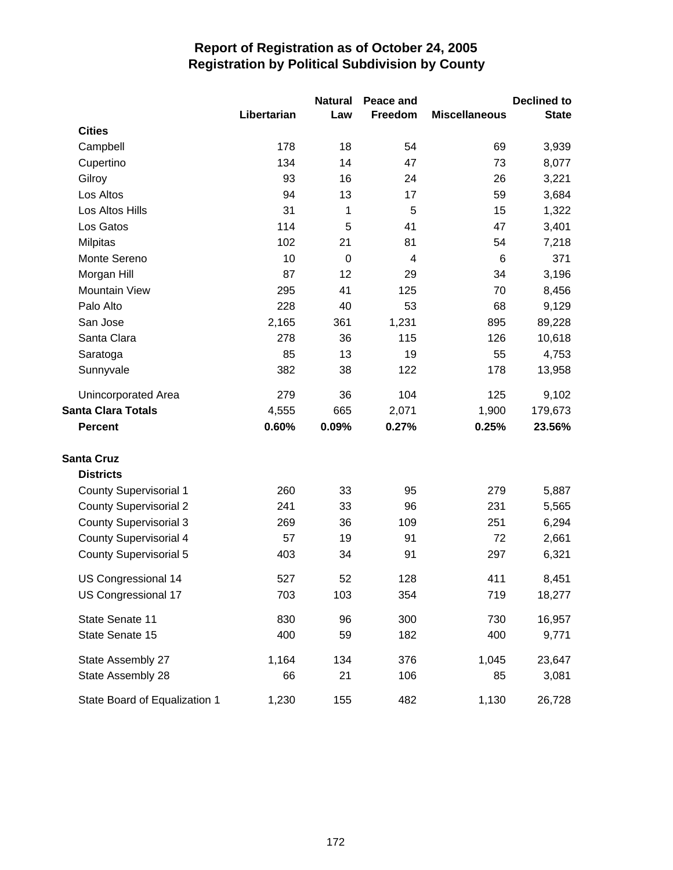|                               |             | <b>Natural</b> | Peace and |                      | <b>Declined to</b> |
|-------------------------------|-------------|----------------|-----------|----------------------|--------------------|
|                               | Libertarian | Law            | Freedom   | <b>Miscellaneous</b> | <b>State</b>       |
| <b>Cities</b>                 |             |                |           |                      |                    |
| Campbell                      | 178         | 18             | 54        | 69                   | 3,939              |
| Cupertino                     | 134         | 14             | 47        | 73                   | 8,077              |
| Gilroy                        | 93          | 16             | 24        | 26                   | 3,221              |
| Los Altos                     | 94          | 13             | 17        | 59                   | 3,684              |
| Los Altos Hills               | 31          | 1              | 5         | 15                   | 1,322              |
| Los Gatos                     | 114         | 5              | 41        | 47                   | 3,401              |
| <b>Milpitas</b>               | 102         | 21             | 81        | 54                   | 7,218              |
| Monte Sereno                  | 10          | $\mathbf 0$    | 4         | 6                    | 371                |
| Morgan Hill                   | 87          | 12             | 29        | 34                   | 3,196              |
| <b>Mountain View</b>          | 295         | 41             | 125       | 70                   | 8,456              |
| Palo Alto                     | 228         | 40             | 53        | 68                   | 9,129              |
| San Jose                      | 2,165       | 361            | 1,231     | 895                  | 89,228             |
| Santa Clara                   | 278         | 36             | 115       | 126                  | 10,618             |
| Saratoga                      | 85          | 13             | 19        | 55                   | 4,753              |
| Sunnyvale                     | 382         | 38             | 122       | 178                  | 13,958             |
| Unincorporated Area           | 279         | 36             | 104       | 125                  | 9,102              |
| <b>Santa Clara Totals</b>     | 4,555       | 665            | 2,071     | 1,900                | 179,673            |
| <b>Percent</b>                | 0.60%       | 0.09%          | 0.27%     | 0.25%                | 23.56%             |
| <b>Santa Cruz</b>             |             |                |           |                      |                    |
| <b>Districts</b>              |             |                |           |                      |                    |
| <b>County Supervisorial 1</b> | 260         | 33             | 95        | 279                  | 5,887              |
| <b>County Supervisorial 2</b> | 241         | 33             | 96        | 231                  | 5,565              |
| <b>County Supervisorial 3</b> | 269         | 36             | 109       | 251                  | 6,294              |
| <b>County Supervisorial 4</b> | 57          | 19             | 91        | 72                   | 2,661              |
| <b>County Supervisorial 5</b> | 403         | 34             | 91        | 297                  | 6,321              |
| US Congressional 14           | 527         | 52             | 128       | 411                  | 8,451              |
| US Congressional 17           | 703         | 103            | 354       | 719                  | 18,277             |
| State Senate 11               | 830         | 96             | 300       | 730                  | 16,957             |
| State Senate 15               | 400         | 59             | 182       | 400                  | 9,771              |
| State Assembly 27             | 1,164       | 134            | 376       | 1,045                | 23,647             |
| State Assembly 28             | 66          | 21             | 106       | 85                   | 3,081              |
| State Board of Equalization 1 | 1,230       | 155            | 482       | 1,130                | 26,728             |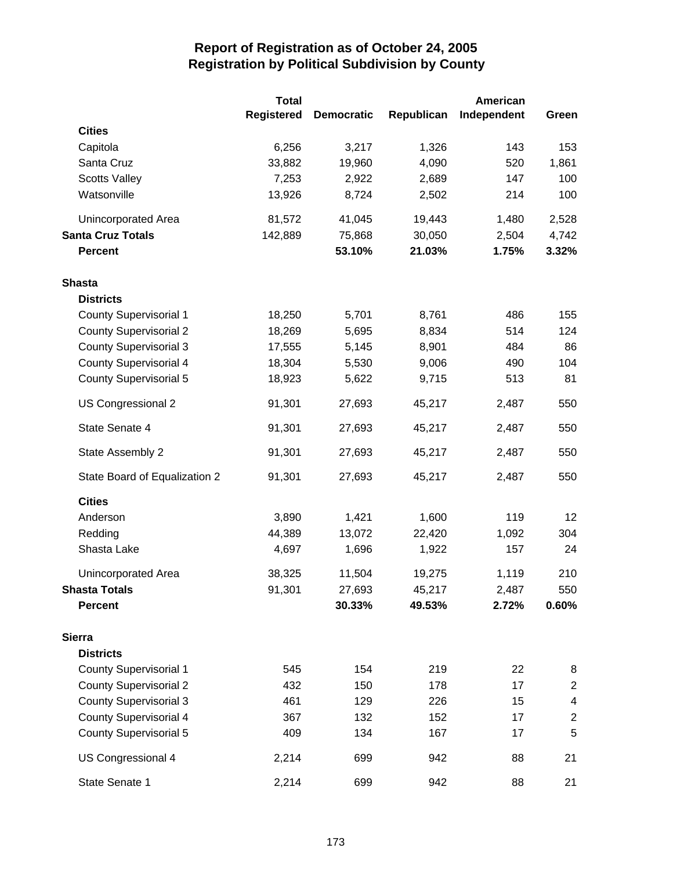|                               | <b>Total</b>      |                   |            | <b>American</b> |                         |
|-------------------------------|-------------------|-------------------|------------|-----------------|-------------------------|
|                               | <b>Registered</b> | <b>Democratic</b> | Republican | Independent     | Green                   |
| <b>Cities</b>                 |                   |                   |            |                 |                         |
| Capitola                      | 6,256             | 3,217             | 1,326      | 143             | 153                     |
| Santa Cruz                    | 33,882            | 19,960            | 4,090      | 520             | 1,861                   |
| <b>Scotts Valley</b>          | 7,253             | 2,922             | 2,689      | 147             | 100                     |
| Watsonville                   | 13,926            | 8,724             | 2,502      | 214             | 100                     |
| Unincorporated Area           | 81,572            | 41,045            | 19,443     | 1,480           | 2,528                   |
| <b>Santa Cruz Totals</b>      | 142,889           | 75,868            | 30,050     | 2,504           | 4,742                   |
| <b>Percent</b>                |                   | 53.10%            | 21.03%     | 1.75%           | 3.32%                   |
| <b>Shasta</b>                 |                   |                   |            |                 |                         |
| <b>Districts</b>              |                   |                   |            |                 |                         |
| <b>County Supervisorial 1</b> | 18,250            | 5,701             | 8,761      | 486             | 155                     |
| <b>County Supervisorial 2</b> | 18,269            | 5,695             | 8,834      | 514             | 124                     |
| <b>County Supervisorial 3</b> | 17,555            | 5,145             | 8,901      | 484             | 86                      |
| <b>County Supervisorial 4</b> | 18,304            | 5,530             | 9,006      | 490             | 104                     |
| <b>County Supervisorial 5</b> | 18,923            | 5,622             | 9,715      | 513             | 81                      |
| US Congressional 2            | 91,301            | 27,693            | 45,217     | 2,487           | 550                     |
| State Senate 4                | 91,301            | 27,693            | 45,217     | 2,487           | 550                     |
| State Assembly 2              | 91,301            | 27,693            | 45,217     | 2,487           | 550                     |
| State Board of Equalization 2 | 91,301            | 27,693            | 45,217     | 2,487           | 550                     |
| <b>Cities</b>                 |                   |                   |            |                 |                         |
| Anderson                      | 3,890             | 1,421             | 1,600      | 119             | 12                      |
| Redding                       | 44,389            | 13,072            | 22,420     | 1,092           | 304                     |
| Shasta Lake                   | 4,697             | 1,696             | 1,922      | 157             | 24                      |
| Unincorporated Area           | 38,325            | 11,504            | 19,275     | 1,119           | 210                     |
| <b>Shasta Totals</b>          | 91,301            | 27,693            | 45,217     | 2,487           | 550                     |
| <b>Percent</b>                |                   | 30.33%            | 49.53%     | 2.72%           | 0.60%                   |
| <b>Sierra</b>                 |                   |                   |            |                 |                         |
| <b>Districts</b>              |                   |                   |            |                 |                         |
| <b>County Supervisorial 1</b> | 545               | 154               | 219        | 22              | 8                       |
| <b>County Supervisorial 2</b> | 432               | 150               | 178        | 17              | $\boldsymbol{2}$        |
| <b>County Supervisorial 3</b> | 461               | 129               | 226        | 15              | 4                       |
| <b>County Supervisorial 4</b> | 367               | 132               | 152        | 17              | $\overline{\mathbf{c}}$ |
| <b>County Supervisorial 5</b> | 409               | 134               | 167        | 17              | 5                       |
| US Congressional 4            | 2,214             | 699               | 942        | 88              | 21                      |
| State Senate 1                | 2,214             | 699               | 942        | 88              | 21                      |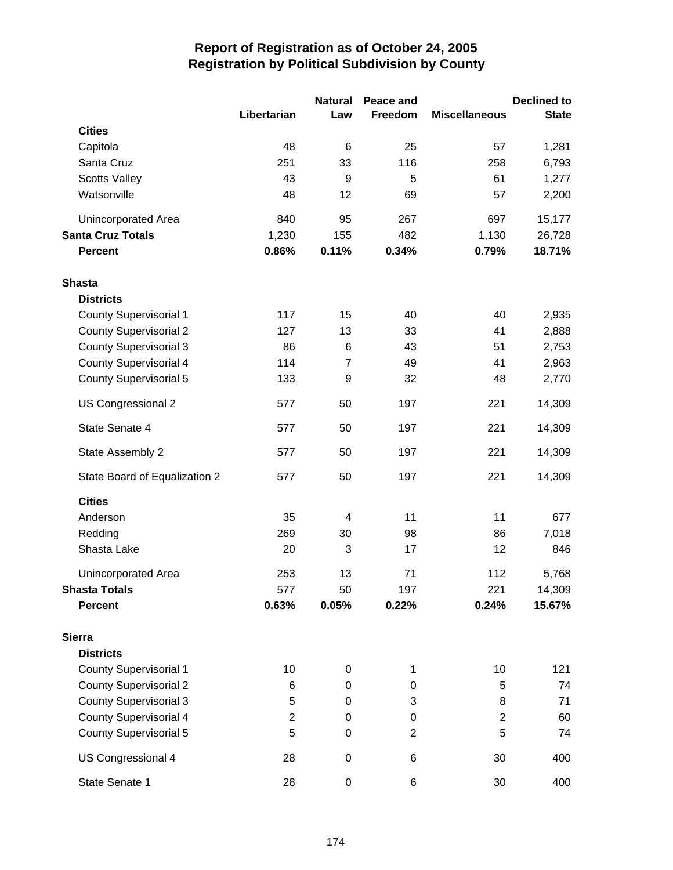|                               |                         | <b>Natural</b>   | Peace and      |                      | <b>Declined to</b> |
|-------------------------------|-------------------------|------------------|----------------|----------------------|--------------------|
|                               | Libertarian             | Law              | Freedom        | <b>Miscellaneous</b> | <b>State</b>       |
| <b>Cities</b>                 |                         |                  |                |                      |                    |
| Capitola                      | 48                      | 6                | 25             | 57                   | 1,281              |
| Santa Cruz                    | 251                     | 33               | 116            | 258                  | 6,793              |
| <b>Scotts Valley</b>          | 43                      | $9$              | 5              | 61                   | 1,277              |
| Watsonville                   | 48                      | 12               | 69             | 57                   | 2,200              |
| Unincorporated Area           | 840                     | 95               | 267            | 697                  | 15,177             |
| <b>Santa Cruz Totals</b>      | 1,230                   | 155              | 482            | 1,130                | 26,728             |
| <b>Percent</b>                | 0.86%                   | 0.11%            | 0.34%          | 0.79%                | 18.71%             |
| <b>Shasta</b>                 |                         |                  |                |                      |                    |
| <b>Districts</b>              |                         |                  |                |                      |                    |
| County Supervisorial 1        | 117                     | 15               | 40             | 40                   | 2,935              |
| <b>County Supervisorial 2</b> | 127                     | 13               | 33             | 41                   | 2,888              |
| <b>County Supervisorial 3</b> | 86                      | 6                | 43             | 51                   | 2,753              |
| <b>County Supervisorial 4</b> | 114                     | $\overline{7}$   | 49             | 41                   | 2,963              |
| <b>County Supervisorial 5</b> | 133                     | 9                | 32             | 48                   | 2,770              |
| US Congressional 2            | 577                     | 50               | 197            | 221                  | 14,309             |
| State Senate 4                | 577                     | 50               | 197            | 221                  | 14,309             |
| State Assembly 2              | 577                     | 50               | 197            | 221                  | 14,309             |
| State Board of Equalization 2 | 577                     | 50               | 197            | 221                  | 14,309             |
| <b>Cities</b>                 |                         |                  |                |                      |                    |
| Anderson                      | 35                      | 4                | 11             | 11                   | 677                |
| Redding                       | 269                     | 30               | 98             | 86                   | 7,018              |
| Shasta Lake                   | 20                      | 3                | 17             | 12                   | 846                |
| <b>Unincorporated Area</b>    | 253                     | 13               | 71             | 112                  | 5,768              |
| <b>Shasta Totals</b>          | 577                     | 50               | 197            | 221                  | 14,309             |
| <b>Percent</b>                | 0.63%                   | 0.05%            | 0.22%          | 0.24%                | 15.67%             |
| <b>Sierra</b>                 |                         |                  |                |                      |                    |
| <b>Districts</b>              |                         |                  |                |                      |                    |
| <b>County Supervisorial 1</b> | 10                      | 0                | 1              | 10                   | 121                |
| <b>County Supervisorial 2</b> | 6                       | $\mathbf 0$      | 0              | 5                    | 74                 |
| <b>County Supervisorial 3</b> | 5                       | 0                | 3              | 8                    | 71                 |
| <b>County Supervisorial 4</b> | $\overline{\mathbf{c}}$ | $\boldsymbol{0}$ | 0              | $\mathbf 2$          | 60                 |
| <b>County Supervisorial 5</b> | 5                       | 0                | $\overline{2}$ | 5                    | 74                 |
| US Congressional 4            | 28                      | $\pmb{0}$        | 6              | 30                   | 400                |
| State Senate 1                | 28                      | $\pmb{0}$        | 6              | 30                   | 400                |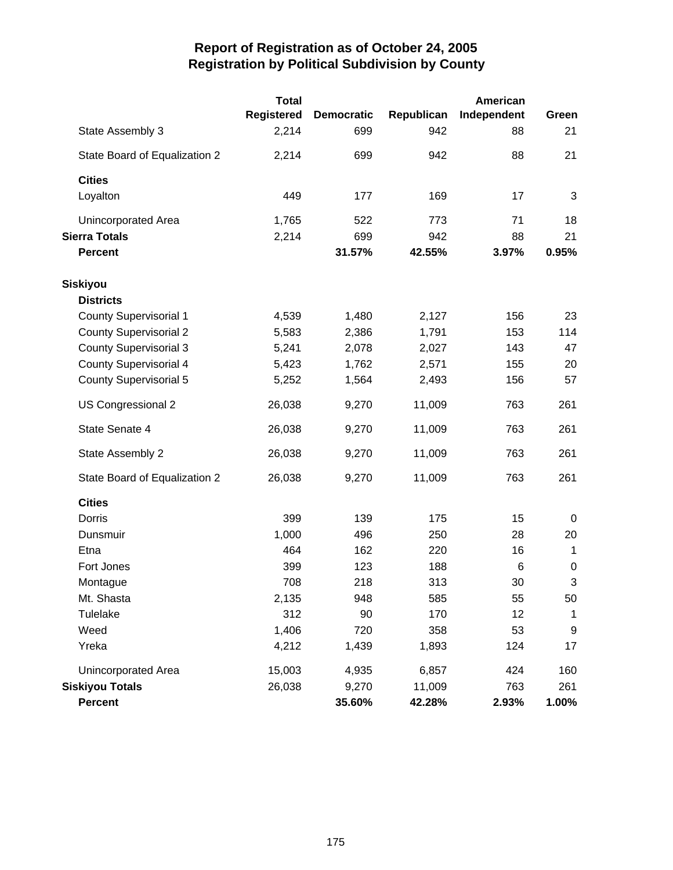|                               | <b>Total</b>      |                   |            | American    |             |
|-------------------------------|-------------------|-------------------|------------|-------------|-------------|
|                               | <b>Registered</b> | <b>Democratic</b> | Republican | Independent | Green       |
| State Assembly 3              | 2,214             | 699               | 942        | 88          | 21          |
| State Board of Equalization 2 | 2,214             | 699               | 942        | 88          | 21          |
| <b>Cities</b>                 |                   |                   |            |             |             |
| Loyalton                      | 449               | 177               | 169        | 17          | 3           |
| Unincorporated Area           | 1,765             | 522               | 773        | 71          | 18          |
| <b>Sierra Totals</b>          | 2,214             | 699               | 942        | 88          | 21          |
| <b>Percent</b>                |                   | 31.57%            | 42.55%     | 3.97%       | 0.95%       |
| Siskiyou                      |                   |                   |            |             |             |
| <b>Districts</b>              |                   |                   |            |             |             |
| <b>County Supervisorial 1</b> | 4,539             | 1,480             | 2,127      | 156         | 23          |
| <b>County Supervisorial 2</b> | 5,583             | 2,386             | 1,791      | 153         | 114         |
| <b>County Supervisorial 3</b> | 5,241             | 2,078             | 2,027      | 143         | 47          |
| <b>County Supervisorial 4</b> | 5,423             | 1,762             | 2,571      | 155         | 20          |
| <b>County Supervisorial 5</b> | 5,252             | 1,564             | 2,493      | 156         | 57          |
| US Congressional 2            | 26,038            | 9,270             | 11,009     | 763         | 261         |
| State Senate 4                | 26,038            | 9,270             | 11,009     | 763         | 261         |
| State Assembly 2              | 26,038            | 9,270             | 11,009     | 763         | 261         |
| State Board of Equalization 2 | 26,038            | 9,270             | 11,009     | 763         | 261         |
| <b>Cities</b>                 |                   |                   |            |             |             |
| Dorris                        | 399               | 139               | 175        | 15          | 0           |
| Dunsmuir                      | 1,000             | 496               | 250        | 28          | 20          |
| Etna                          | 464               | 162               | 220        | 16          | $\mathbf 1$ |
| Fort Jones                    | 399               | 123               | 188        | 6           | $\pmb{0}$   |
| Montague                      | 708               | 218               | 313        | 30          | 3           |
| Mt. Shasta                    | 2,135             | 948               | 585        | 55          | 50          |
| Tulelake                      | 312               | 90                | 170        | 12          | 1           |
| Weed                          | 1,406             | 720               | 358        | 53          | 9           |
| Yreka                         | 4,212             | 1,439             | 1,893      | 124         | 17          |
| Unincorporated Area           | 15,003            | 4,935             | 6,857      | 424         | 160         |
| <b>Siskiyou Totals</b>        | 26,038            | 9,270             | 11,009     | 763         | 261         |
| <b>Percent</b>                |                   | 35.60%            | 42.28%     | 2.93%       | 1.00%       |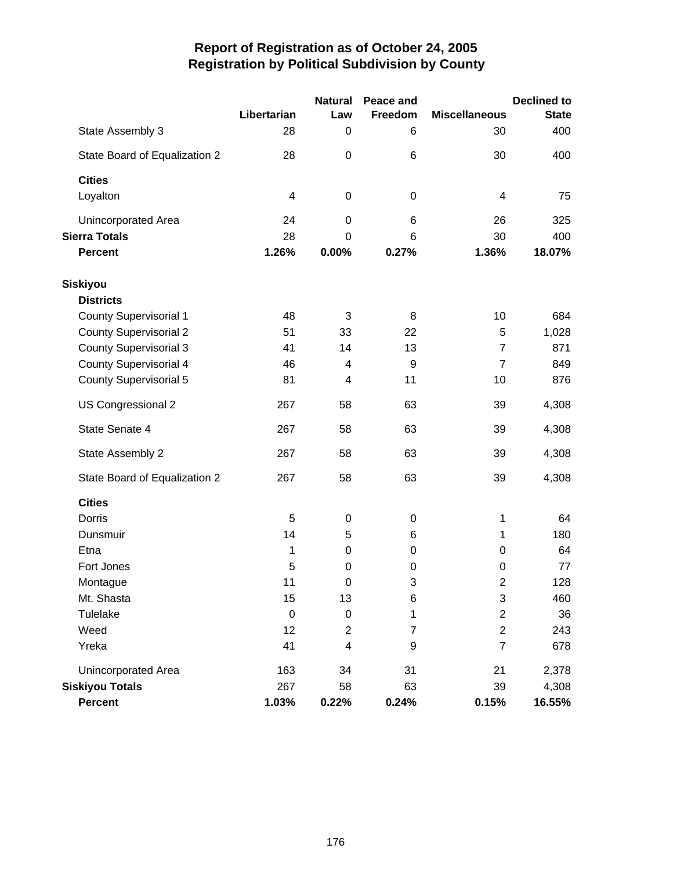|                               | Libertarian | <b>Natural</b><br>Law | Peace and<br>Freedom | <b>Miscellaneous</b>    | <b>Declined to</b><br><b>State</b> |
|-------------------------------|-------------|-----------------------|----------------------|-------------------------|------------------------------------|
| State Assembly 3              | 28          | 0                     | 6                    | 30                      | 400                                |
| State Board of Equalization 2 | 28          | 0                     | 6                    | 30                      | 400                                |
| <b>Cities</b>                 |             |                       |                      |                         |                                    |
| Loyalton                      | 4           | $\pmb{0}$             | 0                    | 4                       | 75                                 |
| Unincorporated Area           | 24          | 0                     | 6                    | 26                      | 325                                |
| <b>Sierra Totals</b>          | 28          | $\mathbf 0$           | 6                    | 30                      | 400                                |
| <b>Percent</b>                | 1.26%       | 0.00%                 | 0.27%                | 1.36%                   | 18.07%                             |
| <b>Siskiyou</b>               |             |                       |                      |                         |                                    |
| <b>Districts</b>              |             |                       |                      |                         |                                    |
| <b>County Supervisorial 1</b> | 48          | 3                     | 8                    | 10                      | 684                                |
| <b>County Supervisorial 2</b> | 51          | 33                    | 22                   | 5                       | 1,028                              |
| <b>County Supervisorial 3</b> | 41          | 14                    | 13                   | $\overline{7}$          | 871                                |
| <b>County Supervisorial 4</b> | 46          | 4                     | 9                    | $\overline{7}$          | 849                                |
| <b>County Supervisorial 5</b> | 81          | 4                     | 11                   | 10                      | 876                                |
| US Congressional 2            | 267         | 58                    | 63                   | 39                      | 4,308                              |
| State Senate 4                | 267         | 58                    | 63                   | 39                      | 4,308                              |
| State Assembly 2              | 267         | 58                    | 63                   | 39                      | 4,308                              |
| State Board of Equalization 2 | 267         | 58                    | 63                   | 39                      | 4,308                              |
| <b>Cities</b>                 |             |                       |                      |                         |                                    |
| Dorris                        | 5           | 0                     | 0                    | 1                       | 64                                 |
| Dunsmuir                      | 14          | 5                     | 6                    | 1                       | 180                                |
| Etna                          | 1           | 0                     | 0                    | 0                       | 64                                 |
| Fort Jones                    | 5           | 0                     | 0                    | 0                       | 77                                 |
| Montague                      | 11          | 0                     | 3                    | $\overline{2}$          | 128                                |
| Mt. Shasta                    | 15          | 13                    | 6                    | 3                       | 460                                |
| Tulelake                      | $\pmb{0}$   | $\pmb{0}$             | 1                    | $\overline{c}$          | 36                                 |
| Weed                          | 12          | $\overline{c}$        | $\overline{7}$       | $\overline{\mathbf{c}}$ | 243                                |
| Yreka                         | 41          | 4                     | 9                    | $\overline{7}$          | 678                                |
| Unincorporated Area           | 163         | 34                    | 31                   | 21                      | 2,378                              |
| <b>Siskiyou Totals</b>        | 267         | 58                    | 63                   | 39                      | 4,308                              |
| <b>Percent</b>                | 1.03%       | 0.22%                 | 0.24%                | 0.15%                   | 16.55%                             |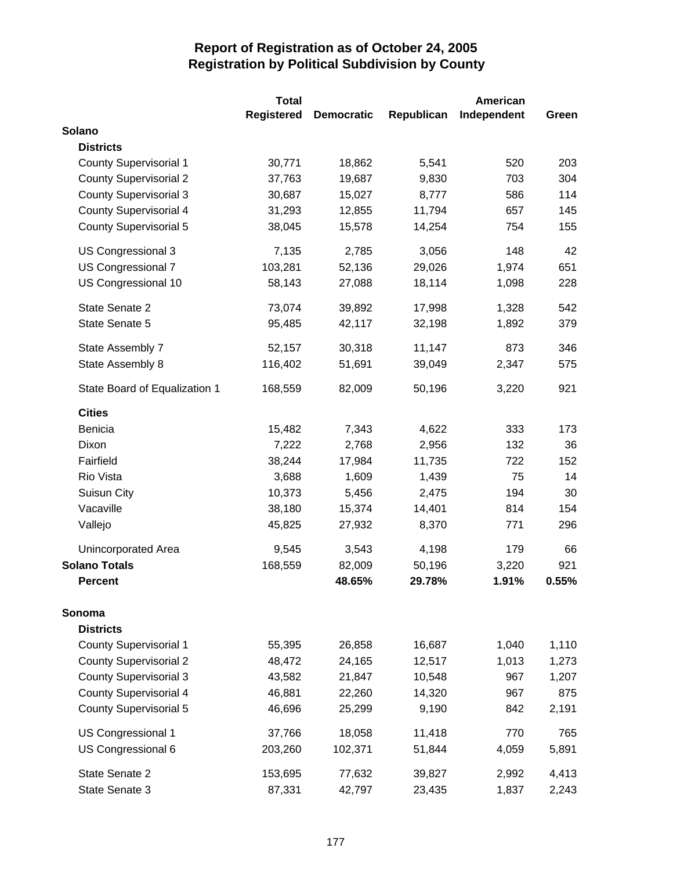|                               | <b>Total</b>      |                   |            | <b>American</b> |       |
|-------------------------------|-------------------|-------------------|------------|-----------------|-------|
|                               | <b>Registered</b> | <b>Democratic</b> | Republican | Independent     | Green |
| Solano                        |                   |                   |            |                 |       |
| <b>Districts</b>              |                   |                   |            |                 |       |
| <b>County Supervisorial 1</b> | 30,771            | 18,862            | 5,541      | 520             | 203   |
| <b>County Supervisorial 2</b> | 37,763            | 19,687            | 9,830      | 703             | 304   |
| <b>County Supervisorial 3</b> | 30,687            | 15,027            | 8,777      | 586             | 114   |
| <b>County Supervisorial 4</b> | 31,293            | 12,855            | 11,794     | 657             | 145   |
| <b>County Supervisorial 5</b> | 38,045            | 15,578            | 14,254     | 754             | 155   |
| US Congressional 3            | 7,135             | 2,785             | 3,056      | 148             | 42    |
| US Congressional 7            | 103,281           | 52,136            | 29,026     | 1,974           | 651   |
| US Congressional 10           | 58,143            | 27,088            | 18,114     | 1,098           | 228   |
| State Senate 2                | 73,074            | 39,892            | 17,998     | 1,328           | 542   |
| State Senate 5                | 95,485            | 42,117            | 32,198     | 1,892           | 379   |
| State Assembly 7              | 52,157            | 30,318            | 11,147     | 873             | 346   |
| State Assembly 8              | 116,402           | 51,691            | 39,049     | 2,347           | 575   |
| State Board of Equalization 1 | 168,559           | 82,009            | 50,196     | 3,220           | 921   |
| <b>Cities</b>                 |                   |                   |            |                 |       |
| Benicia                       | 15,482            | 7,343             | 4,622      | 333             | 173   |
| Dixon                         | 7,222             | 2,768             | 2,956      | 132             | 36    |
| Fairfield                     | 38,244            | 17,984            | 11,735     | 722             | 152   |
| Rio Vista                     | 3,688             | 1,609             | 1,439      | 75              | 14    |
| Suisun City                   | 10,373            | 5,456             | 2,475      | 194             | 30    |
| Vacaville                     | 38,180            | 15,374            | 14,401     | 814             | 154   |
| Vallejo                       | 45,825            | 27,932            | 8,370      | 771             | 296   |
| Unincorporated Area           | 9,545             | 3,543             | 4,198      | 179             | 66    |
| <b>Solano Totals</b>          | 168,559           | 82,009            | 50,196     | 3,220           | 921   |
| <b>Percent</b>                |                   | 48.65%            | 29.78%     | 1.91%           | 0.55% |
| Sonoma                        |                   |                   |            |                 |       |
| <b>Districts</b>              |                   |                   |            |                 |       |
| <b>County Supervisorial 1</b> | 55,395            | 26,858            | 16,687     | 1,040           | 1,110 |
| <b>County Supervisorial 2</b> | 48,472            | 24,165            | 12,517     | 1,013           | 1,273 |
| <b>County Supervisorial 3</b> | 43,582            | 21,847            | 10,548     | 967             | 1,207 |
| <b>County Supervisorial 4</b> | 46,881            | 22,260            | 14,320     | 967             | 875   |
| County Supervisorial 5        | 46,696            | 25,299            | 9,190      | 842             | 2,191 |
| US Congressional 1            | 37,766            | 18,058            | 11,418     | 770             | 765   |
| US Congressional 6            | 203,260           | 102,371           | 51,844     | 4,059           | 5,891 |
| State Senate 2                | 153,695           | 77,632            | 39,827     | 2,992           | 4,413 |
| State Senate 3                | 87,331            | 42,797            | 23,435     | 1,837           | 2,243 |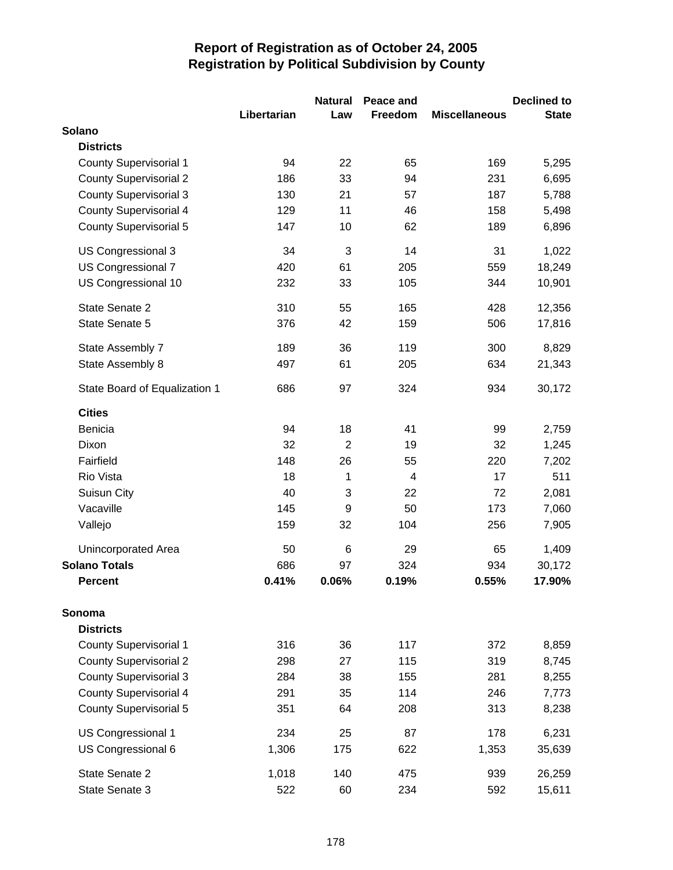|                               |             | <b>Natural</b>  | Peace and |                      | <b>Declined to</b> |
|-------------------------------|-------------|-----------------|-----------|----------------------|--------------------|
|                               | Libertarian | Law             | Freedom   | <b>Miscellaneous</b> | <b>State</b>       |
| Solano                        |             |                 |           |                      |                    |
| <b>Districts</b>              |             |                 |           |                      |                    |
| <b>County Supervisorial 1</b> | 94          | 22              | 65        | 169                  | 5,295              |
| <b>County Supervisorial 2</b> | 186         | 33              | 94        | 231                  | 6,695              |
| <b>County Supervisorial 3</b> | 130         | 21              | 57        | 187                  | 5,788              |
| <b>County Supervisorial 4</b> | 129         | 11              | 46        | 158                  | 5,498              |
| <b>County Supervisorial 5</b> | 147         | 10              | 62        | 189                  | 6,896              |
| US Congressional 3            | 34          | 3               | 14        | 31                   | 1,022              |
| US Congressional 7            | 420         | 61              | 205       | 559                  | 18,249             |
| US Congressional 10           | 232         | 33              | 105       | 344                  | 10,901             |
| State Senate 2                | 310         | 55              | 165       | 428                  | 12,356             |
| State Senate 5                | 376         | 42              | 159       | 506                  | 17,816             |
| State Assembly 7              | 189         | 36              | 119       | 300                  | 8,829              |
| State Assembly 8              | 497         | 61              | 205       | 634                  | 21,343             |
| State Board of Equalization 1 | 686         | 97              | 324       | 934                  | 30,172             |
| <b>Cities</b>                 |             |                 |           |                      |                    |
| Benicia                       | 94          | 18              | 41        | 99                   | 2,759              |
| Dixon                         | 32          | $\overline{2}$  | 19        | 32                   | 1,245              |
| Fairfield                     | 148         | 26              | 55        | 220                  | 7,202              |
| Rio Vista                     | 18          | 1               | 4         | 17                   | 511                |
| Suisun City                   | 40          | 3               | 22        | 72                   | 2,081              |
| Vacaville                     | 145         | 9               | 50        | 173                  | 7,060              |
| Vallejo                       | 159         | 32              | 104       | 256                  | 7,905              |
| Unincorporated Area           | 50          | $6\phantom{1}6$ | 29        | 65                   | 1,409              |
| <b>Solano Totals</b>          | 686         | 97              | 324       | 934                  | 30,172             |
| <b>Percent</b>                | 0.41%       | 0.06%           | 0.19%     | 0.55%                | 17.90%             |
| Sonoma                        |             |                 |           |                      |                    |
| <b>Districts</b>              |             |                 |           |                      |                    |
| <b>County Supervisorial 1</b> | 316         | 36              | 117       | 372                  | 8,859              |
| <b>County Supervisorial 2</b> | 298         | 27              | 115       | 319                  | 8,745              |
| <b>County Supervisorial 3</b> | 284         | 38              | 155       | 281                  | 8,255              |
| <b>County Supervisorial 4</b> | 291         | 35              | 114       | 246                  | 7,773              |
| <b>County Supervisorial 5</b> | 351         | 64              | 208       | 313                  | 8,238              |
| US Congressional 1            | 234         | 25              | 87        | 178                  | 6,231              |
| US Congressional 6            | 1,306       | 175             | 622       | 1,353                | 35,639             |
| State Senate 2                | 1,018       | 140             | 475       | 939                  | 26,259             |
| State Senate 3                | 522         | 60              | 234       | 592                  | 15,611             |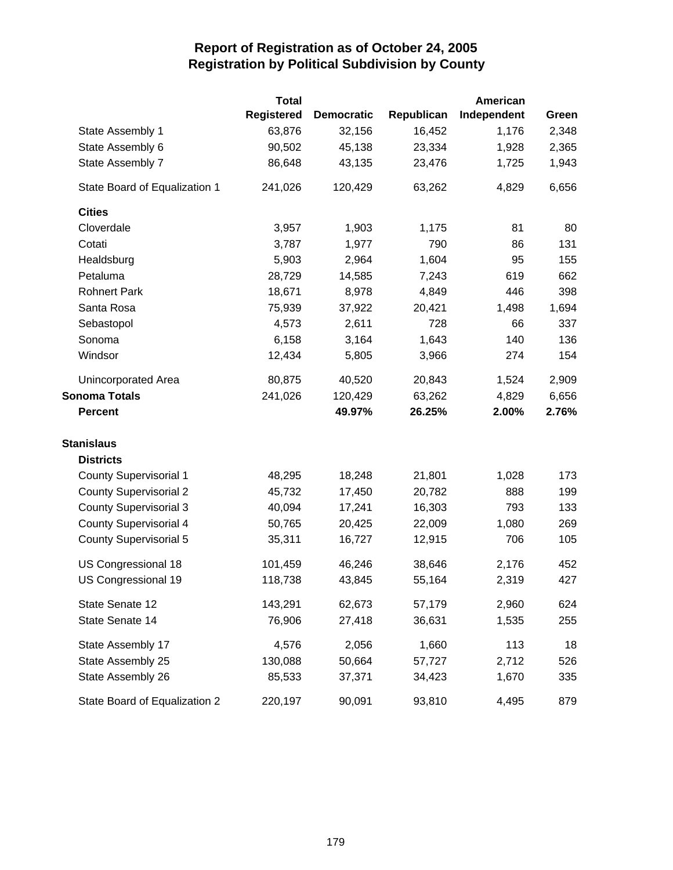|                               | <b>Total</b> |                   |            | <b>American</b> |       |
|-------------------------------|--------------|-------------------|------------|-----------------|-------|
|                               | Registered   | <b>Democratic</b> | Republican | Independent     | Green |
| State Assembly 1              | 63,876       | 32,156            | 16,452     | 1,176           | 2,348 |
| State Assembly 6              | 90,502       | 45,138            | 23,334     | 1,928           | 2,365 |
| State Assembly 7              | 86,648       | 43,135            | 23,476     | 1,725           | 1,943 |
| State Board of Equalization 1 | 241,026      | 120,429           | 63,262     | 4,829           | 6,656 |
| <b>Cities</b>                 |              |                   |            |                 |       |
| Cloverdale                    | 3,957        | 1,903             | 1,175      | 81              | 80    |
| Cotati                        | 3,787        | 1,977             | 790        | 86              | 131   |
| Healdsburg                    | 5,903        | 2,964             | 1,604      | 95              | 155   |
| Petaluma                      | 28,729       | 14,585            | 7,243      | 619             | 662   |
| <b>Rohnert Park</b>           | 18,671       | 8,978             | 4,849      | 446             | 398   |
| Santa Rosa                    | 75,939       | 37,922            | 20,421     | 1,498           | 1,694 |
| Sebastopol                    | 4,573        | 2,611             | 728        | 66              | 337   |
| Sonoma                        | 6,158        | 3,164             | 1,643      | 140             | 136   |
| Windsor                       | 12,434       | 5,805             | 3,966      | 274             | 154   |
| Unincorporated Area           | 80,875       | 40,520            | 20,843     | 1,524           | 2,909 |
| <b>Sonoma Totals</b>          | 241,026      | 120,429           | 63,262     | 4,829           | 6,656 |
| <b>Percent</b>                |              | 49.97%            | 26.25%     | 2.00%           | 2.76% |
| <b>Stanislaus</b>             |              |                   |            |                 |       |
| <b>Districts</b>              |              |                   |            |                 |       |
| <b>County Supervisorial 1</b> | 48,295       | 18,248            | 21,801     | 1,028           | 173   |
| <b>County Supervisorial 2</b> | 45,732       | 17,450            | 20,782     | 888             | 199   |
| <b>County Supervisorial 3</b> | 40,094       | 17,241            | 16,303     | 793             | 133   |
| <b>County Supervisorial 4</b> | 50,765       | 20,425            | 22,009     | 1,080           | 269   |
| <b>County Supervisorial 5</b> | 35,311       | 16,727            | 12,915     | 706             | 105   |
| US Congressional 18           | 101,459      | 46,246            | 38,646     | 2,176           | 452   |
| US Congressional 19           | 118,738      | 43,845            | 55,164     | 2,319           | 427   |
| State Senate 12               | 143,291      | 62,673            | 57,179     | 2,960           | 624   |
| State Senate 14               | 76,906       | 27,418            | 36,631     | 1,535           | 255   |
| State Assembly 17             | 4,576        | 2,056             | 1,660      | 113             | 18    |
| State Assembly 25             | 130,088      | 50,664            | 57,727     | 2,712           | 526   |
| State Assembly 26             | 85,533       | 37,371            | 34,423     | 1,670           | 335   |
| State Board of Equalization 2 | 220,197      | 90,091            | 93,810     | 4,495           | 879   |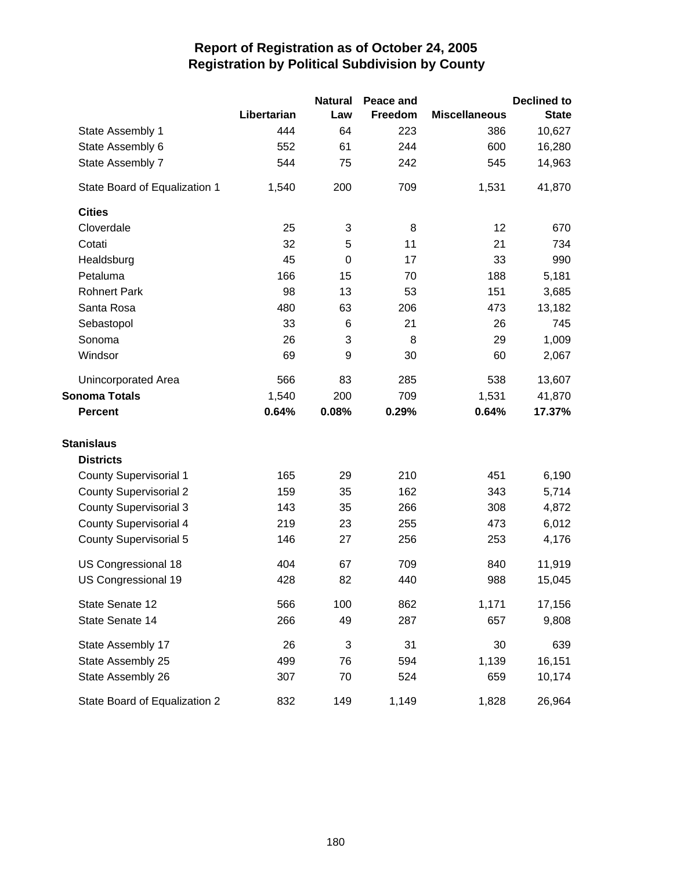|                               |             | <b>Natural</b> | Peace and |                      | <b>Declined to</b> |
|-------------------------------|-------------|----------------|-----------|----------------------|--------------------|
|                               | Libertarian | Law            | Freedom   | <b>Miscellaneous</b> | <b>State</b>       |
| State Assembly 1              | 444         | 64             | 223       | 386                  | 10,627             |
| State Assembly 6              | 552         | 61             | 244       | 600                  | 16,280             |
| State Assembly 7              | 544         | 75             | 242       | 545                  | 14,963             |
| State Board of Equalization 1 | 1,540       | 200            | 709       | 1,531                | 41,870             |
| <b>Cities</b>                 |             |                |           |                      |                    |
| Cloverdale                    | 25          | 3              | 8         | 12                   | 670                |
| Cotati                        | 32          | 5              | 11        | 21                   | 734                |
| Healdsburg                    | 45          | $\mathbf 0$    | 17        | 33                   | 990                |
| Petaluma                      | 166         | 15             | 70        | 188                  | 5,181              |
| <b>Rohnert Park</b>           | 98          | 13             | 53        | 151                  | 3,685              |
| Santa Rosa                    | 480         | 63             | 206       | 473                  | 13,182             |
| Sebastopol                    | 33          | 6              | 21        | 26                   | 745                |
| Sonoma                        | 26          | 3              | 8         | 29                   | 1,009              |
| Windsor                       | 69          | 9              | 30        | 60                   | 2,067              |
| Unincorporated Area           | 566         | 83             | 285       | 538                  | 13,607             |
| <b>Sonoma Totals</b>          | 1,540       | 200            | 709       | 1,531                | 41,870             |
| <b>Percent</b>                | 0.64%       | 0.08%          | 0.29%     | 0.64%                | 17.37%             |
| <b>Stanislaus</b>             |             |                |           |                      |                    |
| <b>Districts</b>              |             |                |           |                      |                    |
| <b>County Supervisorial 1</b> | 165         | 29             | 210       | 451                  | 6,190              |
| <b>County Supervisorial 2</b> | 159         | 35             | 162       | 343                  | 5,714              |
| <b>County Supervisorial 3</b> | 143         | 35             | 266       | 308                  | 4,872              |
| County Supervisorial 4        | 219         | 23             | 255       | 473                  | 6,012              |
| <b>County Supervisorial 5</b> | 146         | 27             | 256       | 253                  | 4,176              |
| US Congressional 18           | 404         | 67             | 709       | 840                  | 11,919             |
| US Congressional 19           | 428         | 82             | 440       | 988                  | 15,045             |
| State Senate 12               | 566         | 100            | 862       | 1,171                | 17,156             |
| State Senate 14               | 266         | 49             | 287       | 657                  | 9,808              |
| State Assembly 17             | 26          | 3              | 31        | 30                   | 639                |
| State Assembly 25             | 499         | 76             | 594       | 1,139                | 16,151             |
| State Assembly 26             | 307         | 70             | 524       | 659                  | 10,174             |
| State Board of Equalization 2 | 832         | 149            | 1,149     | 1,828                | 26,964             |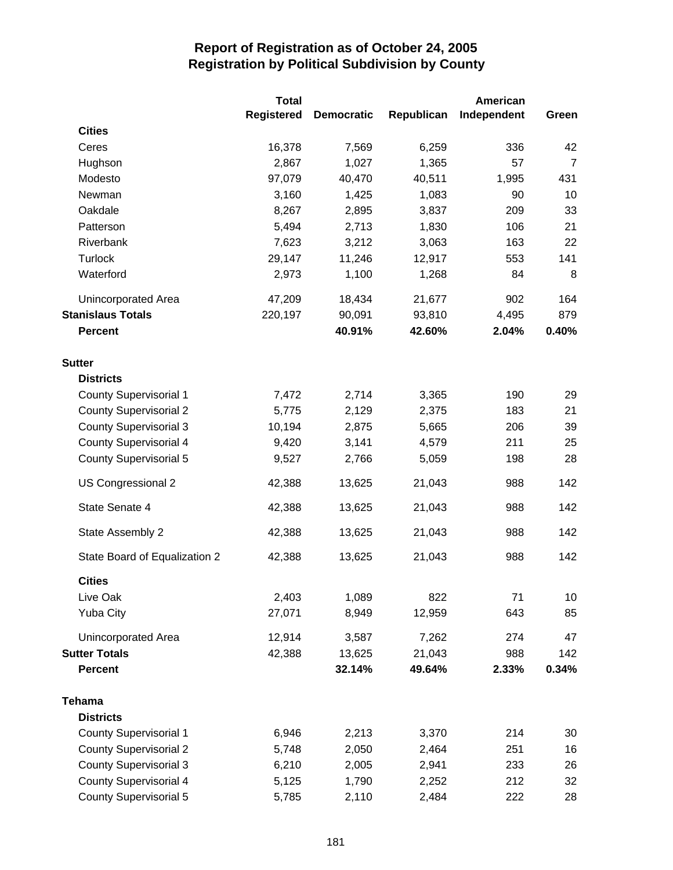|                               | <b>Total</b>      |                   |            | American    |                |
|-------------------------------|-------------------|-------------------|------------|-------------|----------------|
|                               | <b>Registered</b> | <b>Democratic</b> | Republican | Independent | Green          |
| <b>Cities</b>                 |                   |                   |            |             |                |
| Ceres                         | 16,378            | 7,569             | 6,259      | 336         | 42             |
| Hughson                       | 2,867             | 1,027             | 1,365      | 57          | $\overline{7}$ |
| Modesto                       | 97,079            | 40,470            | 40,511     | 1,995       | 431            |
| Newman                        | 3,160             | 1,425             | 1,083      | 90          | 10             |
| Oakdale                       | 8,267             | 2,895             | 3,837      | 209         | 33             |
| Patterson                     | 5,494             | 2,713             | 1,830      | 106         | 21             |
| Riverbank                     | 7,623             | 3,212             | 3,063      | 163         | 22             |
| Turlock                       | 29,147            | 11,246            | 12,917     | 553         | 141            |
| Waterford                     | 2,973             | 1,100             | 1,268      | 84          | 8              |
| <b>Unincorporated Area</b>    | 47,209            | 18,434            | 21,677     | 902         | 164            |
| <b>Stanislaus Totals</b>      | 220,197           | 90,091            | 93,810     | 4,495       | 879            |
| <b>Percent</b>                |                   | 40.91%            | 42.60%     | 2.04%       | 0.40%          |
| <b>Sutter</b>                 |                   |                   |            |             |                |
| <b>Districts</b>              |                   |                   |            |             |                |
| <b>County Supervisorial 1</b> | 7,472             | 2,714             | 3,365      | 190         | 29             |
| <b>County Supervisorial 2</b> | 5,775             | 2,129             | 2,375      | 183         | 21             |
| <b>County Supervisorial 3</b> | 10,194            | 2,875             | 5,665      | 206         | 39             |
| <b>County Supervisorial 4</b> | 9,420             | 3,141             | 4,579      | 211         | 25             |
| <b>County Supervisorial 5</b> | 9,527             | 2,766             | 5,059      | 198         | 28             |
| US Congressional 2            | 42,388            | 13,625            | 21,043     | 988         | 142            |
| State Senate 4                | 42,388            | 13,625            | 21,043     | 988         | 142            |
| State Assembly 2              | 42,388            | 13,625            | 21,043     | 988         | 142            |
| State Board of Equalization 2 | 42,388            | 13,625            | 21,043     | 988         | 142            |
| <b>Cities</b>                 |                   |                   |            |             |                |
| Live Oak                      | 2,403             | 1,089             | 822        | 71          | 10             |
| <b>Yuba City</b>              | 27,071            | 8,949             | 12,959     | 643         | 85             |
| Unincorporated Area           | 12,914            | 3,587             | 7,262      | 274         | 47             |
| <b>Sutter Totals</b>          | 42,388            | 13,625            | 21,043     | 988         | 142            |
| <b>Percent</b>                |                   | 32.14%            | 49.64%     | 2.33%       | 0.34%          |
| Tehama                        |                   |                   |            |             |                |
| <b>Districts</b>              |                   |                   |            |             |                |
| County Supervisorial 1        | 6,946             | 2,213             | 3,370      | 214         | 30             |
| <b>County Supervisorial 2</b> | 5,748             | 2,050             | 2,464      | 251         | 16             |
| <b>County Supervisorial 3</b> | 6,210             | 2,005             | 2,941      | 233         | 26             |
| <b>County Supervisorial 4</b> | 5,125             | 1,790             | 2,252      | 212         | 32             |
| <b>County Supervisorial 5</b> | 5,785             | 2,110             | 2,484      | 222         | 28             |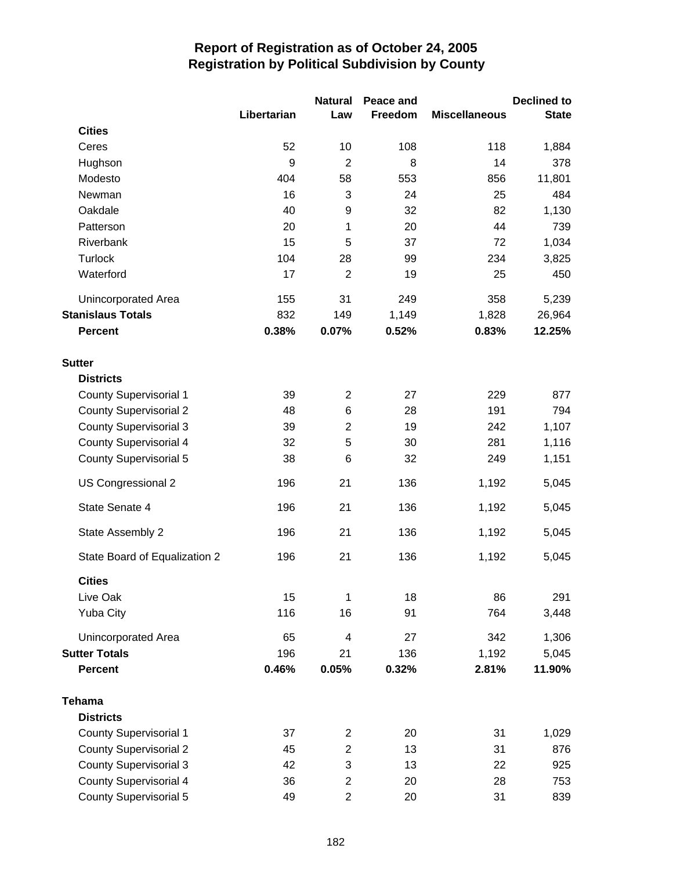|                               |             | <b>Natural</b>          | Peace and |                      | <b>Declined to</b> |
|-------------------------------|-------------|-------------------------|-----------|----------------------|--------------------|
|                               | Libertarian | Law                     | Freedom   | <b>Miscellaneous</b> | <b>State</b>       |
| <b>Cities</b>                 |             |                         |           |                      |                    |
| Ceres                         | 52          | 10                      | 108       | 118                  | 1,884              |
| Hughson                       | 9           | $\overline{2}$          | 8         | 14                   | 378                |
| Modesto                       | 404         | 58                      | 553       | 856                  | 11,801             |
| Newman                        | 16          | 3                       | 24        | 25                   | 484                |
| Oakdale                       | 40          | 9                       | 32        | 82                   | 1,130              |
| Patterson                     | 20          | 1                       | 20        | 44                   | 739                |
| Riverbank                     | 15          | 5                       | 37        | 72                   | 1,034              |
| <b>Turlock</b>                | 104         | 28                      | 99        | 234                  | 3,825              |
| Waterford                     | 17          | $\overline{2}$          | 19        | 25                   | 450                |
| Unincorporated Area           | 155         | 31                      | 249       | 358                  | 5,239              |
| <b>Stanislaus Totals</b>      | 832         | 149                     | 1,149     | 1,828                | 26,964             |
| <b>Percent</b>                | 0.38%       | 0.07%                   | 0.52%     | 0.83%                | 12.25%             |
| <b>Sutter</b>                 |             |                         |           |                      |                    |
| <b>Districts</b>              |             |                         |           |                      |                    |
| <b>County Supervisorial 1</b> | 39          | $\overline{2}$          | 27        | 229                  | 877                |
| <b>County Supervisorial 2</b> | 48          | 6                       | 28        | 191                  | 794                |
| <b>County Supervisorial 3</b> | 39          | $\overline{c}$          | 19        | 242                  | 1,107              |
| <b>County Supervisorial 4</b> | 32          | 5                       | 30        | 281                  | 1,116              |
| <b>County Supervisorial 5</b> | 38          | 6                       | 32        | 249                  | 1,151              |
| US Congressional 2            | 196         | 21                      | 136       | 1,192                | 5,045              |
| State Senate 4                | 196         | 21                      | 136       | 1,192                | 5,045              |
| State Assembly 2              | 196         | 21                      | 136       | 1,192                | 5,045              |
| State Board of Equalization 2 | 196         | 21                      | 136       | 1,192                | 5,045              |
| <b>Cities</b>                 |             |                         |           |                      |                    |
| Live Oak                      | 15          | 1                       | 18        | 86                   | 291                |
| <b>Yuba City</b>              | 116         | 16                      | 91        | 764                  | 3,448              |
| Unincorporated Area           | 65          | 4                       | 27        | 342                  | 1,306              |
| <b>Sutter Totals</b>          | 196         | 21                      | 136       | 1,192                | 5,045              |
| <b>Percent</b>                | 0.46%       | 0.05%                   | 0.32%     | 2.81%                | 11.90%             |
| <b>Tehama</b>                 |             |                         |           |                      |                    |
| <b>Districts</b>              |             |                         |           |                      |                    |
| County Supervisorial 1        | 37          | $\overline{c}$          | 20        | 31                   | 1,029              |
| <b>County Supervisorial 2</b> | 45          | $\mathbf{2}$            | 13        | 31                   | 876                |
| <b>County Supervisorial 3</b> | 42          | 3                       | 13        | 22                   | 925                |
| <b>County Supervisorial 4</b> | 36          | $\overline{c}$          | 20        | 28                   | 753                |
| <b>County Supervisorial 5</b> | 49          | $\overline{\mathbf{c}}$ | 20        | 31                   | 839                |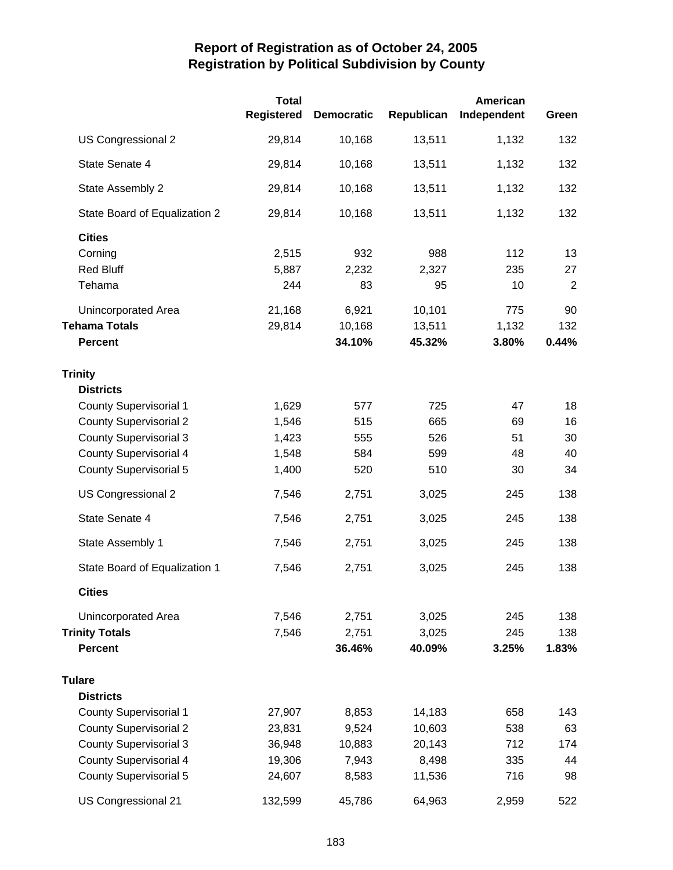|                               | <b>Total</b><br><b>Registered</b> | <b>Democratic</b> | Republican | American<br>Independent | Green          |
|-------------------------------|-----------------------------------|-------------------|------------|-------------------------|----------------|
| US Congressional 2            | 29,814                            | 10,168            | 13,511     | 1,132                   | 132            |
| State Senate 4                | 29,814                            | 10,168            | 13,511     | 1,132                   | 132            |
| State Assembly 2              | 29,814                            | 10,168            | 13,511     | 1,132                   | 132            |
| State Board of Equalization 2 | 29,814                            | 10,168            | 13,511     | 1,132                   | 132            |
| <b>Cities</b>                 |                                   |                   |            |                         |                |
| Corning                       | 2,515                             | 932               | 988        | 112                     | 13             |
| <b>Red Bluff</b>              | 5,887                             | 2,232             | 2,327      | 235                     | 27             |
| Tehama                        | 244                               | 83                | 95         | 10                      | $\overline{2}$ |
| Unincorporated Area           | 21,168                            | 6,921             | 10,101     | 775                     | 90             |
| <b>Tehama Totals</b>          | 29,814                            | 10,168            | 13,511     | 1,132                   | 132            |
| <b>Percent</b>                |                                   | 34.10%            | 45.32%     | 3.80%                   | 0.44%          |
| <b>Trinity</b>                |                                   |                   |            |                         |                |
| <b>Districts</b>              |                                   |                   |            |                         |                |
| <b>County Supervisorial 1</b> | 1,629                             | 577               | 725        | 47                      | 18             |
| <b>County Supervisorial 2</b> | 1,546                             | 515               | 665        | 69                      | 16             |
| <b>County Supervisorial 3</b> | 1,423                             | 555               | 526        | 51                      | 30             |
| <b>County Supervisorial 4</b> | 1,548                             | 584               | 599        | 48                      | 40             |
| <b>County Supervisorial 5</b> | 1,400                             | 520               | 510        | 30                      | 34             |
| US Congressional 2            | 7,546                             | 2,751             | 3,025      | 245                     | 138            |
| State Senate 4                | 7,546                             | 2,751             | 3,025      | 245                     | 138            |
| State Assembly 1              | 7,546                             | 2,751             | 3,025      | 245                     | 138            |
| State Board of Equalization 1 | 7,546                             | 2,751             | 3,025      | 245                     | 138            |
| <b>Cities</b>                 |                                   |                   |            |                         |                |
| Unincorporated Area           | 7,546                             | 2,751             | 3,025      | 245                     | 138            |
| <b>Trinity Totals</b>         | 7,546                             | 2,751             | 3,025      | 245                     | 138            |
| <b>Percent</b>                |                                   | 36.46%            | 40.09%     | 3.25%                   | 1.83%          |
| <b>Tulare</b>                 |                                   |                   |            |                         |                |
| <b>Districts</b>              |                                   |                   |            |                         |                |
| <b>County Supervisorial 1</b> | 27,907                            | 8,853             | 14,183     | 658                     | 143            |
| <b>County Supervisorial 2</b> | 23,831                            | 9,524             | 10,603     | 538                     | 63             |
| <b>County Supervisorial 3</b> | 36,948                            | 10,883            | 20,143     | 712                     | 174            |
| <b>County Supervisorial 4</b> | 19,306                            | 7,943             | 8,498      | 335                     | 44             |
| <b>County Supervisorial 5</b> | 24,607                            | 8,583             | 11,536     | 716                     | 98             |
| US Congressional 21           | 132,599                           | 45,786            | 64,963     | 2,959                   | 522            |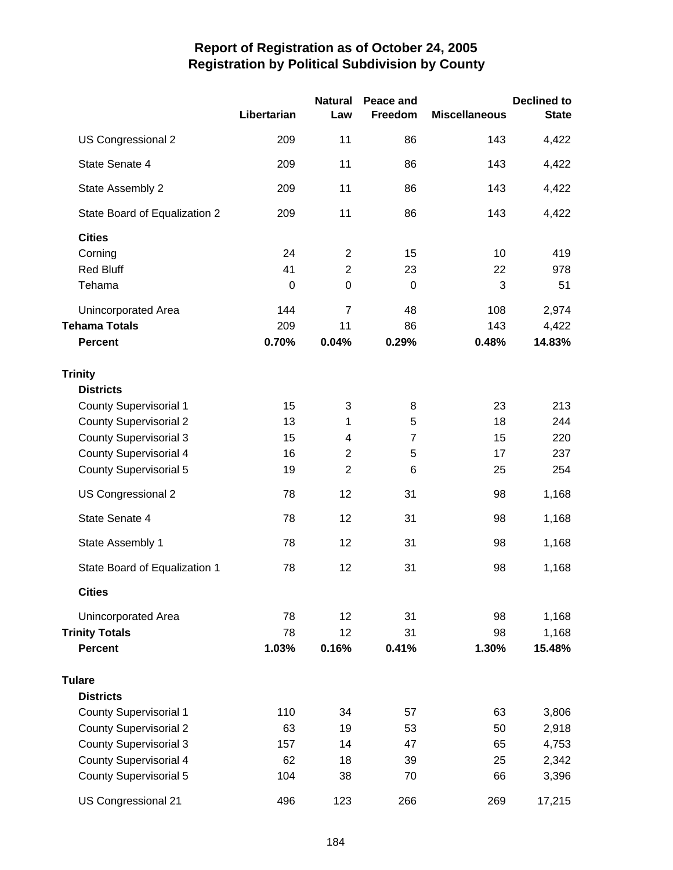|                               | Libertarian | <b>Natural</b><br>Law | Peace and<br>Freedom | <b>Miscellaneous</b> | <b>Declined to</b><br><b>State</b> |
|-------------------------------|-------------|-----------------------|----------------------|----------------------|------------------------------------|
| US Congressional 2            | 209         | 11                    | 86                   | 143                  | 4,422                              |
| State Senate 4                | 209         | 11                    | 86                   | 143                  | 4,422                              |
| State Assembly 2              | 209         | 11                    | 86                   | 143                  | 4,422                              |
| State Board of Equalization 2 | 209         | 11                    | 86                   | 143                  | 4,422                              |
| <b>Cities</b>                 |             |                       |                      |                      |                                    |
| Corning                       | 24          | $\overline{2}$        | 15                   | 10                   | 419                                |
| <b>Red Bluff</b>              | 41          | $\overline{2}$        | 23                   | 22                   | 978                                |
| Tehama                        | $\mathbf 0$ | $\mathbf 0$           | $\mathbf 0$          | 3                    | 51                                 |
| Unincorporated Area           | 144         | $\overline{7}$        | 48                   | 108                  | 2,974                              |
| <b>Tehama Totals</b>          | 209         | 11                    | 86                   | 143                  | 4,422                              |
| <b>Percent</b>                | 0.70%       | 0.04%                 | 0.29%                | 0.48%                | 14.83%                             |
| <b>Trinity</b>                |             |                       |                      |                      |                                    |
| <b>Districts</b>              |             |                       |                      |                      |                                    |
| County Supervisorial 1        | 15          | 3                     | 8                    | 23                   | 213                                |
| <b>County Supervisorial 2</b> | 13          | 1                     | 5                    | 18                   | 244                                |
| <b>County Supervisorial 3</b> | 15          | 4                     | $\overline{7}$       | 15                   | 220                                |
| <b>County Supervisorial 4</b> | 16          | $\overline{2}$        | 5                    | 17                   | 237                                |
| <b>County Supervisorial 5</b> | 19          | $\overline{2}$        | 6                    | 25                   | 254                                |
| US Congressional 2            | 78          | 12                    | 31                   | 98                   | 1,168                              |
| State Senate 4                | 78          | 12                    | 31                   | 98                   | 1,168                              |
| State Assembly 1              | 78          | 12                    | 31                   | 98                   | 1,168                              |
| State Board of Equalization 1 | 78          | 12                    | 31                   | 98                   | 1,168                              |
| <b>Cities</b>                 |             |                       |                      |                      |                                    |
| Unincorporated Area           | 78          | 12                    | 31                   | 98                   | 1,168                              |
| <b>Trinity Totals</b>         | 78          | 12                    | 31                   | 98                   | 1,168                              |
| <b>Percent</b>                | 1.03%       | 0.16%                 | 0.41%                | 1.30%                | 15.48%                             |
| <b>Tulare</b>                 |             |                       |                      |                      |                                    |
| <b>Districts</b>              |             |                       |                      |                      |                                    |
| <b>County Supervisorial 1</b> | 110         | 34                    | 57                   | 63                   | 3,806                              |
| <b>County Supervisorial 2</b> | 63          | 19                    | 53                   | 50                   | 2,918                              |
| <b>County Supervisorial 3</b> | 157         | 14                    | 47                   | 65                   | 4,753                              |
| <b>County Supervisorial 4</b> | 62          | 18                    | 39                   | 25                   | 2,342                              |
| <b>County Supervisorial 5</b> | 104         | 38                    | 70                   | 66                   | 3,396                              |
| US Congressional 21           | 496         | 123                   | 266                  | 269                  | 17,215                             |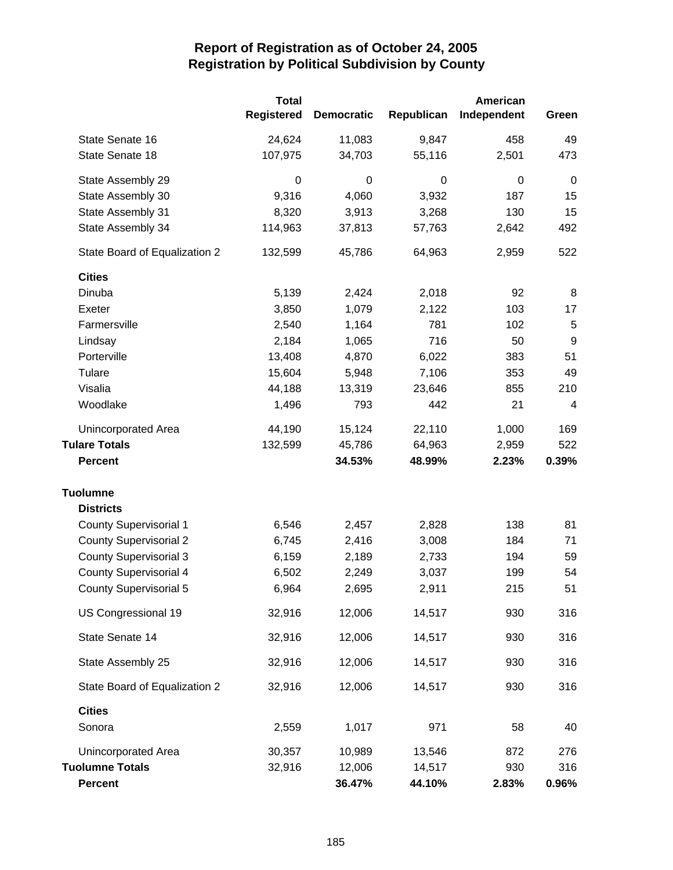|                               | <b>Total</b>      |                   |            | American    |                  |
|-------------------------------|-------------------|-------------------|------------|-------------|------------------|
|                               | <b>Registered</b> | <b>Democratic</b> | Republican | Independent | Green            |
| State Senate 16               | 24,624            | 11,083            | 9,847      | 458         | 49               |
| State Senate 18               | 107,975           | 34,703            | 55,116     | 2,501       | 473              |
| State Assembly 29             | 0                 | $\mathbf 0$       | 0          | 0           | $\mathbf 0$      |
| State Assembly 30             | 9,316             | 4,060             | 3,932      | 187         | 15               |
| State Assembly 31             | 8,320             | 3,913             | 3,268      | 130         | 15               |
| State Assembly 34             | 114,963           | 37,813            | 57,763     | 2,642       | 492              |
| State Board of Equalization 2 | 132,599           | 45,786            | 64,963     | 2,959       | 522              |
| <b>Cities</b>                 |                   |                   |            |             |                  |
| Dinuba                        | 5,139             | 2,424             | 2,018      | 92          | 8                |
| Exeter                        | 3,850             | 1,079             | 2,122      | 103         | 17               |
| Farmersville                  | 2,540             | 1,164             | 781        | 102         | 5                |
| Lindsay                       | 2,184             | 1,065             | 716        | 50          | $\boldsymbol{9}$ |
| Porterville                   | 13,408            | 4,870             | 6,022      | 383         | 51               |
| Tulare                        | 15,604            | 5,948             | 7,106      | 353         | 49               |
| Visalia                       | 44,188            | 13,319            | 23,646     | 855         | 210              |
| Woodlake                      | 1,496             | 793               | 442        | 21          | 4                |
| Unincorporated Area           | 44,190            | 15,124            | 22,110     | 1,000       | 169              |
| <b>Tulare Totals</b>          | 132,599           | 45,786            | 64,963     | 2,959       | 522              |
| <b>Percent</b>                |                   | 34.53%            | 48.99%     | 2.23%       | 0.39%            |
| <b>Tuolumne</b>               |                   |                   |            |             |                  |
| <b>Districts</b>              |                   |                   |            |             |                  |
| <b>County Supervisorial 1</b> | 6,546             | 2,457             | 2,828      | 138         | 81               |
| <b>County Supervisorial 2</b> | 6,745             | 2,416             | 3,008      | 184         | 71               |
| <b>County Supervisorial 3</b> | 6,159             | 2,189             | 2,733      | 194         | 59               |
| <b>County Supervisorial 4</b> | 6,502             | 2,249             | 3,037      | 199         | 54               |
| <b>County Supervisorial 5</b> | 6,964             | 2,695             | 2,911      | 215         | 51               |
| US Congressional 19           | 32,916            | 12,006            | 14,517     | 930         | 316              |
| State Senate 14               | 32,916            | 12,006            | 14,517     | 930         | 316              |
| State Assembly 25             | 32,916            | 12,006            | 14,517     | 930         | 316              |
| State Board of Equalization 2 | 32,916            | 12,006            | 14,517     | 930         | 316              |
| <b>Cities</b>                 |                   |                   |            |             |                  |
| Sonora                        | 2,559             | 1,017             | 971        | 58          | 40               |
| Unincorporated Area           | 30,357            | 10,989            | 13,546     | 872         | 276              |
| <b>Tuolumne Totals</b>        | 32,916            | 12,006            | 14,517     | 930         | 316              |
| <b>Percent</b>                |                   | 36.47%            | 44.10%     | 2.83%       | 0.96%            |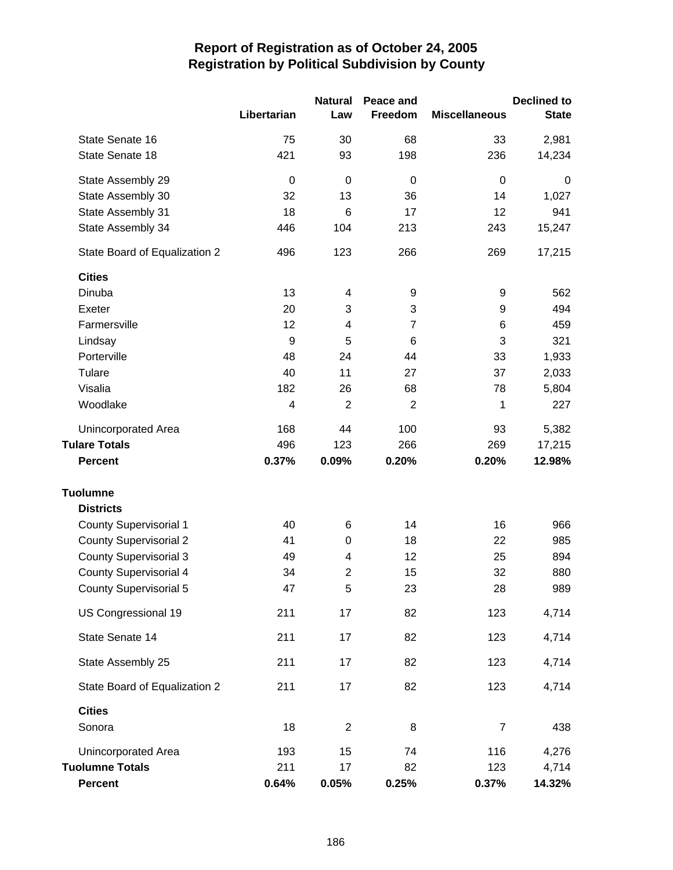|                               |             | <b>Natural</b>   | Peace and      |                      | <b>Declined to</b> |
|-------------------------------|-------------|------------------|----------------|----------------------|--------------------|
|                               | Libertarian | Law              | Freedom        | <b>Miscellaneous</b> | <b>State</b>       |
| State Senate 16               | 75          | 30               | 68             | 33                   | 2,981              |
| State Senate 18               | 421         | 93               | 198            | 236                  | 14,234             |
| State Assembly 29             | $\mathbf 0$ | 0                | $\mathbf 0$    | $\mathbf 0$          | 0                  |
| State Assembly 30             | 32          | 13               | 36             | 14                   | 1,027              |
| State Assembly 31             | 18          | 6                | 17             | 12                   | 941                |
| State Assembly 34             | 446         | 104              | 213            | 243                  | 15,247             |
| State Board of Equalization 2 | 496         | 123              | 266            | 269                  | 17,215             |
| <b>Cities</b>                 |             |                  |                |                      |                    |
| Dinuba                        | 13          | 4                | 9              | 9                    | 562                |
| Exeter                        | 20          | 3                | 3              | 9                    | 494                |
| Farmersville                  | 12          | 4                | $\overline{7}$ | 6                    | 459                |
| Lindsay                       | 9           | 5                | 6              | 3                    | 321                |
| Porterville                   | 48          | 24               | 44             | 33                   | 1,933              |
| Tulare                        | 40          | 11               | 27             | 37                   | 2,033              |
| Visalia                       | 182         | 26               | 68             | 78                   | 5,804              |
| Woodlake                      | 4           | $\overline{2}$   | $\overline{2}$ | 1                    | 227                |
| Unincorporated Area           | 168         | 44               | 100            | 93                   | 5,382              |
| <b>Tulare Totals</b>          | 496         | 123              | 266            | 269                  | 17,215             |
| <b>Percent</b>                | 0.37%       | 0.09%            | 0.20%          | 0.20%                | 12.98%             |
| <b>Tuolumne</b>               |             |                  |                |                      |                    |
| <b>Districts</b>              |             |                  |                |                      |                    |
| <b>County Supervisorial 1</b> | 40          | 6                | 14             | 16                   | 966                |
| <b>County Supervisorial 2</b> | 41          | $\boldsymbol{0}$ | 18             | 22                   | 985                |
| <b>County Supervisorial 3</b> | 49          | 4                | 12             | 25                   | 894                |
| <b>County Supervisorial 4</b> | 34          | $\overline{c}$   | 15             | 32                   | 880                |
| <b>County Supervisorial 5</b> | 47          | 5                | 23             | 28                   | 989                |
| US Congressional 19           | 211         | 17               | 82             | 123                  | 4,714              |
| State Senate 14               | 211         | 17               | 82             | 123                  | 4,714              |
| State Assembly 25             | 211         | 17               | 82             | 123                  | 4,714              |
| State Board of Equalization 2 | 211         | 17               | 82             | 123                  | 4,714              |
| <b>Cities</b>                 |             |                  |                |                      |                    |
| Sonora                        | 18          | $\overline{2}$   | 8              | $\boldsymbol{7}$     | 438                |
| Unincorporated Area           | 193         | 15               | 74             | 116                  | 4,276              |
| <b>Tuolumne Totals</b>        | 211         | 17               | 82             | 123                  | 4,714              |
| Percent                       | 0.64%       | 0.05%            | 0.25%          | 0.37%                | 14.32%             |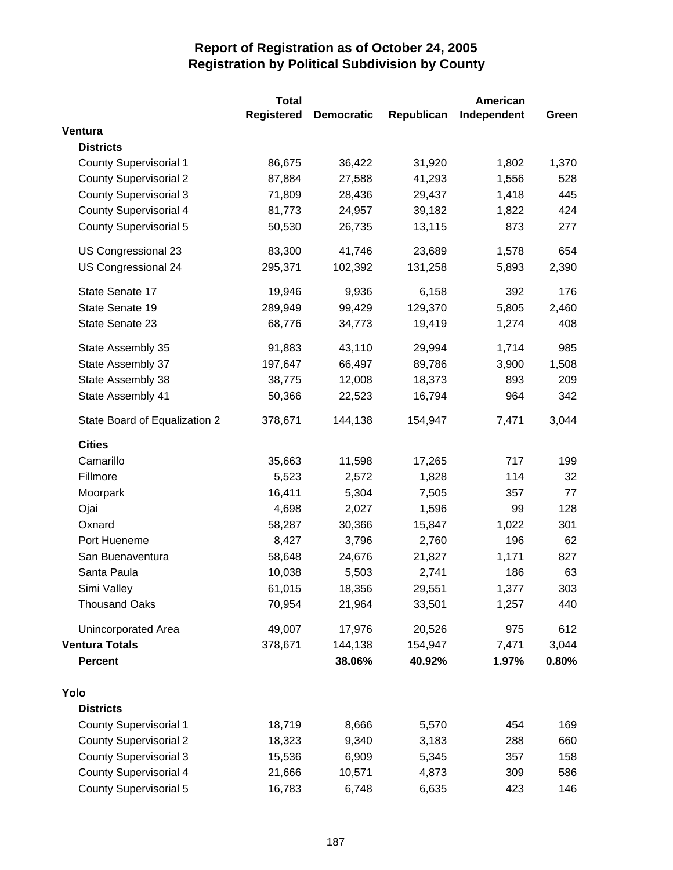|                               | <b>Total</b> |                   |            | <b>American</b> |       |
|-------------------------------|--------------|-------------------|------------|-----------------|-------|
|                               | Registered   | <b>Democratic</b> | Republican | Independent     | Green |
| Ventura                       |              |                   |            |                 |       |
| <b>Districts</b>              |              |                   |            |                 |       |
| <b>County Supervisorial 1</b> | 86,675       | 36,422            | 31,920     | 1,802           | 1,370 |
| <b>County Supervisorial 2</b> | 87,884       | 27,588            | 41,293     | 1,556           | 528   |
| <b>County Supervisorial 3</b> | 71,809       | 28,436            | 29,437     | 1,418           | 445   |
| <b>County Supervisorial 4</b> | 81,773       | 24,957            | 39,182     | 1,822           | 424   |
| <b>County Supervisorial 5</b> | 50,530       | 26,735            | 13,115     | 873             | 277   |
| US Congressional 23           | 83,300       | 41,746            | 23,689     | 1,578           | 654   |
| US Congressional 24           | 295,371      | 102,392           | 131,258    | 5,893           | 2,390 |
| State Senate 17               | 19,946       | 9,936             | 6,158      | 392             | 176   |
| State Senate 19               | 289,949      | 99,429            | 129,370    | 5,805           | 2,460 |
| State Senate 23               | 68,776       | 34,773            | 19,419     | 1,274           | 408   |
| State Assembly 35             | 91,883       | 43,110            | 29,994     | 1,714           | 985   |
| State Assembly 37             | 197,647      | 66,497            | 89,786     | 3,900           | 1,508 |
| State Assembly 38             | 38,775       | 12,008            | 18,373     | 893             | 209   |
| State Assembly 41             | 50,366       | 22,523            | 16,794     | 964             | 342   |
| State Board of Equalization 2 | 378,671      | 144,138           | 154,947    | 7,471           | 3,044 |
| <b>Cities</b>                 |              |                   |            |                 |       |
| Camarillo                     | 35,663       | 11,598            | 17,265     | 717             | 199   |
| Fillmore                      | 5,523        | 2,572             | 1,828      | 114             | 32    |
| Moorpark                      | 16,411       | 5,304             | 7,505      | 357             | 77    |
| Ojai                          | 4,698        | 2,027             | 1,596      | 99              | 128   |
| Oxnard                        | 58,287       | 30,366            | 15,847     | 1,022           | 301   |
| Port Hueneme                  | 8,427        | 3,796             | 2,760      | 196             | 62    |
| San Buenaventura              | 58,648       | 24,676            | 21,827     | 1,171           | 827   |
| Santa Paula                   | 10,038       | 5,503             | 2,741      | 186             | 63    |
| Simi Valley                   | 61,015       | 18,356            | 29,551     | 1,377           | 303   |
| <b>Thousand Oaks</b>          | 70,954       | 21,964            | 33,501     | 1,257           | 440   |
| Unincorporated Area           | 49,007       | 17,976            | 20,526     | 975             | 612   |
| <b>Ventura Totals</b>         | 378,671      | 144,138           | 154,947    | 7,471           | 3,044 |
| <b>Percent</b>                |              | 38.06%            | 40.92%     | 1.97%           | 0.80% |
| Yolo                          |              |                   |            |                 |       |
| <b>Districts</b>              |              |                   |            |                 |       |
| <b>County Supervisorial 1</b> | 18,719       | 8,666             | 5,570      | 454             | 169   |
| <b>County Supervisorial 2</b> | 18,323       | 9,340             | 3,183      | 288             | 660   |
| <b>County Supervisorial 3</b> | 15,536       | 6,909             | 5,345      | 357             | 158   |
| <b>County Supervisorial 4</b> | 21,666       | 10,571            | 4,873      | 309             | 586   |
| <b>County Supervisorial 5</b> | 16,783       | 6,748             | 6,635      | 423             | 146   |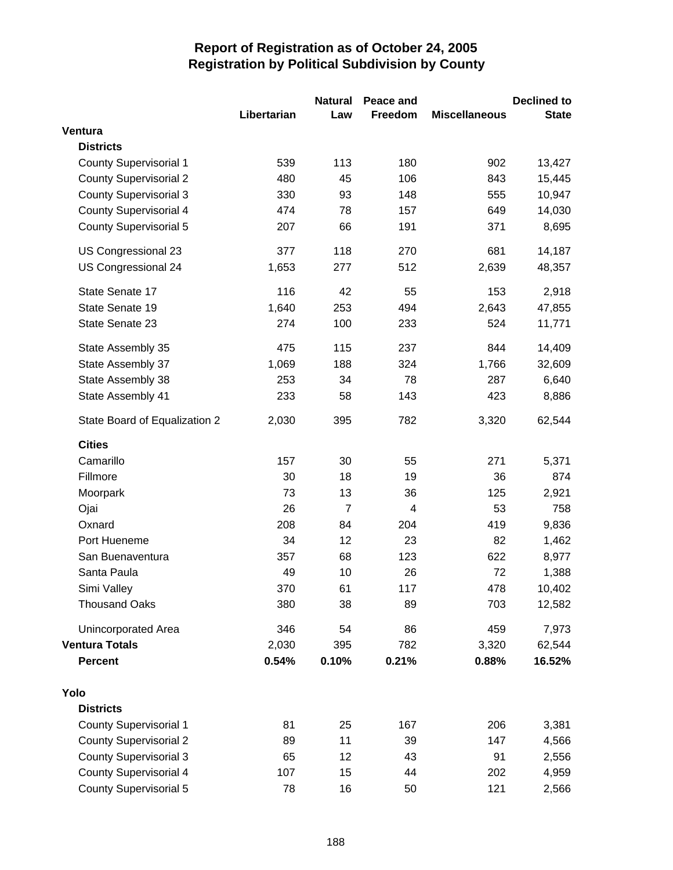|                               |             | <b>Natural</b> | Peace and |                      | <b>Declined to</b> |
|-------------------------------|-------------|----------------|-----------|----------------------|--------------------|
|                               | Libertarian | Law            | Freedom   | <b>Miscellaneous</b> | <b>State</b>       |
| Ventura                       |             |                |           |                      |                    |
| <b>Districts</b>              |             |                |           |                      |                    |
| <b>County Supervisorial 1</b> | 539         | 113            | 180       | 902                  | 13,427             |
| <b>County Supervisorial 2</b> | 480         | 45             | 106       | 843                  | 15,445             |
| <b>County Supervisorial 3</b> | 330         | 93             | 148       | 555                  | 10,947             |
| <b>County Supervisorial 4</b> | 474         | 78             | 157       | 649                  | 14,030             |
| <b>County Supervisorial 5</b> | 207         | 66             | 191       | 371                  | 8,695              |
| US Congressional 23           | 377         | 118            | 270       | 681                  | 14,187             |
| US Congressional 24           | 1,653       | 277            | 512       | 2,639                | 48,357             |
| State Senate 17               | 116         | 42             | 55        | 153                  | 2,918              |
| State Senate 19               | 1,640       | 253            | 494       | 2,643                | 47,855             |
| State Senate 23               | 274         | 100            | 233       | 524                  | 11,771             |
| State Assembly 35             | 475         | 115            | 237       | 844                  | 14,409             |
| State Assembly 37             | 1,069       | 188            | 324       | 1,766                | 32,609             |
| State Assembly 38             | 253         | 34             | 78        | 287                  | 6,640              |
| State Assembly 41             | 233         | 58             | 143       | 423                  | 8,886              |
| State Board of Equalization 2 | 2,030       | 395            | 782       | 3,320                | 62,544             |
| <b>Cities</b>                 |             |                |           |                      |                    |
| Camarillo                     | 157         | 30             | 55        | 271                  | 5,371              |
| Fillmore                      | 30          | 18             | 19        | 36                   | 874                |
| Moorpark                      | 73          | 13             | 36        | 125                  | 2,921              |
| Ojai                          | 26          | $\overline{7}$ | 4         | 53                   | 758                |
| Oxnard                        | 208         | 84             | 204       | 419                  | 9,836              |
| Port Hueneme                  | 34          | 12             | 23        | 82                   | 1,462              |
| San Buenaventura              | 357         | 68             | 123       | 622                  | 8,977              |
| Santa Paula                   | 49          | 10             | 26        | 72                   | 1,388              |
| Simi Valley                   | 370         | 61             | 117       | 478                  | 10,402             |
| <b>Thousand Oaks</b>          | 380         | 38             | 89        | 703                  | 12,582             |
| Unincorporated Area           | 346         | 54             | 86        | 459                  | 7,973              |
| <b>Ventura Totals</b>         | 2,030       | 395            | 782       | 3,320                | 62,544             |
| <b>Percent</b>                | 0.54%       | 0.10%          | 0.21%     | 0.88%                | 16.52%             |
| Yolo                          |             |                |           |                      |                    |
| <b>Districts</b>              |             |                |           |                      |                    |
| <b>County Supervisorial 1</b> | 81          | 25             | 167       | 206                  | 3,381              |
| <b>County Supervisorial 2</b> | 89          | 11             | 39        | 147                  | 4,566              |
| <b>County Supervisorial 3</b> | 65          | 12             | 43        | 91                   | 2,556              |
| <b>County Supervisorial 4</b> | 107         | 15             | 44        | 202                  | 4,959              |
| <b>County Supervisorial 5</b> | 78          | 16             | 50        | 121                  | 2,566              |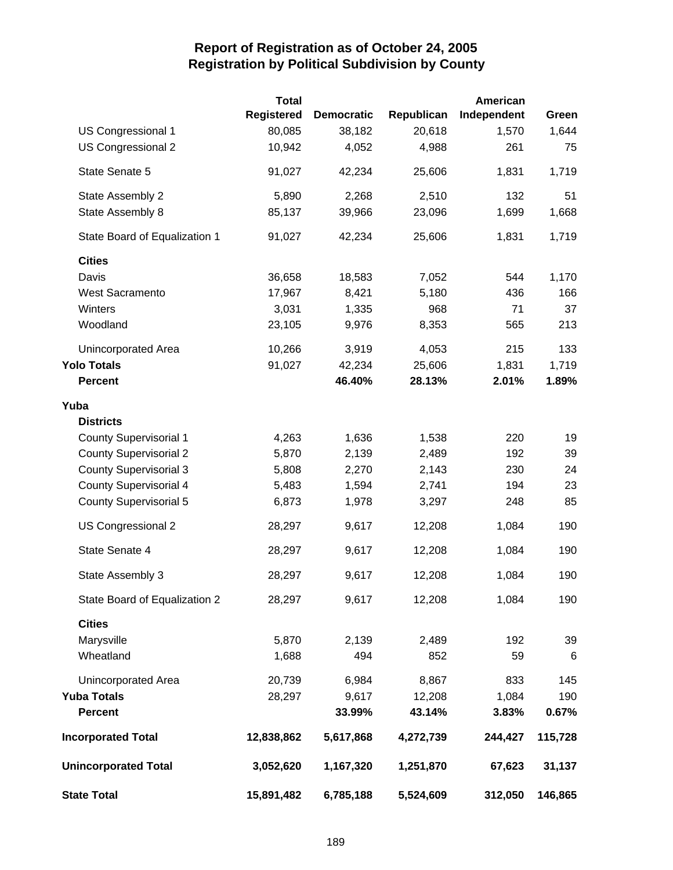|                               | <b>Total</b>      |                   |            | <b>American</b> |                 |
|-------------------------------|-------------------|-------------------|------------|-----------------|-----------------|
|                               | <b>Registered</b> | <b>Democratic</b> | Republican | Independent     | Green           |
| <b>US Congressional 1</b>     | 80,085            | 38,182            | 20,618     | 1,570           | 1,644           |
| US Congressional 2            | 10,942            | 4,052             | 4,988      | 261             | 75              |
| State Senate 5                | 91,027            | 42,234            | 25,606     | 1,831           | 1,719           |
| State Assembly 2              | 5,890             | 2,268             | 2,510      | 132             | 51              |
| State Assembly 8              | 85,137            | 39,966            | 23,096     | 1,699           | 1,668           |
| State Board of Equalization 1 | 91,027            | 42,234            | 25,606     | 1,831           | 1,719           |
| <b>Cities</b>                 |                   |                   |            |                 |                 |
| Davis                         | 36,658            | 18,583            | 7,052      | 544             | 1,170           |
| <b>West Sacramento</b>        | 17,967            | 8,421             | 5,180      | 436             | 166             |
| Winters                       | 3,031             | 1,335             | 968        | 71              | 37              |
| Woodland                      | 23,105            | 9,976             | 8,353      | 565             | 213             |
| Unincorporated Area           | 10,266            | 3,919             | 4,053      | 215             | 133             |
| <b>Yolo Totals</b>            | 91,027            | 42,234            | 25,606     | 1,831           | 1,719           |
| <b>Percent</b>                |                   | 46.40%            | 28.13%     | 2.01%           | 1.89%           |
| Yuba                          |                   |                   |            |                 |                 |
| <b>Districts</b>              |                   |                   |            |                 |                 |
| <b>County Supervisorial 1</b> | 4,263             | 1,636             | 1,538      | 220             | 19              |
| <b>County Supervisorial 2</b> | 5,870             | 2,139             | 2,489      | 192             | 39              |
| <b>County Supervisorial 3</b> | 5,808             | 2,270             | 2,143      | 230             | 24              |
| <b>County Supervisorial 4</b> | 5,483             | 1,594             | 2,741      | 194             | 23              |
| <b>County Supervisorial 5</b> | 6,873             | 1,978             | 3,297      | 248             | 85              |
| US Congressional 2            | 28,297            | 9,617             | 12,208     | 1,084           | 190             |
| State Senate 4                | 28,297            | 9,617             | 12,208     | 1,084           | 190             |
| State Assembly 3              | 28,297            | 9,617             | 12,208     | 1,084           | 190             |
| State Board of Equalization 2 | 28,297            | 9,617             | 12,208     | 1,084           | 190             |
| <b>Cities</b>                 |                   |                   |            |                 |                 |
| Marysville                    | 5,870             | 2,139             | 2,489      | 192             | 39              |
| Wheatland                     | 1,688             | 494               | 852        | 59              | $6\phantom{1}6$ |
| Unincorporated Area           | 20,739            | 6,984             | 8,867      | 833             | 145             |
| <b>Yuba Totals</b>            | 28,297            | 9,617             | 12,208     | 1,084           | 190             |
| <b>Percent</b>                |                   | 33.99%            | 43.14%     | 3.83%           | 0.67%           |
| <b>Incorporated Total</b>     | 12,838,862        | 5,617,868         | 4,272,739  | 244,427         | 115,728         |
| <b>Unincorporated Total</b>   | 3,052,620         | 1,167,320         | 1,251,870  | 67,623          | 31,137          |
| <b>State Total</b>            | 15,891,482        | 6,785,188         | 5,524,609  | 312,050         | 146,865         |